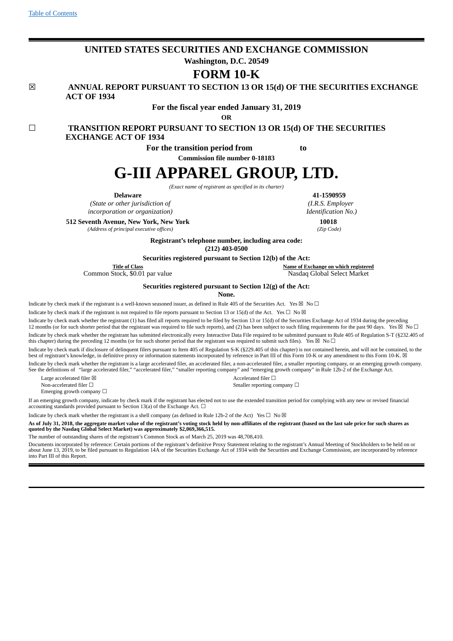## **UNITED STATES SECURITIES AND EXCHANGE COMMISSION**

**Washington, D.C. 20549**

# **FORM 10‑K**

☒ **ANNUAL REPORT PURSUANT TO SECTION 13 OR 15(d) OF THE SECURITIES EXCHANGE ACT OF 1934**

**For the fiscal year ended January 31, 2019**

**OR**

☐ **TRANSITION REPORT PURSUANT TO SECTION 13 OR 15(d) OF THE SECURITIES EXCHANGE ACT OF 1934**

**For the transition period from to**

# **G-III APPAREL GROUP, LTD.**

**Commission file number 0‑18183**

*(Exact name of registrant as specified in its charter)*

**Delaware**

*(State or other jurisdiction of incorporation or organization)*

**512 Seventh Avenue, New York, New York**

*(Address of principal executive offices)*

**41‑1590959**

*(Zip Code)*

**Registrant's telephone number, including area code:**

**(212) 403‑0500**

**Securities registered pursuant to Section 12(b) of the Act:**

**Title of Class Name of Exchange on which registered**

Common Stock, \$0.01 par value Nasdaq Global Select Market

**Securities registered pursuant to Section 12(g) of the Act:**

**None.**

Indicate by check mark if the registrant is a well-known seasoned issuer, as defined in Rule 405 of the Securities Act. Yes  $\boxtimes$  No  $\Box$ 

Indicate by check mark if the registrant is not required to file reports pursuant to Section 13 or 15(d) of the Act. Yes  $\Box$  No  $\boxtimes$ 

Indicate by check mark whether the registrant (1) has filed all reports required to be filed by Section 13 or 15(d) of the Securities Exchange Act of 1934 during the preceding 12 months (or for such shorter period that the registrant was required to file such reports), and (2) has been subject to such filing requirements for the past 90 days. Yes ⊠ No □ Indicate by check mark whether the registrant has submitted electronically every Interactive Data File required to be submitted pursuant to Rule 405 of Regulation S-T (§232.405 of this chapter) during the preceding 12 months (or for such shorter period that the registrant was required to submit such files). Yes  $\boxtimes$  No  $\Box$ 

Indicate by check mark if disclosure of delinquent filers pursuant to Item 405 of Regulation S-K (§229.405 of this chapter) is not contained herein, and will not be contained, to the best of registrant's knowledge, in definitive proxy or information statements incorporated by reference in Part III of this Form 10-K or any amendment to this Form 10-K. ⊠

Indicate by check mark whether the registrant is a large accelerated filer, an accelerated filer, a smaller, a smaller reporting company, or an emerging growth company.<br>See the definitions of "large accelerated filer," "ac

Large accelerated filer  $\boxtimes$ Non-accelerated filer □ state of the state of the state of the Smaller reporting company □ Emerging growth company  $\Box$ 

If an emerging growth company, indicate by check mark if the registrant has elected not to use the extended transition period for complying with any new or revised financial accounting standards provided pursuant to Section 13(a) of the Exchange Act.  $\Box$ 

Indicate by check mark whether the registrant is a shell company (as defined in Rule 12b-2 of the Act) Yes  $\Box$  No  $\boxtimes$ 

As of July 31, 2018, the aggregate market value of the registrant's voting stock held by non-affiliates of the registrant (based on the last sale price for such shares as **quoted by the Nasdaq Global Select Market) was approximately \$2,069,366,515.**

The number of outstanding shares of the registrant's Common Stock as of March 25, 2019 was 48,708,410.

Documents incorporated by reference: Certain portions of the registrant's definitive Proxy Statement relating to the registrant's Annual Meeting of Stockholders to be held on or about June 13, 2019, to be filed pursuant to Regulation 14A of the Securities Exchange Act of 1934 with the Securities and Exchange Commission, are incorporated by reference into Part III of this Report.

*(I.R.S. Employer Identification No.)* **10018**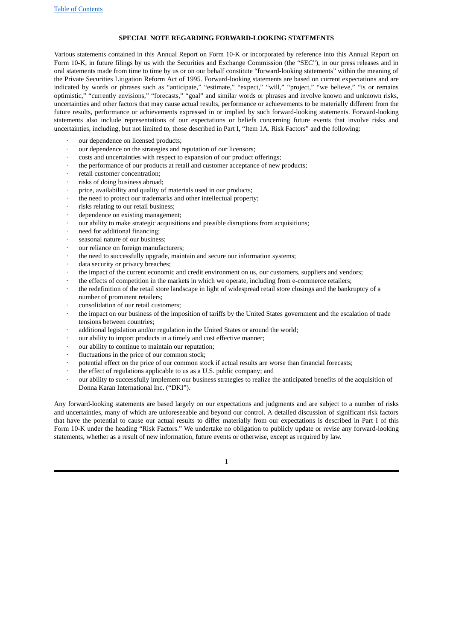## **SPECIAL NOTE REGARDING FORWARD-LOOKING STATEMENTS**

Various statements contained in this Annual Report on Form 10‑K or incorporated by reference into this Annual Report on Form 10-K, in future filings by us with the Securities and Exchange Commission (the "SEC"), in our press releases and in oral statements made from time to time by us or on our behalf constitute "forward-looking statements" within the meaning of the Private Securities Litigation Reform Act of 1995. Forward-looking statements are based on current expectations and are indicated by words or phrases such as "anticipate," "estimate," "expect," "will," "project," "we believe," "is or remains optimistic," "currently envisions," "forecasts," "goal" and similar words or phrases and involve known and unknown risks, uncertainties and other factors that may cause actual results, performance or achievements to be materially different from the future results, performance or achievements expressed in or implied by such forward-looking statements. Forward-looking statements also include representations of our expectations or beliefs concerning future events that involve risks and uncertainties, including, but not limited to, those described in Part I, "Item 1A. Risk Factors" and the following:

- our dependence on licensed products;
- our dependence on the strategies and reputation of our licensors;
- costs and uncertainties with respect to expansion of our product offerings;
- · the performance of our products at retail and customer acceptance of new products;
- retail customer concentration;
- · risks of doing business abroad;
- price, availability and quality of materials used in our products;
- the need to protect our trademarks and other intellectual property;
- risks relating to our retail business;
- dependence on existing management;
- our ability to make strategic acquisitions and possible disruptions from acquisitions;
- · need for additional financing;
- seasonal nature of our business:
- our reliance on foreign manufacturers;
- the need to successfully upgrade, maintain and secure our information systems;
- data security or privacy breaches;
- the impact of the current economic and credit environment on us, our customers, suppliers and vendors;
- the effects of competition in the markets in which we operate, including from e-commerce retailers;
- the redefinition of the retail store landscape in light of widespread retail store closings and the bankruptcy of a
- number of prominent retailers;
- · consolidation of our retail customers;
- · the impact on our business of the imposition of tariffs by the United States government and the escalation of trade tensions between countries;
- additional legislation and/or regulation in the United States or around the world;
- our ability to import products in a timely and cost effective manner;
- our ability to continue to maintain our reputation;
- fluctuations in the price of our common stock;
- potential effect on the price of our common stock if actual results are worse than financial forecasts;
- the effect of regulations applicable to us as a U.S. public company; and
- · our ability to successfully implement our business strategies to realize the anticipated benefits of the acquisition of Donna Karan International Inc. ("DKI").

Any forward-looking statements are based largely on our expectations and judgments and are subject to a number of risks and uncertainties, many of which are unforeseeable and beyond our control. A detailed discussion of significant risk factors that have the potential to cause our actual results to differ materially from our expectations is described in Part I of this Form 10-K under the heading "Risk Factors." We undertake no obligation to publicly update or revise any forward-looking statements, whether as a result of new information, future events or otherwise, except as required by law.

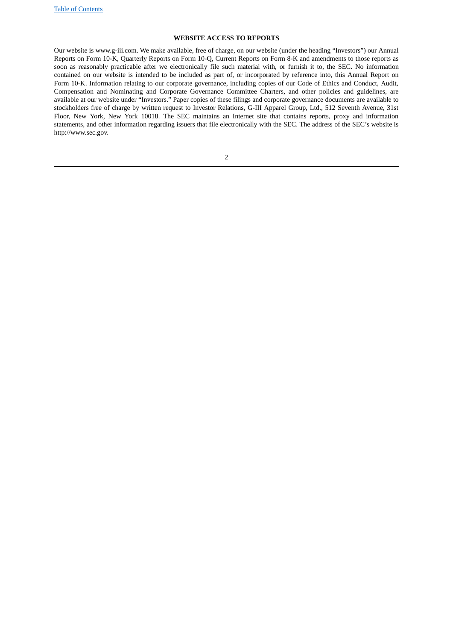#### **WEBSITE ACCESS TO REPORTS**

Our website is www.g-iii.com. We make available, free of charge, on our website (under the heading "Investors") our Annual Reports on Form 10‑K, Quarterly Reports on Form 10‑Q, Current Reports on Form 8‑K and amendments to those reports as soon as reasonably practicable after we electronically file such material with, or furnish it to, the SEC. No information contained on our website is intended to be included as part of, or incorporated by reference into, this Annual Report on Form 10-K. Information relating to our corporate governance, including copies of our Code of Ethics and Conduct, Audit, Compensation and Nominating and Corporate Governance Committee Charters, and other policies and guidelines, are available at our website under "Investors." Paper copies of these filings and corporate governance documents are available to stockholders free of charge by written request to Investor Relations, G-III Apparel Group, Ltd., 512 Seventh Avenue, 31st Floor, New York, New York 10018. The SEC maintains an Internet site that contains reports, proxy and information statements, and other information regarding issuers that file electronically with the SEC. The address of the SEC's website is http://www.sec.gov.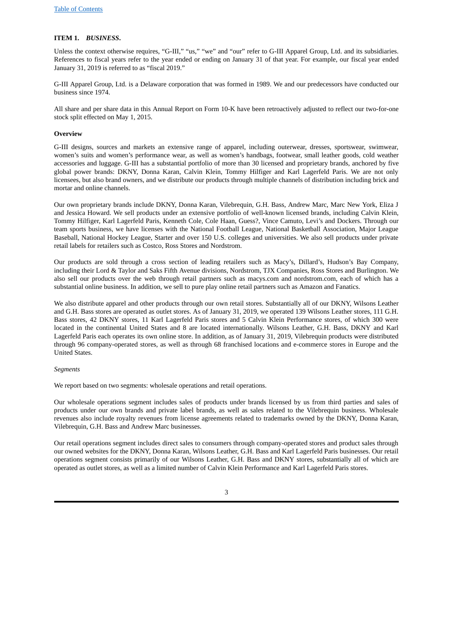## **ITEM 1.** *BUSINESS***.**

Unless the context otherwise requires, "G-III," "us," "we" and "our" refer to G-III Apparel Group, Ltd. and its subsidiaries. References to fiscal years refer to the year ended or ending on January 31 of that year. For example, our fiscal year ended January 31, 2019 is referred to as "fiscal 2019."

G-III Apparel Group, Ltd. is a Delaware corporation that was formed in 1989. We and our predecessors have conducted our business since 1974.

All share and per share data in this Annual Report on Form 10-K have been retroactively adjusted to reflect our two-for-one stock split effected on May 1, 2015.

#### **Overview**

G-III designs, sources and markets an extensive range of apparel, including outerwear, dresses, sportswear, swimwear, women's suits and women's performance wear, as well as women's handbags, footwear, small leather goods, cold weather accessories and luggage. G-III has a substantial portfolio of more than 30 licensed and proprietary brands, anchored by five global power brands: DKNY, Donna Karan, Calvin Klein, Tommy Hilfiger and Karl Lagerfeld Paris. We are not only licensees, but also brand owners, and we distribute our products through multiple channels of distribution including brick and mortar and online channels.

Our own proprietary brands include DKNY, Donna Karan, Vilebrequin, G.H. Bass, Andrew Marc, Marc New York, Eliza J and Jessica Howard. We sell products under an extensive portfolio of well-known licensed brands, including Calvin Klein, Tommy Hilfiger, Karl Lagerfeld Paris, Kenneth Cole, Cole Haan, Guess?, Vince Camuto, Levi's and Dockers. Through our team sports business, we have licenses with the National Football League, National Basketball Association, Major League Baseball, National Hockey League, Starter and over 150 U.S. colleges and universities. We also sell products under private retail labels for retailers such as Costco, Ross Stores and Nordstrom.

Our products are sold through a cross section of leading retailers such as Macy's, Dillard's, Hudson's Bay Company, including their Lord & Taylor and Saks Fifth Avenue divisions, Nordstrom, TJX Companies, Ross Stores and Burlington. We also sell our products over the web through retail partners such as macys.com and nordstrom.com, each of which has a substantial online business. In addition, we sell to pure play online retail partners such as Amazon and Fanatics.

We also distribute apparel and other products through our own retail stores. Substantially all of our DKNY, Wilsons Leather and G.H. Bass stores are operated as outlet stores. As of January 31, 2019, we operated 139 Wilsons Leather stores, 111 G.H. Bass stores, 42 DKNY stores, 11 Karl Lagerfeld Paris stores and 5 Calvin Klein Performance stores, of which 300 were located in the continental United States and 8 are located internationally. Wilsons Leather, G.H. Bass, DKNY and Karl Lagerfeld Paris each operates its own online store. In addition, as of January 31, 2019, Vilebrequin products were distributed through 96 company-operated stores, as well as through 68 franchised locations and e-commerce stores in Europe and the United States.

#### *Segments*

We report based on two segments: wholesale operations and retail operations.

Our wholesale operations segment includes sales of products under brands licensed by us from third parties and sales of products under our own brands and private label brands, as well as sales related to the Vilebrequin business. Wholesale revenues also include royalty revenues from license agreements related to trademarks owned by the DKNY, Donna Karan, Vilebrequin, G.H. Bass and Andrew Marc businesses.

Our retail operations segment includes direct sales to consumers through company-operated stores and product sales through our owned websites for the DKNY, Donna Karan, Wilsons Leather, G.H. Bass and Karl Lagerfeld Paris businesses. Our retail operations segment consists primarily of our Wilsons Leather, G.H. Bass and DKNY stores, substantially all of which are operated as outlet stores, as well as a limited number of Calvin Klein Performance and Karl Lagerfeld Paris stores.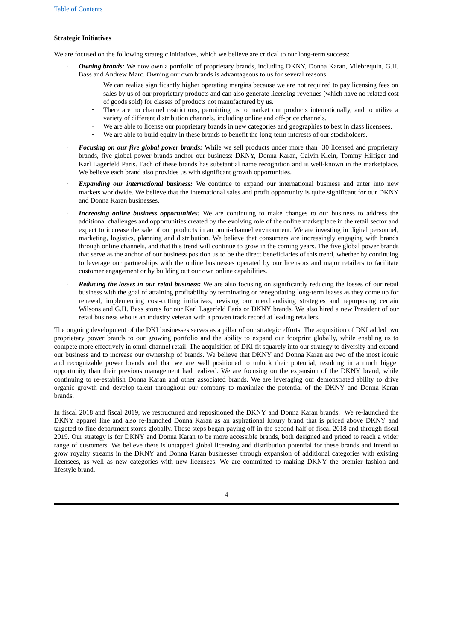#### **Strategic Initiatives**

We are focused on the following strategic initiatives, which we believe are critical to our long-term success:

- · *Owning brands:* We now own a portfolio of proprietary brands, including DKNY, Donna Karan, Vilebrequin, G.H. Bass and Andrew Marc. Owning our own brands is advantageous to us for several reasons:
	- We can realize significantly higher operating margins because we are not required to pay licensing fees on sales by us of our proprietary products and can also generate licensing revenues (which have no related cost of goods sold) for classes of products not manufactured by us.
	- There are no channel restrictions, permitting us to market our products internationally, and to utilize a variety of different distribution channels, including online and off-price channels.
	- We are able to license our proprietary brands in new categories and geographies to best in class licensees.
	- We are able to build equity in these brands to benefit the long-term interests of our stockholders.
- · *Focusing on our five global power brands:* While we sell products under more than 30 licensed and proprietary brands, five global power brands anchor our business: DKNY, Donna Karan, Calvin Klein, Tommy Hilfiger and Karl Lagerfeld Paris. Each of these brands has substantial name recognition and is well-known in the marketplace. We believe each brand also provides us with significant growth opportunities.
- · *Expanding our international business:* We continue to expand our international business and enter into new markets worldwide. We believe that the international sales and profit opportunity is quite significant for our DKNY and Donna Karan businesses.
- · *Increasing online business opportunities:* We are continuing to make changes to our business to address the additional challenges and opportunities created by the evolving role of the online marketplace in the retail sector and expect to increase the sale of our products in an omni-channel environment. We are investing in digital personnel, marketing, logistics, planning and distribution. We believe that consumers are increasingly engaging with brands through online channels, and that this trend will continue to grow in the coming years. The five global power brands that serve as the anchor of our business position us to be the direct beneficiaries of this trend, whether by continuing to leverage our partnerships with the online businesses operated by our licensors and major retailers to facilitate customer engagement or by building out our own online capabilities.
- · *Reducing the losses in our retail business:* We are also focusing on significantly reducing the losses of our retail business with the goal of attaining profitability by terminating or renegotiating long-term leases as they come up for renewal, implementing cost-cutting initiatives, revising our merchandising strategies and repurposing certain Wilsons and G.H. Bass stores for our Karl Lagerfeld Paris or DKNY brands. We also hired a new President of our retail business who is an industry veteran with a proven track record at leading retailers.

The ongoing development of the DKI businesses serves as a pillar of our strategic efforts. The acquisition of DKI added two proprietary power brands to our growing portfolio and the ability to expand our footprint globally, while enabling us to compete more effectively in omni-channel retail. The acquisition of DKI fit squarely into our strategy to diversify and expand our business and to increase our ownership of brands. We believe that DKNY and Donna Karan are two of the most iconic and recognizable power brands and that we are well positioned to unlock their potential, resulting in a much bigger opportunity than their previous management had realized. We are focusing on the expansion of the DKNY brand, while continuing to re-establish Donna Karan and other associated brands. We are leveraging our demonstrated ability to drive organic growth and develop talent throughout our company to maximize the potential of the DKNY and Donna Karan brands.

In fiscal 2018 and fiscal 2019, we restructured and repositioned the DKNY and Donna Karan brands. We re-launched the DKNY apparel line and also re-launched Donna Karan as an aspirational luxury brand that is priced above DKNY and targeted to fine department stores globally. These steps began paying off in the second half of fiscal 2018 and through fiscal 2019. Our strategy is for DKNY and Donna Karan to be more accessible brands, both designed and priced to reach a wider range of customers. We believe there is untapped global licensing and distribution potential for these brands and intend to grow royalty streams in the DKNY and Donna Karan businesses through expansion of additional categories with existing licensees, as well as new categories with new licensees. We are committed to making DKNY the premier fashion and lifestyle brand.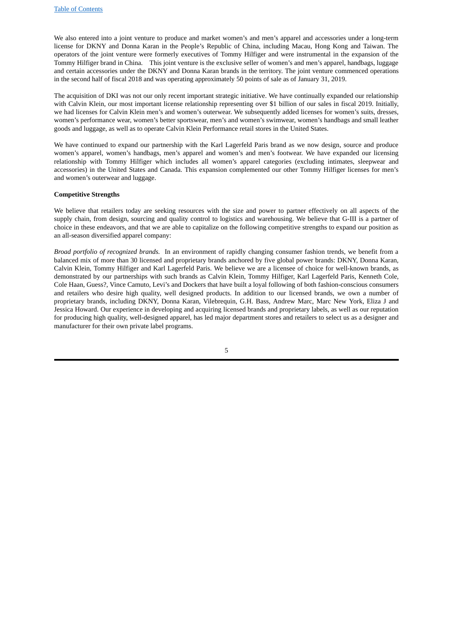We also entered into a joint venture to produce and market women's and men's apparel and accessories under a long-term license for DKNY and Donna Karan in the People's Republic of China, including Macau, Hong Kong and Taiwan. The operators of the joint venture were formerly executives of Tommy Hilfiger and were instrumental in the expansion of the Tommy Hilfiger brand in China. This joint venture is the exclusive seller of women's and men's apparel, handbags, luggage and certain accessories under the DKNY and Donna Karan brands in the territory. The joint venture commenced operations in the second half of fiscal 2018 and was operating approximately 50 points of sale as of January 31, 2019.

The acquisition of DKI was not our only recent important strategic initiative. We have continually expanded our relationship with Calvin Klein, our most important license relationship representing over \$1 billion of our sales in fiscal 2019. Initially, we had licenses for Calvin Klein men's and women's outerwear. We subsequently added licenses for women's suits, dresses, women's performance wear, women's better sportswear, men's and women's swimwear, women's handbags and small leather goods and luggage, as well as to operate Calvin Klein Performance retail stores in the United States.

We have continued to expand our partnership with the Karl Lagerfeld Paris brand as we now design, source and produce women's apparel, women's handbags, men's apparel and women's and men's footwear. We have expanded our licensing relationship with Tommy Hilfiger which includes all women's apparel categories (excluding intimates, sleepwear and accessories) in the United States and Canada. This expansion complemented our other Tommy Hilfiger licenses for men's and women's outerwear and luggage.

#### **Competitive Strengths**

We believe that retailers today are seeking resources with the size and power to partner effectively on all aspects of the supply chain, from design, sourcing and quality control to logistics and warehousing. We believe that G-III is a partner of choice in these endeavors, and that we are able to capitalize on the following competitive strengths to expand our position as an all-season diversified apparel company:

*Broad portfolio of recognized brands.* In an environment of rapidly changing consumer fashion trends, we benefit from a balanced mix of more than 30 licensed and proprietary brands anchored by five global power brands: DKNY, Donna Karan, Calvin Klein, Tommy Hilfiger and Karl Lagerfeld Paris. We believe we are a licensee of choice for well-known brands, as demonstrated by our partnerships with such brands as Calvin Klein, Tommy Hilfiger, Karl Lagerfeld Paris, Kenneth Cole, Cole Haan, Guess?, Vince Camuto, Levi's and Dockers that have built a loyal following of both fashion-conscious consumers and retailers who desire high quality, well designed products. In addition to our licensed brands, we own a number of proprietary brands, including DKNY, Donna Karan, Vilebrequin, G.H. Bass, Andrew Marc, Marc New York, Eliza J and Jessica Howard. Our experience in developing and acquiring licensed brands and proprietary labels, as well as our reputation for producing high quality, well-designed apparel, has led major department stores and retailers to select us as a designer and manufacturer for their own private label programs.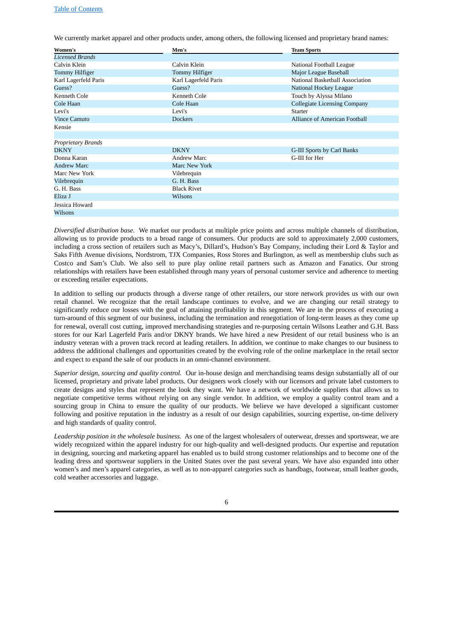We currently market apparel and other products under, among others, the following licensed and proprietary brand names:

| Women's                   | Men's                 | <b>Team Sports</b>                   |
|---------------------------|-----------------------|--------------------------------------|
| <b>Licensed Brands</b>    |                       |                                      |
| Calvin Klein              | Calvin Klein          | National Football League             |
| <b>Tommy Hilfiger</b>     | <b>Tommy Hilfiger</b> | Major League Baseball                |
| Karl Lagerfeld Paris      | Karl Lagerfeld Paris  | National Basketball Association      |
| Guess?                    | Guess?                | National Hockey League               |
| Kenneth Cole              | Kenneth Cole          | Touch by Alyssa Milano               |
| Cole Haan                 | Cole Haan             | <b>Collegiate Licensing Company</b>  |
| Levi's                    | Levi's                | <b>Starter</b>                       |
| <b>Vince Camuto</b>       | <b>Dockers</b>        | <b>Alliance of American Football</b> |
| Kensie                    |                       |                                      |
|                           |                       |                                      |
| <b>Proprietary Brands</b> |                       |                                      |
| <b>DKNY</b>               | <b>DKNY</b>           | G-III Sports by Carl Banks           |
| Donna Karan               | Andrew Marc           | G-III for Her                        |
| <b>Andrew Marc</b>        | Marc New York         |                                      |
| Marc New York             | Vilebrequin           |                                      |
| Vilebrequin               | G. H. Bass            |                                      |
| G. H. Bass                | <b>Black Rivet</b>    |                                      |
| Eliza J                   | Wilsons               |                                      |
| Jessica Howard            |                       |                                      |
| Wilsons                   |                       |                                      |
|                           |                       |                                      |

*Diversified distribution base.* We market our products at multiple price points and across multiple channels of distribution, allowing us to provide products to a broad range of consumers. Our products are sold to approximately 2,000 customers, including a cross section of retailers such as Macy's, Dillard's, Hudson's Bay Company, including their Lord & Taylor and Saks Fifth Avenue divisions, Nordstrom, TJX Companies, Ross Stores and Burlington, as well as membership clubs such as Costco and Sam's Club. We also sell to pure play online retail partners such as Amazon and Fanatics. Our strong relationships with retailers have been established through many years of personal customer service and adherence to meeting or exceeding retailer expectations.

In addition to selling our products through a diverse range of other retailers, our store network provides us with our own retail channel. We recognize that the retail landscape continues to evolve, and we are changing our retail strategy to significantly reduce our losses with the goal of attaining profitability in this segment. We are in the process of executing a turn-around of this segment of our business, including the termination and renegotiation of long-term leases as they come up for renewal, overall cost cutting, improved merchandising strategies and re-purposing certain Wilsons Leather and G.H. Bass stores for our Karl Lagerfeld Paris and/or DKNY brands. We have hired a new President of our retail business who is an industry veteran with a proven track record at leading retailers. In addition, we continue to make changes to our business to address the additional challenges and opportunities created by the evolving role of the online marketplace in the retail sector and expect to expand the sale of our products in an omni-channel environment.

*Superior design, sourcing and quality control.* Our in-house design and merchandising teams design substantially all of our licensed, proprietary and private label products. Our designers work closely with our licensors and private label customers to create designs and styles that represent the look they want. We have a network of worldwide suppliers that allows us to negotiate competitive terms without relying on any single vendor. In addition, we employ a quality control team and a sourcing group in China to ensure the quality of our products. We believe we have developed a significant customer following and positive reputation in the industry as a result of our design capabilities, sourcing expertise, on-time delivery and high standards of quality control.

*Leadership position in the wholesale business.* As one of the largest wholesalers of outerwear, dresses and sportswear, we are widely recognized within the apparel industry for our high-quality and well-designed products. Our expertise and reputation in designing, sourcing and marketing apparel has enabled us to build strong customer relationships and to become one of the leading dress and sportswear suppliers in the United States over the past several years. We have also expanded into other women's and men's apparel categories, as well as to non-apparel categories such as handbags, footwear, small leather goods, cold weather accessories and luggage.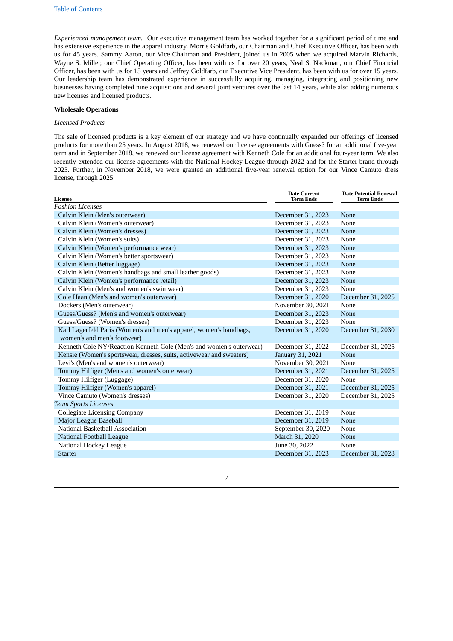*Experienced management team.* Our executive management team has worked together for a significant period of time and has extensive experience in the apparel industry. Morris Goldfarb, our Chairman and Chief Executive Officer, has been with us for 45 years. Sammy Aaron, our Vice Chairman and President, joined us in 2005 when we acquired Marvin Richards, Wayne S. Miller, our Chief Operating Officer, has been with us for over 20 years, Neal S. Nackman, our Chief Financial Officer, has been with us for 15 years and Jeffrey Goldfarb, our Executive Vice President, has been with us for over 15 years. Our leadership team has demonstrated experience in successfully acquiring, managing, integrating and positioning new businesses having completed nine acquisitions and several joint ventures over the last 14 years, while also adding numerous new licenses and licensed products.

#### **Wholesale Operations**

#### *Licensed Products*

The sale of licensed products is a key element of our strategy and we have continually expanded our offerings of licensed products for more than 25 years. In August 2018, we renewed our license agreements with Guess? for an additional five-year term and in September 2018, we renewed our license agreement with Kenneth Cole for an additional four-year term. We also recently extended our license agreements with the National Hockey League through 2022 and for the Starter brand through 2023. Further, in November 2018, we were granted an additional five-year renewal option for our Vince Camuto dress license, through 2025.

| License                                                              | <b>Date Current</b><br><b>Term Ends</b> | <b>Date Potential Renewal</b><br><b>Term Ends</b> |
|----------------------------------------------------------------------|-----------------------------------------|---------------------------------------------------|
| <b>Fashion Licenses</b>                                              |                                         |                                                   |
| Calvin Klein (Men's outerwear)                                       | December 31, 2023                       | None                                              |
| Calvin Klein (Women's outerwear)                                     | December 31, 2023                       | None                                              |
| Calvin Klein (Women's dresses)                                       | December 31, 2023                       | None                                              |
| Calvin Klein (Women's suits)                                         | December 31, 2023                       | None                                              |
| Calvin Klein (Women's performance wear)                              | December 31, 2023                       | None                                              |
| Calvin Klein (Women's better sportswear)                             | December 31, 2023                       | None                                              |
| Calvin Klein (Better luggage)                                        | December 31, 2023                       | None                                              |
| Calvin Klein (Women's handbags and small leather goods)              | December 31, 2023                       | None                                              |
| Calvin Klein (Women's performance retail)                            | December 31, 2023                       | None                                              |
| Calvin Klein (Men's and women's swimwear)                            | December 31, 2023                       | None                                              |
| Cole Haan (Men's and women's outerwear)                              | December 31, 2020                       | December 31, 2025                                 |
| Dockers (Men's outerwear)                                            | November 30, 2021                       | None                                              |
| Guess/Guess? (Men's and women's outerwear)                           | December 31, 2023                       | None                                              |
| Guess/Guess? (Women's dresses)                                       | December 31, 2023                       | None                                              |
| Karl Lagerfeld Paris (Women's and men's apparel, women's handbags,   | December 31, 2020                       | December 31, 2030                                 |
| women's and men's footwear)                                          |                                         |                                                   |
| Kenneth Cole NY/Reaction Kenneth Cole (Men's and women's outerwear)  | December 31, 2022                       | December 31, 2025                                 |
| Kensie (Women's sportswear, dresses, suits, activewear and sweaters) | January 31, 2021                        | None                                              |
| Levi's (Men's and women's outerwear)                                 | November 30, 2021                       | None                                              |
| Tommy Hilfiger (Men's and women's outerwear)                         | December 31, 2021                       | December 31, 2025                                 |
| Tommy Hilfiger (Luggage)                                             | December 31, 2020                       | None                                              |
| Tommy Hilfiger (Women's apparel)                                     | December 31, 2021                       | December 31, 2025                                 |
| Vince Camuto (Women's dresses)                                       | December 31, 2020                       | December 31, 2025                                 |
| <b>Team Sports Licenses</b>                                          |                                         |                                                   |
| <b>Collegiate Licensing Company</b>                                  | December 31, 2019                       | None                                              |
| <b>Major League Baseball</b>                                         | December 31, 2019                       | None                                              |
| National Basketball Association                                      | September 30, 2020                      | None                                              |
| <b>National Football League</b>                                      | March 31, 2020                          | None                                              |
| National Hockey League                                               | June 30, 2022                           | None                                              |
| <b>Starter</b>                                                       | December 31, 2023                       | December 31, 2028                                 |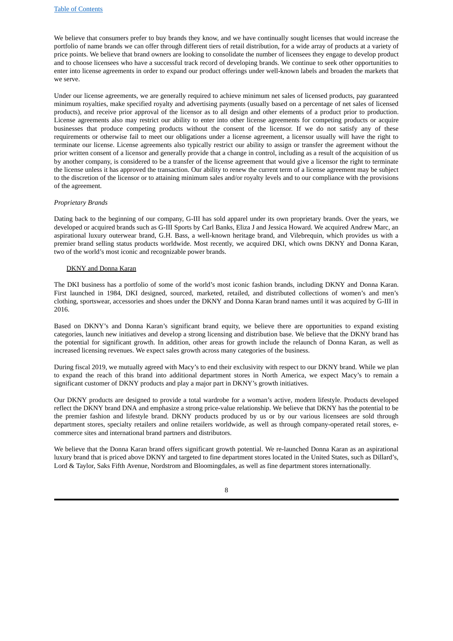We believe that consumers prefer to buy brands they know, and we have continually sought licenses that would increase the portfolio of name brands we can offer through different tiers of retail distribution, for a wide array of products at a variety of price points. We believe that brand owners are looking to consolidate the number of licensees they engage to develop product and to choose licensees who have a successful track record of developing brands. We continue to seek other opportunities to enter into license agreements in order to expand our product offerings under well-known labels and broaden the markets that we serve.

Under our license agreements, we are generally required to achieve minimum net sales of licensed products, pay guaranteed minimum royalties, make specified royalty and advertising payments (usually based on a percentage of net sales of licensed products), and receive prior approval of the licensor as to all design and other elements of a product prior to production. License agreements also may restrict our ability to enter into other license agreements for competing products or acquire businesses that produce competing products without the consent of the licensor. If we do not satisfy any of these requirements or otherwise fail to meet our obligations under a license agreement, a licensor usually will have the right to terminate our license. License agreements also typically restrict our ability to assign or transfer the agreement without the prior written consent of a licensor and generally provide that a change in control, including as a result of the acquisition of us by another company, is considered to be a transfer of the license agreement that would give a licensor the right to terminate the license unless it has approved the transaction. Our ability to renew the current term of a license agreement may be subject to the discretion of the licensor or to attaining minimum sales and/or royalty levels and to our compliance with the provisions of the agreement.

#### *Proprietary Brands*

Dating back to the beginning of our company, G-III has sold apparel under its own proprietary brands. Over the years, we developed or acquired brands such as G-III Sports by Carl Banks, Eliza J and Jessica Howard. We acquired Andrew Marc, an aspirational luxury outerwear brand, G.H. Bass, a well-known heritage brand, and Vilebrequin, which provides us with a premier brand selling status products worldwide. Most recently, we acquired DKI, which owns DKNY and Donna Karan, two of the world's most iconic and recognizable power brands.

#### DKNY and Donna Karan

The DKI business has a portfolio of some of the world's most iconic fashion brands, including DKNY and Donna Karan. First launched in 1984, DKI designed, sourced, marketed, retailed, and distributed collections of women's and men's clothing, sportswear, accessories and shoes under the DKNY and Donna Karan brand names until it was acquired by G-III in 2016.

Based on DKNY's and Donna Karan's significant brand equity, we believe there are opportunities to expand existing categories, launch new initiatives and develop a strong licensing and distribution base. We believe that the DKNY brand has the potential for significant growth. In addition, other areas for growth include the relaunch of Donna Karan, as well as increased licensing revenues. We expect sales growth across many categories of the business.

During fiscal 2019, we mutually agreed with Macy's to end their exclusivity with respect to our DKNY brand. While we plan to expand the reach of this brand into additional department stores in North America, we expect Macy's to remain a significant customer of DKNY products and play a major part in DKNY's growth initiatives.

Our DKNY products are designed to provide a total wardrobe for a woman's active, modern lifestyle. Products developed reflect the DKNY brand DNA and emphasize a strong price-value relationship. We believe that DKNY has the potential to be the premier fashion and lifestyle brand. DKNY products produced by us or by our various licensees are sold through department stores, specialty retailers and online retailers worldwide, as well as through company-operated retail stores, ecommerce sites and international brand partners and distributors.

We believe that the Donna Karan brand offers significant growth potential. We re-launched Donna Karan as an aspirational luxury brand that is priced above DKNY and targeted to fine department stores located in the United States, such as Dillard's, Lord & Taylor, Saks Fifth Avenue, Nordstrom and Bloomingdales, as well as fine department stores internationally.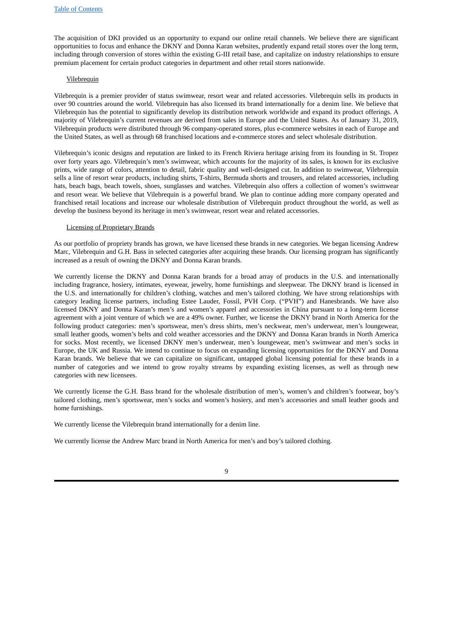The acquisition of DKI provided us an opportunity to expand our online retail channels. We believe there are significant opportunities to focus and enhance the DKNY and Donna Karan websites, prudently expand retail stores over the long term, including through conversion of stores within the existing G-III retail base, and capitalize on industry relationships to ensure premium placement for certain product categories in department and other retail stores nationwide.

#### **Vilebrequin**

Vilebrequin is a premier provider of status swimwear, resort wear and related accessories. Vilebrequin sells its products in over 90 countries around the world. Vilebrequin has also licensed its brand internationally for a denim line. We believe that Vilebrequin has the potential to significantly develop its distribution network worldwide and expand its product offerings. A majority of Vilebrequin's current revenues are derived from sales in Europe and the United States. As of January 31, 2019, Vilebrequin products were distributed through 96 company-operated stores, plus e-commerce websites in each of Europe and the United States, as well as through 68 franchised locations and e-commerce stores and select wholesale distribution.

Vilebrequin's iconic designs and reputation are linked to its French Riviera heritage arising from its founding in St. Tropez over forty years ago. Vilebrequin's men's swimwear, which accounts for the majority of its sales, is known for its exclusive prints, wide range of colors, attention to detail, fabric quality and well-designed cut. In addition to swimwear, Vilebrequin sells a line of resort wear products, including shirts, T-shirts, Bermuda shorts and trousers, and related accessories, including hats, beach bags, beach towels, shoes, sunglasses and watches. Vilebrequin also offers a collection of women's swimwear and resort wear. We believe that Vilebrequin is a powerful brand. We plan to continue adding more company operated and franchised retail locations and increase our wholesale distribution of Vilebrequin product throughout the world, as well as develop the business beyond its heritage in men's swimwear, resort wear and related accessories.

#### Licensing of Proprietary Brands

As our portfolio of propriety brands has grown, we have licensed these brands in new categories. We began licensing Andrew Marc, Vilebrequin and G.H. Bass in selected categories after acquiring these brands. Our licensing program has significantly increased as a result of owning the DKNY and Donna Karan brands.

We currently license the DKNY and Donna Karan brands for a broad array of products in the U.S. and internationally including fragrance, hosiery, intimates, eyewear, jewelry, home furnishings and sleepwear. The DKNY brand is licensed in the U.S. and internationally for children's clothing, watches and men's tailored clothing. We have strong relationships with category leading license partners, including Estee Lauder, Fossil, PVH Corp. ("PVH") and Hanesbrands. We have also licensed DKNY and Donna Karan's men's and women's apparel and accessories in China pursuant to a long-term license agreement with a joint venture of which we are a 49% owner. Further, we license the DKNY brand in North America for the following product categories: men's sportswear, men's dress shirts, men's neckwear, men's underwear, men's loungewear, small leather goods, women's belts and cold weather accessories and the DKNY and Donna Karan brands in North America for socks. Most recently, we licensed DKNY men's underwear, men's loungewear, men's swimwear and men's socks in Europe, the UK and Russia. We intend to continue to focus on expanding licensing opportunities for the DKNY and Donna Karan brands. We believe that we can capitalize on significant, untapped global licensing potential for these brands in a number of categories and we intend to grow royalty streams by expanding existing licenses, as well as through new categories with new licensees.

We currently license the G.H. Bass brand for the wholesale distribution of men's, women's and children's footwear, boy's tailored clothing, men's sportswear, men's socks and women's hosiery, and men's accessories and small leather goods and home furnishings.

We currently license the Vilebrequin brand internationally for a denim line.

We currently license the Andrew Marc brand in North America for men's and boy's tailored clothing.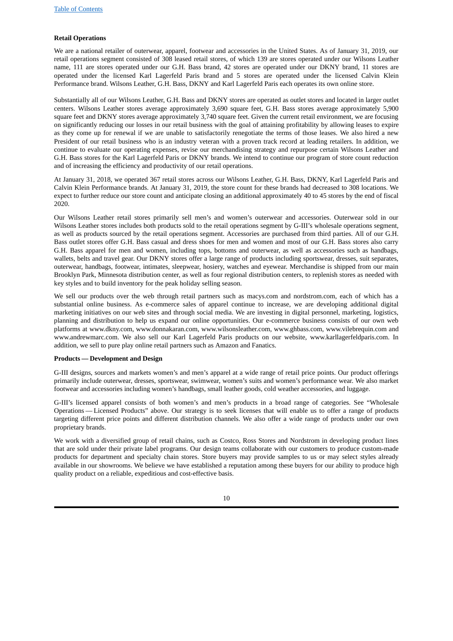## **Retail Operations**

We are a national retailer of outerwear, apparel, footwear and accessories in the United States. As of January 31, 2019, our retail operations segment consisted of 308 leased retail stores, of which 139 are stores operated under our Wilsons Leather name, 111 are stores operated under our G.H. Bass brand, 42 stores are operated under our DKNY brand, 11 stores are operated under the licensed Karl Lagerfeld Paris brand and 5 stores are operated under the licensed Calvin Klein Performance brand. Wilsons Leather, G.H. Bass, DKNY and Karl Lagerfeld Paris each operates its own online store.

Substantially all of our Wilsons Leather, G.H. Bass and DKNY stores are operated as outlet stores and located in larger outlet centers. Wilsons Leather stores average approximately 3,690 square feet, G.H. Bass stores average approximately 5,900 square feet and DKNY stores average approximately 3,740 square feet. Given the current retail environment, we are focusing on significantly reducing our losses in our retail business with the goal of attaining profitability by allowing leases to expire as they come up for renewal if we are unable to satisfactorily renegotiate the terms of those leases. We also hired a new President of our retail business who is an industry veteran with a proven track record at leading retailers. In addition, we continue to evaluate our operating expenses, revise our merchandising strategy and repurpose certain Wilsons Leather and G.H. Bass stores for the Karl Lagerfeld Paris or DKNY brands. We intend to continue our program of store count reduction and of increasing the efficiency and productivity of our retail operations.

At January 31, 2018, we operated 367 retail stores across our Wilsons Leather, G.H. Bass, DKNY, Karl Lagerfeld Paris and Calvin Klein Performance brands. At January 31, 2019, the store count for these brands had decreased to 308 locations. We expect to further reduce our store count and anticipate closing an additional approximately 40 to 45 stores by the end of fiscal 2020.

Our Wilsons Leather retail stores primarily sell men's and women's outerwear and accessories. Outerwear sold in our Wilsons Leather stores includes both products sold to the retail operations segment by G-III's wholesale operations segment, as well as products sourced by the retail operations segment. Accessories are purchased from third parties. All of our G.H. Bass outlet stores offer G.H. Bass casual and dress shoes for men and women and most of our G.H. Bass stores also carry G.H. Bass apparel for men and women, including tops, bottoms and outerwear, as well as accessories such as handbags, wallets, belts and travel gear. Our DKNY stores offer a large range of products including sportswear, dresses, suit separates, outerwear, handbags, footwear, intimates, sleepwear, hosiery, watches and eyewear. Merchandise is shipped from our main Brooklyn Park, Minnesota distribution center, as well as four regional distribution centers, to replenish stores as needed with key styles and to build inventory for the peak holiday selling season.

We sell our products over the web through retail partners such as macys.com and nordstrom.com, each of which has a substantial online business. As e-commerce sales of apparel continue to increase, we are developing additional digital marketing initiatives on our web sites and through social media. We are investing in digital personnel, marketing, logistics, planning and distribution to help us expand our online opportunities. Our e-commerce business consists of our own web platforms at www.dkny.com, www.donnakaran.com, www.wilsonsleather.com, www.ghbass.com, www.vilebrequin.com and www.andrewmarc.com. We also sell our Karl Lagerfeld Paris products on our website, www.karllagerfeldparis.com. In addition, we sell to pure play online retail partners such as Amazon and Fanatics.

#### **Products — Development and Design**

G-III designs, sources and markets women's and men's apparel at a wide range of retail price points. Our product offerings primarily include outerwear, dresses, sportswear, swimwear, women's suits and women's performance wear. We also market footwear and accessories including women's handbags, small leather goods, cold weather accessories, and luggage.

G-III's licensed apparel consists of both women's and men's products in a broad range of categories. See "Wholesale Operations — Licensed Products" above. Our strategy is to seek licenses that will enable us to offer a range of products targeting different price points and different distribution channels. We also offer a wide range of products under our own proprietary brands.

We work with a diversified group of retail chains, such as Costco, Ross Stores and Nordstrom in developing product lines that are sold under their private label programs. Our design teams collaborate with our customers to produce custom-made products for department and specialty chain stores. Store buyers may provide samples to us or may select styles already available in our showrooms. We believe we have established a reputation among these buyers for our ability to produce high quality product on a reliable, expeditious and cost-effective basis.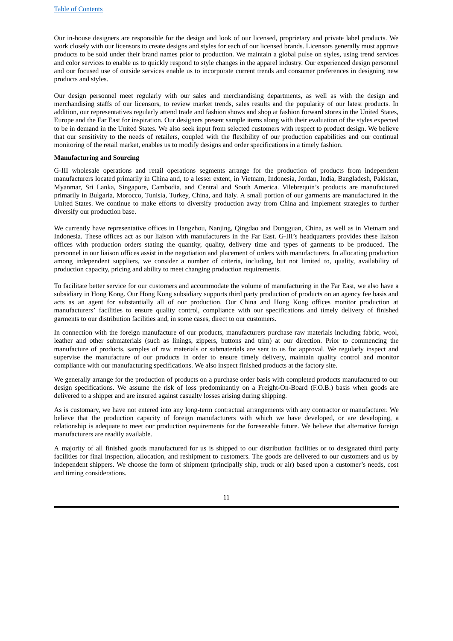Our in-house designers are responsible for the design and look of our licensed, proprietary and private label products. We work closely with our licensors to create designs and styles for each of our licensed brands. Licensors generally must approve products to be sold under their brand names prior to production. We maintain a global pulse on styles, using trend services and color services to enable us to quickly respond to style changes in the apparel industry. Our experienced design personnel and our focused use of outside services enable us to incorporate current trends and consumer preferences in designing new products and styles.

Our design personnel meet regularly with our sales and merchandising departments, as well as with the design and merchandising staffs of our licensors, to review market trends, sales results and the popularity of our latest products. In addition, our representatives regularly attend trade and fashion shows and shop at fashion forward stores in the United States, Europe and the Far East for inspiration. Our designers present sample items along with their evaluation of the styles expected to be in demand in the United States. We also seek input from selected customers with respect to product design. We believe that our sensitivity to the needs of retailers, coupled with the flexibility of our production capabilities and our continual monitoring of the retail market, enables us to modify designs and order specifications in a timely fashion.

#### **Manufacturing and Sourcing**

G-III wholesale operations and retail operations segments arrange for the production of products from independent manufacturers located primarily in China and, to a lesser extent, in Vietnam, Indonesia, Jordan, India, Bangladesh, Pakistan, Myanmar, Sri Lanka, Singapore, Cambodia, and Central and South America. Vilebrequin's products are manufactured primarily in Bulgaria, Morocco, Tunisia, Turkey, China, and Italy. A small portion of our garments are manufactured in the United States. We continue to make efforts to diversify production away from China and implement strategies to further diversify our production base.

We currently have representative offices in Hangzhou, Nanjing, Qingdao and Dongguan, China, as well as in Vietnam and Indonesia. These offices act as our liaison with manufacturers in the Far East. G-III's headquarters provides these liaison offices with production orders stating the quantity, quality, delivery time and types of garments to be produced. The personnel in our liaison offices assist in the negotiation and placement of orders with manufacturers. In allocating production among independent suppliers, we consider a number of criteria, including, but not limited to, quality, availability of production capacity, pricing and ability to meet changing production requirements.

To facilitate better service for our customers and accommodate the volume of manufacturing in the Far East, we also have a subsidiary in Hong Kong. Our Hong Kong subsidiary supports third party production of products on an agency fee basis and acts as an agent for substantially all of our production. Our China and Hong Kong offices monitor production at manufacturers' facilities to ensure quality control, compliance with our specifications and timely delivery of finished garments to our distribution facilities and, in some cases, direct to our customers.

In connection with the foreign manufacture of our products, manufacturers purchase raw materials including fabric, wool, leather and other submaterials (such as linings, zippers, buttons and trim) at our direction. Prior to commencing the manufacture of products, samples of raw materials or submaterials are sent to us for approval. We regularly inspect and supervise the manufacture of our products in order to ensure timely delivery, maintain quality control and monitor compliance with our manufacturing specifications. We also inspect finished products at the factory site.

We generally arrange for the production of products on a purchase order basis with completed products manufactured to our design specifications. We assume the risk of loss predominantly on a Freight-On-Board (F.O.B.) basis when goods are delivered to a shipper and are insured against casualty losses arising during shipping.

As is customary, we have not entered into any long-term contractual arrangements with any contractor or manufacturer. We believe that the production capacity of foreign manufacturers with which we have developed, or are developing, a relationship is adequate to meet our production requirements for the foreseeable future. We believe that alternative foreign manufacturers are readily available.

A majority of all finished goods manufactured for us is shipped to our distribution facilities or to designated third party facilities for final inspection, allocation, and reshipment to customers. The goods are delivered to our customers and us by independent shippers. We choose the form of shipment (principally ship, truck or air) based upon a customer's needs, cost and timing considerations.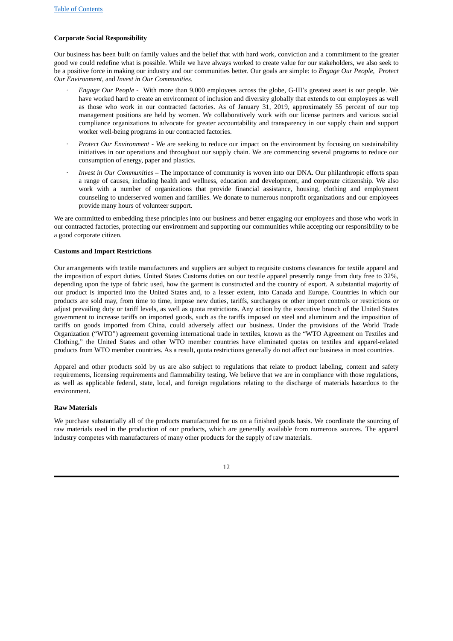## **Corporate Social Responsibility**

Our business has been built on family values and the belief that with hard work, conviction and a commitment to the greater good we could redefine what is possible. While we have always worked to create value for our stakeholders, we also seek to be a positive force in making our industry and our communities better. Our goals are simple: to *Engage Our People*, *Protect Our Environment*, and *Invest in Our Communities*.

- · *Engage Our People* With more than 9,000 employees across the globe, G-III's greatest asset is our people. We have worked hard to create an environment of inclusion and diversity globally that extends to our employees as well as those who work in our contracted factories. As of January 31, 2019, approximately 55 percent of our top management positions are held by women. We collaboratively work with our license partners and various social compliance organizations to advocate for greater accountability and transparency in our supply chain and support worker well-being programs in our contracted factories.
- · *Protect Our Environment* We are seeking to reduce our impact on the environment by focusing on sustainability initiatives in our operations and throughout our supply chain. We are commencing several programs to reduce our consumption of energy, paper and plastics.
- · *Invest in Our Communities* The importance of community is woven into our DNA. Our philanthropic efforts span a range of causes, including health and wellness, education and development, and corporate citizenship. We also work with a number of organizations that provide financial assistance, housing, clothing and employment counseling to underserved women and families. We donate to numerous nonprofit organizations and our employees provide many hours of volunteer support.

We are committed to embedding these principles into our business and better engaging our employees and those who work in our contracted factories, protecting our environment and supporting our communities while accepting our responsibility to be a good corporate citizen.

## **Customs and Import Restrictions**

Our arrangements with textile manufacturers and suppliers are subject to requisite customs clearances for textile apparel and the imposition of export duties. United States Customs duties on our textile apparel presently range from duty free to 32%, depending upon the type of fabric used, how the garment is constructed and the country of export. A substantial majority of our product is imported into the United States and, to a lesser extent, into Canada and Europe. Countries in which our products are sold may, from time to time, impose new duties, tariffs, surcharges or other import controls or restrictions or adjust prevailing duty or tariff levels, as well as quota restrictions. Any action by the executive branch of the United States government to increase tariffs on imported goods, such as the tariffs imposed on steel and aluminum and the imposition of tariffs on goods imported from China, could adversely affect our business. Under the provisions of the World Trade Organization ("WTO") agreement governing international trade in textiles, known as the "WTO Agreement on Textiles and Clothing," the United States and other WTO member countries have eliminated quotas on textiles and apparel-related products from WTO member countries. As a result, quota restrictions generally do not affect our business in most countries.

Apparel and other products sold by us are also subject to regulations that relate to product labeling, content and safety requirements, licensing requirements and flammability testing. We believe that we are in compliance with those regulations, as well as applicable federal, state, local, and foreign regulations relating to the discharge of materials hazardous to the environment.

#### **Raw Materials**

We purchase substantially all of the products manufactured for us on a finished goods basis. We coordinate the sourcing of raw materials used in the production of our products, which are generally available from numerous sources. The apparel industry competes with manufacturers of many other products for the supply of raw materials.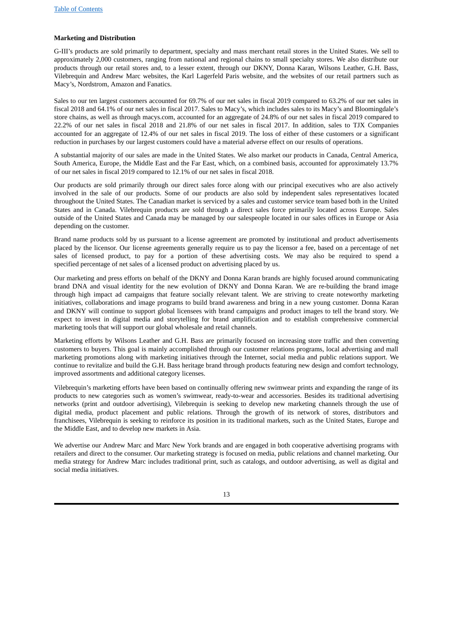## **Marketing and Distribution**

G-III's products are sold primarily to department, specialty and mass merchant retail stores in the United States. We sell to approximately 2,000 customers, ranging from national and regional chains to small specialty stores. We also distribute our products through our retail stores and, to a lesser extent, through our DKNY, Donna Karan, Wilsons Leather, G.H. Bass, Vilebrequin and Andrew Marc websites, the Karl Lagerfeld Paris website, and the websites of our retail partners such as Macy's, Nordstrom, Amazon and Fanatics.

Sales to our ten largest customers accounted for 69.7% of our net sales in fiscal 2019 compared to 63.2% of our net sales in fiscal 2018 and 64.1% of our net sales in fiscal 2017. Sales to Macy's, which includes sales to its Macy's and Bloomingdale's store chains, as well as through macys.com, accounted for an aggregate of 24.8% of our net sales in fiscal 2019 compared to 22.2% of our net sales in fiscal 2018 and 21.8% of our net sales in fiscal 2017. In addition, sales to TJX Companies accounted for an aggregate of 12.4% of our net sales in fiscal 2019. The loss of either of these customers or a significant reduction in purchases by our largest customers could have a material adverse effect on our results of operations.

A substantial majority of our sales are made in the United States. We also market our products in Canada, Central America, South America, Europe, the Middle East and the Far East, which, on a combined basis, accounted for approximately 13.7% of our net sales in fiscal 2019 compared to 12.1% of our net sales in fiscal 2018.

Our products are sold primarily through our direct sales force along with our principal executives who are also actively involved in the sale of our products. Some of our products are also sold by independent sales representatives located throughout the United States. The Canadian market is serviced by a sales and customer service team based both in the United States and in Canada. Vilebrequin products are sold through a direct sales force primarily located across Europe. Sales outside of the United States and Canada may be managed by our salespeople located in our sales offices in Europe or Asia depending on the customer.

Brand name products sold by us pursuant to a license agreement are promoted by institutional and product advertisements placed by the licensor. Our license agreements generally require us to pay the licensor a fee, based on a percentage of net sales of licensed product, to pay for a portion of these advertising costs. We may also be required to spend a specified percentage of net sales of a licensed product on advertising placed by us.

Our marketing and press efforts on behalf of the DKNY and Donna Karan brands are highly focused around communicating brand DNA and visual identity for the new evolution of DKNY and Donna Karan. We are re-building the brand image through high impact ad campaigns that feature socially relevant talent. We are striving to create noteworthy marketing initiatives, collaborations and image programs to build brand awareness and bring in a new young customer. Donna Karan and DKNY will continue to support global licensees with brand campaigns and product images to tell the brand story. We expect to invest in digital media and storytelling for brand amplification and to establish comprehensive commercial marketing tools that will support our global wholesale and retail channels.

Marketing efforts by Wilsons Leather and G.H. Bass are primarily focused on increasing store traffic and then converting customers to buyers. This goal is mainly accomplished through our customer relations programs, local advertising and mall marketing promotions along with marketing initiatives through the Internet, social media and public relations support. We continue to revitalize and build the G.H. Bass heritage brand through products featuring new design and comfort technology, improved assortments and additional category licenses.

Vilebrequin's marketing efforts have been based on continually offering new swimwear prints and expanding the range of its products to new categories such as women's swimwear, ready-to-wear and accessories. Besides its traditional advertising networks (print and outdoor advertising), Vilebrequin is seeking to develop new marketing channels through the use of digital media, product placement and public relations. Through the growth of its network of stores, distributors and franchisees, Vilebrequin is seeking to reinforce its position in its traditional markets, such as the United States, Europe and the Middle East, and to develop new markets in Asia.

We advertise our Andrew Marc and Marc New York brands and are engaged in both cooperative advertising programs with retailers and direct to the consumer. Our marketing strategy is focused on media, public relations and channel marketing. Our media strategy for Andrew Marc includes traditional print, such as catalogs, and outdoor advertising, as well as digital and social media initiatives.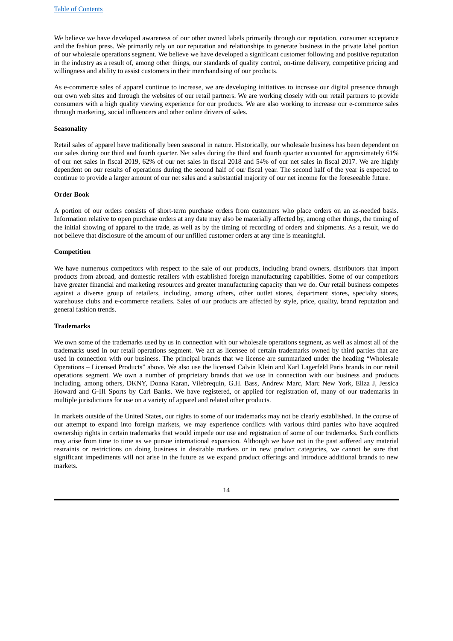We believe we have developed awareness of our other owned labels primarily through our reputation, consumer acceptance and the fashion press. We primarily rely on our reputation and relationships to generate business in the private label portion of our wholesale operations segment. We believe we have developed a significant customer following and positive reputation in the industry as a result of, among other things, our standards of quality control, on-time delivery, competitive pricing and willingness and ability to assist customers in their merchandising of our products.

As e-commerce sales of apparel continue to increase, we are developing initiatives to increase our digital presence through our own web sites and through the websites of our retail partners. We are working closely with our retail partners to provide consumers with a high quality viewing experience for our products. We are also working to increase our e-commerce sales through marketing, social influencers and other online drivers of sales.

#### **Seasonality**

Retail sales of apparel have traditionally been seasonal in nature. Historically, our wholesale business has been dependent on our sales during our third and fourth quarter. Net sales during the third and fourth quarter accounted for approximately 61% of our net sales in fiscal 2019, 62% of our net sales in fiscal 2018 and 54% of our net sales in fiscal 2017. We are highly dependent on our results of operations during the second half of our fiscal year. The second half of the year is expected to continue to provide a larger amount of our net sales and a substantial majority of our net income for the foreseeable future.

#### **Order Book**

A portion of our orders consists of short-term purchase orders from customers who place orders on an as-needed basis. Information relative to open purchase orders at any date may also be materially affected by, among other things, the timing of the initial showing of apparel to the trade, as well as by the timing of recording of orders and shipments. As a result, we do not believe that disclosure of the amount of our unfilled customer orders at any time is meaningful.

#### **Competition**

We have numerous competitors with respect to the sale of our products, including brand owners, distributors that import products from abroad, and domestic retailers with established foreign manufacturing capabilities. Some of our competitors have greater financial and marketing resources and greater manufacturing capacity than we do. Our retail business competes against a diverse group of retailers, including, among others, other outlet stores, department stores, specialty stores, warehouse clubs and e-commerce retailers. Sales of our products are affected by style, price, quality, brand reputation and general fashion trends.

#### **Trademarks**

We own some of the trademarks used by us in connection with our wholesale operations segment, as well as almost all of the trademarks used in our retail operations segment. We act as licensee of certain trademarks owned by third parties that are used in connection with our business. The principal brands that we license are summarized under the heading "Wholesale Operations – Licensed Products" above. We also use the licensed Calvin Klein and Karl Lagerfeld Paris brands in our retail operations segment. We own a number of proprietary brands that we use in connection with our business and products including, among others, DKNY, Donna Karan, Vilebrequin, G.H. Bass, Andrew Marc, Marc New York, Eliza J, Jessica Howard and G-III Sports by Carl Banks. We have registered, or applied for registration of, many of our trademarks in multiple jurisdictions for use on a variety of apparel and related other products.

In markets outside of the United States, our rights to some of our trademarks may not be clearly established. In the course of our attempt to expand into foreign markets, we may experience conflicts with various third parties who have acquired ownership rights in certain trademarks that would impede our use and registration of some of our trademarks. Such conflicts may arise from time to time as we pursue international expansion. Although we have not in the past suffered any material restraints or restrictions on doing business in desirable markets or in new product categories, we cannot be sure that significant impediments will not arise in the future as we expand product offerings and introduce additional brands to new markets.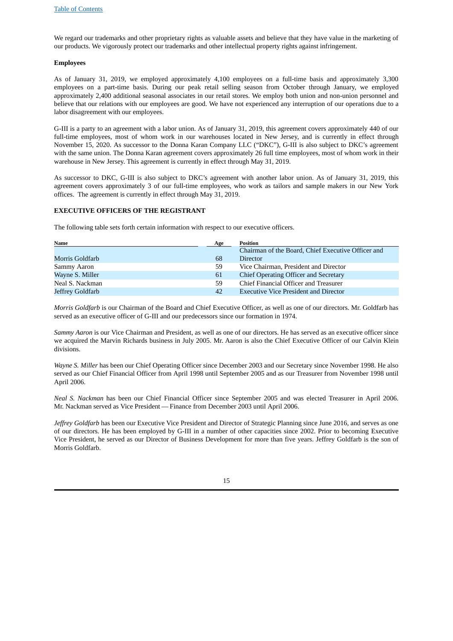We regard our trademarks and other proprietary rights as valuable assets and believe that they have value in the marketing of our products. We vigorously protect our trademarks and other intellectual property rights against infringement.

#### **Employees**

As of January 31, 2019, we employed approximately 4,100 employees on a full-time basis and approximately 3,300 employees on a part-time basis. During our peak retail selling season from October through January, we employed approximately 2,400 additional seasonal associates in our retail stores. We employ both union and non-union personnel and believe that our relations with our employees are good. We have not experienced any interruption of our operations due to a labor disagreement with our employees.

G-III is a party to an agreement with a labor union. As of January 31, 2019, this agreement covers approximately 440 of our full-time employees, most of whom work in our warehouses located in New Jersey, and is currently in effect through November 15, 2020. As successor to the Donna Karan Company LLC ("DKC"), G-III is also subject to DKC's agreement with the same union. The Donna Karan agreement covers approximately 26 full time employees, most of whom work in their warehouse in New Jersey. This agreement is currently in effect through May 31, 2019.

As successor to DKC, G-III is also subject to DKC's agreement with another labor union. As of January 31, 2019, this agreement covers approximately 3 of our full-time employees, who work as tailors and sample makers in our New York offices. The agreement is currently in effect through May 31, 2019.

#### **EXECUTIVE OFFICERS OF THE REGISTRANT**

The following table sets forth certain information with respect to our executive officers.

| Name             | Age | <b>Position</b>                                    |
|------------------|-----|----------------------------------------------------|
|                  |     | Chairman of the Board, Chief Executive Officer and |
| Morris Goldfarb  | 68  | <b>Director</b>                                    |
| Sammy Aaron      | 59  | Vice Chairman, President and Director              |
| Wayne S. Miller  | 61  | <b>Chief Operating Officer and Secretary</b>       |
| Neal S. Nackman  | 59  | Chief Financial Officer and Treasurer              |
| Jeffrey Goldfarb | 42  | <b>Executive Vice President and Director</b>       |

*Morris Goldfarb* is our Chairman of the Board and Chief Executive Officer, as well as one of our directors. Mr. Goldfarb has served as an executive officer of G-III and our predecessors since our formation in 1974.

*Sammy Aaron* is our Vice Chairman and President, as well as one of our directors. He has served as an executive officer since we acquired the Marvin Richards business in July 2005. Mr. Aaron is also the Chief Executive Officer of our Calvin Klein divisions.

*Wayne S. Miller* has been our Chief Operating Officer since December 2003 and our Secretary since November 1998. He also served as our Chief Financial Officer from April 1998 until September 2005 and as our Treasurer from November 1998 until April 2006.

*Neal S. Nackman* has been our Chief Financial Officer since September 2005 and was elected Treasurer in April 2006. Mr. Nackman served as Vice President — Finance from December 2003 until April 2006.

*Jeffrey Goldfarb* has been our Executive Vice President and Director of Strategic Planning since June 2016, and serves as one of our directors. He has been employed by G-III in a number of other capacities since 2002. Prior to becoming Executive Vice President, he served as our Director of Business Development for more than five years. Jeffrey Goldfarb is the son of Morris Goldfarb.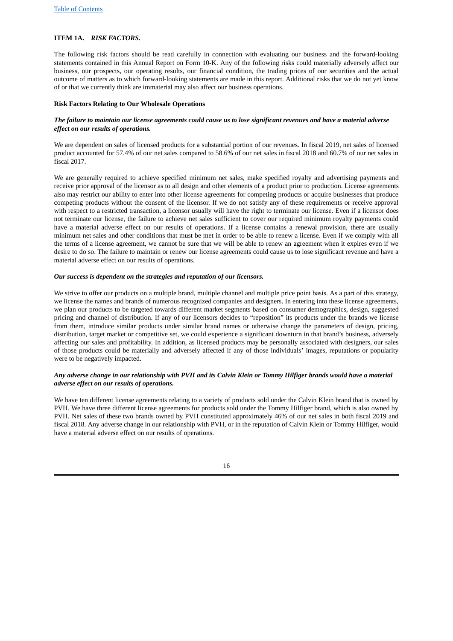## **ITEM 1A.** *RISK FACTORS.*

The following risk factors should be read carefully in connection with evaluating our business and the forward-looking statements contained in this Annual Report on Form 10‑K. Any of the following risks could materially adversely affect our business, our prospects, our operating results, our financial condition, the trading prices of our securities and the actual outcome of matters as to which forward-looking statements are made in this report. Additional risks that we do not yet know of or that we currently think are immaterial may also affect our business operations.

#### **Risk Factors Relating to Our Wholesale Operations**

#### The failure to maintain our license agreements could cause us to lose significant revenues and have a material adverse *effect on our results of operations.*

We are dependent on sales of licensed products for a substantial portion of our revenues. In fiscal 2019, net sales of licensed product accounted for 57.4% of our net sales compared to 58.6% of our net sales in fiscal 2018 and 60.7% of our net sales in fiscal 2017.

We are generally required to achieve specified minimum net sales, make specified royalty and advertising payments and receive prior approval of the licensor as to all design and other elements of a product prior to production. License agreements also may restrict our ability to enter into other license agreements for competing products or acquire businesses that produce competing products without the consent of the licensor. If we do not satisfy any of these requirements or receive approval with respect to a restricted transaction, a licensor usually will have the right to terminate our license. Even if a licensor does not terminate our license, the failure to achieve net sales sufficient to cover our required minimum royalty payments could have a material adverse effect on our results of operations. If a license contains a renewal provision, there are usually minimum net sales and other conditions that must be met in order to be able to renew a license. Even if we comply with all the terms of a license agreement, we cannot be sure that we will be able to renew an agreement when it expires even if we desire to do so. The failure to maintain or renew our license agreements could cause us to lose significant revenue and have a material adverse effect on our results of operations.

#### *Our success is dependent on the strategies and reputation of our licensors.*

We strive to offer our products on a multiple brand, multiple channel and multiple price point basis. As a part of this strategy, we license the names and brands of numerous recognized companies and designers. In entering into these license agreements, we plan our products to be targeted towards different market segments based on consumer demographics, design, suggested pricing and channel of distribution. If any of our licensors decides to "reposition" its products under the brands we license from them, introduce similar products under similar brand names or otherwise change the parameters of design, pricing, distribution, target market or competitive set, we could experience a significant downturn in that brand's business, adversely affecting our sales and profitability. In addition, as licensed products may be personally associated with designers, our sales of those products could be materially and adversely affected if any of those individuals' images, reputations or popularity were to be negatively impacted.

## Any adverse change in our relationship with PVH and its Calvin Klein or Tommy Hilfiger brands would have a material *adverse effect on our results of operations.*

We have ten different license agreements relating to a variety of products sold under the Calvin Klein brand that is owned by PVH. We have three different license agreements for products sold under the Tommy Hilfiger brand, which is also owned by PVH. Net sales of these two brands owned by PVH constituted approximately 46% of our net sales in both fiscal 2019 and fiscal 2018. Any adverse change in our relationship with PVH, or in the reputation of Calvin Klein or Tommy Hilfiger, would have a material adverse effect on our results of operations.

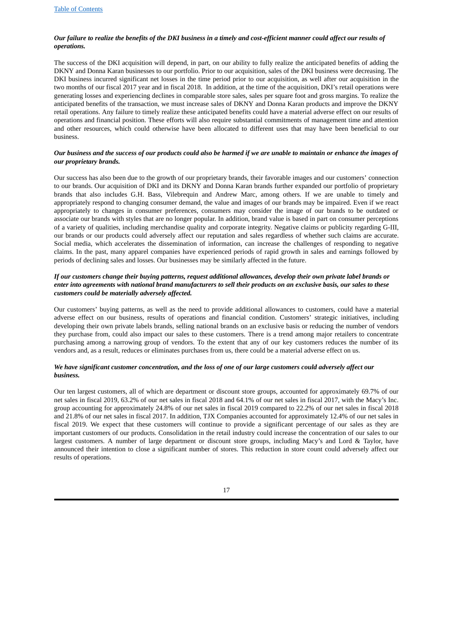## Our failure to realize the benefits of the DKI business in a timely and cost-efficient manner could affect our results of *operations.*

The success of the DKI acquisition will depend, in part, on our ability to fully realize the anticipated benefits of adding the DKNY and Donna Karan businesses to our portfolio. Prior to our acquisition, sales of the DKI business were decreasing. The DKI business incurred significant net losses in the time period prior to our acquisition, as well after our acquisition in the two months of our fiscal 2017 year and in fiscal 2018. In addition, at the time of the acquisition, DKI's retail operations were generating losses and experiencing declines in comparable store sales, sales per square foot and gross margins. To realize the anticipated benefits of the transaction, we must increase sales of DKNY and Donna Karan products and improve the DKNY retail operations. Any failure to timely realize these anticipated benefits could have a material adverse effect on our results of operations and financial position. These efforts will also require substantial commitments of management time and attention and other resources, which could otherwise have been allocated to different uses that may have been beneficial to our business.

## Our business and the success of our products could also be harmed if we are unable to maintain or enhance the images of *our proprietary brands.*

Our success has also been due to the growth of our proprietary brands, their favorable images and our customers' connection to our brands. Our acquisition of DKI and its DKNY and Donna Karan brands further expanded our portfolio of proprietary brands that also includes G.H. Bass, Vilebrequin and Andrew Marc, among others. If we are unable to timely and appropriately respond to changing consumer demand, the value and images of our brands may be impaired. Even if we react appropriately to changes in consumer preferences, consumers may consider the image of our brands to be outdated or associate our brands with styles that are no longer popular. In addition, brand value is based in part on consumer perceptions of a variety of qualities, including merchandise quality and corporate integrity. Negative claims or publicity regarding G-III, our brands or our products could adversely affect our reputation and sales regardless of whether such claims are accurate. Social media, which accelerates the dissemination of information, can increase the challenges of responding to negative claims. In the past, many apparel companies have experienced periods of rapid growth in sales and earnings followed by periods of declining sales and losses. Our businesses may be similarly affected in the future.

## If our customers change their buying patterns, request additional allowances, develop their own private label brands or enter into agreements with national brand manufacturers to sell their products on an exclusive basis, our sales to these *customers could be materially adversely affected.*

Our customers' buying patterns, as well as the need to provide additional allowances to customers, could have a material adverse effect on our business, results of operations and financial condition. Customers' strategic initiatives, including developing their own private labels brands, selling national brands on an exclusive basis or reducing the number of vendors they purchase from, could also impact our sales to these customers. There is a trend among major retailers to concentrate purchasing among a narrowing group of vendors. To the extent that any of our key customers reduces the number of its vendors and, as a result, reduces or eliminates purchases from us, there could be a material adverse effect on us.

## We have significant customer concentration, and the loss of one of our large customers could adversely affect our *business.*

Our ten largest customers, all of which are department or discount store groups, accounted for approximately 69.7% of our net sales in fiscal 2019, 63.2% of our net sales in fiscal 2018 and 64.1% of our net sales in fiscal 2017, with the Macy's Inc. group accounting for approximately 24.8% of our net sales in fiscal 2019 compared to 22.2% of our net sales in fiscal 2018 and 21.8% of our net sales in fiscal 2017. In addition, TJX Companies accounted for approximately 12.4% of our net sales in fiscal 2019. We expect that these customers will continue to provide a significant percentage of our sales as they are important customers of our products. Consolidation in the retail industry could increase the concentration of our sales to our largest customers. A number of large department or discount store groups, including Macy's and Lord & Taylor, have announced their intention to close a significant number of stores. This reduction in store count could adversely affect our results of operations.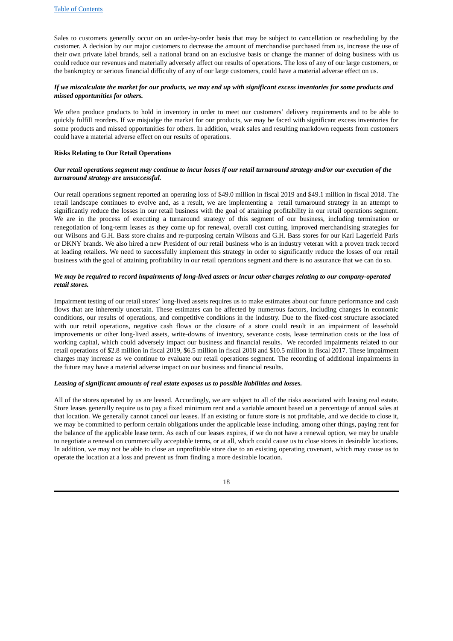Sales to customers generally occur on an order-by-order basis that may be subject to cancellation or rescheduling by the customer. A decision by our major customers to decrease the amount of merchandise purchased from us, increase the use of their own private label brands, sell a national brand on an exclusive basis or change the manner of doing business with us could reduce our revenues and materially adversely affect our results of operations. The loss of any of our large customers, or the bankruptcy or serious financial difficulty of any of our large customers, could have a material adverse effect on us.

#### If we miscalculate the market for our products, we may end up with significant excess inventories for some products and *missed opportunities for others.*

We often produce products to hold in inventory in order to meet our customers' delivery requirements and to be able to quickly fulfill reorders. If we misjudge the market for our products, we may be faced with significant excess inventories for some products and missed opportunities for others. In addition, weak sales and resulting markdown requests from customers could have a material adverse effect on our results of operations.

#### **Risks Relating to Our Retail Operations**

## Our retail operations segment may continue to incur losses if our retail turnaround strategy and/or our execution of the *turnaround strategy are unsuccessful.*

Our retail operations segment reported an operating loss of \$49.0 million in fiscal 2019 and \$49.1 million in fiscal 2018. The retail landscape continues to evolve and, as a result, we are implementing a retail turnaround strategy in an attempt to significantly reduce the losses in our retail business with the goal of attaining profitability in our retail operations segment. We are in the process of executing a turnaround strategy of this segment of our business, including termination or renegotiation of long-term leases as they come up for renewal, overall cost cutting, improved merchandising strategies for our Wilsons and G.H. Bass store chains and re-purposing certain Wilsons and G.H. Bass stores for our Karl Lagerfeld Paris or DKNY brands. We also hired a new President of our retail business who is an industry veteran with a proven track record at leading retailers. We need to successfully implement this strategy in order to significantly reduce the losses of our retail business with the goal of attaining profitability in our retail operations segment and there is no assurance that we can do so.

#### We may be required to record impairments of long-lived assets or incur other charges relating to our company-operated *retail stores.*

Impairment testing of our retail stores' long-lived assets requires us to make estimates about our future performance and cash flows that are inherently uncertain. These estimates can be affected by numerous factors, including changes in economic conditions, our results of operations, and competitive conditions in the industry. Due to the fixed-cost structure associated with our retail operations, negative cash flows or the closure of a store could result in an impairment of leasehold improvements or other long-lived assets, write-downs of inventory, severance costs, lease termination costs or the loss of working capital, which could adversely impact our business and financial results. We recorded impairments related to our retail operations of \$2.8 million in fiscal 2019, \$6.5 million in fiscal 2018 and \$10.5 million in fiscal 2017. These impairment charges may increase as we continue to evaluate our retail operations segment. The recording of additional impairments in the future may have a material adverse impact on our business and financial results.

#### *Leasing of significant amounts of real estate exposes us to possible liabilities and losses.*

All of the stores operated by us are leased. Accordingly, we are subject to all of the risks associated with leasing real estate. Store leases generally require us to pay a fixed minimum rent and a variable amount based on a percentage of annual sales at that location. We generally cannot cancel our leases. If an existing or future store is not profitable, and we decide to close it, we may be committed to perform certain obligations under the applicable lease including, among other things, paying rent for the balance of the applicable lease term. As each of our leases expires, if we do not have a renewal option, we may be unable to negotiate a renewal on commercially acceptable terms, or at all, which could cause us to close stores in desirable locations. In addition, we may not be able to close an unprofitable store due to an existing operating covenant, which may cause us to operate the location at a loss and prevent us from finding a more desirable location.

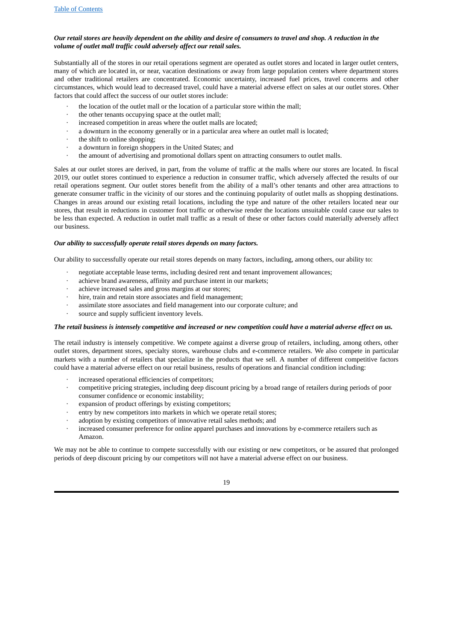## Our retail stores are heavily dependent on the ability and desire of consumers to travel and shop. A reduction in the *volume of outlet mall traffic could adversely affect our retail sales.*

Substantially all of the stores in our retail operations segment are operated as outlet stores and located in larger outlet centers, many of which are located in, or near, vacation destinations or away from large population centers where department stores and other traditional retailers are concentrated. Economic uncertainty, increased fuel prices, travel concerns and other circumstances, which would lead to decreased travel, could have a material adverse effect on sales at our outlet stores. Other factors that could affect the success of our outlet stores include:

- · the location of the outlet mall or the location of a particular store within the mall;
- the other tenants occupying space at the outlet mall;
- increased competition in areas where the outlet malls are located;
- a downturn in the economy generally or in a particular area where an outlet mall is located;
- · the shift to online shopping;
- a downturn in foreign shoppers in the United States; and
- · the amount of advertising and promotional dollars spent on attracting consumers to outlet malls.

Sales at our outlet stores are derived, in part, from the volume of traffic at the malls where our stores are located. In fiscal 2019, our outlet stores continued to experience a reduction in consumer traffic, which adversely affected the results of our retail operations segment. Our outlet stores benefit from the ability of a mall's other tenants and other area attractions to generate consumer traffic in the vicinity of our stores and the continuing popularity of outlet malls as shopping destinations. Changes in areas around our existing retail locations, including the type and nature of the other retailers located near our stores, that result in reductions in customer foot traffic or otherwise render the locations unsuitable could cause our sales to be less than expected. A reduction in outlet mall traffic as a result of these or other factors could materially adversely affect our business.

#### *Our ability to successfully operate retail stores depends on many factors.*

Our ability to successfully operate our retail stores depends on many factors, including, among others, our ability to:

- · negotiate acceptable lease terms, including desired rent and tenant improvement allowances;
- achieve brand awareness, affinity and purchase intent in our markets;
- achieve increased sales and gross margins at our stores;
- hire, train and retain store associates and field management;
- · assimilate store associates and field management into our corporate culture; and
- source and supply sufficient inventory levels.

#### The retail business is intensely competitive and increased or new competition could have a material adverse effect on us.

The retail industry is intensely competitive. We compete against a diverse group of retailers, including, among others, other outlet stores, department stores, specialty stores, warehouse clubs and e-commerce retailers. We also compete in particular markets with a number of retailers that specialize in the products that we sell. A number of different competitive factors could have a material adverse effect on our retail business, results of operations and financial condition including:

- increased operational efficiencies of competitors;
- · competitive pricing strategies, including deep discount pricing by a broad range of retailers during periods of poor consumer confidence or economic instability;
- expansion of product offerings by existing competitors;
- entry by new competitors into markets in which we operate retail stores;
- adoption by existing competitors of innovative retail sales methods; and
- · increased consumer preference for online apparel purchases and innovations by e-commerce retailers such as Amazon.

We may not be able to continue to compete successfully with our existing or new competitors, or be assured that prolonged periods of deep discount pricing by our competitors will not have a material adverse effect on our business.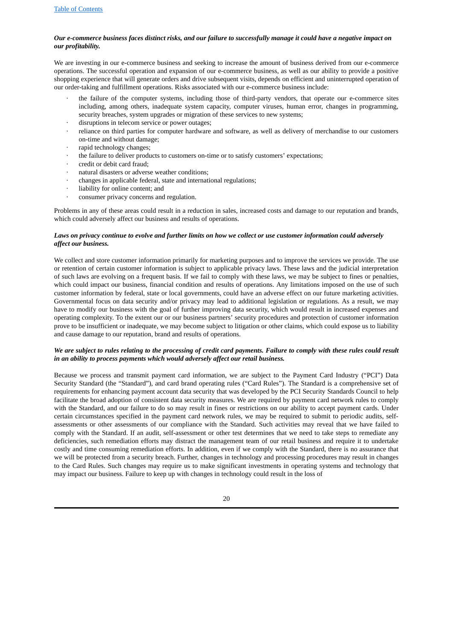## Our e-commerce business faces distinct risks, and our failure to successfully manage it could have a negative impact on *our profitability.*

We are investing in our e-commerce business and seeking to increase the amount of business derived from our e-commerce operations. The successful operation and expansion of our e-commerce business, as well as our ability to provide a positive shopping experience that will generate orders and drive subsequent visits, depends on efficient and uninterrupted operation of our order-taking and fulfillment operations. Risks associated with our e-commerce business include:

- · the failure of the computer systems, including those of third-party vendors, that operate our e-commerce sites including, among others, inadequate system capacity, computer viruses, human error, changes in programming, security breaches, system upgrades or migration of these services to new systems;
- disruptions in telecom service or power outages;
- · reliance on third parties for computer hardware and software, as well as delivery of merchandise to our customers on-time and without damage;
- · rapid technology changes;
- · the failure to deliver products to customers on-time or to satisfy customers' expectations;
- · credit or debit card fraud;
- natural disasters or adverse weather conditions;
- · changes in applicable federal, state and international regulations;
- liability for online content; and
- · consumer privacy concerns and regulation.

Problems in any of these areas could result in a reduction in sales, increased costs and damage to our reputation and brands, which could adversely affect our business and results of operations.

## Laws on privacy continue to evolve and further limits on how we collect or use customer information could adversely *affect our business.*

We collect and store customer information primarily for marketing purposes and to improve the services we provide. The use or retention of certain customer information is subject to applicable privacy laws. These laws and the judicial interpretation of such laws are evolving on a frequent basis. If we fail to comply with these laws, we may be subject to fines or penalties, which could impact our business, financial condition and results of operations. Any limitations imposed on the use of such customer information by federal, state or local governments, could have an adverse effect on our future marketing activities. Governmental focus on data security and/or privacy may lead to additional legislation or regulations. As a result, we may have to modify our business with the goal of further improving data security, which would result in increased expenses and operating complexity. To the extent our or our business partners' security procedures and protection of customer information prove to be insufficient or inadequate, we may become subject to litigation or other claims, which could expose us to liability and cause damage to our reputation, brand and results of operations.

## We are subject to rules relating to the processing of credit card payments. Failure to comply with these rules could result *in an ability to process payments which would adversely affect our retail business.*

Because we process and transmit payment card information, we are subject to the Payment Card Industry ("PCI") Data Security Standard (the "Standard"), and card brand operating rules ("Card Rules"). The Standard is a comprehensive set of requirements for enhancing payment account data security that was developed by the PCI Security Standards Council to help facilitate the broad adoption of consistent data security measures. We are required by payment card network rules to comply with the Standard, and our failure to do so may result in fines or restrictions on our ability to accept payment cards. Under certain circumstances specified in the payment card network rules, we may be required to submit to periodic audits, selfassessments or other assessments of our compliance with the Standard. Such activities may reveal that we have failed to comply with the Standard. If an audit, self-assessment or other test determines that we need to take steps to remediate any deficiencies, such remediation efforts may distract the management team of our retail business and require it to undertake costly and time consuming remediation efforts. In addition, even if we comply with the Standard, there is no assurance that we will be protected from a security breach. Further, changes in technology and processing procedures may result in changes to the Card Rules. Such changes may require us to make significant investments in operating systems and technology that may impact our business. Failure to keep up with changes in technology could result in the loss of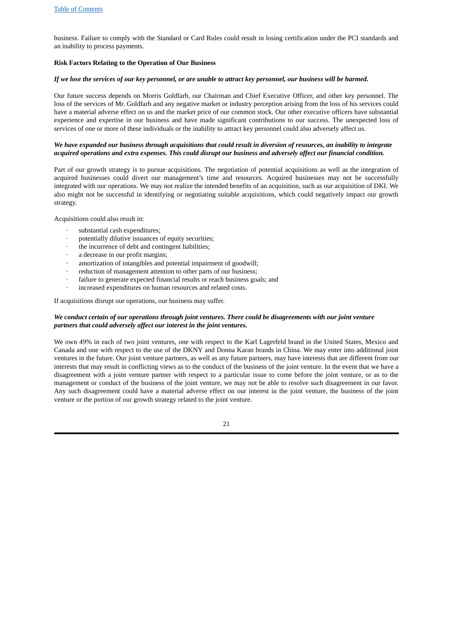business. Failure to comply with the Standard or Card Rules could result in losing certification under the PCI standards and an inability to process payments.

## **Risk Factors Relating to the Operation of Our Business**

#### If we lose the services of our key personnel, or are unable to attract key personnel, our business will be harmed.

Our future success depends on Morris Goldfarb, our Chairman and Chief Executive Officer, and other key personnel. The loss of the services of Mr. Goldfarb and any negative market or industry perception arising from the loss of his services could have a material adverse effect on us and the market price of our common stock. Our other executive officers have substantial experience and expertise in our business and have made significant contributions to our success. The unexpected loss of services of one or more of these individuals or the inability to attract key personnel could also adversely affect us.

## We have expanded our business through acquisitions that could result in diversion of resources, an inability to integrate acquired operations and extra expenses. This could disrupt our business and adversely affect our financial condition.

Part of our growth strategy is to pursue acquisitions. The negotiation of potential acquisitions as well as the integration of acquired businesses could divert our management's time and resources. Acquired businesses may not be successfully integrated with our operations. We may not realize the intended benefits of an acquisition, such as our acquisition of DKI. We also might not be successful in identifying or negotiating suitable acquisitions, which could negatively impact our growth strategy.

Acquisitions could also result in:

- · substantial cash expenditures;
- potentially dilutive issuances of equity securities;
- the incurrence of debt and contingent liabilities;
- a decrease in our profit margins;
- amortization of intangibles and potential impairment of goodwill;
- reduction of management attention to other parts of our business;
- failure to generate expected financial results or reach business goals; and
- increased expenditures on human resources and related costs.

If acquisitions disrupt our operations, our business may suffer.

## We conduct certain of our operations through joint ventures. There could be disagreements with our joint venture *partners that could adversely affect our interest in the joint ventures.*

We own 49% in each of two joint ventures, one with respect to the Karl Lagerfeld brand in the United States, Mexico and Canada and one with respect to the use of the DKNY and Donna Karan brands in China. We may enter into additional joint ventures in the future. Our joint venture partners, as well as any future partners, may have interests that are different from our interests that may result in conflicting views as to the conduct of the business of the joint venture. In the event that we have a disagreement with a joint venture partner with respect to a particular issue to come before the joint venture, or as to the management or conduct of the business of the joint venture, we may not be able to resolve such disagreement in our favor. Any such disagreement could have a material adverse effect on our interest in the joint venture, the business of the joint venture or the portion of our growth strategy related to the joint venture.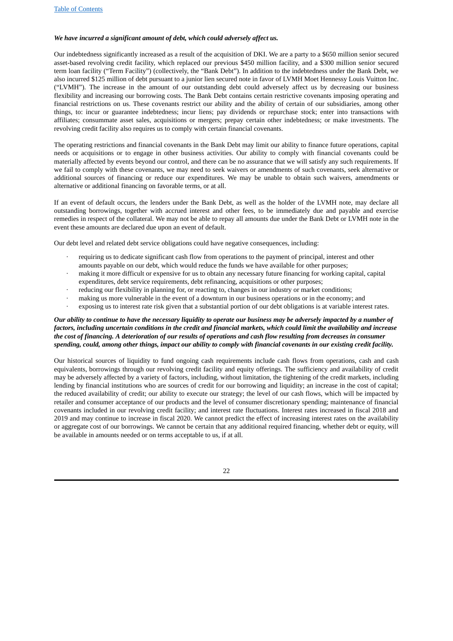## *We have incurred a significant amount of debt, which could adversely affect us.*

Our indebtedness significantly increased as a result of the acquisition of DKI. We are a party to a \$650 million senior secured asset-based revolving credit facility, which replaced our previous \$450 million facility, and a \$300 million senior secured term loan facility ("Term Facility") (collectively, the "Bank Debt"). In addition to the indebtedness under the Bank Debt, we also incurred \$125 million of debt pursuant to a junior lien secured note in favor of LVMH Moet Hennessy Louis Vuitton Inc. ("LVMH"). The increase in the amount of our outstanding debt could adversely affect us by decreasing our business flexibility and increasing our borrowing costs. The Bank Debt contains certain restrictive covenants imposing operating and financial restrictions on us. These covenants restrict our ability and the ability of certain of our subsidiaries, among other things, to: incur or guarantee indebtedness; incur liens; pay dividends or repurchase stock; enter into transactions with affiliates; consummate asset sales, acquisitions or mergers; prepay certain other indebtedness; or make investments. The revolving credit facility also requires us to comply with certain financial covenants.

The operating restrictions and financial covenants in the Bank Debt may limit our ability to finance future operations, capital needs or acquisitions or to engage in other business activities. Our ability to comply with financial covenants could be materially affected by events beyond our control, and there can be no assurance that we will satisfy any such requirements. If we fail to comply with these covenants, we may need to seek waivers or amendments of such covenants, seek alternative or additional sources of financing or reduce our expenditures. We may be unable to obtain such waivers, amendments or alternative or additional financing on favorable terms, or at all.

If an event of default occurs, the lenders under the Bank Debt, as well as the holder of the LVMH note, may declare all outstanding borrowings, together with accrued interest and other fees, to be immediately due and payable and exercise remedies in respect of the collateral. We may not be able to repay all amounts due under the Bank Debt or LVMH note in the event these amounts are declared due upon an event of default.

Our debt level and related debt service obligations could have negative consequences, including:

- · requiring us to dedicate significant cash flow from operations to the payment of principal, interest and other amounts payable on our debt, which would reduce the funds we have available for other purposes;
- · making it more difficult or expensive for us to obtain any necessary future financing for working capital, capital expenditures, debt service requirements, debt refinancing, acquisitions or other purposes;
- reducing our flexibility in planning for, or reacting to, changes in our industry or market conditions;
- making us more vulnerable in the event of a downturn in our business operations or in the economy; and
- exposing us to interest rate risk given that a substantial portion of our debt obligations is at variable interest rates.

## Our ability to continue to have the necessary liquidity to operate our business may be adversely impacted by a number of factors, including uncertain conditions in the credit and financial markets, which could limit the availability and increase the cost of financing. A deterioration of our results of operations and cash flow resulting from decreases in consumer spending, could, among other things, impact our ability to comply with financial covenants in our existing credit facility.

Our historical sources of liquidity to fund ongoing cash requirements include cash flows from operations, cash and cash equivalents, borrowings through our revolving credit facility and equity offerings. The sufficiency and availability of credit may be adversely affected by a variety of factors, including, without limitation, the tightening of the credit markets, including lending by financial institutions who are sources of credit for our borrowing and liquidity; an increase in the cost of capital; the reduced availability of credit; our ability to execute our strategy; the level of our cash flows, which will be impacted by retailer and consumer acceptance of our products and the level of consumer discretionary spending; maintenance of financial covenants included in our revolving credit facility; and interest rate fluctuations. Interest rates increased in fiscal 2018 and 2019 and may continue to increase in fiscal 2020. We cannot predict the effect of increasing interest rates on the availability or aggregate cost of our borrowings. We cannot be certain that any additional required financing, whether debt or equity, will be available in amounts needed or on terms acceptable to us, if at all.

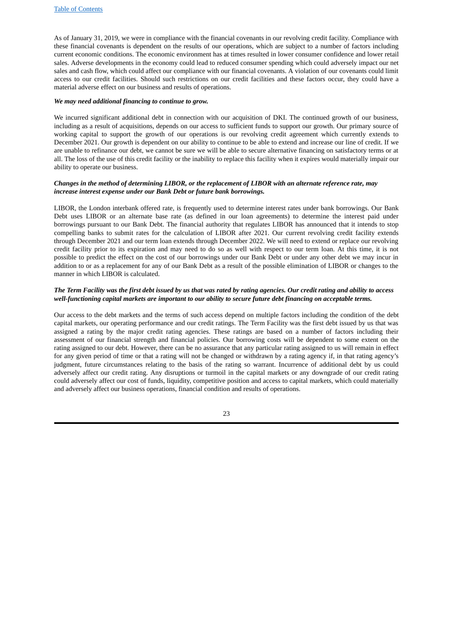As of January 31, 2019, we were in compliance with the financial covenants in our revolving credit facility. Compliance with these financial covenants is dependent on the results of our operations, which are subject to a number of factors including current economic conditions. The economic environment has at times resulted in lower consumer confidence and lower retail sales. Adverse developments in the economy could lead to reduced consumer spending which could adversely impact our net sales and cash flow, which could affect our compliance with our financial covenants. A violation of our covenants could limit access to our credit facilities. Should such restrictions on our credit facilities and these factors occur, they could have a material adverse effect on our business and results of operations.

#### *We may need additional financing to continue to grow.*

We incurred significant additional debt in connection with our acquisition of DKI. The continued growth of our business, including as a result of acquisitions, depends on our access to sufficient funds to support our growth. Our primary source of working capital to support the growth of our operations is our revolving credit agreement which currently extends to December 2021. Our growth is dependent on our ability to continue to be able to extend and increase our line of credit. If we are unable to refinance our debt, we cannot be sure we will be able to secure alternative financing on satisfactory terms or at all. The loss of the use of this credit facility or the inability to replace this facility when it expires would materially impair our ability to operate our business.

#### Changes in the method of determining LIBOR, or the replacement of LIBOR with an alternate reference rate, may *increase interest expense under our Bank Debt or future bank borrowings.*

LIBOR, the London interbank offered rate, is frequently used to determine interest rates under bank borrowings. Our Bank Debt uses LIBOR or an alternate base rate (as defined in our loan agreements) to determine the interest paid under borrowings pursuant to our Bank Debt. The financial authority that regulates LIBOR has announced that it intends to stop compelling banks to submit rates for the calculation of LIBOR after 2021. Our current revolving credit facility extends through December 2021 and our term loan extends through December 2022. We will need to extend or replace our revolving credit facility prior to its expiration and may need to do so as well with respect to our term loan. At this time, it is not possible to predict the effect on the cost of our borrowings under our Bank Debt or under any other debt we may incur in addition to or as a replacement for any of our Bank Debt as a result of the possible elimination of LIBOR or changes to the manner in which LIBOR is calculated.

#### The Term Facility was the first debt issued by us that was rated by rating agencies. Our credit rating and ability to access well-functioning capital markets are important to our ability to secure future debt financing on acceptable terms.

Our access to the debt markets and the terms of such access depend on multiple factors including the condition of the debt capital markets, our operating performance and our credit ratings. The Term Facility was the first debt issued by us that was assigned a rating by the major credit rating agencies. These ratings are based on a number of factors including their assessment of our financial strength and financial policies. Our borrowing costs will be dependent to some extent on the rating assigned to our debt. However, there can be no assurance that any particular rating assigned to us will remain in effect for any given period of time or that a rating will not be changed or withdrawn by a rating agency if, in that rating agency's judgment, future circumstances relating to the basis of the rating so warrant. Incurrence of additional debt by us could adversely affect our credit rating. Any disruptions or turmoil in the capital markets or any downgrade of our credit rating could adversely affect our cost of funds, liquidity, competitive position and access to capital markets, which could materially and adversely affect our business operations, financial condition and results of operations.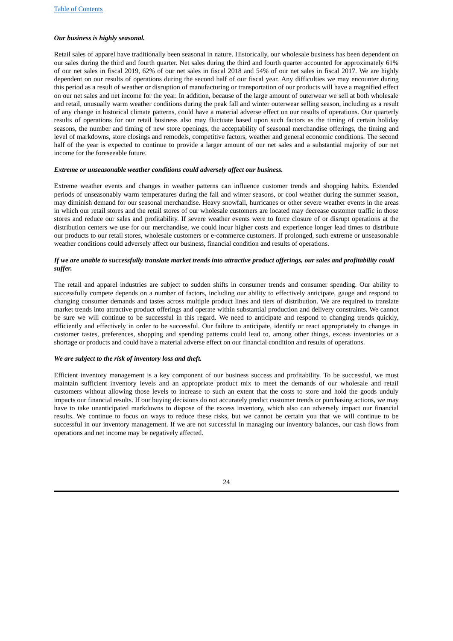## *Our business is highly seasonal.*

Retail sales of apparel have traditionally been seasonal in nature. Historically, our wholesale business has been dependent on our sales during the third and fourth quarter. Net sales during the third and fourth quarter accounted for approximately 61% of our net sales in fiscal 2019, 62% of our net sales in fiscal 2018 and 54% of our net sales in fiscal 2017. We are highly dependent on our results of operations during the second half of our fiscal year. Any difficulties we may encounter during this period as a result of weather or disruption of manufacturing or transportation of our products will have a magnified effect on our net sales and net income for the year. In addition, because of the large amount of outerwear we sell at both wholesale and retail, unusually warm weather conditions during the peak fall and winter outerwear selling season, including as a result of any change in historical climate patterns, could have a material adverse effect on our results of operations. Our quarterly results of operations for our retail business also may fluctuate based upon such factors as the timing of certain holiday seasons, the number and timing of new store openings, the acceptability of seasonal merchandise offerings, the timing and level of markdowns, store closings and remodels, competitive factors, weather and general economic conditions. The second half of the year is expected to continue to provide a larger amount of our net sales and a substantial majority of our net income for the foreseeable future.

#### *Extreme or unseasonable weather conditions could adversely affect our business.*

Extreme weather events and changes in weather patterns can influence customer trends and shopping habits. Extended periods of unseasonably warm temperatures during the fall and winter seasons, or cool weather during the summer season, may diminish demand for our seasonal merchandise. Heavy snowfall, hurricanes or other severe weather events in the areas in which our retail stores and the retail stores of our wholesale customers are located may decrease customer traffic in those stores and reduce our sales and profitability. If severe weather events were to force closure of or disrupt operations at the distribution centers we use for our merchandise, we could incur higher costs and experience longer lead times to distribute our products to our retail stores, wholesale customers or e-commerce customers. If prolonged, such extreme or unseasonable weather conditions could adversely affect our business, financial condition and results of operations.

#### If we are unable to successfully translate market trends into attractive product offerings, our sales and profitability could *suffer.*

The retail and apparel industries are subject to sudden shifts in consumer trends and consumer spending. Our ability to successfully compete depends on a number of factors, including our ability to effectively anticipate, gauge and respond to changing consumer demands and tastes across multiple product lines and tiers of distribution. We are required to translate market trends into attractive product offerings and operate within substantial production and delivery constraints. We cannot be sure we will continue to be successful in this regard. We need to anticipate and respond to changing trends quickly, efficiently and effectively in order to be successful. Our failure to anticipate, identify or react appropriately to changes in customer tastes, preferences, shopping and spending patterns could lead to, among other things, excess inventories or a shortage or products and could have a material adverse effect on our financial condition and results of operations.

#### *We are subject to the risk of inventory loss and theft.*

Efficient inventory management is a key component of our business success and profitability. To be successful, we must maintain sufficient inventory levels and an appropriate product mix to meet the demands of our wholesale and retail customers without allowing those levels to increase to such an extent that the costs to store and hold the goods unduly impacts our financial results. If our buying decisions do not accurately predict customer trends or purchasing actions, we may have to take unanticipated markdowns to dispose of the excess inventory, which also can adversely impact our financial results. We continue to focus on ways to reduce these risks, but we cannot be certain you that we will continue to be successful in our inventory management. If we are not successful in managing our inventory balances, our cash flows from operations and net income may be negatively affected.

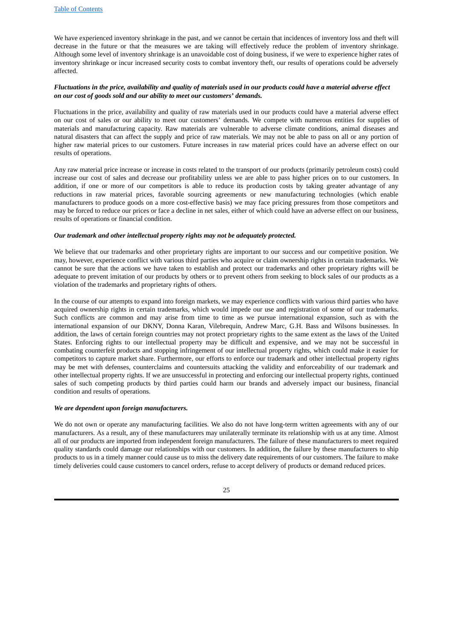We have experienced inventory shrinkage in the past, and we cannot be certain that incidences of inventory loss and theft will decrease in the future or that the measures we are taking will effectively reduce the problem of inventory shrinkage. Although some level of inventory shrinkage is an unavoidable cost of doing business, if we were to experience higher rates of inventory shrinkage or incur increased security costs to combat inventory theft, our results of operations could be adversely affected.

#### Fluctuations in the price, availability and quality of materials used in our products could have a material adverse effect *on our cost of goods sold and our ability to meet our customers' demands.*

Fluctuations in the price, availability and quality of raw materials used in our products could have a material adverse effect on our cost of sales or our ability to meet our customers' demands. We compete with numerous entities for supplies of materials and manufacturing capacity. Raw materials are vulnerable to adverse climate conditions, animal diseases and natural disasters that can affect the supply and price of raw materials. We may not be able to pass on all or any portion of higher raw material prices to our customers. Future increases in raw material prices could have an adverse effect on our results of operations.

Any raw material price increase or increase in costs related to the transport of our products (primarily petroleum costs) could increase our cost of sales and decrease our profitability unless we are able to pass higher prices on to our customers. In addition, if one or more of our competitors is able to reduce its production costs by taking greater advantage of any reductions in raw material prices, favorable sourcing agreements or new manufacturing technologies (which enable manufacturers to produce goods on a more cost-effective basis) we may face pricing pressures from those competitors and may be forced to reduce our prices or face a decline in net sales, either of which could have an adverse effect on our business, results of operations or financial condition.

#### *Our trademark and other intellectual property rights may not be adequately protected.*

We believe that our trademarks and other proprietary rights are important to our success and our competitive position. We may, however, experience conflict with various third parties who acquire or claim ownership rights in certain trademarks. We cannot be sure that the actions we have taken to establish and protect our trademarks and other proprietary rights will be adequate to prevent imitation of our products by others or to prevent others from seeking to block sales of our products as a violation of the trademarks and proprietary rights of others.

In the course of our attempts to expand into foreign markets, we may experience conflicts with various third parties who have acquired ownership rights in certain trademarks, which would impede our use and registration of some of our trademarks. Such conflicts are common and may arise from time to time as we pursue international expansion, such as with the international expansion of our DKNY, Donna Karan, Vilebrequin, Andrew Marc, G.H. Bass and Wilsons businesses. In addition, the laws of certain foreign countries may not protect proprietary rights to the same extent as the laws of the United States. Enforcing rights to our intellectual property may be difficult and expensive, and we may not be successful in combating counterfeit products and stopping infringement of our intellectual property rights, which could make it easier for competitors to capture market share. Furthermore, our efforts to enforce our trademark and other intellectual property rights may be met with defenses, counterclaims and countersuits attacking the validity and enforceability of our trademark and other intellectual property rights. If we are unsuccessful in protecting and enforcing our intellectual property rights, continued sales of such competing products by third parties could harm our brands and adversely impact our business, financial condition and results of operations.

#### *We are dependent upon foreign manufacturers.*

We do not own or operate any manufacturing facilities. We also do not have long-term written agreements with any of our manufacturers. As a result, any of these manufacturers may unilaterally terminate its relationship with us at any time. Almost all of our products are imported from independent foreign manufacturers. The failure of these manufacturers to meet required quality standards could damage our relationships with our customers. In addition, the failure by these manufacturers to ship products to us in a timely manner could cause us to miss the delivery date requirements of our customers. The failure to make timely deliveries could cause customers to cancel orders, refuse to accept delivery of products or demand reduced prices.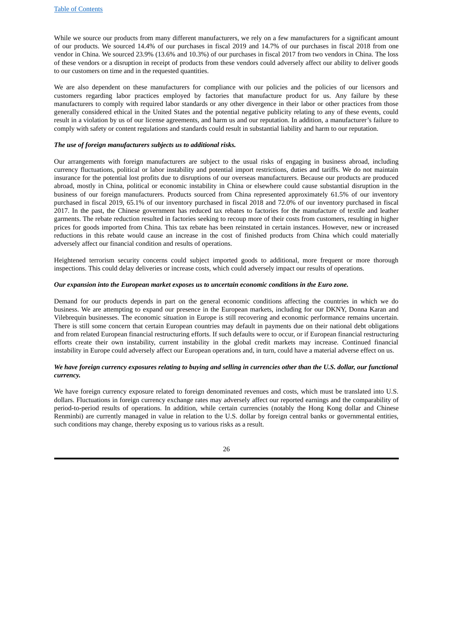While we source our products from many different manufacturers, we rely on a few manufacturers for a significant amount of our products. We sourced 14.4% of our purchases in fiscal 2019 and 14.7% of our purchases in fiscal 2018 from one vendor in China. We sourced 23.9% (13.6% and 10.3%) of our purchases in fiscal 2017 from two vendors in China. The loss of these vendors or a disruption in receipt of products from these vendors could adversely affect our ability to deliver goods to our customers on time and in the requested quantities.

We are also dependent on these manufacturers for compliance with our policies and the policies of our licensors and customers regarding labor practices employed by factories that manufacture product for us. Any failure by these manufacturers to comply with required labor standards or any other divergence in their labor or other practices from those generally considered ethical in the United States and the potential negative publicity relating to any of these events, could result in a violation by us of our license agreements, and harm us and our reputation. In addition, a manufacturer's failure to comply with safety or content regulations and standards could result in substantial liability and harm to our reputation.

#### *The use of foreign manufacturers subjects us to additional risks.*

Our arrangements with foreign manufacturers are subject to the usual risks of engaging in business abroad, including currency fluctuations, political or labor instability and potential import restrictions, duties and tariffs. We do not maintain insurance for the potential lost profits due to disruptions of our overseas manufacturers. Because our products are produced abroad, mostly in China, political or economic instability in China or elsewhere could cause substantial disruption in the business of our foreign manufacturers. Products sourced from China represented approximately 61.5% of our inventory purchased in fiscal 2019, 65.1% of our inventory purchased in fiscal 2018 and 72.0% of our inventory purchased in fiscal 2017. In the past, the Chinese government has reduced tax rebates to factories for the manufacture of textile and leather garments. The rebate reduction resulted in factories seeking to recoup more of their costs from customers, resulting in higher prices for goods imported from China. This tax rebate has been reinstated in certain instances. However, new or increased reductions in this rebate would cause an increase in the cost of finished products from China which could materially adversely affect our financial condition and results of operations.

Heightened terrorism security concerns could subject imported goods to additional, more frequent or more thorough inspections. This could delay deliveries or increase costs, which could adversely impact our results of operations.

## *Our expansion into the European market exposes us to uncertain economic conditions in the Euro zone.*

Demand for our products depends in part on the general economic conditions affecting the countries in which we do business. We are attempting to expand our presence in the European markets, including for our DKNY, Donna Karan and Vilebrequin businesses. The economic situation in Europe is still recovering and economic performance remains uncertain. There is still some concern that certain European countries may default in payments due on their national debt obligations and from related European financial restructuring efforts. If such defaults were to occur, or if European financial restructuring efforts create their own instability, current instability in the global credit markets may increase. Continued financial instability in Europe could adversely affect our European operations and, in turn, could have a material adverse effect on us.

## We have foreign currency exposures relating to buying and selling in currencies other than the U.S. dollar, our functional *currency.*

We have foreign currency exposure related to foreign denominated revenues and costs, which must be translated into U.S. dollars. Fluctuations in foreign currency exchange rates may adversely affect our reported earnings and the comparability of period-to-period results of operations. In addition, while certain currencies (notably the Hong Kong dollar and Chinese Renminbi) are currently managed in value in relation to the U.S. dollar by foreign central banks or governmental entities, such conditions may change, thereby exposing us to various risks as a result.

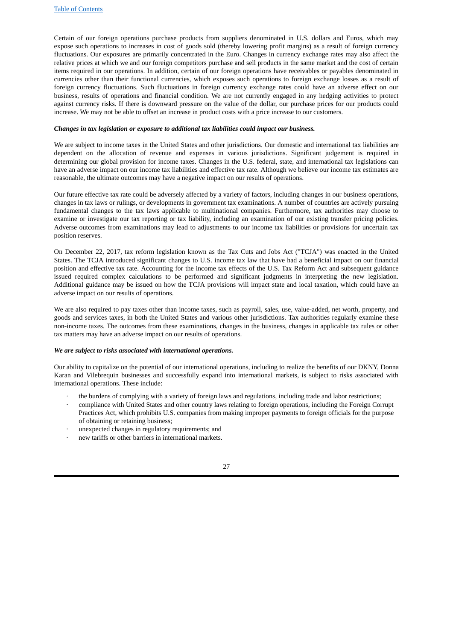Certain of our foreign operations purchase products from suppliers denominated in U.S. dollars and Euros, which may expose such operations to increases in cost of goods sold (thereby lowering profit margins) as a result of foreign currency fluctuations. Our exposures are primarily concentrated in the Euro. Changes in currency exchange rates may also affect the relative prices at which we and our foreign competitors purchase and sell products in the same market and the cost of certain items required in our operations. In addition, certain of our foreign operations have receivables or payables denominated in currencies other than their functional currencies, which exposes such operations to foreign exchange losses as a result of foreign currency fluctuations. Such fluctuations in foreign currency exchange rates could have an adverse effect on our business, results of operations and financial condition. We are not currently engaged in any hedging activities to protect against currency risks. If there is downward pressure on the value of the dollar, our purchase prices for our products could increase. We may not be able to offset an increase in product costs with a price increase to our customers.

## *Changes in tax legislation or exposure to additional tax liabilities could impact our business.*

We are subject to income taxes in the United States and other jurisdictions. Our domestic and international tax liabilities are dependent on the allocation of revenue and expenses in various jurisdictions. Significant judgement is required in determining our global provision for income taxes. Changes in the U.S. federal, state, and international tax legislations can have an adverse impact on our income tax liabilities and effective tax rate. Although we believe our income tax estimates are reasonable, the ultimate outcomes may have a negative impact on our results of operations.

Our future effective tax rate could be adversely affected by a variety of factors, including changes in our business operations, changes in tax laws or rulings, or developments in government tax examinations. A number of countries are actively pursuing fundamental changes to the tax laws applicable to multinational companies. Furthermore, tax authorities may choose to examine or investigate our tax reporting or tax liability, including an examination of our existing transfer pricing policies. Adverse outcomes from examinations may lead to adjustments to our income tax liabilities or provisions for uncertain tax position reserves.

On December 22, 2017, tax reform legislation known as the Tax Cuts and Jobs Act ("TCJA") was enacted in the United States. The TCJA introduced significant changes to U.S. income tax law that have had a beneficial impact on our financial position and effective tax rate. Accounting for the income tax effects of the U.S. Tax Reform Act and subsequent guidance issued required complex calculations to be performed and significant judgments in interpreting the new legislation. Additional guidance may be issued on how the TCJA provisions will impact state and local taxation, which could have an adverse impact on our results of operations.

We are also required to pay taxes other than income taxes, such as payroll, sales, use, value-added, net worth, property, and goods and services taxes, in both the United States and various other jurisdictions. Tax authorities regularly examine these non-income taxes. The outcomes from these examinations, changes in the business, changes in applicable tax rules or other tax matters may have an adverse impact on our results of operations.

#### *We are subject to risks associated with international operations.*

Our ability to capitalize on the potential of our international operations, including to realize the benefits of our DKNY, Donna Karan and Vilebrequin businesses and successfully expand into international markets, is subject to risks associated with international operations. These include:

- the burdens of complying with a variety of foreign laws and regulations, including trade and labor restrictions;
- · compliance with United States and other country laws relating to foreign operations, including the Foreign Corrupt Practices Act, which prohibits U.S. companies from making improper payments to foreign officials for the purpose of obtaining or retaining business;
- unexpected changes in regulatory requirements; and
- new tariffs or other barriers in international markets.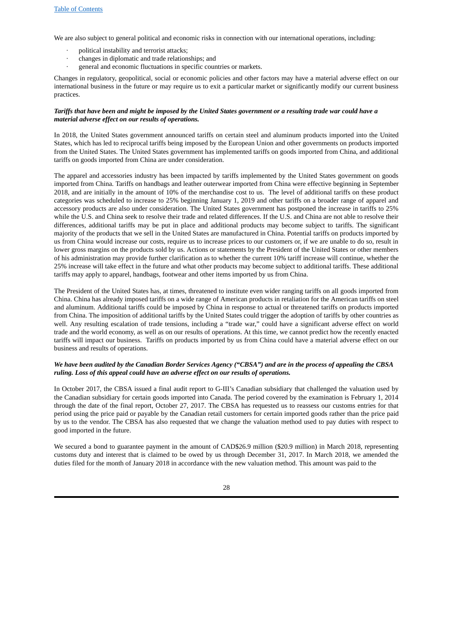We are also subject to general political and economic risks in connection with our international operations, including:

- political instability and terrorist attacks;
- changes in diplomatic and trade relationships; and
- general and economic fluctuations in specific countries or markets.

Changes in regulatory, geopolitical, social or economic policies and other factors may have a material adverse effect on our international business in the future or may require us to exit a particular market or significantly modify our current business practices.

## Tariffs that have been and might be imposed by the United States government or a resulting trade war could have a *material adverse effect on our results of operations.*

In 2018, the United States government announced tariffs on certain steel and aluminum products imported into the United States, which has led to reciprocal tariffs being imposed by the European Union and other governments on products imported from the United States. The United States government has implemented tariffs on goods imported from China, and additional tariffs on goods imported from China are under consideration.

The apparel and accessories industry has been impacted by tariffs implemented by the United States government on goods imported from China. Tariffs on handbags and leather outerwear imported from China were effective beginning in September 2018, and are initially in the amount of 10% of the merchandise cost to us. The level of additional tariffs on these product categories was scheduled to increase to 25% beginning January 1, 2019 and other tariffs on a broader range of apparel and accessory products are also under consideration. The United States government has postponed the increase in tariffs to 25% while the U.S. and China seek to resolve their trade and related differences. If the U.S. and China are not able to resolve their differences, additional tariffs may be put in place and additional products may become subject to tariffs. The significant majority of the products that we sell in the United States are manufactured in China. Potential tariffs on products imported by us from China would increase our costs, require us to increase prices to our customers or, if we are unable to do so, result in lower gross margins on the products sold by us. Actions or statements by the President of the United States or other members of his administration may provide further clarification as to whether the current 10% tariff increase will continue, whether the 25% increase will take effect in the future and what other products may become subject to additional tariffs. These additional tariffs may apply to apparel, handbags, footwear and other items imported by us from China.

The President of the United States has, at times, threatened to institute even wider ranging tariffs on all goods imported from China. China has already imposed tariffs on a wide range of American products in retaliation for the American tariffs on steel and aluminum. Additional tariffs could be imposed by China in response to actual or threatened tariffs on products imported from China. The imposition of additional tariffs by the United States could trigger the adoption of tariffs by other countries as well. Any resulting escalation of trade tensions, including a "trade war," could have a significant adverse effect on world trade and the world economy, as well as on our results of operations. At this time, we cannot predict how the recently enacted tariffs will impact our business. Tariffs on products imported by us from China could have a material adverse effect on our business and results of operations.

#### We have been audited by the Canadian Border Services Agency ("CBSA") and are in the process of appealing the CBSA *ruling. Loss of this appeal could have an adverse effect on our results of operations.*

In October 2017, the CBSA issued a final audit report to G-III's Canadian subsidiary that challenged the valuation used by the Canadian subsidiary for certain goods imported into Canada. The period covered by the examination is February 1, 2014 through the date of the final report, October 27, 2017. The CBSA has requested us to reassess our customs entries for that period using the price paid or payable by the Canadian retail customers for certain imported goods rather than the price paid by us to the vendor. The CBSA has also requested that we change the valuation method used to pay duties with respect to good imported in the future.

We secured a bond to guarantee payment in the amount of CAD\$26.9 million (\$20.9 million) in March 2018, representing customs duty and interest that is claimed to be owed by us through December 31, 2017. In March 2018, we amended the duties filed for the month of January 2018 in accordance with the new valuation method. This amount was paid to the

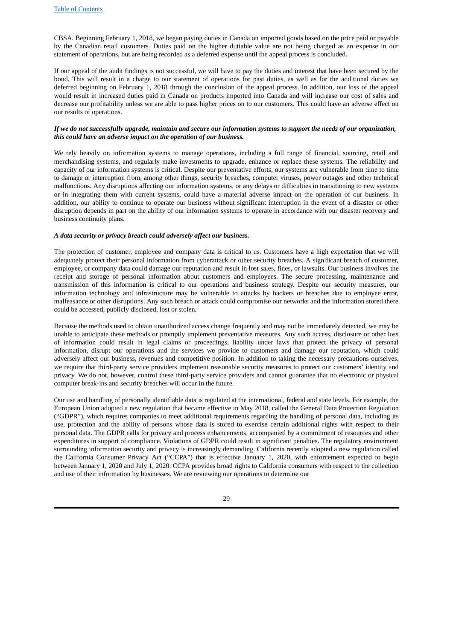CBSA. Beginning February 1, 2018, we began paying duties in Canada on imported goods based on the price paid or payable by the Canadian retail customers. Duties paid on the higher dutiable value are not being charged as an expense in our statement of operations, but are being recorded as a deferred expense until the appeal process is concluded.

If our appeal of the audit findings is not successful, we will have to pay the duties and interest that have been secured by the bond. This will result in a charge to our statement of operations for past duties, as well as for the additional duties we deferred beginning on February 1, 2018 through the conclusion of the appeal process. In addition, our loss of the appeal would result in increased duties paid in Canada on products imported into Canada and will increase our cost of sales and decrease our profitability unless we are able to pass higher prices on to our customers. This could have an adverse effect on our results of operations.

## If we do not successfully upgrade, maintain and secure our information systems to support the needs of our organization, *this could have an adverse impact on the operation of our business.*

We rely heavily on information systems to manage operations, including a full range of financial, sourcing, retail and merchandising systems, and regularly make investments to upgrade, enhance or replace these systems. The reliability and capacity of our information systems is critical. Despite our preventative efforts, our systems are vulnerable from time to time to damage or interruption from, among other things, security breaches, computer viruses, power outages and other technical malfunctions. Any disruptions affecting our information systems, or any delays or difficulties in transitioning to new systems or in integrating them with current systems, could have a material adverse impact on the operation of our business. In addition, our ability to continue to operate our business without significant interruption in the event of a disaster or other disruption depends in part on the ability of our information systems to operate in accordance with our disaster recovery and business continuity plans.

## *A data security or privacy breach could adversely affect our business.*

The protection of customer, employee and company data is critical to us. Customers have a high expectation that we will adequately protect their personal information from cyberattack or other security breaches. A significant breach of customer, employee, or company data could damage our reputation and result in lost sales, fines, or lawsuits. Our business involves the receipt and storage of personal information about customers and employees. The secure processing, maintenance and transmission of this information is critical to our operations and business strategy. Despite our security measures, our information technology and infrastructure may be vulnerable to attacks by hackers or breaches due to employee error, malfeasance or other disruptions. Any such breach or attack could compromise our networks and the information stored there could be accessed, publicly disclosed, lost or stolen.

Because the methods used to obtain unauthorized access change frequently and may not be immediately detected, we may be unable to anticipate these methods or promptly implement preventative measures. Any such access, disclosure or other loss of information could result in legal claims or proceedings, liability under laws that protect the privacy of personal information, disrupt our operations and the services we provide to customers and damage our reputation, which could adversely affect our business, revenues and competitive position. In addition to taking the necessary precautions ourselves, we require that third-party service providers implement reasonable security measures to protect our customers' identity and privacy. We do not, however, control these third-party service providers and cannot guarantee that no electronic or physical computer break-ins and security breaches will occur in the future.

Our use and handling of personally identifiable data is regulated at the international, federal and state levels. For example, the European Union adopted a new regulation that became effective in May 2018, called the General Data Protection Regulation ("GDPR"), which requires companies to meet additional requirements regarding the handling of personal data, including its use, protection and the ability of persons whose data is stored to exercise certain additional rights with respect to their personal data. The GDPR calls for privacy and process enhancements, accompanied by a commitment of resources and other expenditures in support of compliance. Violations of GDPR could result in significant penalties. The regulatory environment surrounding information security and privacy is increasingly demanding. California recently adopted a new regulation called the California Consumer Privacy Act ("CCPA") that is effective January 1, 2020, with enforcement expected to begin between January 1, 2020 and July 1, 2020. CCPA provides broad rights to California consumers with respect to the collection and use of their information by businesses. We are reviewing our operations to determine our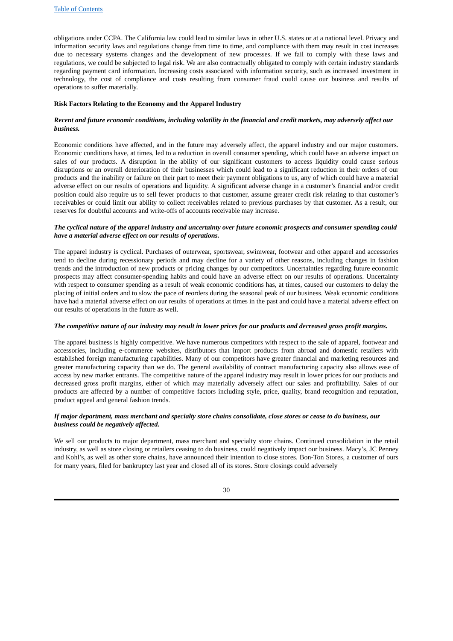obligations under CCPA. The California law could lead to similar laws in other U.S. states or at a national level. Privacy and information security laws and regulations change from time to time, and compliance with them may result in cost increases due to necessary systems changes and the development of new processes. If we fail to comply with these laws and regulations, we could be subjected to legal risk. We are also contractually obligated to comply with certain industry standards regarding payment card information. Increasing costs associated with information security, such as increased investment in technology, the cost of compliance and costs resulting from consumer fraud could cause our business and results of operations to suffer materially.

#### **Risk Factors Relating to the Economy and the Apparel Industry**

## Recent and future economic conditions, including volatility in the financial and credit markets, may adversely affect our *business.*

Economic conditions have affected, and in the future may adversely affect, the apparel industry and our major customers. Economic conditions have, at times, led to a reduction in overall consumer spending, which could have an adverse impact on sales of our products. A disruption in the ability of our significant customers to access liquidity could cause serious disruptions or an overall deterioration of their businesses which could lead to a significant reduction in their orders of our products and the inability or failure on their part to meet their payment obligations to us, any of which could have a material adverse effect on our results of operations and liquidity. A significant adverse change in a customer's financial and/or credit position could also require us to sell fewer products to that customer, assume greater credit risk relating to that customer's receivables or could limit our ability to collect receivables related to previous purchases by that customer. As a result, our reserves for doubtful accounts and write-offs of accounts receivable may increase.

#### The cyclical nature of the apparel industry and uncertainty over future economic prospects and consumer spending could *have a material adverse effect on our results of operations.*

The apparel industry is cyclical. Purchases of outerwear, sportswear, swimwear, footwear and other apparel and accessories tend to decline during recessionary periods and may decline for a variety of other reasons, including changes in fashion trends and the introduction of new products or pricing changes by our competitors. Uncertainties regarding future economic prospects may affect consumer-spending habits and could have an adverse effect on our results of operations. Uncertainty with respect to consumer spending as a result of weak economic conditions has, at times, caused our customers to delay the placing of initial orders and to slow the pace of reorders during the seasonal peak of our business. Weak economic conditions have had a material adverse effect on our results of operations at times in the past and could have a material adverse effect on our results of operations in the future as well.

#### The competitive nature of our industry may result in lower prices for our products and decreased gross profit margins.

The apparel business is highly competitive. We have numerous competitors with respect to the sale of apparel, footwear and accessories, including e-commerce websites, distributors that import products from abroad and domestic retailers with established foreign manufacturing capabilities. Many of our competitors have greater financial and marketing resources and greater manufacturing capacity than we do. The general availability of contract manufacturing capacity also allows ease of access by new market entrants. The competitive nature of the apparel industry may result in lower prices for our products and decreased gross profit margins, either of which may materially adversely affect our sales and profitability. Sales of our products are affected by a number of competitive factors including style, price, quality, brand recognition and reputation, product appeal and general fashion trends.

#### If major department, mass merchant and specialty store chains consolidate, close stores or cease to do business, our *business could be negatively affected.*

We sell our products to major department, mass merchant and specialty store chains. Continued consolidation in the retail industry, as well as store closing or retailers ceasing to do business, could negatively impact our business. Macy's, JC Penney and Kohl's, as well as other store chains, have announced their intention to close stores. Bon-Ton Stores, a customer of ours for many years, filed for bankruptcy last year and closed all of its stores. Store closings could adversely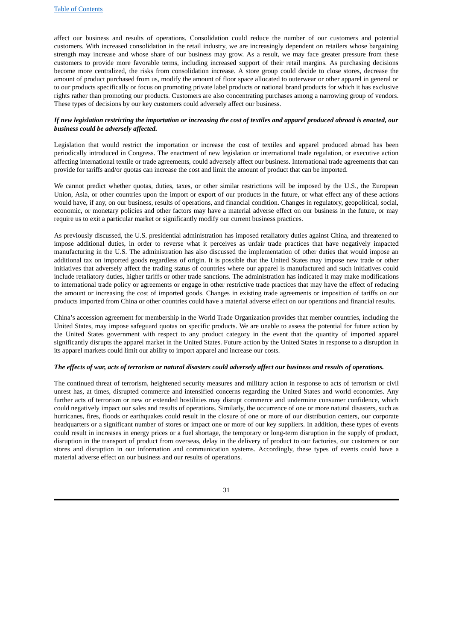affect our business and results of operations. Consolidation could reduce the number of our customers and potential customers. With increased consolidation in the retail industry, we are increasingly dependent on retailers whose bargaining strength may increase and whose share of our business may grow. As a result, we may face greater pressure from these customers to provide more favorable terms, including increased support of their retail margins. As purchasing decisions become more centralized, the risks from consolidation increase. A store group could decide to close stores, decrease the amount of product purchased from us, modify the amount of floor space allocated to outerwear or other apparel in general or to our products specifically or focus on promoting private label products or national brand products for which it has exclusive rights rather than promoting our products. Customers are also concentrating purchases among a narrowing group of vendors. These types of decisions by our key customers could adversely affect our business.

#### If new legislation restricting the importation or increasing the cost of textiles and apparel produced abroad is enacted, our *business could be adversely affected.*

Legislation that would restrict the importation or increase the cost of textiles and apparel produced abroad has been periodically introduced in Congress. The enactment of new legislation or international trade regulation, or executive action affecting international textile or trade agreements, could adversely affect our business. International trade agreements that can provide for tariffs and/or quotas can increase the cost and limit the amount of product that can be imported.

We cannot predict whether quotas, duties, taxes, or other similar restrictions will be imposed by the U.S., the European Union, Asia, or other countries upon the import or export of our products in the future, or what effect any of these actions would have, if any, on our business, results of operations, and financial condition. Changes in regulatory, geopolitical, social, economic, or monetary policies and other factors may have a material adverse effect on our business in the future, or may require us to exit a particular market or significantly modify our current business practices.

As previously discussed, the U.S. presidential administration has imposed retaliatory duties against China, and threatened to impose additional duties, in order to reverse what it perceives as unfair trade practices that have negatively impacted manufacturing in the U.S. The administration has also discussed the implementation of other duties that would impose an additional tax on imported goods regardless of origin. It is possible that the United States may impose new trade or other initiatives that adversely affect the trading status of countries where our apparel is manufactured and such initiatives could include retaliatory duties, higher tariffs or other trade sanctions. The administration has indicated it may make modifications to international trade policy or agreements or engage in other restrictive trade practices that may have the effect of reducing the amount or increasing the cost of imported goods. Changes in existing trade agreements or imposition of tariffs on our products imported from China or other countries could have a material adverse effect on our operations and financial results.

China's accession agreement for membership in the World Trade Organization provides that member countries, including the United States, may impose safeguard quotas on specific products. We are unable to assess the potential for future action by the United States government with respect to any product category in the event that the quantity of imported apparel significantly disrupts the apparel market in the United States. Future action by the United States in response to a disruption in its apparel markets could limit our ability to import apparel and increase our costs.

#### The effects of war, acts of terrorism or natural disasters could adversely affect our business and results of operations.

The continued threat of terrorism, heightened security measures and military action in response to acts of terrorism or civil unrest has, at times, disrupted commerce and intensified concerns regarding the United States and world economies. Any further acts of terrorism or new or extended hostilities may disrupt commerce and undermine consumer confidence, which could negatively impact our sales and results of operations. Similarly, the occurrence of one or more natural disasters, such as hurricanes, fires, floods or earthquakes could result in the closure of one or more of our distribution centers, our corporate headquarters or a significant number of stores or impact one or more of our key suppliers. In addition, these types of events could result in increases in energy prices or a fuel shortage, the temporary or long-term disruption in the supply of product, disruption in the transport of product from overseas, delay in the delivery of product to our factories, our customers or our stores and disruption in our information and communication systems. Accordingly, these types of events could have a material adverse effect on our business and our results of operations.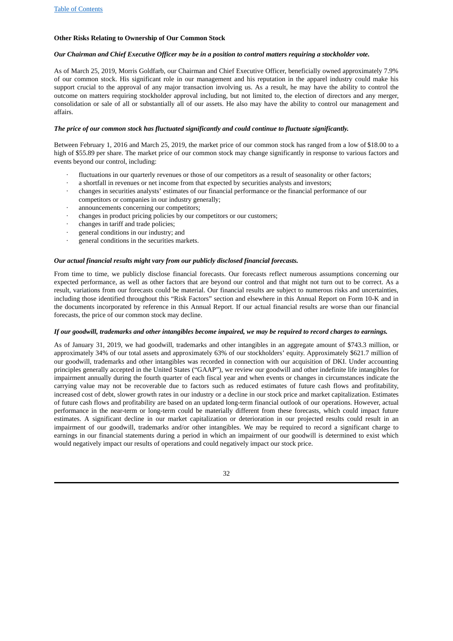## **Other Risks Relating to Ownership of Our Common Stock**

#### Our Chairman and Chief Executive Officer may be in a position to control matters requiring a stockholder vote.

As of March 25, 2019, Morris Goldfarb, our Chairman and Chief Executive Officer, beneficially owned approximately 7.9% of our common stock. His significant role in our management and his reputation in the apparel industry could make his support crucial to the approval of any major transaction involving us. As a result, he may have the ability to control the outcome on matters requiring stockholder approval including, but not limited to, the election of directors and any merger, consolidation or sale of all or substantially all of our assets. He also may have the ability to control our management and affairs.

## *The price of our common stock has fluctuated significantly and could continue to fluctuate significantly.*

Between February 1, 2016 and March 25, 2019, the market price of our common stock has ranged from a low of \$18.00 to a high of \$55.89 per share. The market price of our common stock may change significantly in response to various factors and events beyond our control, including:

- fluctuations in our quarterly revenues or those of our competitors as a result of seasonality or other factors;
- a shortfall in revenues or net income from that expected by securities analysts and investors;
- · changes in securities analysts' estimates of our financial performance or the financial performance of our competitors or companies in our industry generally;
- announcements concerning our competitors;
- · changes in product pricing policies by our competitors or our customers;
- · changes in tariff and trade policies;
- general conditions in our industry; and
- · general conditions in the securities markets.

#### *Our actual financial results might vary from our publicly disclosed financial forecasts.*

From time to time, we publicly disclose financial forecasts. Our forecasts reflect numerous assumptions concerning our expected performance, as well as other factors that are beyond our control and that might not turn out to be correct. As a result, variations from our forecasts could be material. Our financial results are subject to numerous risks and uncertainties, including those identified throughout this "Risk Factors" section and elsewhere in this Annual Report on Form 10‑K and in the documents incorporated by reference in this Annual Report. If our actual financial results are worse than our financial forecasts, the price of our common stock may decline.

#### If our goodwill, trademarks and other intangibles become impaired, we may be required to record charges to earnings.

As of January 31, 2019, we had goodwill, trademarks and other intangibles in an aggregate amount of \$743.3 million, or approximately 34% of our total assets and approximately 63% of our stockholders' equity. Approximately \$621.7 million of our goodwill, trademarks and other intangibles was recorded in connection with our acquisition of DKI. Under accounting principles generally accepted in the United States ("GAAP"), we review our goodwill and other indefinite life intangibles for impairment annually during the fourth quarter of each fiscal year and when events or changes in circumstances indicate the carrying value may not be recoverable due to factors such as reduced estimates of future cash flows and profitability, increased cost of debt, slower growth rates in our industry or a decline in our stock price and market capitalization. Estimates of future cash flows and profitability are based on an updated long-term financial outlook of our operations. However, actual performance in the near-term or long-term could be materially different from these forecasts, which could impact future estimates. A significant decline in our market capitalization or deterioration in our projected results could result in an impairment of our goodwill, trademarks and/or other intangibles. We may be required to record a significant charge to earnings in our financial statements during a period in which an impairment of our goodwill is determined to exist which would negatively impact our results of operations and could negatively impact our stock price.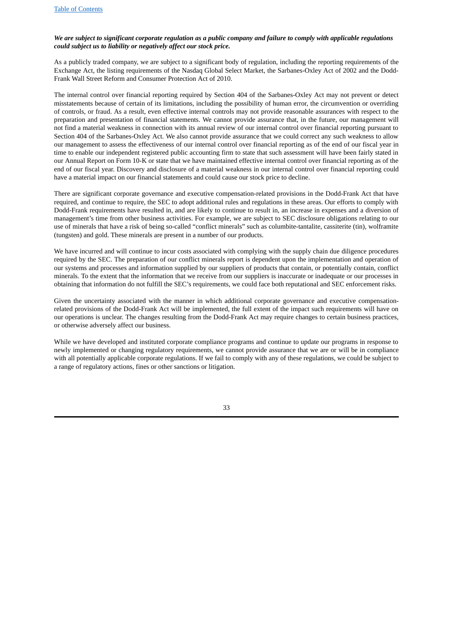## We are subject to significant corporate regulation as a public company and failure to comply with applicable regulations *could subject us to liability or negatively affect our stock price.*

As a publicly traded company, we are subject to a significant body of regulation, including the reporting requirements of the Exchange Act, the listing requirements of the Nasdaq Global Select Market, the Sarbanes-Oxley Act of 2002 and the Dodd-Frank Wall Street Reform and Consumer Protection Act of 2010.

The internal control over financial reporting required by Section 404 of the Sarbanes-Oxley Act may not prevent or detect misstatements because of certain of its limitations, including the possibility of human error, the circumvention or overriding of controls, or fraud. As a result, even effective internal controls may not provide reasonable assurances with respect to the preparation and presentation of financial statements. We cannot provide assurance that, in the future, our management will not find a material weakness in connection with its annual review of our internal control over financial reporting pursuant to Section 404 of the Sarbanes-Oxley Act. We also cannot provide assurance that we could correct any such weakness to allow our management to assess the effectiveness of our internal control over financial reporting as of the end of our fiscal year in time to enable our independent registered public accounting firm to state that such assessment will have been fairly stated in our Annual Report on Form 10‑K or state that we have maintained effective internal control over financial reporting as of the end of our fiscal year. Discovery and disclosure of a material weakness in our internal control over financial reporting could have a material impact on our financial statements and could cause our stock price to decline.

There are significant corporate governance and executive compensation-related provisions in the Dodd-Frank Act that have required, and continue to require, the SEC to adopt additional rules and regulations in these areas. Our efforts to comply with Dodd-Frank requirements have resulted in, and are likely to continue to result in, an increase in expenses and a diversion of management's time from other business activities. For example, we are subject to SEC disclosure obligations relating to our use of minerals that have a risk of being so-called "conflict minerals" such as columbite-tantalite, cassiterite (tin), wolframite (tungsten) and gold. These minerals are present in a number of our products.

We have incurred and will continue to incur costs associated with complying with the supply chain due diligence procedures required by the SEC. The preparation of our conflict minerals report is dependent upon the implementation and operation of our systems and processes and information supplied by our suppliers of products that contain, or potentially contain, conflict minerals. To the extent that the information that we receive from our suppliers is inaccurate or inadequate or our processes in obtaining that information do not fulfill the SEC's requirements, we could face both reputational and SEC enforcement risks.

Given the uncertainty associated with the manner in which additional corporate governance and executive compensationrelated provisions of the Dodd-Frank Act will be implemented, the full extent of the impact such requirements will have on our operations is unclear. The changes resulting from the Dodd-Frank Act may require changes to certain business practices, or otherwise adversely affect our business.

While we have developed and instituted corporate compliance programs and continue to update our programs in response to newly implemented or changing regulatory requirements, we cannot provide assurance that we are or will be in compliance with all potentially applicable corporate regulations. If we fail to comply with any of these regulations, we could be subject to a range of regulatory actions, fines or other sanctions or litigation.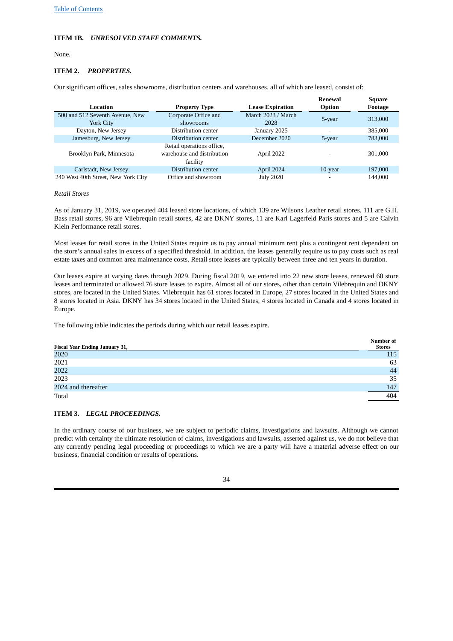## **ITEM 1B.** *UNRESOLVED STAFF COMMENTS.*

None.

## **ITEM 2.** *PROPERTIES.*

Our significant offices, sales showrooms, distribution centers and warehouses, all of which are leased, consist of:

|                                     |                                                                     |                         | Renewal                  | Square  |
|-------------------------------------|---------------------------------------------------------------------|-------------------------|--------------------------|---------|
| Location                            | <b>Property Type</b>                                                | <b>Lease Expiration</b> | Option                   | Footage |
| 500 and 512 Seventh Avenue, New     | Corporate Office and                                                | March 2023 / March      |                          | 313,000 |
| <b>York City</b>                    | showrooms                                                           | 2028                    | 5-year                   |         |
| Dayton, New Jersey                  | Distribution center                                                 | January 2025            |                          | 385,000 |
| Jamesburg, New Jersey               | Distribution center                                                 | December 2020           | 5-year                   | 783,000 |
| Brooklyn Park, Minnesota            | Retail operations office,<br>warehouse and distribution<br>facility | April 2022              | $\overline{\phantom{0}}$ | 301,000 |
| Carlstadt, New Jersey               | Distribution center                                                 | April 2024              | $10$ -year               | 197,000 |
| 240 West 40th Street, New York City | Office and showroom                                                 | <b>July 2020</b>        |                          | 144,000 |

#### *Retail Stores*

As of January 31, 2019, we operated 404 leased store locations, of which 139 are Wilsons Leather retail stores, 111 are G.H. Bass retail stores, 96 are Vilebrequin retail stores, 42 are DKNY stores, 11 are Karl Lagerfeld Paris stores and 5 are Calvin Klein Performance retail stores.

Most leases for retail stores in the United States require us to pay annual minimum rent plus a contingent rent dependent on the store's annual sales in excess of a specified threshold. In addition, the leases generally require us to pay costs such as real estate taxes and common area maintenance costs. Retail store leases are typically between three and ten years in duration.

Our leases expire at varying dates through 2029. During fiscal 2019, we entered into 22 new store leases, renewed 60 store leases and terminated or allowed 76 store leases to expire. Almost all of our stores, other than certain Vilebrequin and DKNY stores, are located in the United States. Vilebrequin has 61 stores located in Europe, 27 stores located in the United States and 8 stores located in Asia. DKNY has 34 stores located in the United States, 4 stores located in Canada and 4 stores located in Europe.

The following table indicates the periods during which our retail leases expire.

| <b>Fiscal Year Ending January 31,</b> | Number of<br><b>Stores</b> |
|---------------------------------------|----------------------------|
| 2020                                  | 115                        |
| 2021                                  | 63                         |
| 2022                                  | 44                         |
| 2023                                  | 35                         |
| 2024 and thereafter                   | 147                        |
| Total                                 | 404                        |

## **ITEM 3.** *LEGAL PROCEEDINGS.*

In the ordinary course of our business, we are subject to periodic claims, investigations and lawsuits. Although we cannot predict with certainty the ultimate resolution of claims, investigations and lawsuits, asserted against us, we do not believe that any currently pending legal proceeding or proceedings to which we are a party will have a material adverse effect on our business, financial condition or results of operations.

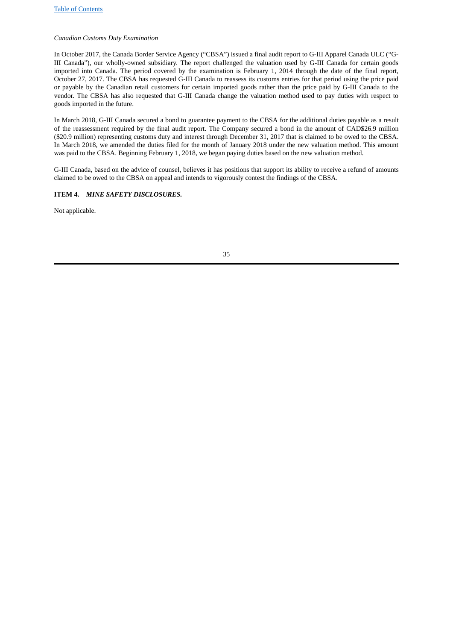#### Table of [Contents](#page-66-0)

#### *Canadian Customs Duty Examination*

In October 2017, the Canada Border Service Agency ("CBSA") issued a final audit report to G-III Apparel Canada ULC ("G-III Canada"), our wholly-owned subsidiary. The report challenged the valuation used by G-III Canada for certain goods imported into Canada. The period covered by the examination is February 1, 2014 through the date of the final report, October 27, 2017. The CBSA has requested G-III Canada to reassess its customs entries for that period using the price paid or payable by the Canadian retail customers for certain imported goods rather than the price paid by G-III Canada to the vendor. The CBSA has also requested that G-III Canada change the valuation method used to pay duties with respect to goods imported in the future.

In March 2018, G-III Canada secured a bond to guarantee payment to the CBSA for the additional duties payable as a result of the reassessment required by the final audit report. The Company secured a bond in the amount of CAD\$26.9 million (\$20.9 million) representing customs duty and interest through December 31, 2017 that is claimed to be owed to the CBSA. In March 2018, we amended the duties filed for the month of January 2018 under the new valuation method. This amount was paid to the CBSA. Beginning February 1, 2018, we began paying duties based on the new valuation method.

G-III Canada, based on the advice of counsel, believes it has positions that support its ability to receive a refund of amounts claimed to be owed to the CBSA on appeal and intends to vigorously contest the findings of the CBSA.

## **ITEM 4.** *MINE SAFETY DISCLOSURES.*

Not applicable.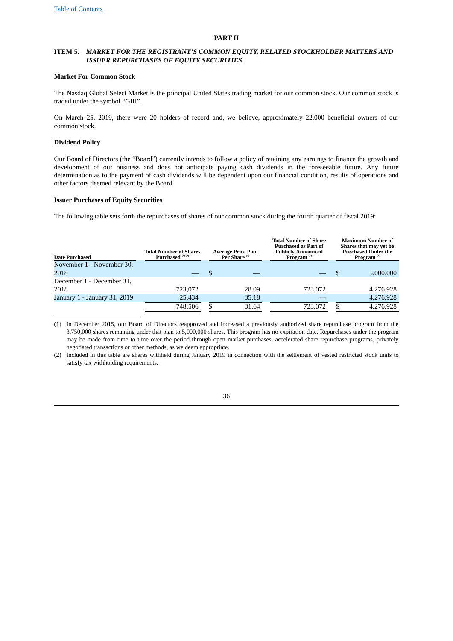#### **PART II**

### **ITEM 5.** *MARKET FOR THE REGISTRANT'S COMMON EQUITY, RELATED STOCKHOLDER MATTERS AND ISSUER REPURCHASES OF EQUITY SECURITIES.*

#### **Market For Common Stock**

The Nasdaq Global Select Market is the principal United States trading market for our common stock. Our common stock is traded under the symbol "GIII".

On March 25, 2019, there were 20 holders of record and, we believe, approximately 22,000 beneficial owners of our common stock.

#### **Dividend Policy**

Our Board of Directors (the "Board") currently intends to follow a policy of retaining any earnings to finance the growth and development of our business and does not anticipate paying cash dividends in the foreseeable future. Any future determination as to the payment of cash dividends will be dependent upon our financial condition, results of operations and other factors deemed relevant by the Board.

#### **Issuer Purchases of Equity Securities**

The following table sets forth the repurchases of shares of our common stock during the fourth quarter of fiscal 2019:

| <b>Total Number of Shares</b><br>Purchased <sup>(1)(2)</sup> |       | <b>Total Number of Share</b><br><b>Purchased as Part of</b><br><b>Publicly Announced</b><br>Program <sup>(1)</sup> | <b>Maximum Number of</b><br>Shares that may yet be<br><b>Purchased Under the</b><br>Program <sup>(1)</sup> |
|--------------------------------------------------------------|-------|--------------------------------------------------------------------------------------------------------------------|------------------------------------------------------------------------------------------------------------|
|                                                              |       |                                                                                                                    |                                                                                                            |
|                                                              |       |                                                                                                                    | 5,000,000                                                                                                  |
|                                                              |       |                                                                                                                    |                                                                                                            |
| 723,072                                                      | 28.09 | 723,072                                                                                                            | 4,276,928                                                                                                  |
| 25,434                                                       | 35.18 |                                                                                                                    | 4,276,928                                                                                                  |
| 748,506                                                      | 31.64 | 723,072                                                                                                            | 4,276,928                                                                                                  |
|                                                              |       | <b>Average Price Paid</b><br>Per Share <sup>(1)</sup>                                                              |                                                                                                            |

(1) In December 2015, our Board of Directors reapproved and increased a previously authorized share repurchase program from the 3,750,000 shares remaining under that plan to 5,000,000 shares. This program has no expiration date. Repurchases under the program may be made from time to time over the period through open market purchases, accelerated share repurchase programs, privately negotiated transactions or other methods, as we deem appropriate.

(2) Included in this table are shares withheld during January 2019 in connection with the settlement of vested restricted stock units to satisfy tax withholding requirements.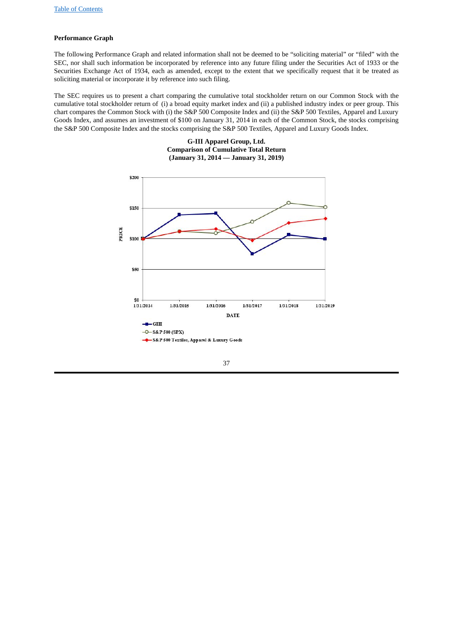## **Performance Graph**

The following Performance Graph and related information shall not be deemed to be "soliciting material" or "filed" with the SEC, nor shall such information be incorporated by reference into any future filing under the Securities Act of 1933 or the Securities Exchange Act of 1934, each as amended, except to the extent that we specifically request that it be treated as soliciting material or incorporate it by reference into such filing.

The SEC requires us to present a chart comparing the cumulative total stockholder return on our Common Stock with the cumulative total stockholder return of (i) a broad equity market index and (ii) a published industry index or peer group. This chart compares the Common Stock with (i) the S&P 500 Composite Index and (ii) the S&P 500 Textiles, Apparel and Luxury Goods Index, and assumes an investment of \$100 on January 31, 2014 in each of the Common Stock, the stocks comprising the S&P 500 Composite Index and the stocks comprising the S&P 500 Textiles, Apparel and Luxury Goods Index.





37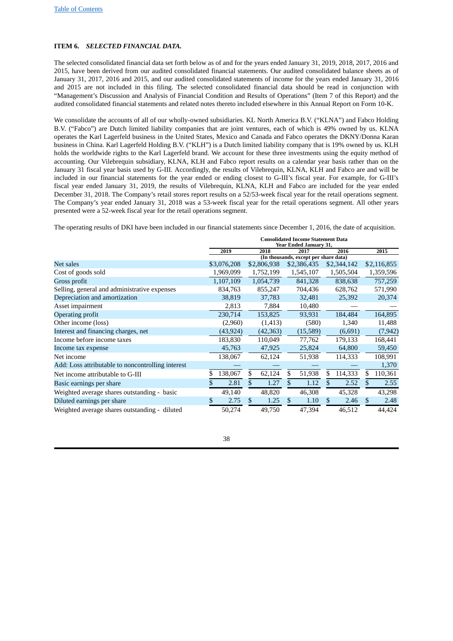## **ITEM 6.** *SELECTED FINANCIAL DATA.*

The selected consolidated financial data set forth below as of and for the years ended January 31, 2019, 2018, 2017, 2016 and 2015, have been derived from our audited consolidated financial statements. Our audited consolidated balance sheets as of January 31, 2017, 2016 and 2015, and our audited consolidated statements of income for the years ended January 31, 2016 and 2015 are not included in this filing. The selected consolidated financial data should be read in conjunction with "Management's Discussion and Analysis of Financial Condition and Results of Operations" (Item 7 of this Report) and the audited consolidated financial statements and related notes thereto included elsewhere in this Annual Report on Form 10‑K.

We consolidate the accounts of all of our wholly-owned subsidiaries. KL North America B.V. ("KLNA") and Fabco Holding B.V. ("Fabco") are Dutch limited liability companies that are joint ventures, each of which is 49% owned by us. KLNA operates the Karl Lagerfeld business in the United States, Mexico and Canada and Fabco operates the DKNY/Donna Karan business in China. Karl Lagerfeld Holding B.V. ("KLH") is a Dutch limited liability company that is 19% owned by us. KLH holds the worldwide rights to the Karl Lagerfeld brand. We account for these three investments using the equity method of accounting. Our Vilebrequin subsidiary, KLNA, KLH and Fabco report results on a calendar year basis rather than on the January 31 fiscal year basis used by G-III. Accordingly, the results of Vilebrequin, KLNA, KLH and Fabco are and will be included in our financial statements for the year ended or ending closest to G-III's fiscal year. For example, for G-III's fiscal year ended January 31, 2019, the results of Vilebrequin, KLNA, KLH and Fabco are included for the year ended December 31, 2018. The Company's retail stores report results on a 52/53-week fiscal year for the retail operations segment. The Company's year ended January 31, 2018 was a 53-week fiscal year for the retail operations segment. All other years presented were a 52-week fiscal year for the retail operations segment.

The operating results of DKI have been included in our financial statements since December 1, 2016, the date of acquisition.

|                                                   | <b>Consolidated Income Statement Data</b><br>Year Ended January 31, |             |                |             |    |                                       |    |             |              |             |
|---------------------------------------------------|---------------------------------------------------------------------|-------------|----------------|-------------|----|---------------------------------------|----|-------------|--------------|-------------|
|                                                   |                                                                     | 2019        |                | 2018        |    | 2017                                  |    | 2016        |              | 2015        |
|                                                   |                                                                     |             |                |             |    | (In thousands, except per share data) |    |             |              |             |
| Net sales                                         |                                                                     | \$3,076,208 |                | \$2,806,938 |    | \$2,386,435                           |    | \$2,344,142 |              | \$2,116,855 |
| Cost of goods sold                                |                                                                     | 1,969,099   |                | 1,752,199   |    | 1,545,107                             |    | 1,505,504   |              | 1,359,596   |
| Gross profit                                      |                                                                     | 1,107,109   |                | 1,054,739   |    | 841,328                               |    | 838,638     |              | 757,259     |
| Selling, general and administrative expenses      |                                                                     | 834,763     |                | 855,247     |    | 704,436                               |    | 628,762     |              | 571,990     |
| Depreciation and amortization                     |                                                                     | 38,819      |                | 37,783      |    | 32,481                                |    | 25,392      |              | 20,374      |
| Asset impairment                                  |                                                                     | 2,813       |                | 7,884       |    | 10,480                                |    |             |              |             |
| Operating profit                                  |                                                                     | 230,714     |                | 153,825     |    | 93,931                                |    | 184,484     |              | 164,895     |
| Other income (loss)                               |                                                                     | (2,960)     |                | (1,413)     |    | (580)                                 |    | 1,340       |              | 11,488      |
| Interest and financing charges, net               |                                                                     | (43, 924)   |                | (42, 363)   |    | (15,589)                              |    | (6,691)     |              | (7, 942)    |
| Income before income taxes                        |                                                                     | 183,830     |                | 110,049     |    | 77,762                                |    | 179,133     |              | 168,441     |
| Income tax expense                                |                                                                     | 45,763      |                | 47,925      |    | 25,824                                |    | 64,800      |              | 59,450      |
| Net income                                        |                                                                     | 138,067     |                | 62,124      |    | 51,938                                |    | 114,333     |              | 108,991     |
| Add: Loss attributable to noncontrolling interest |                                                                     |             |                |             |    |                                       |    |             |              | 1,370       |
| Net income attributable to G-III                  |                                                                     | 138,067     | \$             | 62,124      | S  | 51,938                                | S  | 114,333     | S            | 110,361     |
| Basic earnings per share                          |                                                                     | 2.81        | \$             | 1.27        | \$ | 1.12                                  | \$ | 2.52        | \$           | 2.55        |
| Weighted average shares outstanding - basic       |                                                                     | 49,140      |                | 48,820      |    | 46,308                                |    | 45,328      |              | 43,298      |
| Diluted earnings per share                        | \$                                                                  | 2.75        | $\mathfrak{S}$ | 1.25        | \$ | 1.10                                  | \$ | 2.46        | $\mathbb{S}$ | 2.48        |
| Weighted average shares outstanding - diluted     |                                                                     | 50,274      |                | 49,750      |    | 47,394                                |    | 46,512      |              | 44,424      |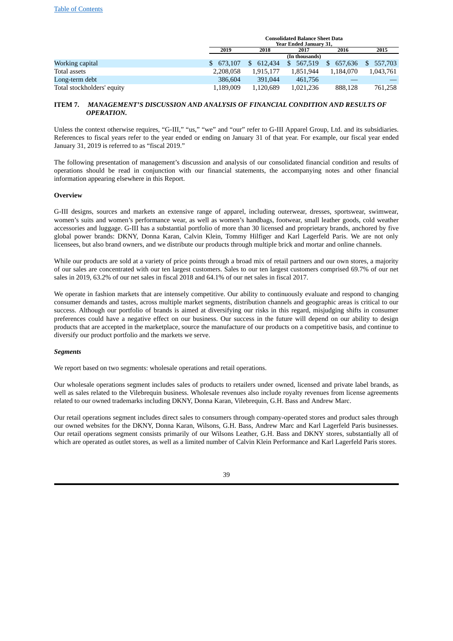|                            |            | <b>Consolidated Balance Sheet Data</b><br><b>Year Ended January 31,</b> |                |                |                |  |
|----------------------------|------------|-------------------------------------------------------------------------|----------------|----------------|----------------|--|
|                            | 2019       | 2018                                                                    | 2017           | 2016           | 2015           |  |
|                            |            |                                                                         | (In thousands) |                |                |  |
| Working capital            | \$ 673,107 | 612.434<br>\$.                                                          | 567.519<br>S.  | 657.636<br>\$. | 557,703<br>\$. |  |
| Total assets               | 2,208,058  | 1.915.177                                                               | 1,851,944      | 1.184.070      | 1.043.761      |  |
| Long-term debt             | 386,604    | 391.044                                                                 | 461,756        |                |                |  |
| Total stockholders' equity | 1.189.009  | 1,120,689                                                               | 1,021,236      | 888.128        | 761,258        |  |

## **ITEM 7.** *MANAGEMENT'S DISCUSSION AND ANALYSIS OF FINANCIAL CONDITION AND RESULTS OF OPERATION.*

Unless the context otherwise requires, "G-III," "us," "we" and "our" refer to G-III Apparel Group, Ltd. and its subsidiaries. References to fiscal years refer to the year ended or ending on January 31 of that year. For example, our fiscal year ended January 31, 2019 is referred to as "fiscal 2019."

The following presentation of management's discussion and analysis of our consolidated financial condition and results of operations should be read in conjunction with our financial statements, the accompanying notes and other financial information appearing elsewhere in this Report.

## **Overview**

G-III designs, sources and markets an extensive range of apparel, including outerwear, dresses, sportswear, swimwear, women's suits and women's performance wear, as well as women's handbags, footwear, small leather goods, cold weather accessories and luggage. G-III has a substantial portfolio of more than 30 licensed and proprietary brands, anchored by five global power brands: DKNY, Donna Karan, Calvin Klein, Tommy Hilfiger and Karl Lagerfeld Paris. We are not only licensees, but also brand owners, and we distribute our products through multiple brick and mortar and online channels.

While our products are sold at a variety of price points through a broad mix of retail partners and our own stores, a majority of our sales are concentrated with our ten largest customers. Sales to our ten largest customers comprised 69.7% of our net sales in 2019, 63.2% of our net sales in fiscal 2018 and 64.1% of our net sales in fiscal 2017.

We operate in fashion markets that are intensely competitive. Our ability to continuously evaluate and respond to changing consumer demands and tastes, across multiple market segments, distribution channels and geographic areas is critical to our success. Although our portfolio of brands is aimed at diversifying our risks in this regard, misjudging shifts in consumer preferences could have a negative effect on our business. Our success in the future will depend on our ability to design products that are accepted in the marketplace, source the manufacture of our products on a competitive basis, and continue to diversify our product portfolio and the markets we serve.

## *Segments*

We report based on two segments: wholesale operations and retail operations.

Our wholesale operations segment includes sales of products to retailers under owned, licensed and private label brands, as well as sales related to the Vilebrequin business. Wholesale revenues also include royalty revenues from license agreements related to our owned trademarks including DKNY, Donna Karan, Vilebrequin, G.H. Bass and Andrew Marc.

Our retail operations segment includes direct sales to consumers through company-operated stores and product sales through our owned websites for the DKNY, Donna Karan, Wilsons, G.H. Bass, Andrew Marc and Karl Lagerfeld Paris businesses. Our retail operations segment consists primarily of our Wilsons Leather, G.H. Bass and DKNY stores, substantially all of which are operated as outlet stores, as well as a limited number of Calvin Klein Performance and Karl Lagerfeld Paris stores.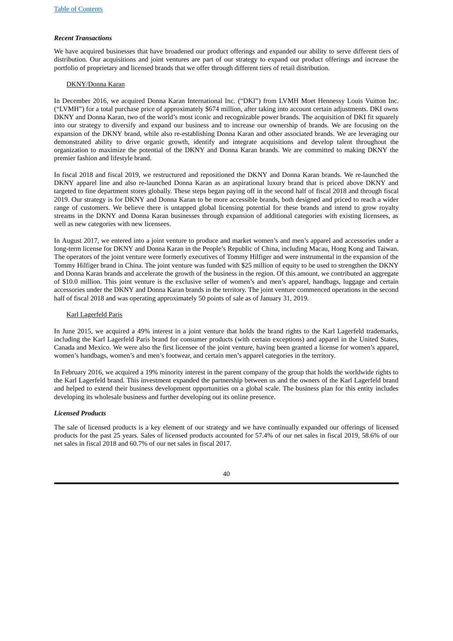## *Recent Transactions*

We have acquired businesses that have broadened our product offerings and expanded our ability to serve different tiers of distribution. Our acquisitions and joint ventures are part of our strategy to expand our product offerings and increase the portfolio of proprietary and licensed brands that we offer through different tiers of retail distribution.

#### DKNY/Donna Karan

In December 2016, we acquired Donna Karan International Inc. ("DKI") from LVMH Moet Hennessy Louis Vuitton Inc. ("LVMH") for a total purchase price of approximately \$674 million, after taking into account certain adjustments. DKI owns DKNY and Donna Karan, two of the world's most iconic and recognizable power brands. The acquisition of DKI fit squarely into our strategy to diversify and expand our business and to increase our ownership of brands. We are focusing on the expansion of the DKNY brand, while also re-establishing Donna Karan and other associated brands. We are leveraging our demonstrated ability to drive organic growth, identify and integrate acquisitions and develop talent throughout the organization to maximize the potential of the DKNY and Donna Karan brands. We are committed to making DKNY the premier fashion and lifestyle brand.

In fiscal 2018 and fiscal 2019, we restructured and repositioned the DKNY and Donna Karan brands. We re-launched the DKNY apparel line and also re-launched Donna Karan as an aspirational luxury brand that is priced above DKNY and targeted to fine department stores globally. These steps began paying off in the second half of fiscal 2018 and through fiscal 2019. Our strategy is for DKNY and Donna Karan to be more accessible brands, both designed and priced to reach a wider range of customers. We believe there is untapped global licensing potential for these brands and intend to grow royalty streams in the DKNY and Donna Karan businesses through expansion of additional categories with existing licensees, as well as new categories with new licensees.

In August 2017, we entered into a joint venture to produce and market women's and men's apparel and accessories under a long-term license for DKNY and Donna Karan in the People's Republic of China, including Macau, Hong Kong and Taiwan. The operators of the joint venture were formerly executives of Tommy Hilfiger and were instrumental in the expansion of the Tommy Hilfiger brand in China. The joint venture was funded with \$25 million of equity to be used to strengthen the DKNY and Donna Karan brands and accelerate the growth of the business in the region. Of this amount, we contributed an aggregate of \$10.0 million. This joint venture is the exclusive seller of women's and men's apparel, handbags, luggage and certain accessories under the DKNY and Donna Karan brands in the territory. The joint venture commenced operations in the second half of fiscal 2018 and was operating approximately 50 points of sale as of January 31, 2019.

#### Karl Lagerfeld Paris

In June 2015, we acquired a 49% interest in a joint venture that holds the brand rights to the Karl Lagerfeld trademarks, including the Karl Lagerfeld Paris brand for consumer products (with certain exceptions) and apparel in the United States, Canada and Mexico. We were also the first licensee of the joint venture, having been granted a license for women's apparel, women's handbags, women's and men's footwear, and certain men's apparel categories in the territory.

In February 2016, we acquired a 19% minority interest in the parent company of the group that holds the worldwide rights to the Karl Lagerfeld brand. This investment expanded the partnership between us and the owners of the Karl Lagerfeld brand and helped to extend their business development opportunities on a global scale. The business plan for this entity includes developing its wholesale business and further developing out its online presence.

### *Licensed Products*

The sale of licensed products is a key element of our strategy and we have continually expanded our offerings of licensed products for the past 25 years. Sales of licensed products accounted for 57.4% of our net sales in fiscal 2019, 58.6% of our net sales in fiscal 2018 and 60.7% of our net sales in fiscal 2017.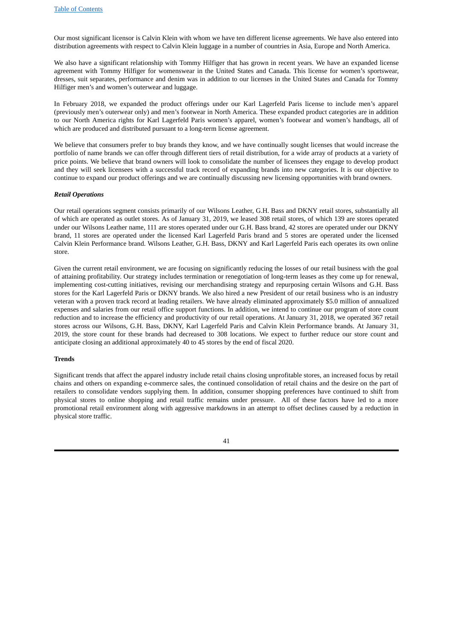Our most significant licensor is Calvin Klein with whom we have ten different license agreements. We have also entered into distribution agreements with respect to Calvin Klein luggage in a number of countries in Asia, Europe and North America.

We also have a significant relationship with Tommy Hilfiger that has grown in recent years. We have an expanded license agreement with Tommy Hilfiger for womenswear in the United States and Canada. This license for women's sportswear, dresses, suit separates, performance and denim was in addition to our licenses in the United States and Canada for Tommy Hilfiger men's and women's outerwear and luggage.

In February 2018, we expanded the product offerings under our Karl Lagerfeld Paris license to include men's apparel (previously men's outerwear only) and men's footwear in North America. These expanded product categories are in addition to our North America rights for Karl Lagerfeld Paris women's apparel, women's footwear and women's handbags, all of which are produced and distributed pursuant to a long-term license agreement.

We believe that consumers prefer to buy brands they know, and we have continually sought licenses that would increase the portfolio of name brands we can offer through different tiers of retail distribution, for a wide array of products at a variety of price points. We believe that brand owners will look to consolidate the number of licensees they engage to develop product and they will seek licensees with a successful track record of expanding brands into new categories. It is our objective to continue to expand our product offerings and we are continually discussing new licensing opportunities with brand owners.

#### *Retail Operations*

Our retail operations segment consists primarily of our Wilsons Leather, G.H. Bass and DKNY retail stores, substantially all of which are operated as outlet stores. As of January 31, 2019, we leased 308 retail stores, of which 139 are stores operated under our Wilsons Leather name, 111 are stores operated under our G.H. Bass brand, 42 stores are operated under our DKNY brand, 11 stores are operated under the licensed Karl Lagerfeld Paris brand and 5 stores are operated under the licensed Calvin Klein Performance brand. Wilsons Leather, G.H. Bass, DKNY and Karl Lagerfeld Paris each operates its own online store.

Given the current retail environment, we are focusing on significantly reducing the losses of our retail business with the goal of attaining profitability. Our strategy includes termination or renegotiation of long-term leases as they come up for renewal, implementing cost-cutting initiatives, revising our merchandising strategy and repurposing certain Wilsons and G.H. Bass stores for the Karl Lagerfeld Paris or DKNY brands. We also hired a new President of our retail business who is an industry veteran with a proven track record at leading retailers. We have already eliminated approximately \$5.0 million of annualized expenses and salaries from our retail office support functions. In addition, we intend to continue our program of store count reduction and to increase the efficiency and productivity of our retail operations. At January 31, 2018, we operated 367 retail stores across our Wilsons, G.H. Bass, DKNY, Karl Lagerfeld Paris and Calvin Klein Performance brands. At January 31, 2019, the store count for these brands had decreased to 308 locations. We expect to further reduce our store count and anticipate closing an additional approximately 40 to 45 stores by the end of fiscal 2020.

#### **Trends**

Significant trends that affect the apparel industry include retail chains closing unprofitable stores, an increased focus by retail chains and others on expanding e-commerce sales, the continued consolidation of retail chains and the desire on the part of retailers to consolidate vendors supplying them. In addition, consumer shopping preferences have continued to shift from physical stores to online shopping and retail traffic remains under pressure. All of these factors have led to a more promotional retail environment along with aggressive markdowns in an attempt to offset declines caused by a reduction in physical store traffic.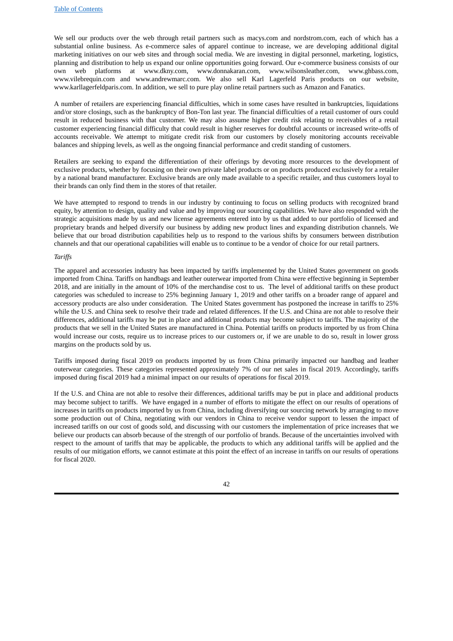We sell our products over the web through retail partners such as macys.com and nordstrom.com, each of which has a substantial online business. As e-commerce sales of apparel continue to increase, we are developing additional digital marketing initiatives on our web sites and through social media. We are investing in digital personnel, marketing, logistics, planning and distribution to help us expand our online opportunities going forward. Our e-commerce business consists of our own web platforms at www.dkny.com, www.donnakaran.com, www.wilsonsleather.com, www.ghbass.com, www.vilebrequin.com and www.andrewmarc.com. We also sell Karl Lagerfeld Paris products on our website, www.karllagerfeldparis.com. In addition, we sell to pure play online retail partners such as Amazon and Fanatics.

A number of retailers are experiencing financial difficulties, which in some cases have resulted in bankruptcies, liquidations and/or store closings, such as the bankruptcy of Bon-Ton last year. The financial difficulties of a retail customer of ours could result in reduced business with that customer. We may also assume higher credit risk relating to receivables of a retail customer experiencing financial difficulty that could result in higher reserves for doubtful accounts or increased write-offs of accounts receivable. We attempt to mitigate credit risk from our customers by closely monitoring accounts receivable balances and shipping levels, as well as the ongoing financial performance and credit standing of customers.

Retailers are seeking to expand the differentiation of their offerings by devoting more resources to the development of exclusive products, whether by focusing on their own private label products or on products produced exclusively for a retailer by a national brand manufacturer. Exclusive brands are only made available to a specific retailer, and thus customers loyal to their brands can only find them in the stores of that retailer.

We have attempted to respond to trends in our industry by continuing to focus on selling products with recognized brand equity, by attention to design, quality and value and by improving our sourcing capabilities. We have also responded with the strategic acquisitions made by us and new license agreements entered into by us that added to our portfolio of licensed and proprietary brands and helped diversify our business by adding new product lines and expanding distribution channels. We believe that our broad distribution capabilities help us to respond to the various shifts by consumers between distribution channels and that our operational capabilities will enable us to continue to be a vendor of choice for our retail partners.

### *Tariffs*

The apparel and accessories industry has been impacted by tariffs implemented by the United States government on goods imported from China. Tariffs on handbags and leather outerwear imported from China were effective beginning in September 2018, and are initially in the amount of 10% of the merchandise cost to us. The level of additional tariffs on these product categories was scheduled to increase to 25% beginning January 1, 2019 and other tariffs on a broader range of apparel and accessory products are also under consideration. The United States government has postponed the increase in tariffs to 25% while the U.S. and China seek to resolve their trade and related differences. If the U.S. and China are not able to resolve their differences, additional tariffs may be put in place and additional products may become subject to tariffs. The majority of the products that we sell in the United States are manufactured in China. Potential tariffs on products imported by us from China would increase our costs, require us to increase prices to our customers or, if we are unable to do so, result in lower gross margins on the products sold by us.

Tariffs imposed during fiscal 2019 on products imported by us from China primarily impacted our handbag and leather outerwear categories. These categories represented approximately 7% of our net sales in fiscal 2019. Accordingly, tariffs imposed during fiscal 2019 had a minimal impact on our results of operations for fiscal 2019.

If the U.S. and China are not able to resolve their differences, additional tariffs may be put in place and additional products may become subject to tariffs. We have engaged in a number of efforts to mitigate the effect on our results of operations of increases in tariffs on products imported by us from China, including diversifying our sourcing network by arranging to move some production out of China, negotiating with our vendors in China to receive vendor support to lessen the impact of increased tariffs on our cost of goods sold, and discussing with our customers the implementation of price increases that we believe our products can absorb because of the strength of our portfolio of brands. Because of the uncertainties involved with respect to the amount of tariffs that may be applicable, the products to which any additional tariffs will be applied and the results of our mitigation efforts, we cannot estimate at this point the effect of an increase in tariffs on our results of operations for fiscal 2020.

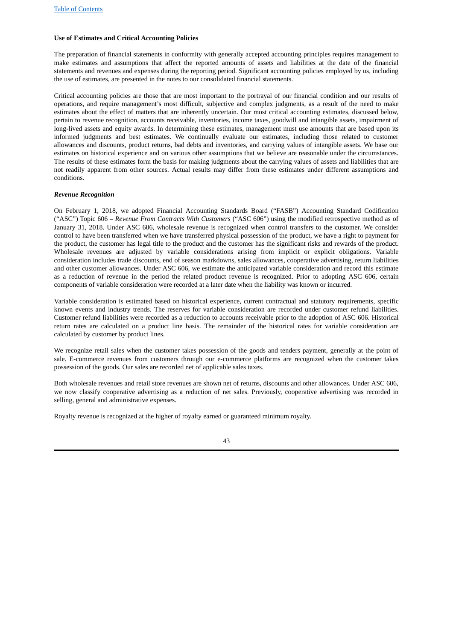## **Use of Estimates and Critical Accounting Policies**

The preparation of financial statements in conformity with generally accepted accounting principles requires management to make estimates and assumptions that affect the reported amounts of assets and liabilities at the date of the financial statements and revenues and expenses during the reporting period. Significant accounting policies employed by us, including the use of estimates, are presented in the notes to our consolidated financial statements.

Critical accounting policies are those that are most important to the portrayal of our financial condition and our results of operations, and require management's most difficult, subjective and complex judgments, as a result of the need to make estimates about the effect of matters that are inherently uncertain. Our most critical accounting estimates, discussed below, pertain to revenue recognition, accounts receivable, inventories, income taxes, goodwill and intangible assets, impairment of long-lived assets and equity awards. In determining these estimates, management must use amounts that are based upon its informed judgments and best estimates. We continually evaluate our estimates, including those related to customer allowances and discounts, product returns, bad debts and inventories, and carrying values of intangible assets. We base our estimates on historical experience and on various other assumptions that we believe are reasonable under the circumstances. The results of these estimates form the basis for making judgments about the carrying values of assets and liabilities that are not readily apparent from other sources. Actual results may differ from these estimates under different assumptions and conditions.

#### *Revenue Recognition*

On February 1, 2018, we adopted Financial Accounting Standards Board ("FASB") Accounting Standard Codification ("ASC") Topic 606 – *Revenue From Contracts With Customers* ("ASC 606") using the modified retrospective method as of January 31, 2018. Under ASC 606, wholesale revenue is recognized when control transfers to the customer. We consider control to have been transferred when we have transferred physical possession of the product, we have a right to payment for the product, the customer has legal title to the product and the customer has the significant risks and rewards of the product. Wholesale revenues are adjusted by variable considerations arising from implicit or explicit obligations. Variable consideration includes trade discounts, end of season markdowns, sales allowances, cooperative advertising, return liabilities and other customer allowances. Under ASC 606, we estimate the anticipated variable consideration and record this estimate as a reduction of revenue in the period the related product revenue is recognized. Prior to adopting ASC 606, certain components of variable consideration were recorded at a later date when the liability was known or incurred.

Variable consideration is estimated based on historical experience, current contractual and statutory requirements, specific known events and industry trends. The reserves for variable consideration are recorded under customer refund liabilities. Customer refund liabilities were recorded as a reduction to accounts receivable prior to the adoption of ASC 606. Historical return rates are calculated on a product line basis. The remainder of the historical rates for variable consideration are calculated by customer by product lines.

We recognize retail sales when the customer takes possession of the goods and tenders payment, generally at the point of sale. E-commerce revenues from customers through our e-commerce platforms are recognized when the customer takes possession of the goods. Our sales are recorded net of applicable sales taxes.

Both wholesale revenues and retail store revenues are shown net of returns, discounts and other allowances. Under ASC 606, we now classify cooperative advertising as a reduction of net sales. Previously, cooperative advertising was recorded in selling, general and administrative expenses.

Royalty revenue is recognized at the higher of royalty earned or guaranteed minimum royalty.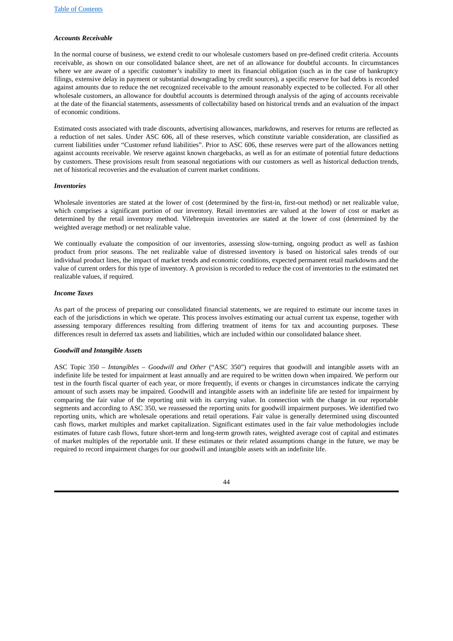### *Accounts Receivable*

In the normal course of business, we extend credit to our wholesale customers based on pre-defined credit criteria. Accounts receivable, as shown on our consolidated balance sheet, are net of an allowance for doubtful accounts. In circumstances where we are aware of a specific customer's inability to meet its financial obligation (such as in the case of bankruptcy filings, extensive delay in payment or substantial downgrading by credit sources), a specific reserve for bad debts is recorded against amounts due to reduce the net recognized receivable to the amount reasonably expected to be collected. For all other wholesale customers, an allowance for doubtful accounts is determined through analysis of the aging of accounts receivable at the date of the financial statements, assessments of collectability based on historical trends and an evaluation of the impact of economic conditions.

Estimated costs associated with trade discounts, advertising allowances, markdowns, and reserves for returns are reflected as a reduction of net sales. Under ASC 606, all of these reserves, which constitute variable consideration, are classified as current liabilities under "Customer refund liabilities". Prior to ASC 606, these reserves were part of the allowances netting against accounts receivable. We reserve against known chargebacks, as well as for an estimate of potential future deductions by customers. These provisions result from seasonal negotiations with our customers as well as historical deduction trends, net of historical recoveries and the evaluation of current market conditions.

#### *Inventories*

Wholesale inventories are stated at the lower of cost (determined by the first-in, first-out method) or net realizable value, which comprises a significant portion of our inventory. Retail inventories are valued at the lower of cost or market as determined by the retail inventory method. Vilebrequin inventories are stated at the lower of cost (determined by the weighted average method) or net realizable value.

We continually evaluate the composition of our inventories, assessing slow-turning, ongoing product as well as fashion product from prior seasons. The net realizable value of distressed inventory is based on historical sales trends of our individual product lines, the impact of market trends and economic conditions, expected permanent retail markdowns and the value of current orders for this type of inventory. A provision is recorded to reduce the cost of inventories to the estimated net realizable values, if required.

#### *Income Taxes*

As part of the process of preparing our consolidated financial statements, we are required to estimate our income taxes in each of the jurisdictions in which we operate. This process involves estimating our actual current tax expense, together with assessing temporary differences resulting from differing treatment of items for tax and accounting purposes. These differences result in deferred tax assets and liabilities, which are included within our consolidated balance sheet.

#### *Goodwill and Intangible Assets*

ASC Topic 350 – *Intangibles – Goodwill and Other* ("ASC 350") requires that goodwill and intangible assets with an indefinite life be tested for impairment at least annually and are required to be written down when impaired. We perform our test in the fourth fiscal quarter of each year, or more frequently, if events or changes in circumstances indicate the carrying amount of such assets may be impaired. Goodwill and intangible assets with an indefinite life are tested for impairment by comparing the fair value of the reporting unit with its carrying value. In connection with the change in our reportable segments and according to ASC 350, we reassessed the reporting units for goodwill impairment purposes. We identified two reporting units, which are wholesale operations and retail operations. Fair value is generally determined using discounted cash flows, market multiples and market capitalization. Significant estimates used in the fair value methodologies include estimates of future cash flows, future short-term and long-term growth rates, weighted average cost of capital and estimates of market multiples of the reportable unit. If these estimates or their related assumptions change in the future, we may be required to record impairment charges for our goodwill and intangible assets with an indefinite life.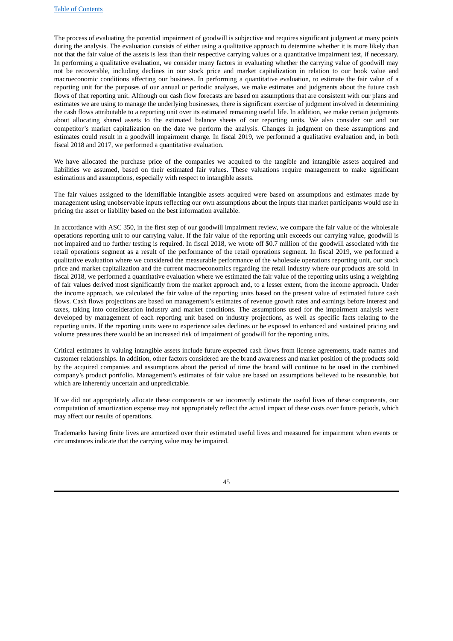The process of evaluating the potential impairment of goodwill is subjective and requires significant judgment at many points during the analysis. The evaluation consists of either using a qualitative approach to determine whether it is more likely than not that the fair value of the assets is less than their respective carrying values or a quantitative impairment test, if necessary. In performing a qualitative evaluation, we consider many factors in evaluating whether the carrying value of goodwill may not be recoverable, including declines in our stock price and market capitalization in relation to our book value and macroeconomic conditions affecting our business. In performing a quantitative evaluation, to estimate the fair value of a reporting unit for the purposes of our annual or periodic analyses, we make estimates and judgments about the future cash flows of that reporting unit. Although our cash flow forecasts are based on assumptions that are consistent with our plans and estimates we are using to manage the underlying businesses, there is significant exercise of judgment involved in determining the cash flows attributable to a reporting unit over its estimated remaining useful life. In addition, we make certain judgments about allocating shared assets to the estimated balance sheets of our reporting units. We also consider our and our competitor's market capitalization on the date we perform the analysis. Changes in judgment on these assumptions and estimates could result in a goodwill impairment charge. In fiscal 2019, we performed a qualitative evaluation and, in both fiscal 2018 and 2017, we performed a quantitative evaluation.

We have allocated the purchase price of the companies we acquired to the tangible and intangible assets acquired and liabilities we assumed, based on their estimated fair values. These valuations require management to make significant estimations and assumptions, especially with respect to intangible assets.

The fair values assigned to the identifiable intangible assets acquired were based on assumptions and estimates made by management using unobservable inputs reflecting our own assumptions about the inputs that market participants would use in pricing the asset or liability based on the best information available.

In accordance with ASC 350, in the first step of our goodwill impairment review, we compare the fair value of the wholesale operations reporting unit to our carrying value. If the fair value of the reporting unit exceeds our carrying value, goodwill is not impaired and no further testing is required. In fiscal 2018, we wrote off \$0.7 million of the goodwill associated with the retail operations segment as a result of the performance of the retail operations segment. In fiscal 2019, we performed a qualitative evaluation where we considered the measurable performance of the wholesale operations reporting unit, our stock price and market capitalization and the current macroeconomics regarding the retail industry where our products are sold. In fiscal 2018, we performed a quantitative evaluation where we estimated the fair value of the reporting units using a weighting of fair values derived most significantly from the market approach and, to a lesser extent, from the income approach. Under the income approach, we calculated the fair value of the reporting units based on the present value of estimated future cash flows. Cash flows projections are based on management's estimates of revenue growth rates and earnings before interest and taxes, taking into consideration industry and market conditions. The assumptions used for the impairment analysis were developed by management of each reporting unit based on industry projections, as well as specific facts relating to the reporting units. If the reporting units were to experience sales declines or be exposed to enhanced and sustained pricing and volume pressures there would be an increased risk of impairment of goodwill for the reporting units.

Critical estimates in valuing intangible assets include future expected cash flows from license agreements, trade names and customer relationships. In addition, other factors considered are the brand awareness and market position of the products sold by the acquired companies and assumptions about the period of time the brand will continue to be used in the combined company's product portfolio. Management's estimates of fair value are based on assumptions believed to be reasonable, but which are inherently uncertain and unpredictable.

If we did not appropriately allocate these components or we incorrectly estimate the useful lives of these components, our computation of amortization expense may not appropriately reflect the actual impact of these costs over future periods, which may affect our results of operations.

Trademarks having finite lives are amortized over their estimated useful lives and measured for impairment when events or circumstances indicate that the carrying value may be impaired.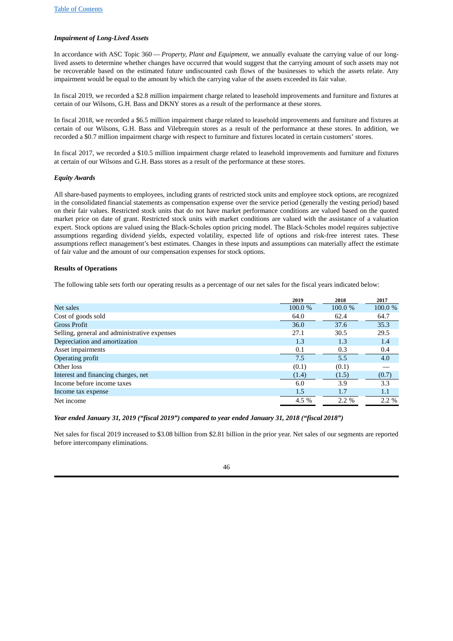## *Impairment of Long-Lived Assets*

In accordance with ASC Topic 360 — *Property, Plant and Equipment*, we annually evaluate the carrying value of our longlived assets to determine whether changes have occurred that would suggest that the carrying amount of such assets may not be recoverable based on the estimated future undiscounted cash flows of the businesses to which the assets relate. Any impairment would be equal to the amount by which the carrying value of the assets exceeded its fair value.

In fiscal 2019, we recorded a \$2.8 million impairment charge related to leasehold improvements and furniture and fixtures at certain of our Wilsons, G.H. Bass and DKNY stores as a result of the performance at these stores.

In fiscal 2018, we recorded a \$6.5 million impairment charge related to leasehold improvements and furniture and fixtures at certain of our Wilsons, G.H. Bass and Vilebrequin stores as a result of the performance at these stores. In addition, we recorded a \$0.7 million impairment charge with respect to furniture and fixtures located in certain customers' stores.

In fiscal 2017, we recorded a \$10.5 million impairment charge related to leasehold improvements and furniture and fixtures at certain of our Wilsons and G.H. Bass stores as a result of the performance at these stores.

#### *Equity Awards*

All share-based payments to employees, including grants of restricted stock units and employee stock options, are recognized in the consolidated financial statements as compensation expense over the service period (generally the vesting period) based on their fair values. Restricted stock units that do not have market performance conditions are valued based on the quoted market price on date of grant. Restricted stock units with market conditions are valued with the assistance of a valuation expert. Stock options are valued using the Black-Scholes option pricing model. The Black-Scholes model requires subjective assumptions regarding dividend yields, expected volatility, expected life of options and risk-free interest rates. These assumptions reflect management's best estimates. Changes in these inputs and assumptions can materially affect the estimate of fair value and the amount of our compensation expenses for stock options.

#### **Results of Operations**

The following table sets forth our operating results as a percentage of our net sales for the fiscal years indicated below:

|                                              | 2019    | 2018    | 2017    |
|----------------------------------------------|---------|---------|---------|
| Net sales                                    | 100.0 % | 100.0 % | 100.0 % |
| Cost of goods sold                           | 64.0    | 62.4    | 64.7    |
| <b>Gross Profit</b>                          | 36.0    | 37.6    | 35.3    |
| Selling, general and administrative expenses | 27.1    | 30.5    | 29.5    |
| Depreciation and amortization                | 1.3     | 1.3     | 1.4     |
| Asset impairments                            | 0.1     | 0.3     | 0.4     |
| Operating profit                             | 7.5     | 5.5     | 4.0     |
| Other loss                                   | (0.1)   | (0.1)   |         |
| Interest and financing charges, net          | (1.4)   | (1.5)   | (0.7)   |
| Income before income taxes                   | 6.0     | 3.9     | 3.3     |
| Income tax expense                           | 1.5     | 1.7     | 1.1     |
| Net income                                   | 4.5 %   | $2.2\%$ | $2.2\%$ |

## *Year ended January 31, 2019 ("fiscal 2019") compared to year ended January 31, 2018 ("fiscal 2018")*

Net sales for fiscal 2019 increased to \$3.08 billion from \$2.81 billion in the prior year. Net sales of our segments are reported before intercompany eliminations.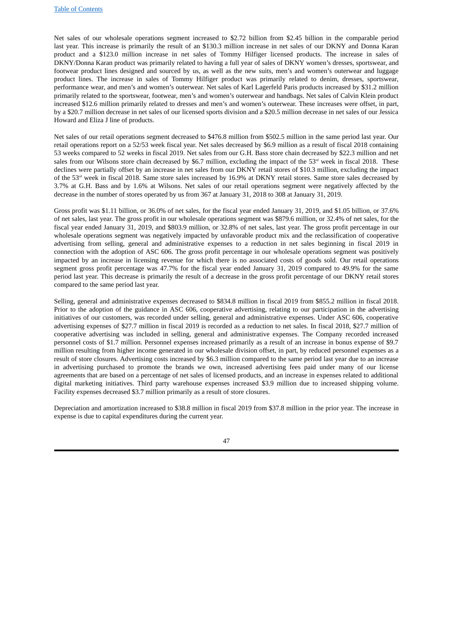Net sales of our wholesale operations segment increased to \$2.72 billion from \$2.45 billion in the comparable period last year. This increase is primarily the result of an \$130.3 million increase in net sales of our DKNY and Donna Karan product and a \$123.0 million increase in net sales of Tommy Hilfiger licensed products. The increase in sales of DKNY/Donna Karan product was primarily related to having a full year of sales of DKNY women's dresses, sportswear, and footwear product lines designed and sourced by us, as well as the new suits, men's and women's outerwear and luggage product lines. The increase in sales of Tommy Hilfiger product was primarily related to denim, dresses, sportswear, performance wear, and men's and women's outerwear. Net sales of Karl Lagerfeld Paris products increased by \$31.2 million primarily related to the sportswear, footwear, men's and women's outerwear and handbags. Net sales of Calvin Klein product increased \$12.6 million primarily related to dresses and men's and women's outerwear. These increases were offset, in part, by a \$20.7 million decrease in net sales of our licensed sports division and a \$20.5 million decrease in net sales of our Jessica Howard and Eliza J line of products.

Net sales of our retail operations segment decreased to \$476.8 million from \$502.5 million in the same period last year. Our retail operations report on a 52/53 week fiscal year. Net sales decreased by \$6.9 million as a result of fiscal 2018 containing 53 weeks compared to 52 weeks in fiscal 2019. Net sales from our G.H. Bass store chain decreased by \$22.3 million and net sales from our Wilsons store chain decreased by \$6.7 million, excluding the impact of the  $53<sup>rd</sup>$  week in fiscal 2018. These declines were partially offset by an increase in net sales from our DKNY retail stores of \$10.3 million, excluding the impact of the 53<sup>rd</sup> week in fiscal 2018. Same store sales increased by 16.9% at DKNY retail stores. Same store sales decreased by 3.7% at G.H. Bass and by 1.6% at Wilsons. Net sales of our retail operations segment were negatively affected by the decrease in the number of stores operated by us from 367 at January 31, 2018 to 308 at January 31, 2019.

Gross profit was \$1.11 billion, or 36.0% of net sales, for the fiscal year ended January 31, 2019, and \$1.05 billion, or 37.6% of net sales, last year. The gross profit in our wholesale operations segment was \$879.6 million, or 32.4% of net sales, for the fiscal year ended January 31, 2019, and \$803.9 million, or 32.8% of net sales, last year. The gross profit percentage in our wholesale operations segment was negatively impacted by unfavorable product mix and the reclassification of cooperative advertising from selling, general and administrative expenses to a reduction in net sales beginning in fiscal 2019 in connection with the adoption of ASC 606. The gross profit percentage in our wholesale operations segment was positively impacted by an increase in licensing revenue for which there is no associated costs of goods sold. Our retail operations segment gross profit percentage was 47.7% for the fiscal year ended January 31, 2019 compared to 49.9% for the same period last year. This decrease is primarily the result of a decrease in the gross profit percentage of our DKNY retail stores compared to the same period last year.

Selling, general and administrative expenses decreased to \$834.8 million in fiscal 2019 from \$855.2 million in fiscal 2018. Prior to the adoption of the guidance in ASC 606, cooperative advertising, relating to our participation in the advertising initiatives of our customers, was recorded under selling, general and administrative expenses. Under ASC 606, cooperative advertising expenses of \$27.7 million in fiscal 2019 is recorded as a reduction to net sales. In fiscal 2018, \$27.7 million of cooperative advertising was included in selling, general and administrative expenses. The Company recorded increased personnel costs of \$1.7 million. Personnel expenses increased primarily as a result of an increase in bonus expense of \$9.7 million resulting from higher income generated in our wholesale division offset, in part, by reduced personnel expenses as a result of store closures. Advertising costs increased by \$6.3 million compared to the same period last year due to an increase in advertising purchased to promote the brands we own, increased advertising fees paid under many of our license agreements that are based on a percentage of net sales of licensed products, and an increase in expenses related to additional digital marketing initiatives. Third party warehouse expenses increased \$3.9 million due to increased shipping volume. Facility expenses decreased \$3.7 million primarily as a result of store closures.

Depreciation and amortization increased to \$38.8 million in fiscal 2019 from \$37.8 million in the prior year. The increase in expense is due to capital expenditures during the current year.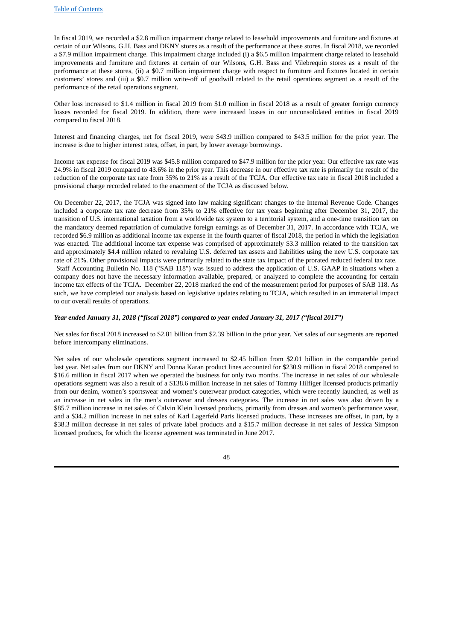In fiscal 2019, we recorded a \$2.8 million impairment charge related to leasehold improvements and furniture and fixtures at certain of our Wilsons, G.H. Bass and DKNY stores as a result of the performance at these stores. In fiscal 2018, we recorded a \$7.9 million impairment charge. This impairment charge included (i) a \$6.5 million impairment charge related to leasehold improvements and furniture and fixtures at certain of our Wilsons, G.H. Bass and Vilebrequin stores as a result of the performance at these stores, (ii) a \$0.7 million impairment charge with respect to furniture and fixtures located in certain customers' stores and (iii) a \$0.7 million write-off of goodwill related to the retail operations segment as a result of the performance of the retail operations segment.

Other loss increased to \$1.4 million in fiscal 2019 from \$1.0 million in fiscal 2018 as a result of greater foreign currency losses recorded for fiscal 2019. In addition, there were increased losses in our unconsolidated entities in fiscal 2019 compared to fiscal 2018.

Interest and financing charges, net for fiscal 2019, were \$43.9 million compared to \$43.5 million for the prior year. The increase is due to higher interest rates, offset, in part, by lower average borrowings.

Income tax expense for fiscal 2019 was \$45.8 million compared to \$47.9 million for the prior year. Our effective tax rate was 24.9% in fiscal 2019 compared to 43.6% in the prior year. This decrease in our effective tax rate is primarily the result of the reduction of the corporate tax rate from 35% to 21% as a result of the TCJA. Our effective tax rate in fiscal 2018 included a provisional charge recorded related to the enactment of the TCJA as discussed below.

On December 22, 2017, the TCJA was signed into law making significant changes to the Internal Revenue Code. Changes included a corporate tax rate decrease from 35% to 21% effective for tax years beginning after December 31, 2017, the transition of U.S. international taxation from a worldwide tax system to a territorial system, and a one-time transition tax on the mandatory deemed repatriation of cumulative foreign earnings as of December 31, 2017. In accordance with TCJA, we recorded \$6.9 million as additional income tax expense in the fourth quarter of fiscal 2018, the period in which the legislation was enacted. The additional income tax expense was comprised of approximately \$3.3 million related to the transition tax and approximately \$4.4 million related to revaluing U.S. deferred tax assets and liabilities using the new U.S. corporate tax rate of 21%. Other provisional impacts were primarily related to the state tax impact of the prorated reduced federal tax rate. Staff Accounting Bulletin No. 118 ("SAB 118") was issued to address the application of U.S. GAAP in situations when a company does not have the necessary information available, prepared, or analyzed to complete the accounting for certain income tax effects of the TCJA. December 22, 2018 marked the end of the measurement period for purposes of SAB 118. As such, we have completed our analysis based on legislative updates relating to TCJA, which resulted in an immaterial impact to our overall results of operations.

#### *Year ended January 31, 2018 ("fiscal 2018") compared to year ended January 31, 2017 ("fiscal 2017")*

Net sales for fiscal 2018 increased to \$2.81 billion from \$2.39 billion in the prior year. Net sales of our segments are reported before intercompany eliminations.

Net sales of our wholesale operations segment increased to \$2.45 billion from \$2.01 billion in the comparable period last year. Net sales from our DKNY and Donna Karan product lines accounted for \$230.9 million in fiscal 2018 compared to \$16.6 million in fiscal 2017 when we operated the business for only two months. The increase in net sales of our wholesale operations segment was also a result of a \$138.6 million increase in net sales of Tommy Hilfiger licensed products primarily from our denim, women's sportswear and women's outerwear product categories, which were recently launched, as well as an increase in net sales in the men's outerwear and dresses categories. The increase in net sales was also driven by a \$85.7 million increase in net sales of Calvin Klein licensed products, primarily from dresses and women's performance wear, and a \$34.2 million increase in net sales of Karl Lagerfeld Paris licensed products. These increases are offset, in part, by a \$38.3 million decrease in net sales of private label products and a \$15.7 million decrease in net sales of Jessica Simpson licensed products, for which the license agreement was terminated in June 2017.

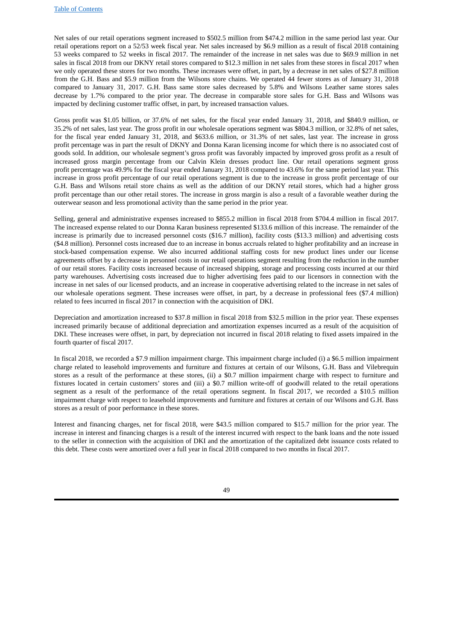Net sales of our retail operations segment increased to \$502.5 million from \$474.2 million in the same period last year. Our retail operations report on a 52/53 week fiscal year. Net sales increased by \$6.9 million as a result of fiscal 2018 containing 53 weeks compared to 52 weeks in fiscal 2017. The remainder of the increase in net sales was due to \$69.9 million in net sales in fiscal 2018 from our DKNY retail stores compared to \$12.3 million in net sales from these stores in fiscal 2017 when we only operated these stores for two months. These increases were offset, in part, by a decrease in net sales of \$27.8 million from the G.H. Bass and \$5.9 million from the Wilsons store chains. We operated 44 fewer stores as of January 31, 2018 compared to January 31, 2017. G.H. Bass same store sales decreased by 5.8% and Wilsons Leather same stores sales decrease by 1.7% compared to the prior year. The decrease in comparable store sales for G.H. Bass and Wilsons was impacted by declining customer traffic offset, in part, by increased transaction values.

Gross profit was \$1.05 billion, or 37.6% of net sales, for the fiscal year ended January 31, 2018, and \$840.9 million, or 35.2% of net sales, last year. The gross profit in our wholesale operations segment was \$804.3 million, or 32.8% of net sales, for the fiscal year ended January 31, 2018, and \$633.6 million, or 31.3% of net sales, last year. The increase in gross profit percentage was in part the result of DKNY and Donna Karan licensing income for which there is no associated cost of goods sold. In addition, our wholesale segment's gross profit was favorably impacted by improved gross profit as a result of increased gross margin percentage from our Calvin Klein dresses product line. Our retail operations segment gross profit percentage was 49.9% for the fiscal year ended January 31, 2018 compared to 43.6% for the same period last year. This increase in gross profit percentage of our retail operations segment is due to the increase in gross profit percentage of our G.H. Bass and Wilsons retail store chains as well as the addition of our DKNY retail stores, which had a higher gross profit percentage than our other retail stores. The increase in gross margin is also a result of a favorable weather during the outerwear season and less promotional activity than the same period in the prior year.

Selling, general and administrative expenses increased to \$855.2 million in fiscal 2018 from \$704.4 million in fiscal 2017. The increased expense related to our Donna Karan business represented \$133.6 million of this increase. The remainder of the increase is primarily due to increased personnel costs (\$16.7 million), facility costs (\$13.3 million) and advertising costs (\$4.8 million). Personnel costs increased due to an increase in bonus accruals related to higher profitability and an increase in stock-based compensation expense. We also incurred additional staffing costs for new product lines under our license agreements offset by a decrease in personnel costs in our retail operations segment resulting from the reduction in the number of our retail stores. Facility costs increased because of increased shipping, storage and processing costs incurred at our third party warehouses. Advertising costs increased due to higher advertising fees paid to our licensors in connection with the increase in net sales of our licensed products, and an increase in cooperative advertising related to the increase in net sales of our wholesale operations segment. These increases were offset, in part, by a decrease in professional fees (\$7.4 million) related to fees incurred in fiscal 2017 in connection with the acquisition of DKI.

Depreciation and amortization increased to \$37.8 million in fiscal 2018 from \$32.5 million in the prior year. These expenses increased primarily because of additional depreciation and amortization expenses incurred as a result of the acquisition of DKI. These increases were offset, in part, by depreciation not incurred in fiscal 2018 relating to fixed assets impaired in the fourth quarter of fiscal 2017.

In fiscal 2018, we recorded a \$7.9 million impairment charge. This impairment charge included (i) a \$6.5 million impairment charge related to leasehold improvements and furniture and fixtures at certain of our Wilsons, G.H. Bass and Vilebrequin stores as a result of the performance at these stores, (ii) a \$0.7 million impairment charge with respect to furniture and fixtures located in certain customers' stores and (iii) a \$0.7 million write-off of goodwill related to the retail operations segment as a result of the performance of the retail operations segment. In fiscal 2017, we recorded a \$10.5 million impairment charge with respect to leasehold improvements and furniture and fixtures at certain of our Wilsons and G.H. Bass stores as a result of poor performance in these stores.

Interest and financing charges, net for fiscal 2018, were \$43.5 million compared to \$15.7 million for the prior year. The increase in interest and financing charges is a result of the interest incurred with respect to the bank loans and the note issued to the seller in connection with the acquisition of DKI and the amortization of the capitalized debt issuance costs related to this debt. These costs were amortized over a full year in fiscal 2018 compared to two months in fiscal 2017.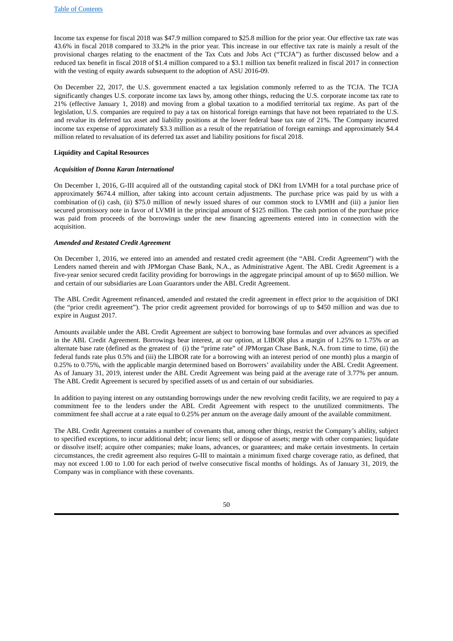Income tax expense for fiscal 2018 was \$47.9 million compared to \$25.8 million for the prior year. Our effective tax rate was 43.6% in fiscal 2018 compared to 33.2% in the prior year. This increase in our effective tax rate is mainly a result of the provisional charges relating to the enactment of the Tax Cuts and Jobs Act ("TCJA") as further discussed below and a reduced tax benefit in fiscal 2018 of \$1.4 million compared to a \$3.1 million tax benefit realized in fiscal 2017 in connection with the vesting of equity awards subsequent to the adoption of ASU 2016-09.

On December 22, 2017, the U.S. government enacted a tax legislation commonly referred to as the TCJA. The TCJA significantly changes U.S. corporate income tax laws by, among other things, reducing the U.S. corporate income tax rate to 21% (effective January 1, 2018) and moving from a global taxation to a modified territorial tax regime. As part of the legislation, U.S. companies are required to pay a tax on historical foreign earnings that have not been repatriated to the U.S. and revalue its deferred tax asset and liability positions at the lower federal base tax rate of 21%. The Company incurred income tax expense of approximately \$3.3 million as a result of the repatriation of foreign earnings and approximately \$4.4 million related to revaluation of its deferred tax asset and liability positions for fiscal 2018.

#### **Liquidity and Capital Resources**

#### *Acquisition of Donna Karan International*

On December 1, 2016, G-III acquired all of the outstanding capital stock of DKI from LVMH for a total purchase price of approximately \$674.4 million, after taking into account certain adjustments. The purchase price was paid by us with a combination of (i) cash, (ii) \$75.0 million of newly issued shares of our common stock to LVMH and (iii) a junior lien secured promissory note in favor of LVMH in the principal amount of \$125 million. The cash portion of the purchase price was paid from proceeds of the borrowings under the new financing agreements entered into in connection with the acquisition.

#### *Amended and Restated Credit Agreement*

On December 1, 2016, we entered into an amended and restated credit agreement (the "ABL Credit Agreement") with the Lenders named therein and with JPMorgan Chase Bank, N.A., as Administrative Agent. The ABL Credit Agreement is a five-year senior secured credit facility providing for borrowings in the aggregate principal amount of up to \$650 million. We and certain of our subsidiaries are Loan Guarantors under the ABL Credit Agreement.

The ABL Credit Agreement refinanced, amended and restated the credit agreement in effect prior to the acquisition of DKI (the "prior credit agreement"). The prior credit agreement provided for borrowings of up to \$450 million and was due to expire in August 2017.

Amounts available under the ABL Credit Agreement are subject to borrowing base formulas and over advances as specified in the ABL Credit Agreement. Borrowings bear interest, at our option, at LIBOR plus a margin of 1.25% to 1.75% or an alternate base rate (defined as the greatest of (i) the "prime rate" of JPMorgan Chase Bank, N.A. from time to time, (ii) the federal funds rate plus 0.5% and (iii) the LIBOR rate for a borrowing with an interest period of one month) plus a margin of 0.25% to 0.75%, with the applicable margin determined based on Borrowers' availability under the ABL Credit Agreement. As of January 31, 2019, interest under the ABL Credit Agreement was being paid at the average rate of 3.77% per annum. The ABL Credit Agreement is secured by specified assets of us and certain of our subsidiaries.

In addition to paying interest on any outstanding borrowings under the new revolving credit facility, we are required to pay a commitment fee to the lenders under the ABL Credit Agreement with respect to the unutilized commitments. The commitment fee shall accrue at a rate equal to 0.25% per annum on the average daily amount of the available commitment.

The ABL Credit Agreement contains a number of covenants that, among other things, restrict the Company's ability, subject to specified exceptions, to incur additional debt; incur liens; sell or dispose of assets; merge with other companies; liquidate or dissolve itself; acquire other companies; make loans, advances, or guarantees; and make certain investments. In certain circumstances, the credit agreement also requires G-III to maintain a minimum fixed charge coverage ratio, as defined, that may not exceed 1.00 to 1.00 for each period of twelve consecutive fiscal months of holdings. As of January 31, 2019, the Company was in compliance with these covenants.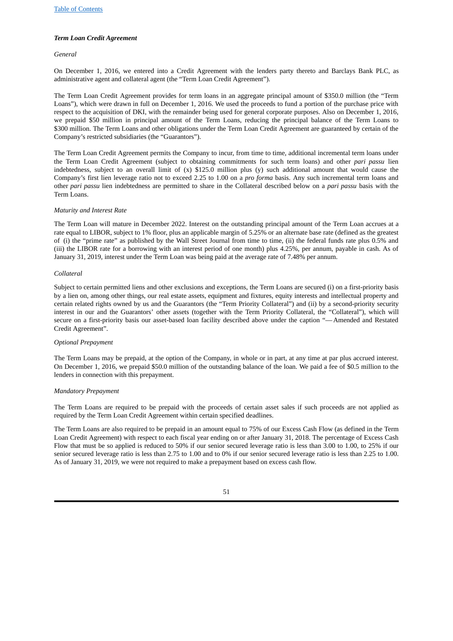## *Term Loan Credit Agreement*

#### *General*

On December 1, 2016, we entered into a Credit Agreement with the lenders party thereto and Barclays Bank PLC, as administrative agent and collateral agent (the "Term Loan Credit Agreement").

The Term Loan Credit Agreement provides for term loans in an aggregate principal amount of \$350.0 million (the "Term Loans"), which were drawn in full on December 1, 2016. We used the proceeds to fund a portion of the purchase price with respect to the acquisition of DKI, with the remainder being used for general corporate purposes. Also on December 1, 2016, we prepaid \$50 million in principal amount of the Term Loans, reducing the principal balance of the Term Loans to \$300 million. The Term Loans and other obligations under the Term Loan Credit Agreement are guaranteed by certain of the Company's restricted subsidiaries (the "Guarantors").

The Term Loan Credit Agreement permits the Company to incur, from time to time, additional incremental term loans under the Term Loan Credit Agreement (subject to obtaining commitments for such term loans) and other *pari passu* lien indebtedness, subject to an overall limit of  $(x)$  \$125.0 million plus  $(y)$  such additional amount that would cause the Company's first lien leverage ratio not to exceed 2.25 to 1.00 on a *pro forma* basis. Any such incremental term loans and other *pari passu* lien indebtedness are permitted to share in the Collateral described below on a *pari passu* basis with the Term Loans.

#### *Maturity and Interest Rate*

The Term Loan will mature in December 2022. Interest on the outstanding principal amount of the Term Loan accrues at a rate equal to LIBOR, subject to 1% floor, plus an applicable margin of 5.25% or an alternate base rate (defined as the greatest of (i) the "prime rate" as published by the Wall Street Journal from time to time, (ii) the federal funds rate plus 0.5% and (iii) the LIBOR rate for a borrowing with an interest period of one month) plus 4.25%, per annum, payable in cash. As of January 31, 2019, interest under the Term Loan was being paid at the average rate of 7.48% per annum.

#### *Collateral*

Subject to certain permitted liens and other exclusions and exceptions, the Term Loans are secured (i) on a first-priority basis by a lien on, among other things, our real estate assets, equipment and fixtures, equity interests and intellectual property and certain related rights owned by us and the Guarantors (the "Term Priority Collateral") and (ii) by a second-priority security interest in our and the Guarantors' other assets (together with the Term Priority Collateral, the "Collateral"), which will secure on a first-priority basis our asset-based loan facility described above under the caption "—Amended and Restated Credit Agreement".

#### *Optional Prepayment*

The Term Loans may be prepaid, at the option of the Company, in whole or in part, at any time at par plus accrued interest. On December 1, 2016, we prepaid \$50.0 million of the outstanding balance of the loan. We paid a fee of \$0.5 million to the lenders in connection with this prepayment.

## *Mandatory Prepayment*

The Term Loans are required to be prepaid with the proceeds of certain asset sales if such proceeds are not applied as required by the Term Loan Credit Agreement within certain specified deadlines.

The Term Loans are also required to be prepaid in an amount equal to 75% of our Excess Cash Flow (as defined in the Term Loan Credit Agreement) with respect to each fiscal year ending on or after January 31, 2018. The percentage of Excess Cash Flow that must be so applied is reduced to 50% if our senior secured leverage ratio is less than 3.00 to 1.00, to 25% if our senior secured leverage ratio is less than 2.75 to 1.00 and to 0% if our senior secured leverage ratio is less than 2.25 to 1.00. As of January 31, 2019, we were not required to make a prepayment based on excess cash flow.

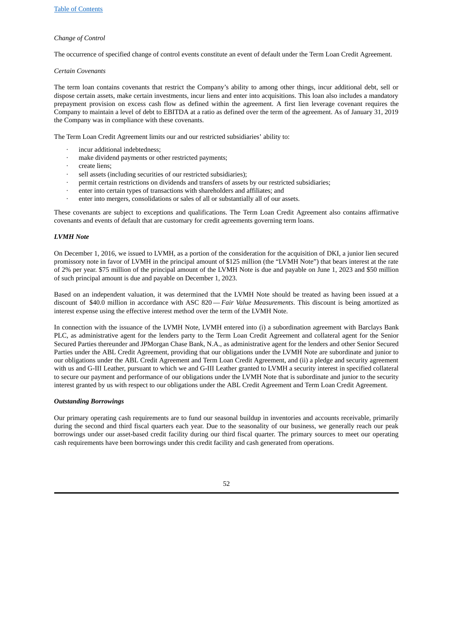## *Change of Control*

The occurrence of specified change of control events constitute an event of default under the Term Loan Credit Agreement.

#### *Certain Covenants*

The term loan contains covenants that restrict the Company's ability to among other things, incur additional debt, sell or dispose certain assets, make certain investments, incur liens and enter into acquisitions. This loan also includes a mandatory prepayment provision on excess cash flow as defined within the agreement. A first lien leverage covenant requires the Company to maintain a level of debt to EBITDA at a ratio as defined over the term of the agreement. As of January 31, 2019 the Company was in compliance with these covenants.

The Term Loan Credit Agreement limits our and our restricted subsidiaries' ability to:

- incur additional indebtedness;
- make dividend payments or other restricted payments;
- · create liens;
- sell assets (including securities of our restricted subsidiaries);
- permit certain restrictions on dividends and transfers of assets by our restricted subsidiaries;
- enter into certain types of transactions with shareholders and affiliates; and
- enter into mergers, consolidations or sales of all or substantially all of our assets.

These covenants are subject to exceptions and qualifications. The Term Loan Credit Agreement also contains affirmative covenants and events of default that are customary for credit agreements governing term loans.

#### *LVMH Note*

On December 1, 2016, we issued to LVMH, as a portion of the consideration for the acquisition of DKI, a junior lien secured promissory note in favor of LVMH in the principal amount of \$125 million (the "LVMH Note") that bears interest at the rate of 2% per year. \$75 million of the principal amount of the LVMH Note is due and payable on June 1, 2023 and \$50 million of such principal amount is due and payable on December 1, 2023.

Based on an independent valuation, it was determined that the LVMH Note should be treated as having been issued at a discount of \$40.0 million in accordance with ASC 820 — *Fair Value Measurements*. This discount is being amortized as interest expense using the effective interest method over the term of the LVMH Note.

In connection with the issuance of the LVMH Note, LVMH entered into (i) a subordination agreement with Barclays Bank PLC, as administrative agent for the lenders party to the Term Loan Credit Agreement and collateral agent for the Senior Secured Parties thereunder and JPMorgan Chase Bank, N.A., as administrative agent for the lenders and other Senior Secured Parties under the ABL Credit Agreement, providing that our obligations under the LVMH Note are subordinate and junior to our obligations under the ABL Credit Agreement and Term Loan Credit Agreement, and (ii) a pledge and security agreement with us and G-III Leather, pursuant to which we and G-III Leather granted to LVMH a security interest in specified collateral to secure our payment and performance of our obligations under the LVMH Note that is subordinate and junior to the security interest granted by us with respect to our obligations under the ABL Credit Agreement and Term Loan Credit Agreement.

#### *Outstanding Borrowings*

Our primary operating cash requirements are to fund our seasonal buildup in inventories and accounts receivable, primarily during the second and third fiscal quarters each year. Due to the seasonality of our business, we generally reach our peak borrowings under our asset-based credit facility during our third fiscal quarter. The primary sources to meet our operating cash requirements have been borrowings under this credit facility and cash generated from operations.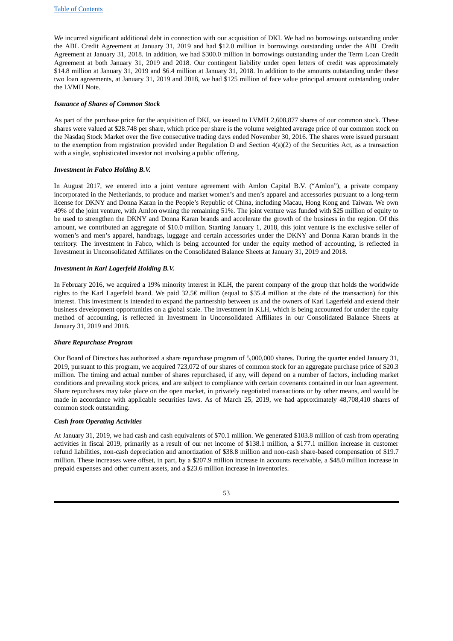We incurred significant additional debt in connection with our acquisition of DKI. We had no borrowings outstanding under the ABL Credit Agreement at January 31, 2019 and had \$12.0 million in borrowings outstanding under the ABL Credit Agreement at January 31, 2018. In addition, we had \$300.0 million in borrowings outstanding under the Term Loan Credit Agreement at both January 31, 2019 and 2018. Our contingent liability under open letters of credit was approximately \$14.8 million at January 31, 2019 and \$6.4 million at January 31, 2018. In addition to the amounts outstanding under these two loan agreements, at January 31, 2019 and 2018, we had \$125 million of face value principal amount outstanding under the LVMH Note.

#### *Issuance of Shares of Common Stock*

As part of the purchase price for the acquisition of DKI, we issued to LVMH 2,608,877 shares of our common stock. These shares were valued at \$28.748 per share, which price per share is the volume weighted average price of our common stock on the Nasdaq Stock Market over the five consecutive trading days ended November 30, 2016. The shares were issued pursuant to the exemption from registration provided under Regulation D and Section  $4(a)(2)$  of the Securities Act, as a transaction with a single, sophisticated investor not involving a public offering.

#### *Investment in Fabco Holding B.V.*

In August 2017, we entered into a joint venture agreement with Amlon Capital B.V. ("Amlon"), a private company incorporated in the Netherlands, to produce and market women's and men's apparel and accessories pursuant to a long-term license for DKNY and Donna Karan in the People's Republic of China, including Macau, Hong Kong and Taiwan. We own 49% of the joint venture, with Amlon owning the remaining 51%. The joint venture was funded with \$25 million of equity to be used to strengthen the DKNY and Donna Karan brands and accelerate the growth of the business in the region. Of this amount, we contributed an aggregate of \$10.0 million. Starting January 1, 2018, this joint venture is the exclusive seller of women's and men's apparel, handbags, luggage and certain accessories under the DKNY and Donna Karan brands in the territory. The investment in Fabco, which is being accounted for under the equity method of accounting, is reflected in Investment in Unconsolidated Affiliates on the Consolidated Balance Sheets at January 31, 2019 and 2018.

#### *Investment in Karl Lagerfeld Holding B.V.*

In February 2016, we acquired a 19% minority interest in KLH, the parent company of the group that holds the worldwide rights to the Karl Lagerfeld brand. We paid 32.5€ million (equal to \$35.4 million at the date of the transaction) for this interest. This investment is intended to expand the partnership between us and the owners of Karl Lagerfeld and extend their business development opportunities on a global scale. The investment in KLH, which is being accounted for under the equity method of accounting, is reflected in Investment in Unconsolidated Affiliates in our Consolidated Balance Sheets at January 31, 2019 and 2018.

#### *Share Repurchase Program*

Our Board of Directors has authorized a share repurchase program of 5,000,000 shares. During the quarter ended January 31, 2019, pursuant to this program, we acquired 723,072 of our shares of common stock for an aggregate purchase price of \$20.3 million. The timing and actual number of shares repurchased, if any, will depend on a number of factors, including market conditions and prevailing stock prices, and are subject to compliance with certain covenants contained in our loan agreement. Share repurchases may take place on the open market, in privately negotiated transactions or by other means, and would be made in accordance with applicable securities laws. As of March 25, 2019, we had approximately 48,708,410 shares of common stock outstanding.

#### *Cash from Operating Activities*

At January 31, 2019, we had cash and cash equivalents of \$70.1 million. We generated \$103.8 million of cash from operating activities in fiscal 2019, primarily as a result of our net income of \$138.1 million, a \$177.1 million increase in customer refund liabilities, non-cash depreciation and amortization of \$38.8 million and non-cash share-based compensation of \$19.7 million. These increases were offset, in part, by a \$207.9 million increase in accounts receivable, a \$48.0 million increase in prepaid expenses and other current assets, and a \$23.6 million increase in inventories.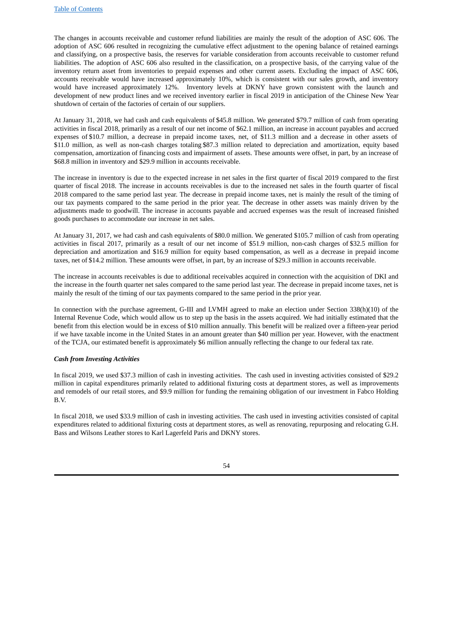The changes in accounts receivable and customer refund liabilities are mainly the result of the adoption of ASC 606. The adoption of ASC 606 resulted in recognizing the cumulative effect adjustment to the opening balance of retained earnings and classifying, on a prospective basis, the reserves for variable consideration from accounts receivable to customer refund liabilities. The adoption of ASC 606 also resulted in the classification, on a prospective basis, of the carrying value of the inventory return asset from inventories to prepaid expenses and other current assets. Excluding the impact of ASC 606, accounts receivable would have increased approximately 10%, which is consistent with our sales growth, and inventory would have increased approximately 12%. Inventory levels at DKNY have grown consistent with the launch and development of new product lines and we received inventory earlier in fiscal 2019 in anticipation of the Chinese New Year shutdown of certain of the factories of certain of our suppliers.

At January 31, 2018, we had cash and cash equivalents of \$45.8 million. We generated \$79.7 million of cash from operating activities in fiscal 2018, primarily as a result of our net income of \$62.1 million, an increase in account payables and accrued expenses of \$10.7 million, a decrease in prepaid income taxes, net, of \$11.3 million and a decrease in other assets of \$11.0 million, as well as non-cash charges totaling \$87.3 million related to depreciation and amortization, equity based compensation, amortization of financing costs and impairment of assets. These amounts were offset, in part, by an increase of \$68.8 million in inventory and \$29.9 million in accounts receivable.

The increase in inventory is due to the expected increase in net sales in the first quarter of fiscal 2019 compared to the first quarter of fiscal 2018. The increase in accounts receivables is due to the increased net sales in the fourth quarter of fiscal 2018 compared to the same period last year. The decrease in prepaid income taxes, net is mainly the result of the timing of our tax payments compared to the same period in the prior year. The decrease in other assets was mainly driven by the adjustments made to goodwill. The increase in accounts payable and accrued expenses was the result of increased finished goods purchases to accommodate our increase in net sales.

At January 31, 2017, we had cash and cash equivalents of \$80.0 million. We generated \$105.7 million of cash from operating activities in fiscal 2017, primarily as a result of our net income of \$51.9 million, non-cash charges of \$32.5 million for depreciation and amortization and \$16.9 million for equity based compensation, as well as a decrease in prepaid income taxes, net of \$14.2 million. These amounts were offset, in part, by an increase of \$29.3 million in accounts receivable.

The increase in accounts receivables is due to additional receivables acquired in connection with the acquisition of DKI and the increase in the fourth quarter net sales compared to the same period last year. The decrease in prepaid income taxes, net is mainly the result of the timing of our tax payments compared to the same period in the prior year.

In connection with the purchase agreement, G-III and LVMH agreed to make an election under Section 338(h)(10) of the Internal Revenue Code, which would allow us to step up the basis in the assets acquired. We had initially estimated that the benefit from this election would be in excess of \$10 million annually. This benefit will be realized over a fifteen-year period if we have taxable income in the United States in an amount greater than \$40 million per year. However, with the enactment of the TCJA, our estimated benefit is approximately \$6 million annually reflecting the change to our federal tax rate.

## *Cash from Investing Activities*

In fiscal 2019, we used \$37.3 million of cash in investing activities. The cash used in investing activities consisted of \$29.2 million in capital expenditures primarily related to additional fixturing costs at department stores, as well as improvements and remodels of our retail stores, and \$9.9 million for funding the remaining obligation of our investment in Fabco Holding B.V.

In fiscal 2018, we used \$33.9 million of cash in investing activities. The cash used in investing activities consisted of capital expenditures related to additional fixturing costs at department stores, as well as renovating, repurposing and relocating G.H. Bass and Wilsons Leather stores to Karl Lagerfeld Paris and DKNY stores.

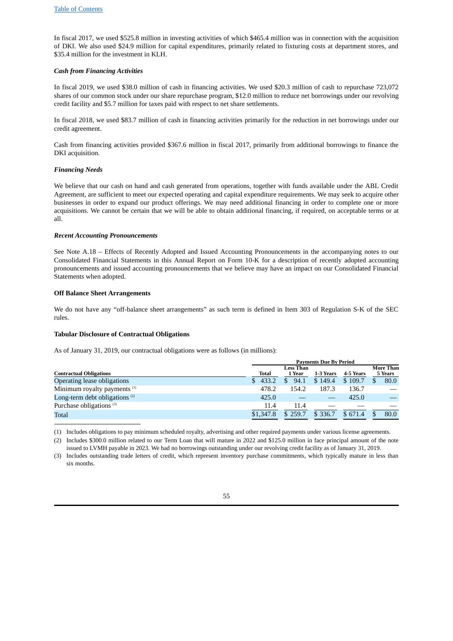In fiscal 2017, we used \$525.8 million in investing activities of which \$465.4 million was in connection with the acquisition of DKI. We also used \$24.9 million for capital expenditures, primarily related to fixturing costs at department stores, and \$35.4 million for the investment in KLH.

## *Cash from Financing Activities*

In fiscal 2019, we used \$38.0 million of cash in financing activities. We used \$20.3 million of cash to repurchase 723,072 shares of our common stock under our share repurchase program, \$12.0 million to reduce net borrowings under our revolving credit facility and \$5.7 million for taxes paid with respect to net share settlements.

In fiscal 2018, we used \$83.7 million of cash in financing activities primarily for the reduction in net borrowings under our credit agreement.

Cash from financing activities provided \$367.6 million in fiscal 2017, primarily from additional borrowings to finance the DKI acquisition.

### *Financing Needs*

We believe that our cash on hand and cash generated from operations, together with funds available under the ABL Credit Agreement, are sufficient to meet our expected operating and capital expenditure requirements. We may seek to acquire other businesses in order to expand our product offerings. We may need additional financing in order to complete one or more acquisitions. We cannot be certain that we will be able to obtain additional financing, if required, on acceptable terms or at all.

#### *Recent Accounting Pronouncements*

See Note A.18 – Effects of Recently Adopted and Issued Accounting Pronouncements in the accompanying notes to our Consolidated Financial Statements in this Annual Report on Form 10-K for a description of recently adopted accounting pronouncements and issued accounting pronouncements that we believe may have an impact on our Consolidated Financial Statements when adopted.

#### **Off Balance Sheet Arrangements**

We do not have any "off-balance sheet arrangements" as such term is defined in Item 303 of Regulation S-K of the SEC rules.

#### **Tabular Disclosure of Contractual Obligations**

As of January 31, 2019, our contractual obligations were as follows (in millions):

|                                         | <b>Payments Due By Period</b> |                  |           |           |  |                  |
|-----------------------------------------|-------------------------------|------------------|-----------|-----------|--|------------------|
|                                         |                               | <b>Less Than</b> |           |           |  | <b>More Than</b> |
| <b>Contractual Obligations</b>          | Total                         | 1 Year           | 1-3 Years | 4-5 Years |  | 5 Years          |
| Operating lease obligations             | 433.2                         | 94.1             | \$149.4   | \$109.7   |  | 80.0             |
| Minimum royalty payments <sup>(1)</sup> | 478.2                         | 154.2            | 187.3     | 136.7     |  |                  |
| Long-term debt obligations $(2)$        | 425.0                         |                  |           | 425.0     |  |                  |
| Purchase obligations <sup>(3)</sup>     | 11.4                          | 11.4             |           |           |  |                  |
| Total                                   | \$1,347.8                     | \$259.7          | \$336.7   | \$671.4   |  | 80.0             |

(1) Includes obligations to pay minimum scheduled royalty, advertising and other required payments under various license agreements.

(2) Includes \$300.0 million related to our Term Loan that will mature in 2022 and \$125.0 million in face principal amount of the note issued to LVMH payable in 2023. We had no borrowings outstanding under our revolving credit facility as of January 31, 2019.

(3) Includes outstanding trade letters of credit, which represent inventory purchase commitments, which typically mature in less than six months.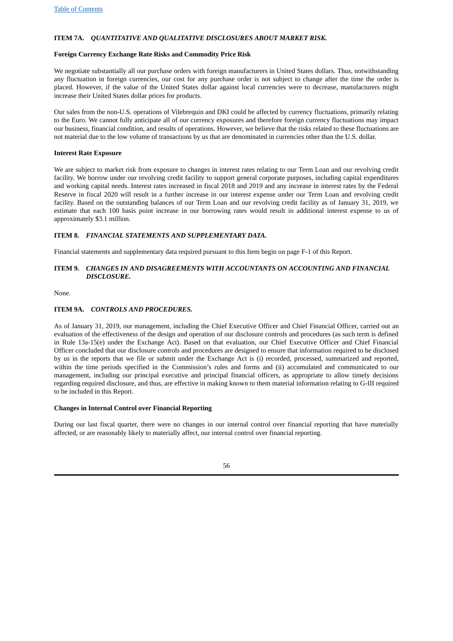## **ITEM 7A.** *QUANTITATIVE AND QUALITATIVE DISCLOSURES ABOUT MARKET RISK.*

#### **Foreign Currency Exchange Rate Risks and Commodity Price Risk**

We negotiate substantially all our purchase orders with foreign manufacturers in United States dollars. Thus, notwithstanding any fluctuation in foreign currencies, our cost for any purchase order is not subject to change after the time the order is placed. However, if the value of the United States dollar against local currencies were to decrease, manufacturers might increase their United States dollar prices for products.

Our sales from the non-U.S. operations of Vilebrequin and DKI could be affected by currency fluctuations, primarily relating to the Euro. We cannot fully anticipate all of our currency exposures and therefore foreign currency fluctuations may impact our business, financial condition, and results of operations. However, we believe that the risks related to these fluctuations are not material due to the low volume of transactions by us that are denominated in currencies other than the U.S. dollar.

#### **Interest Rate Exposure**

We are subject to market risk from exposure to changes in interest rates relating to our Term Loan and our revolving credit facility. We borrow under our revolving credit facility to support general corporate purposes, including capital expenditures and working capital needs. Interest rates increased in fiscal 2018 and 2019 and any increase in interest rates by the Federal Reserve in fiscal 2020 will result in a further increase in our interest expense under our Term Loan and revolving credit facility. Based on the outstanding balances of our Term Loan and our revolving credit facility as of January 31, 2019, we estimate that each 100 basis point increase in our borrowing rates would result in additional interest expense to us of approximately \$3.1 million.

## **ITEM 8.** *FINANCIAL STATEMENTS AND SUPPLEMENTARY DATA.*

Financial statements and supplementary data required pursuant to this Item begin on page F-1 of this Report.

### **ITEM 9.** *CHANGES IN AND DISAGREEMENTS WITH ACCOUNTANTS ON ACCOUNTING AND FINANCIAL DISCLOSURE.*

None.

#### **ITEM 9A.** *CONTROLS AND PROCEDURES.*

As of January 31, 2019, our management, including the Chief Executive Officer and Chief Financial Officer, carried out an evaluation of the effectiveness of the design and operation of our disclosure controls and procedures (as such term is defined in Rule 13a‑15(e) under the Exchange Act). Based on that evaluation, our Chief Executive Officer and Chief Financial Officer concluded that our disclosure controls and procedures are designed to ensure that information required to be disclosed by us in the reports that we file or submit under the Exchange Act is (i) recorded, processed, summarized and reported, within the time periods specified in the Commission's rules and forms and (ii) accumulated and communicated to our management, including our principal executive and principal financial officers, as appropriate to allow timely decisions regarding required disclosure, and thus, are effective in making known to them material information relating to G-III required to be included in this Report.

## **Changes in Internal Control over Financial Reporting**

During our last fiscal quarter, there were no changes in our internal control over financial reporting that have materially affected, or are reasonably likely to materially affect, our internal control over financial reporting.

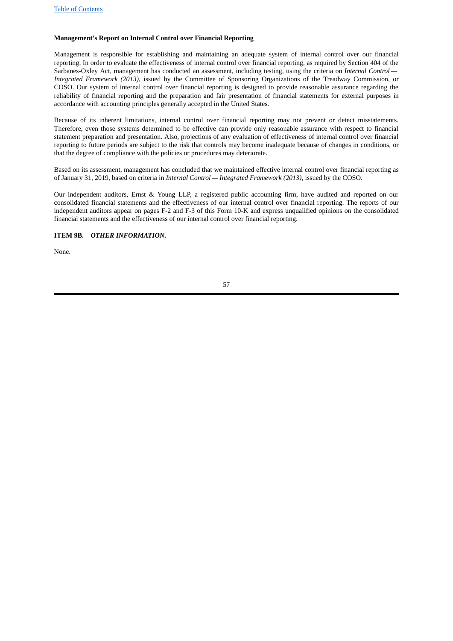## **Management's Report on Internal Control over Financial Reporting**

Management is responsible for establishing and maintaining an adequate system of internal control over our financial reporting. In order to evaluate the effectiveness of internal control over financial reporting, as required by Section 404 of the Sarbanes-Oxley Act, management has conducted an assessment, including testing, using the criteria on *Internal Control — Integrated Framework (2013)*, issued by the Committee of Sponsoring Organizations of the Treadway Commission, or COSO. Our system of internal control over financial reporting is designed to provide reasonable assurance regarding the reliability of financial reporting and the preparation and fair presentation of financial statements for external purposes in accordance with accounting principles generally accepted in the United States.

Because of its inherent limitations, internal control over financial reporting may not prevent or detect misstatements. Therefore, even those systems determined to be effective can provide only reasonable assurance with respect to financial statement preparation and presentation. Also, projections of any evaluation of effectiveness of internal control over financial reporting to future periods are subject to the risk that controls may become inadequate because of changes in conditions, or that the degree of compliance with the policies or procedures may deteriorate.

Based on its assessment, management has concluded that we maintained effective internal control over financial reporting as of January 31, 2019, based on criteria in *Internal Control — Integrated Framework (2013)*, issued by the COSO.

Our independent auditors, Ernst & Young LLP, a registered public accounting firm, have audited and reported on our consolidated financial statements and the effectiveness of our internal control over financial reporting. The reports of our independent auditors appear on pages F‑2 and F‑3 of this Form 10‑K and express unqualified opinions on the consolidated financial statements and the effectiveness of our internal control over financial reporting.

#### **ITEM 9B.** *OTHER INFORMATION.*

None.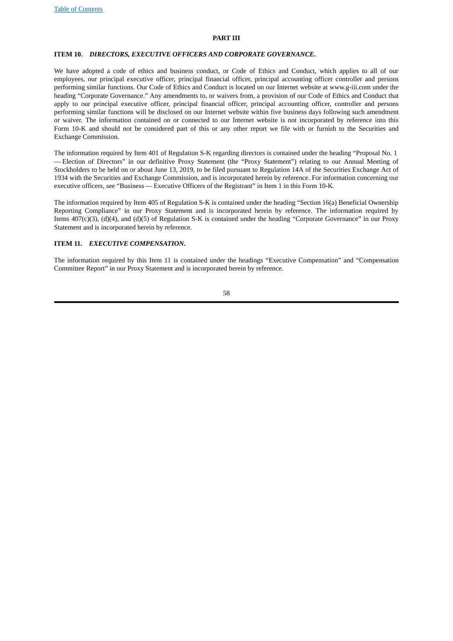### **PART III**

## **ITEM 10.** *DIRECTORS, EXECUTIVE OFFICERS AND CORPORATE GOVERNANCE.*

We have adopted a code of ethics and business conduct, or Code of Ethics and Conduct, which applies to all of our employees, our principal executive officer, principal financial officer, principal accounting officer controller and persons performing similar functions. Our Code of Ethics and Conduct is located on our Internet website at www.g-iii.com under the heading "Corporate Governance." Any amendments to, or waivers from, a provision of our Code of Ethics and Conduct that apply to our principal executive officer, principal financial officer, principal accounting officer, controller and persons performing similar functions will be disclosed on our Internet website within five business days following such amendment or waiver. The information contained on or connected to our Internet website is not incorporated by reference into this Form 10-K and should not be considered part of this or any other report we file with or furnish to the Securities and Exchange Commission.

The information required by Item 401 of Regulation S-K regarding directors is contained under the heading "Proposal No. 1 — Election of Directors" in our definitive Proxy Statement (the "Proxy Statement") relating to our Annual Meeting of Stockholders to be held on or about June 13, 2019, to be filed pursuant to Regulation 14A of the Securities Exchange Act of 1934 with the Securities and Exchange Commission, and is incorporated herein by reference. For information concerning our executive officers, see "Business — Executive Officers of the Registrant" in Item 1 in this Form 10‑K.

The information required by Item 405 of Regulation S-K is contained under the heading "Section 16(a) Beneficial Ownership Reporting Compliance" in our Proxy Statement and is incorporated herein by reference. The information required by Items 407(c)(3), (d)(4), and (d)(5) of Regulation S-K is contained under the heading "Corporate Governance" in our Proxy Statement and is incorporated herein by reference.

## **ITEM 11.** *EXECUTIVE COMPENSATION.*

The information required by this Item 11 is contained under the headings "Executive Compensation" and "Compensation Committee Report" in our Proxy Statement and is incorporated herein by reference.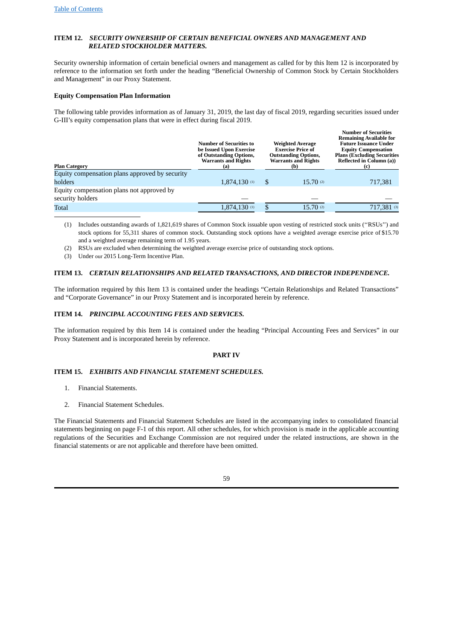## **ITEM 12.** *SECURITY OWNERSHIP OF CERTAIN BENEFICIAL OWNERS AND MANAGEMENT AND RELATED STOCKHOLDER MATTERS.*

Security ownership information of certain beneficial owners and management as called for by this Item 12 is incorporated by reference to the information set forth under the heading "Beneficial Ownership of Common Stock by Certain Stockholders and Management" in our Proxy Statement.

### **Equity Compensation Plan Information**

The following table provides information as of January 31, 2019, the last day of fiscal 2019, regarding securities issued under G-III's equity compensation plans that were in effect during fiscal 2019.

| <b>Plan Category</b>                           | Number of Securities to<br>be Issued Upon Exercise<br>of Outstanding Options,<br><b>Warrants and Rights</b><br>(a) |          | <b>Weighted Average</b><br><b>Exercise Price of</b><br><b>Outstanding Options,</b><br><b>Warrants and Rights</b><br>(b) | <b>Number of Securities</b><br><b>Remaining Available for</b><br><b>Future Issuance Under</b><br><b>Equity Compensation</b><br><b>Plans (Excluding Securities</b><br><b>Reflected in Column (a))</b> |  |
|------------------------------------------------|--------------------------------------------------------------------------------------------------------------------|----------|-------------------------------------------------------------------------------------------------------------------------|------------------------------------------------------------------------------------------------------------------------------------------------------------------------------------------------------|--|
| Equity compensation plans approved by security |                                                                                                                    |          |                                                                                                                         |                                                                                                                                                                                                      |  |
| holders                                        | 1,874,130 (1)                                                                                                      | \$       | $15.70$ (2)                                                                                                             | 717,381                                                                                                                                                                                              |  |
| Equity compensation plans not approved by      |                                                                                                                    |          |                                                                                                                         |                                                                                                                                                                                                      |  |
| security holders                               |                                                                                                                    |          |                                                                                                                         |                                                                                                                                                                                                      |  |
| Total                                          | 1,874,130 (1)                                                                                                      | œ<br>.T) | $15.70$ (2)                                                                                                             | 717.381 (3)                                                                                                                                                                                          |  |

(1) Includes outstanding awards of 1,821,619 shares of Common Stock issuable upon vesting of restricted stock units (''RSUs'') and stock options for 55,311 shares of common stock. Outstanding stock options have a weighted average exercise price of \$15.70 and a weighted average remaining term of 1.95 years.

- (2) RSUs are excluded when determining the weighted average exercise price of outstanding stock options.
- (3) Under our 2015 Long-Term Incentive Plan.

## **ITEM 13.** *CERTAIN RELATIONSHIPS AND RELATED TRANSACTIONS, AND DIRECTOR INDEPENDENCE.*

The information required by this Item 13 is contained under the headings "Certain Relationships and Related Transactions" and "Corporate Governance" in our Proxy Statement and is incorporated herein by reference.

## **ITEM 14.** *PRINCIPAL ACCOUNTING FEES AND SERVICES.*

The information required by this Item 14 is contained under the heading "Principal Accounting Fees and Services" in our Proxy Statement and is incorporated herein by reference.

## **PART IV**

## **ITEM 15.** *EXHIBITS AND FINANCIAL STATEMENT SCHEDULES.*

- 1. Financial Statements.
- 2. Financial Statement Schedules.

The Financial Statements and Financial Statement Schedules are listed in the accompanying index to consolidated financial statements beginning on page F-1 of this report. All other schedules, for which provision is made in the applicable accounting regulations of the Securities and Exchange Commission are not required under the related instructions, are shown in the financial statements or are not applicable and therefore have been omitted.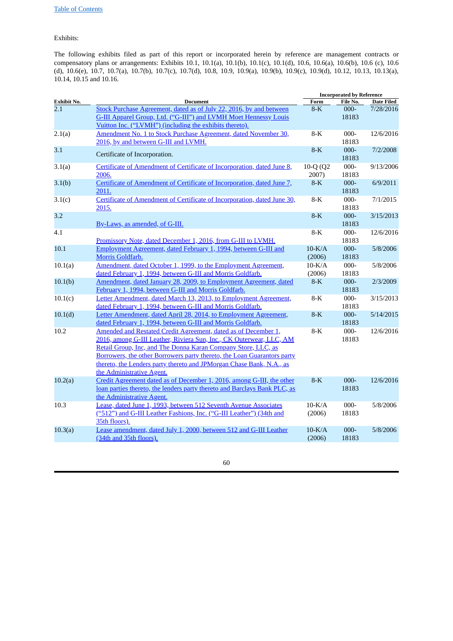## Exhibits:

The following exhibits filed as part of this report or incorporated herein by reference are management contracts or compensatory plans or arrangements: Exhibits 10.1, 10.1(a), 10.1(b), 10.1(c), 10.1(d), 10.6, 10.6(a), 10.6(b), 10.6 (c), 10.6 (d), 10.6(e), 10.7, 10.7(a), 10.7(b), 10.7(c), 10.7(d), 10.8, 10.9, 10.9(a), 10.9(b), 10.9(c), 10.9(d), 10.12, 10.13, 10.13(a), 10.14, 10.15 and 10.16.

|             |                                                                           |          | <b>Incorporated by Reference</b> |                   |
|-------------|---------------------------------------------------------------------------|----------|----------------------------------|-------------------|
| Exhibit No. | <b>Document</b>                                                           | Form     | File No.                         | <b>Date Filed</b> |
| 2.1         | Stock Purchase Agreement, dated as of July 22, 2016, by and between       | $8-K$    | $000 -$                          | 7/28/2016         |
|             | G-III Apparel Group, Ltd. ("G-III") and LVMH Moet Hennessy Louis          |          | 18183                            |                   |
|             | Vuitton Inc. ("LVMH") (including the exhibits thereto).                   |          |                                  |                   |
| 2.1(a)      | Amendment No. 1 to Stock Purchase Agreement, dated November 30,           | $8-K$    | $000 -$                          | 12/6/2016         |
|             | 2016, by and between G-III and LVMH.                                      |          | 18183                            |                   |
| 3.1         |                                                                           | $8-K$    | $000 -$                          | 7/2/2008          |
|             | Certificate of Incorporation.                                             |          | 18183                            |                   |
| 3.1(a)      | Certificate of Amendment of Certificate of Incorporation, dated June 8,   | 10-Q (Q2 | $000 -$                          | 9/13/2006         |
|             | 2006.                                                                     | 2007)    | 18183                            |                   |
| 3.1(b)      | Certificate of Amendment of Certificate of Incorporation, dated June 7,   | $8-K$    | $000 -$                          | 6/9/2011          |
|             | 2011.                                                                     |          | 18183                            |                   |
| 3.1(c)      | Certificate of Amendment of Certificate of Incorporation, dated June 30,  | $8-K$    | $000 -$                          | 7/1/2015          |
|             | 2015.                                                                     |          | 18183                            |                   |
| 3.2         |                                                                           | $8-K$    | $000 -$                          | 3/15/2013         |
|             | By-Laws, as amended, of G-III.                                            |          | 18183                            |                   |
| 4.1         |                                                                           | $8-K$    | $000 -$                          | 12/6/2016         |
|             | Promissory Note, dated December 1, 2016, from G-III to LVMH.              |          | 18183                            |                   |
| 10.1        | Employment Agreement, dated February 1, 1994, between G-III and           | $10-K/A$ | $000 -$                          | 5/8/2006          |
|             | Morris Goldfarb.                                                          | (2006)   | 18183                            |                   |
| 10.1(a)     | Amendment, dated October 1, 1999, to the Employment Agreement,            | $10-K/A$ | $000 -$                          | 5/8/2006          |
|             | dated February 1, 1994, between G-III and Morris Goldfarb.                | (2006)   | 18183                            |                   |
| 10.1(b)     | Amendment, dated January 28, 2009, to Employment Agreement, dated         | $8-K$    | $000 -$                          | 2/3/2009          |
|             | February 1, 1994, between G-III and Morris Goldfarb.                      |          | 18183                            |                   |
| 10.1(c)     | Letter Amendment, dated March 13, 2013, to Employment Agreement,          | $8-K$    | $000 -$                          | 3/15/2013         |
|             | dated February 1, 1994, between G-III and Morris Goldfarb.                |          | 18183                            |                   |
| 10.1(d)     | Letter Amendment, dated April 28, 2014, to Employment Agreement,          | $8-K$    | $000 -$                          | 5/14/2015         |
|             | dated February 1, 1994, between G-III and Morris Goldfarb.                |          | 18183                            |                   |
| 10.2        | Amended and Restated Credit Agreement, dated as of December 1,            | $8-K$    | $000 -$                          | 12/6/2016         |
|             | 2016, among G-III Leather, Riviera Sun, Inc., CK Outerwear, LLC, AM       |          | 18183                            |                   |
|             | Retail Group, Inc, and The Donna Karan Company Store, LLC, as             |          |                                  |                   |
|             | Borrowers, the other Borrowers party thereto, the Loan Guarantors party   |          |                                  |                   |
|             | thereto, the Lenders party thereto and JPMorgan Chase Bank, N.A., as      |          |                                  |                   |
|             | the Administrative Agent.                                                 |          |                                  |                   |
|             | Credit Agreement dated as of December 1, 2016, among G-III, the other     | $8-K$    | $000 -$                          | 12/6/2016         |
| 10.2(a)     | loan parties thereto, the lenders party thereto and Barclays Bank PLC, as |          | 18183                            |                   |
|             |                                                                           |          |                                  |                   |
|             | the Administrative Agent.                                                 |          | $000 -$                          |                   |
| 10.3        | Lease, dated June 1, 1993, between 512 Seventh Avenue Associates          | $10-K/A$ |                                  | 5/8/2006          |
|             | ("512") and G-III Leather Fashions, Inc. ("G-III Leather") (34th and      | (2006)   | 18183                            |                   |
|             | 35th floors).                                                             |          |                                  |                   |
| 10.3(a)     | Lease amendment, dated July 1, 2000, between 512 and G-III Leather        | $10-K/A$ | $000 -$                          | 5/8/2006          |
|             | (34th and 35th floors).                                                   | (2006)   | 18183                            |                   |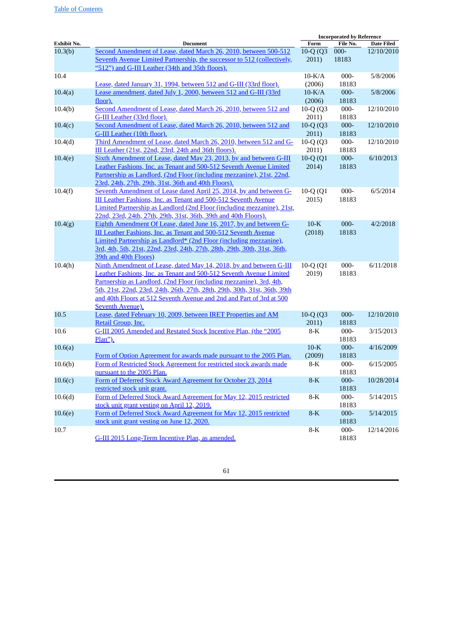|             |                                                                             |            | <b>Incorporated by Reference</b> |                   |
|-------------|-----------------------------------------------------------------------------|------------|----------------------------------|-------------------|
| Exhibit No. | <b>Document</b>                                                             | Form       | File No.                         | <b>Date Filed</b> |
| 10.3(b)     | Second Amendment of Lease, dated March 26, 2010, between 500-512            | $10-Q(Q3)$ | $000 -$                          | 12/10/2010        |
|             | Seventh Avenue Limited Partnership, the successor to 512 (collectively,     | 2011)      | 18183                            |                   |
|             | "512") and G-III Leather (34th and 35th floors).                            |            |                                  |                   |
| 10.4        |                                                                             | $10-K/A$   | $000 -$                          | 5/8/2006          |
|             | Lease, dated January 31, 1994, between 512 and G-III (33rd floor).          | (2006)     | 18183                            |                   |
| 10.4(a)     | Lease amendment, dated July 1, 2000, between 512 and G-III (33rd            | $10-K/A$   | $000 -$                          | 5/8/2006          |
|             | floor).                                                                     | (2006)     | 18183                            |                   |
| 10.4(b)     | Second Amendment of Lease, dated March 26, 2010, between 512 and            | 10-Q (Q3   | $000 -$                          | 12/10/2010        |
|             | G-III Leather (33rd floor).                                                 | 2011)      | 18183                            |                   |
| 10.4(c)     | Second Amendment of Lease, dated March 26, 2010, between 512 and            | 10-Q (Q3   | $000 -$                          | 12/10/2010        |
|             | G-III Leather (10th floor).                                                 | 2011)      | 18183                            |                   |
| 10.4(d)     | Third Amendment of Lease, dated March 26, 2010, between 512 and G-          | 10-Q (Q3   | $000 -$                          | 12/10/2010        |
|             | III Leather (21st, 22nd, 23rd, 24th and 36th floors).                       | 2011)      | 18183                            |                   |
| 10.4(e)     | Sixth Amendment of Lease, dated May 23, 2013, by and between G-III          | $10-Q$ (Q1 | $000 -$                          | 6/10/2013         |
|             | Leather Fashions, Inc. as Tenant and 500-512 Seventh Avenue Limited         | 2014)      | 18183                            |                   |
|             | Partnership as Landlord, (2nd Floor (including mezzanine), 21st, 22nd,      |            |                                  |                   |
|             | 23rd, 24th, 27th, 29th, 31st, 36th and 40th Floors).                        |            |                                  |                   |
| 10.4(f)     | Seventh Amendment of Lease dated April 25, 2014, by and between G-          | $10-Q$ (Q1 | $000 -$                          | 6/5/2014          |
|             | <b>III Leather Fashions, Inc. as Tenant and 500-512 Seventh Avenue</b>      | 2015)      | 18183                            |                   |
|             | Limited Partnership as Landlord (2nd Floor (including mezzanine), 21st,     |            |                                  |                   |
|             | 22nd, 23rd, 24th, 27th, 29th, 31st, 36th, 39th and 40th Floors).            |            |                                  |                   |
| 10.4(g)     | Eighth Amendment Of Lease, dated June 16, 2017, by and between G-           | $10-K$     | $000 -$                          | 4/2/2018          |
|             | <b>III Leather Fashions, Inc. as Tenant and 500-512 Seventh Avenue</b>      | (2018)     | 18183                            |                   |
|             | Limited Partnership as Landlord* (2nd Floor (including mezzanine),          |            |                                  |                   |
|             | 3rd, 4th, 5th, 21st, 22nd, 23rd, 24th, 27th, 28th, 29th, 30th, 31st, 36th,  |            |                                  |                   |
|             | 39th and 40th Floors)                                                       |            |                                  |                   |
| 10.4(h)     | Ninth Amendment of Lease, dated May 14, 2018, by and between G-III          | $10-Q(Q1)$ | $000 -$                          | 6/11/2018         |
|             | Leather Fashions, Inc. as Tenant and 500-512 Seventh Avenue Limited         | 2019)      | 18183                            |                   |
|             | Partnership as Landlord, (2nd Floor (including mezzanine), 3rd, 4th,        |            |                                  |                   |
|             | 5th, 21st, 22nd, 23rd, 24th, 26th, 27th, 28th, 29th, 30th, 31st, 36th, 39th |            |                                  |                   |
|             | and 40th Floors at 512 Seventh Avenue and 2nd and Part of 3rd at 500        |            |                                  |                   |
|             | <b>Seventh Avenue).</b>                                                     |            |                                  |                   |
| 10.5        | Lease, dated February 10, 2009, between IRET Properties and AM              | $10-Q(Q3)$ | $000 -$                          | 12/10/2010        |
|             | Retail Group, Inc.                                                          | 2011)      | 18183                            |                   |
| 10.6        | G-III 2005 Amended and Restated Stock Incentive Plan, (the "2005            | 8-K        | $000 -$                          | 3/15/2013         |
|             | $Plan$ ").                                                                  |            | 18183                            |                   |
| 10.6(a)     |                                                                             | $10-K$     | $000 -$                          | 4/16/2009         |
|             | Form of Option Agreement for awards made pursuant to the 2005 Plan.         | (2009)     | 18183                            |                   |
| 10.6(b)     | Form of Restricted Stock Agreement for restricted stock awards made         | 8-K        | $000 -$                          | 6/15/2005         |
|             | pursuant to the 2005 Plan.                                                  |            | 18183                            |                   |
| 10.6(c)     | Form of Deferred Stock Award Agreement for October 23, 2014                 | $8-K$      | $000 -$                          | 10/28/2014        |
|             | restricted stock unit grant.                                                |            | 18183                            |                   |
| 10.6(d)     | Form of Deferred Stock Award Agreement for May 12, 2015 restricted          | $8-K$      | $000 -$                          | 5/14/2015         |
|             | stock unit grant vesting on April 12, 2019.                                 |            | 18183                            |                   |
| 10.6(e)     | Form of Deferred Stock Award Agreement for May 12, 2015 restricted          | $8-K$      | $000 -$                          | 5/14/2015         |
|             | stock unit grant vesting on June 12, 2020.                                  |            | 18183                            |                   |
| 10.7        |                                                                             | $8-K$      | $000 -$                          | 12/14/2016        |
|             | G-III 2015 Long-Term Incentive Plan, as amended.                            |            | 18183                            |                   |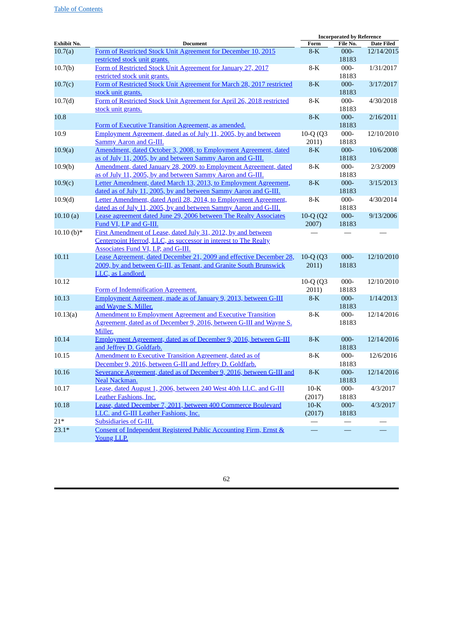|             |                                                                       |            | <b>Incorporated by Reference</b> |                   |
|-------------|-----------------------------------------------------------------------|------------|----------------------------------|-------------------|
| Exhibit No. | <b>Document</b>                                                       | Form       | File No.                         | <b>Date Filed</b> |
| 10.7(a)     | Form of Restricted Stock Unit Agreement for December 10, 2015         | $8-K$      | $000 -$                          | 12/14/2015        |
|             | restricted stock unit grants.                                         |            | 18183                            |                   |
| 10.7(b)     | Form of Restricted Stock Unit Agreement for January 27, 2017          | $8-K$      | $000 -$                          | 1/31/2017         |
|             | restricted stock unit grants.                                         |            | 18183                            |                   |
| 10.7(c)     | Form of Restricted Stock Unit Agreement for March 28, 2017 restricted | $8-K$      | $000 -$                          | 3/17/2017         |
|             | stock unit grants.                                                    |            | 18183                            |                   |
| 10.7(d)     | Form of Restricted Stock Unit Agreement for April 26, 2018 restricted | $8-K$      | $000 -$                          | 4/30/2018         |
|             |                                                                       |            |                                  |                   |
|             | stock unit grants.                                                    |            | 18183                            |                   |
| 10.8        |                                                                       | $8-K$      | $000 -$                          | 2/16/2011         |
|             | Form of Executive Transition Agreement, as amended.                   |            | 18183                            |                   |
| 10.9        | Employment Agreement, dated as of July 11, 2005, by and between       | 10-Q (Q3   | $000 -$                          | 12/10/2010        |
|             | <b>Sammy Aaron and G-III.</b>                                         | 2011)      | 18183                            |                   |
| 10.9(a)     | Amendment, dated October 3, 2008, to Employment Agreement, dated      | $8-K$      | $000 -$                          | 10/6/2008         |
|             | as of July 11, 2005, by and between Sammy Aaron and G-III.            |            | 18183                            |                   |
| 10.9(b)     | Amendment, dated January 28, 2009, to Employment Agreement, dated     | $8-K$      | $000 -$                          | 2/3/2009          |
|             | as of July 11, 2005, by and between Sammy Aaron and G-III.            |            | 18183                            |                   |
| 10.9(c)     | Letter Amendment, dated March 13, 2013, to Employment Agreement,      | $8-K$      | $000 -$                          | 3/15/2013         |
|             | dated as of July 11, 2005, by and between Sammy Aaron and G-III.      |            | 18183                            |                   |
| 10.9(d)     | Letter Amendment, dated April 28, 2014, to Employment Agreement,      | $8-K$      | $000 -$                          | 4/30/2014         |
|             |                                                                       |            | 18183                            |                   |
|             | dated as of July 11, 2005, by and between Sammy Aaron and G-III.      |            |                                  |                   |
| 10.10(a)    | Lease agreement dated June 29, 2006 between The Realty Associates     | 10-Q (Q2   | $000 -$                          | 9/13/2006         |
|             | Fund VI, LP and G-III.                                                | 2007)      | 18183                            |                   |
| $10.10(b)*$ | First Amendment of Lease, dated July 31, 2012, by and between         |            |                                  |                   |
|             | Centerpoint Herrod, LLC, as successor in interest to The Realty       |            |                                  |                   |
|             | <b>Associates Fund VI, LP, and G-III.</b>                             |            |                                  |                   |
| 10.11       | Lease Agreement, dated December 21, 2009 and effective December 28,   | $10-Q(Q3)$ | $000 -$                          | 12/10/2010        |
|             | 2009, by and between G-III, as Tenant, and Granite South Brunswick    | 2011)      | 18183                            |                   |
|             | LLC, as Landlord.                                                     |            |                                  |                   |
| 10.12       |                                                                       | 10-Q (Q3   | $000 -$                          | 12/10/2010        |
|             | Form of Indemnification Agreement.                                    | 2011)      | 18183                            |                   |
| 10.13       | Employment Agreement, made as of January 9, 2013, between G-III       | $8-K$      | $000 -$                          | 1/14/2013         |
|             | and Wayne S. Miller.                                                  |            | 18183                            |                   |
|             | <b>Amendment to Employment Agreement and Executive Transition</b>     | $8-K$      | $000 -$                          | 12/14/2016        |
| 10.13(a)    |                                                                       |            |                                  |                   |
|             | Agreement, dated as of December 9, 2016, between G-III and Wayne S.   |            | 18183                            |                   |
|             | Miller.                                                               |            |                                  |                   |
| 10.14       | Employment Agreement, dated as of December 9, 2016, between G-III     | $8-K$      | $000 -$                          | 12/14/2016        |
|             | and Jeffrey D. Goldfarb.                                              |            | 18183                            |                   |
| 10.15       | <b>Amendment to Executive Transition Agreement, dated as of</b>       | $8-K$      | $000 -$                          | 12/6/2016         |
|             | December 9, 2016, between G-III and Jeffrey D. Goldfarb.              |            | 18183                            |                   |
| 10.16       | Severance Agreement, dated as of December 9, 2016, between G-III and  | $8-K$      | $000 -$                          | 12/14/2016        |
|             | Neal Nackman.                                                         |            | 18183                            |                   |
| 10.17       | Lease, dated August 1, 2006, between 240 West 40th LLC. and G-III     | $10-K$     | $000 -$                          | 4/3/2017          |
|             | Leather Fashions, Inc.                                                | (2017)     | 18183                            |                   |
|             |                                                                       |            |                                  |                   |
| 10.18       | Lease, dated December 7, 2011, between 400 Commerce Boulevard         | $10-K$     | $000 -$                          | 4/3/2017          |
|             | LLC. and G-III Leather Fashions, Inc.                                 | (2017)     | 18183                            |                   |
| $21*$       | <b>Subsidiaries of G-III.</b>                                         |            |                                  |                   |
| $23.1*$     | Consent of Independent Registered Public Accounting Firm, Ernst &     |            |                                  |                   |
|             | Young LLP.                                                            |            |                                  |                   |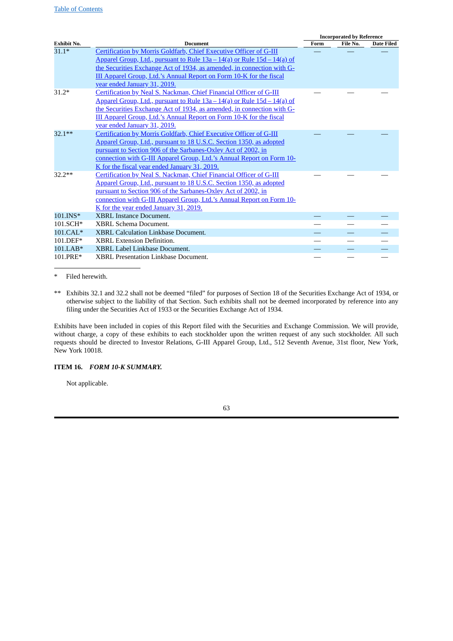|                      |                                                                                                           |      | <b>Incorporated by Reference</b> |                   |
|----------------------|-----------------------------------------------------------------------------------------------------------|------|----------------------------------|-------------------|
| <b>Exhibit No.</b>   | <b>Document</b>                                                                                           | Form | File No.                         | <b>Date Filed</b> |
| $31.1*$              | Certification by Morris Goldfarb, Chief Executive Officer of G-III                                        |      |                                  |                   |
|                      | <u>Apparel Group, Ltd., pursuant to Rule <math>13a - 14(a)</math> or Rule <math>15d - 14(a)</math> of</u> |      |                                  |                   |
|                      | the Securities Exchange Act of 1934, as amended, in connection with G-                                    |      |                                  |                   |
|                      | III Apparel Group, Ltd.'s Annual Report on Form 10-K for the fiscal                                       |      |                                  |                   |
|                      | year ended January 31, 2019.                                                                              |      |                                  |                   |
| $31.2*$              | Certification by Neal S. Nackman, Chief Financial Officer of G-III                                        |      |                                  |                   |
|                      | <u>Apparel Group, Ltd., pursuant to Rule <math>13a - 14(a)</math> or Rule <math>15d - 14(a)</math> of</u> |      |                                  |                   |
|                      | the Securities Exchange Act of 1934, as amended, in connection with G-                                    |      |                                  |                   |
|                      | III Apparel Group, Ltd.'s Annual Report on Form 10-K for the fiscal                                       |      |                                  |                   |
|                      | year ended January 31, 2019.                                                                              |      |                                  |                   |
| $32.1**$             | Certification by Morris Goldfarb, Chief Executive Officer of G-III                                        |      |                                  |                   |
|                      | Apparel Group, Ltd., pursuant to 18 U.S.C. Section 1350, as adopted                                       |      |                                  |                   |
|                      | pursuant to Section 906 of the Sarbanes-Oxley Act of 2002, in                                             |      |                                  |                   |
|                      | connection with G-III Apparel Group, Ltd.'s Annual Report on Form 10-                                     |      |                                  |                   |
|                      | K for the fiscal year ended January 31, 2019.                                                             |      |                                  |                   |
| $32.2**$             | Certification by Neal S. Nackman, Chief Financial Officer of G-III                                        |      |                                  |                   |
|                      | Apparel Group, Ltd., pursuant to 18 U.S.C. Section 1350, as adopted                                       |      |                                  |                   |
|                      | pursuant to Section 906 of the Sarbanes-Oxley Act of 2002, in                                             |      |                                  |                   |
|                      | connection with G-III Apparel Group, Ltd.'s Annual Report on Form 10-                                     |      |                                  |                   |
|                      | K for the year ended January 31, 2019.                                                                    |      |                                  |                   |
| $101.INS*$           | <b>XBRL Instance Document.</b>                                                                            |      |                                  |                   |
| 101.SCH <sup>*</sup> | <b>XBRL Schema Document.</b>                                                                              |      |                                  |                   |
| $101.CAL*$           | <b>XBRL Calculation Linkbase Document.</b>                                                                |      |                                  |                   |
| 101.DEF*             | <b>XBRL Extension Definition.</b>                                                                         |      |                                  |                   |
| $101.LAB*$           | XBRL Label Linkbase Document.                                                                             |      |                                  |                   |
| 101.PRE*             | <b>XBRL Presentation Linkbase Document.</b>                                                               |      |                                  |                   |

\* Filed herewith.

\*\* Exhibits 32.1 and 32.2 shall not be deemed "filed" for purposes of Section 18 of the Securities Exchange Act of 1934, or otherwise subject to the liability of that Section. Such exhibits shall not be deemed incorporated by reference into any filing under the Securities Act of 1933 or the Securities Exchange Act of 1934.

Exhibits have been included in copies of this Report filed with the Securities and Exchange Commission. We will provide, without charge, a copy of these exhibits to each stockholder upon the written request of any such stockholder. All such requests should be directed to Investor Relations, G-III Apparel Group, Ltd., 512 Seventh Avenue, 31st floor, New York, New York 10018.

## **ITEM 16.** *FORM 10‑K SUMMARY.*

Not applicable.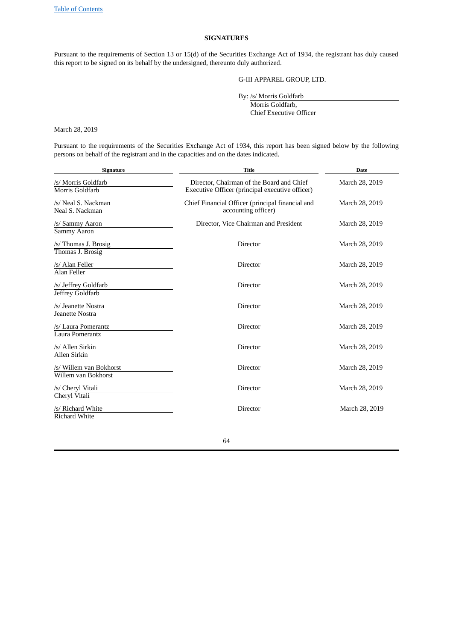Table of [Contents](#page-66-0)

## **SIGNATURES**

Pursuant to the requirements of Section 13 or 15(d) of the Securities Exchange Act of 1934, the registrant has duly caused this report to be signed on its behalf by the undersigned, thereunto duly authorized.

## G-III APPAREL GROUP, LTD.

By: /s/ Morris Goldfarb

Morris Goldfarb,

Chief Executive Officer

March 28, 2019

Pursuant to the requirements of the Securities Exchange Act of 1934, this report has been signed below by the following persons on behalf of the registrant and in the capacities and on the dates indicated.

| Signature                                      | <b>Title</b>                                                                                 | <b>Date</b>    |
|------------------------------------------------|----------------------------------------------------------------------------------------------|----------------|
| /s/ Morris Goldfarb<br>Morris Goldfarb         | Director, Chairman of the Board and Chief<br>Executive Officer (principal executive officer) | March 28, 2019 |
| /s/ Neal S. Nackman<br>Neal S. Nackman         | Chief Financial Officer (principal financial and<br>accounting officer)                      | March 28, 2019 |
| /s/ Sammy Aaron<br>Sammy Aaron                 | Director, Vice Chairman and President                                                        | March 28, 2019 |
| /s/ Thomas J. Brosig<br>Thomas J. Brosig       | Director                                                                                     | March 28, 2019 |
| /s/ Alan Feller<br>Alan Feller                 | Director                                                                                     | March 28, 2019 |
| /s/ Jeffrey Goldfarb<br>Jeffrey Goldfarb       | Director                                                                                     | March 28, 2019 |
| /s/ Jeanette Nostra<br>Jeanette Nostra         | Director                                                                                     | March 28, 2019 |
| /s/ Laura Pomerantz<br>Laura Pomerantz         | Director                                                                                     | March 28, 2019 |
| /s/ Allen Sirkin<br><b>Allen Sirkin</b>        | <b>Director</b>                                                                              | March 28, 2019 |
| /s/ Willem van Bokhorst<br>Willem van Bokhorst | Director                                                                                     | March 28, 2019 |
| /s/ Cheryl Vitali<br>Cheryl Vitali             | Director                                                                                     | March 28, 2019 |
| /s/ Richard White<br><b>Richard White</b>      | <b>Director</b>                                                                              | March 28, 2019 |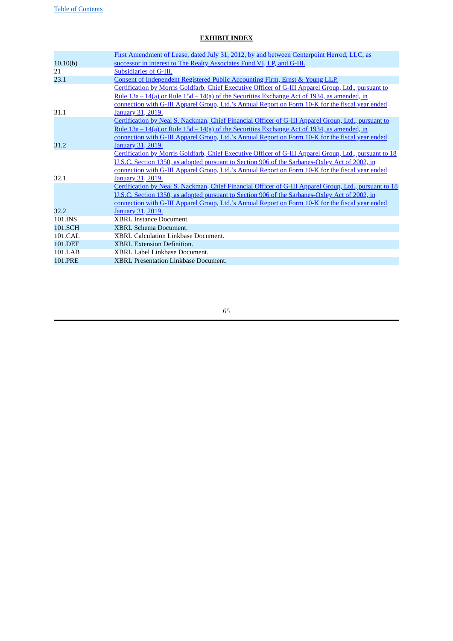# **EXHIBIT INDEX**

|                | First Amendment of Lease, dated July 31, 2012, by and between Centerpoint Herrod, LLC, as              |
|----------------|--------------------------------------------------------------------------------------------------------|
| 10.10(b)       | successor in interest to The Realty Associates Fund VI, LP, and G-III.                                 |
| 21             | Subsidiaries of G-III.                                                                                 |
| 23.1           | Consent of Independent Registered Public Accounting Firm, Ernst & Young LLP.                           |
|                | Certification by Morris Goldfarb, Chief Executive Officer of G-III Apparel Group, Ltd., pursuant to    |
|                | <u>Rule 13a – 14(a) or Rule 15d – 14(a) of the Securities Exchange Act of 1934, as amended, in</u>     |
|                | connection with G-III Apparel Group, Ltd.'s Annual Report on Form 10-K for the fiscal year ended       |
| 31.1           | January 31, 2019.                                                                                      |
|                | Certification by Neal S. Nackman, Chief Financial Officer of G-III Apparel Group, Ltd., pursuant to    |
|                | Rule $13a - 14(a)$ or Rule $15d - 14(a)$ of the Securities Exchange Act of 1934, as amended, in        |
|                | connection with G-III Apparel Group, Ltd.'s Annual Report on Form 10-K for the fiscal year ended       |
| 31.2           | January 31, 2019.                                                                                      |
|                | Certification by Morris Goldfarb, Chief Executive Officer of G-III Apparel Group, Ltd., pursuant to 18 |
|                | U.S.C. Section 1350, as adopted pursuant to Section 906 of the Sarbanes-Oxley Act of 2002, in          |
|                | connection with G-III Apparel Group, Ltd.'s Annual Report on Form 10-K for the fiscal year ended       |
| 32.1           | January 31, 2019.                                                                                      |
|                | Certification by Neal S. Nackman, Chief Financial Officer of G-III Apparel Group, Ltd., pursuant to 18 |
|                | U.S.C. Section 1350, as adopted pursuant to Section 906 of the Sarbanes-Oxley Act of 2002, in          |
|                | connection with G-III Apparel Group, Ltd.'s Annual Report on Form 10-K for the fiscal year ended       |
| 32.2           | January 31, 2019.                                                                                      |
| 101.INS        | <b>XBRL Instance Document.</b>                                                                         |
| 101.SCH        | <b>XBRL Schema Document.</b>                                                                           |
| 101.CAL        | <b>XBRL Calculation Linkbase Document.</b>                                                             |
| 101.DEF        | <b>XBRL Extension Definition.</b>                                                                      |
| 101.LAB        | XBRL Label Linkbase Document.                                                                          |
| <b>101.PRE</b> | <b>XBRL Presentation Linkbase Document.</b>                                                            |
|                |                                                                                                        |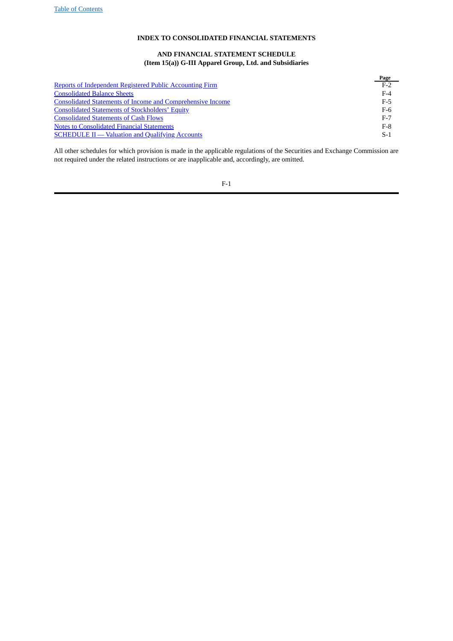## **INDEX TO CONSOLIDATED FINANCIAL STATEMENTS**

## **AND FINANCIAL STATEMENT SCHEDULE (Item 15(a)) G-III Apparel Group, Ltd. and Subsidiaries**

<span id="page-66-0"></span>

| Page  |
|-------|
| $F-2$ |
| $F-4$ |
| $F-5$ |
| $F-6$ |
| $F-7$ |
| $F-8$ |
| $S-1$ |
|       |

All other schedules for which provision is made in the applicable regulations of the Securities and Exchange Commission are not required under the related instructions or are inapplicable and, accordingly, are omitted.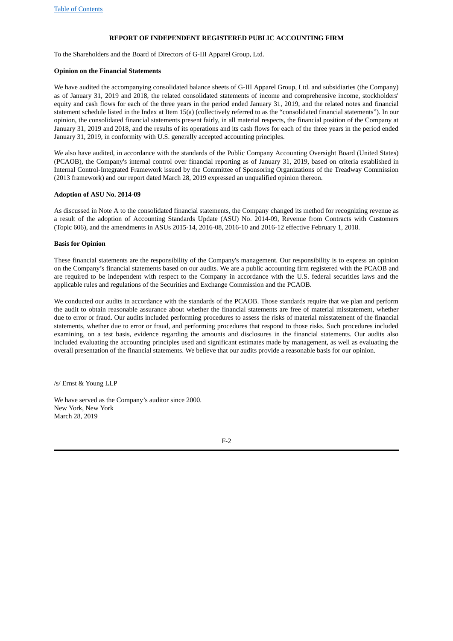## <span id="page-67-0"></span>**REPORT OF INDEPENDENT REGISTERED PUBLIC ACCOUNTING FIRM**

To the Shareholders and the Board of Directors of G-III Apparel Group, Ltd.

### **Opinion on the Financial Statements**

We have audited the accompanying consolidated balance sheets of G-III Apparel Group, Ltd. and subsidiaries (the Company) as of January 31, 2019 and 2018, the related consolidated statements of income and comprehensive income, stockholders' equity and cash flows for each of the three years in the period ended January 31, 2019, and the related notes and financial statement schedule listed in the Index at Item 15(a) (collectively referred to as the "consolidated financial statements"). In our opinion, the consolidated financial statements present fairly, in all material respects, the financial position of the Company at January 31, 2019 and 2018, and the results of its operations and its cash flows for each of the three years in the period ended January 31, 2019, in conformity with U.S. generally accepted accounting principles.

We also have audited, in accordance with the standards of the Public Company Accounting Oversight Board (United States) (PCAOB), the Company's internal control over financial reporting as of January 31, 2019, based on criteria established in Internal Control-Integrated Framework issued by the Committee of Sponsoring Organizations of the Treadway Commission (2013 framework) and our report dated March 28, 2019 expressed an unqualified opinion thereon.

#### **Adoption of ASU No. 2014-09**

As discussed in Note A to the consolidated financial statements, the Company changed its method for recognizing revenue as a result of the adoption of Accounting Standards Update (ASU) No. 2014-09, Revenue from Contracts with Customers (Topic 606), and the amendments in ASUs 2015-14, 2016-08, 2016-10 and 2016-12 effective February 1, 2018.

#### **Basis for Opinion**

These financial statements are the responsibility of the Company's management. Our responsibility is to express an opinion on the Company's financial statements based on our audits. We are a public accounting firm registered with the PCAOB and are required to be independent with respect to the Company in accordance with the U.S. federal securities laws and the applicable rules and regulations of the Securities and Exchange Commission and the PCAOB.

We conducted our audits in accordance with the standards of the PCAOB. Those standards require that we plan and perform the audit to obtain reasonable assurance about whether the financial statements are free of material misstatement, whether due to error or fraud. Our audits included performing procedures to assess the risks of material misstatement of the financial statements, whether due to error or fraud, and performing procedures that respond to those risks. Such procedures included examining, on a test basis, evidence regarding the amounts and disclosures in the financial statements. Our audits also included evaluating the accounting principles used and significant estimates made by management, as well as evaluating the overall presentation of the financial statements. We believe that our audits provide a reasonable basis for our opinion.

/s/ Ernst & Young LLP

We have served as the Company's auditor since 2000. New York, New York March 28, 2019

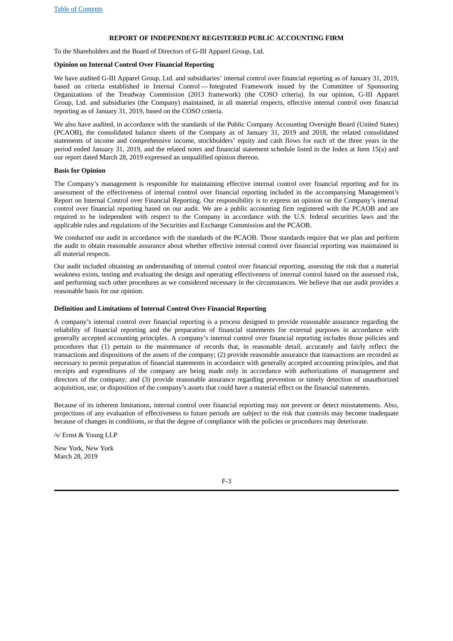### **REPORT OF INDEPENDENT REGISTERED PUBLIC ACCOUNTING FIRM**

#### To the Shareholders and the Board of Directors of G-III Apparel Group, Ltd.

#### **Opinion on Internal Control Over Financial Reporting**

We have audited G-III Apparel Group, Ltd. and subsidiaries' internal control over financial reporting as of January 31, 2019, based on criteria established in Internal Control — Integrated Framework issued by the Committee of Sponsoring Organizations of the Treadway Commission (2013 framework) (the COSO criteria). In our opinion, G-III Apparel Group, Ltd. and subsidiaries (the Company) maintained, in all material respects, effective internal control over financial reporting as of January 31, 2019, based on the COSO criteria.

We also have audited, in accordance with the standards of the Public Company Accounting Oversight Board (United States) (PCAOB), the consolidated balance sheets of the Company as of January 31, 2019 and 2018, the related consolidated statements of income and comprehensive income, stockholders' equity and cash flows for each of the three years in the period ended January 31, 2019, and the related notes and financial statement schedule listed in the Index at Item 15(a) and our report dated March 28, 2019 expressed an unqualified opinion thereon.

#### **Basis for Opinion**

The Company's management is responsible for maintaining effective internal control over financial reporting and for its assessment of the effectiveness of internal control over financial reporting included in the accompanying Management's Report on Internal Control over Financial Reporting. Our responsibility is to express an opinion on the Company's internal control over financial reporting based on our audit. We are a public accounting firm registered with the PCAOB and are required to be independent with respect to the Company in accordance with the U.S. federal securities laws and the applicable rules and regulations of the Securities and Exchange Commission and the PCAOB.

We conducted our audit in accordance with the standards of the PCAOB. Those standards require that we plan and perform the audit to obtain reasonable assurance about whether effective internal control over financial reporting was maintained in all material respects.

Our audit included obtaining an understanding of internal control over financial reporting, assessing the risk that a material weakness exists, testing and evaluating the design and operating effectiveness of internal control based on the assessed risk, and performing such other procedures as we considered necessary in the circumstances. We believe that our audit provides a reasonable basis for our opinion.

#### **Definition and Limitations of Internal Control Over Financial Reporting**

A company's internal control over financial reporting is a process designed to provide reasonable assurance regarding the reliability of financial reporting and the preparation of financial statements for external purposes in accordance with generally accepted accounting principles. A company's internal control over financial reporting includes those policies and procedures that (1) pertain to the maintenance of records that, in reasonable detail, accurately and fairly reflect the transactions and dispositions of the assets of the company; (2) provide reasonable assurance that transactions are recorded as necessary to permit preparation of financial statements in accordance with generally accepted accounting principles, and that receipts and expenditures of the company are being made only in accordance with authorizations of management and directors of the company; and (3) provide reasonable assurance regarding prevention or timely detection of unauthorized acquisition, use, or disposition of the company's assets that could have a material effect on the financial statements.

Because of its inherent limitations, internal control over financial reporting may not prevent or detect misstatements. Also, projections of any evaluation of effectiveness to future periods are subject to the risk that controls may become inadequate because of changes in conditions, or that the degree of compliance with the policies or procedures may deteriorate.

/s/ Ernst & Young LLP

New York, New York March 28, 2019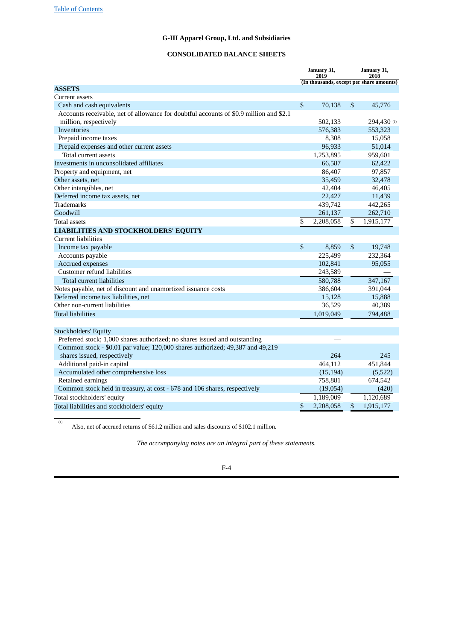(1)

# **G-III Apparel Group, Ltd. and Subsidiaries**

## <span id="page-69-0"></span>**CONSOLIDATED BALANCE SHEETS**

| (In thousands, except per share amounts)<br><b>ASSETS</b><br>Current assets<br>$\mathbb{S}$<br>Cash and cash equivalents<br>70,138<br>\$<br>45,776<br>Accounts receivable, net of allowance for doubtful accounts of \$0.9 million and \$2.1<br>million, respectively<br>502,133<br>294,430 (1)<br>576,383<br>Inventories<br>553,323<br>8,308<br>Prepaid income taxes<br>15,058<br>96,933<br>Prepaid expenses and other current assets<br>51,014<br>Total current assets<br>1,253,895<br>959,601 |
|--------------------------------------------------------------------------------------------------------------------------------------------------------------------------------------------------------------------------------------------------------------------------------------------------------------------------------------------------------------------------------------------------------------------------------------------------------------------------------------------------|
|                                                                                                                                                                                                                                                                                                                                                                                                                                                                                                  |
|                                                                                                                                                                                                                                                                                                                                                                                                                                                                                                  |
|                                                                                                                                                                                                                                                                                                                                                                                                                                                                                                  |
|                                                                                                                                                                                                                                                                                                                                                                                                                                                                                                  |
|                                                                                                                                                                                                                                                                                                                                                                                                                                                                                                  |
|                                                                                                                                                                                                                                                                                                                                                                                                                                                                                                  |
|                                                                                                                                                                                                                                                                                                                                                                                                                                                                                                  |
|                                                                                                                                                                                                                                                                                                                                                                                                                                                                                                  |
|                                                                                                                                                                                                                                                                                                                                                                                                                                                                                                  |
|                                                                                                                                                                                                                                                                                                                                                                                                                                                                                                  |
| Investments in unconsolidated affiliates<br>66,587<br>62,422                                                                                                                                                                                                                                                                                                                                                                                                                                     |
| 86,407<br>97,857<br>Property and equipment, net                                                                                                                                                                                                                                                                                                                                                                                                                                                  |
| Other assets, net<br>35,459<br>32,478                                                                                                                                                                                                                                                                                                                                                                                                                                                            |
| Other intangibles, net<br>42,404<br>46,405                                                                                                                                                                                                                                                                                                                                                                                                                                                       |
| Deferred income tax assets, net<br>22,427<br>11,439                                                                                                                                                                                                                                                                                                                                                                                                                                              |
| Trademarks<br>442,265<br>439,742                                                                                                                                                                                                                                                                                                                                                                                                                                                                 |
| Goodwill<br>262,710<br>261,137                                                                                                                                                                                                                                                                                                                                                                                                                                                                   |
| $\overline{\$}$<br>\$<br>2,208,058<br>1,915,177<br><b>Total assets</b>                                                                                                                                                                                                                                                                                                                                                                                                                           |
| <b>LIABILITIES AND STOCKHOLDERS' EQUITY</b>                                                                                                                                                                                                                                                                                                                                                                                                                                                      |
| Current liabilities                                                                                                                                                                                                                                                                                                                                                                                                                                                                              |
| $\mathbb{S}$<br>Income tax payable<br>8,859<br>\$<br>19,748                                                                                                                                                                                                                                                                                                                                                                                                                                      |
| Accounts payable<br>225,499<br>232,364                                                                                                                                                                                                                                                                                                                                                                                                                                                           |
| Accrued expenses<br>102,841<br>95,055                                                                                                                                                                                                                                                                                                                                                                                                                                                            |
| Customer refund liabilities<br>243,589                                                                                                                                                                                                                                                                                                                                                                                                                                                           |
| 580,788<br>Total current liabilities<br>347,167                                                                                                                                                                                                                                                                                                                                                                                                                                                  |
| Notes payable, net of discount and unamortized issuance costs<br>386,604<br>391,044                                                                                                                                                                                                                                                                                                                                                                                                              |
| Deferred income tax liabilities, net<br>15,128<br>15,888                                                                                                                                                                                                                                                                                                                                                                                                                                         |
| Other non-current liabilities<br>36,529<br>40,389                                                                                                                                                                                                                                                                                                                                                                                                                                                |
| <b>Total liabilities</b><br>1,019,049<br>794,488                                                                                                                                                                                                                                                                                                                                                                                                                                                 |
|                                                                                                                                                                                                                                                                                                                                                                                                                                                                                                  |
| <b>Stockholders' Equity</b>                                                                                                                                                                                                                                                                                                                                                                                                                                                                      |
| Preferred stock; 1,000 shares authorized; no shares issued and outstanding                                                                                                                                                                                                                                                                                                                                                                                                                       |
| Common stock - \$0.01 par value; 120,000 shares authorized; 49,387 and 49,219                                                                                                                                                                                                                                                                                                                                                                                                                    |
| shares issued, respectively<br>264<br>245                                                                                                                                                                                                                                                                                                                                                                                                                                                        |
| 464,112<br>Additional paid-in capital<br>451,844                                                                                                                                                                                                                                                                                                                                                                                                                                                 |
| Accumulated other comprehensive loss<br>(15, 194)<br>(5,522)                                                                                                                                                                                                                                                                                                                                                                                                                                     |
| Retained earnings<br>758,881<br>674,542                                                                                                                                                                                                                                                                                                                                                                                                                                                          |
| Common stock held in treasury, at cost - 678 and 106 shares, respectively<br>(19,054)<br>(420)                                                                                                                                                                                                                                                                                                                                                                                                   |
| 1,189,009<br>1,120,689<br>Total stockholders' equity                                                                                                                                                                                                                                                                                                                                                                                                                                             |
| \$<br>$\mathfrak{S}$<br>2,208,058<br>1,915,177<br>Total liabilities and stockholders' equity                                                                                                                                                                                                                                                                                                                                                                                                     |

Also, net of accrued returns of \$61.2 million and sales discounts of \$102.1 million.

*The accompanying notes are an integral part of these statements.*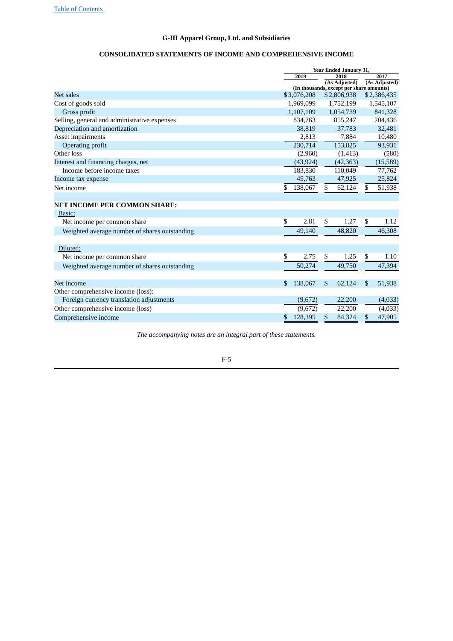# <span id="page-70-0"></span>**G-III Apparel Group, Ltd. and Subsidiaries**

## **CONSOLIDATED STATEMENTS OF INCOME AND COMPREHENSIVE INCOME**

|                                               |     | Year Ended January 31, |               |                                                           |             |  |  |
|-----------------------------------------------|-----|------------------------|---------------|-----------------------------------------------------------|-------------|--|--|
|                                               |     | 2019                   | 2018          |                                                           | 2017        |  |  |
|                                               |     |                        | (As Adjusted) | (As Adjusted)<br>(In thousands, except per share amounts) |             |  |  |
| Net sales                                     |     | \$3,076,208            | \$2,806,938   |                                                           | \$2,386,435 |  |  |
| Cost of goods sold                            |     | 1,969,099              | 1,752,199     |                                                           | 1,545,107   |  |  |
| Gross profit                                  |     | 1,107,109              | 1,054,739     |                                                           | 841,328     |  |  |
| Selling, general and administrative expenses  |     | 834,763                | 855,247       |                                                           | 704,436     |  |  |
| Depreciation and amortization                 |     | 38,819                 | 37,783        |                                                           | 32,481      |  |  |
| Asset impairments                             |     | 2,813                  | 7,884         |                                                           | 10,480      |  |  |
| <b>Operating profit</b>                       |     | 230,714                | 153,825       |                                                           | 93,931      |  |  |
| Other loss                                    |     | (2,960)                | (1, 413)      |                                                           | (580)       |  |  |
| Interest and financing charges, net           |     | (43, 924)              | (42, 363)     |                                                           | (15,589)    |  |  |
| Income before income taxes                    |     | 183,830                | 110,049       |                                                           | 77,762      |  |  |
| Income tax expense                            |     | 45,763                 | 47,925        |                                                           | 25,824      |  |  |
| Net income                                    | \$  | 138,067                | \$<br>62,124  | \$                                                        | 51,938      |  |  |
|                                               |     |                        |               |                                                           |             |  |  |
| <b>NET INCOME PER COMMON SHARE:</b>           |     |                        |               |                                                           |             |  |  |
| Basic:                                        |     |                        |               |                                                           |             |  |  |
| Net income per common share                   | \$  | 2.81                   | \$<br>1.27    | \$                                                        | 1.12        |  |  |
| Weighted average number of shares outstanding |     | 49,140                 | 48,820        |                                                           | 46,308      |  |  |
|                                               |     |                        |               |                                                           |             |  |  |
| Diluted:                                      |     |                        |               |                                                           |             |  |  |
| Net income per common share                   | \$  | 2.75                   | \$<br>1.25    | \$                                                        | 1.10        |  |  |
| Weighted average number of shares outstanding |     | 50,274                 | 49,750        |                                                           | 47,394      |  |  |
|                                               |     |                        |               |                                                           |             |  |  |
| Net income                                    | \$. | 138,067                | \$<br>62,124  | \$                                                        | 51,938      |  |  |
| Other comprehensive income (loss):            |     |                        |               |                                                           |             |  |  |
| Foreign currency translation adjustments      |     | (9,672)                | 22,200        |                                                           | (4,033)     |  |  |
| Other comprehensive income (loss)             |     | (9,672)                | 22,200        |                                                           | (4,033)     |  |  |
| Comprehensive income                          | \$  | 128,395                | \$<br>84,324  | \$                                                        | 47,905      |  |  |
|                                               |     |                        |               |                                                           |             |  |  |

*The accompanying notes are an integral part of these statements.*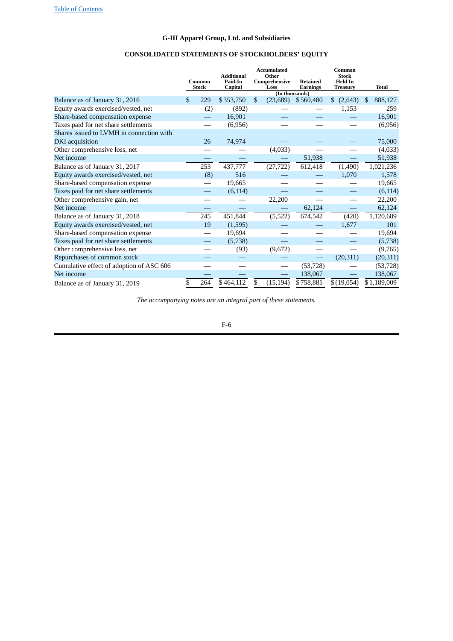# <span id="page-71-0"></span>**G-III Apparel Group, Ltd. and Subsidiaries**

## **CONSOLIDATED STATEMENTS OF STOCKHOLDERS' EQUITY**

|                                          | Common<br><b>Stock</b> | <b>Additional</b><br>Paid-In<br>Capital |                | <b>Accumulated</b><br>Other<br>Comprehensive<br>Loss | <b>Retained</b><br><b>Earnings</b> | Common<br><b>Stock</b><br><b>Held In</b><br><b>Treasury</b> |    | <b>Total</b> |
|------------------------------------------|------------------------|-----------------------------------------|----------------|------------------------------------------------------|------------------------------------|-------------------------------------------------------------|----|--------------|
|                                          |                        |                                         | (In thousands) |                                                      |                                    |                                                             |    |              |
| Balance as of January 31, 2016           | \$<br>229              | \$353,750                               | \$             | (23, 689)                                            | \$560,480                          | (2,643)<br>\$                                               | \$ | 888,127      |
| Equity awards exercised/vested, net      | (2)                    | (892)                                   |                |                                                      |                                    | 1,153                                                       |    | 259          |
| Share-based compensation expense         |                        | 16,901                                  |                |                                                      |                                    |                                                             |    | 16,901       |
| Taxes paid for net share settlements     |                        | (6,956)                                 |                |                                                      |                                    |                                                             |    | (6,956)      |
| Shares issued to LVMH in connection with |                        |                                         |                |                                                      |                                    |                                                             |    |              |
| <b>DKI</b> acquisition                   | 26                     | 74,974                                  |                |                                                      |                                    |                                                             |    | 75,000       |
| Other comprehensive loss, net            |                        |                                         |                | (4,033)                                              |                                    |                                                             |    | (4,033)      |
| Net income                               |                        |                                         |                |                                                      | 51,938                             |                                                             |    | 51,938       |
| Balance as of January 31, 2017           | 253                    | 437,777                                 |                | (27, 722)                                            | 612,418                            | (1,490)                                                     |    | 1,021,236    |
| Equity awards exercised/vested, net      | (8)                    | 516                                     |                |                                                      |                                    | 1,070                                                       |    | 1,578        |
| Share-based compensation expense         |                        | 19,665                                  |                |                                                      |                                    |                                                             |    | 19,665       |
| Taxes paid for net share settlements     |                        | (6, 114)                                |                |                                                      |                                    |                                                             |    | (6, 114)     |
| Other comprehensive gain, net            |                        |                                         |                | 22,200                                               |                                    |                                                             |    | 22,200       |
| Net income                               |                        |                                         |                |                                                      | 62,124                             |                                                             |    | 62,124       |
| Balance as of January 31, 2018           | 245                    | 451,844                                 |                | (5, 522)                                             | 674,542                            | (420)                                                       |    | 1,120,689    |
| Equity awards exercised/vested, net      | 19                     | (1,595)                                 |                |                                                      |                                    | 1,677                                                       |    | 101          |
| Share-based compensation expense         |                        | 19,694                                  |                |                                                      |                                    |                                                             |    | 19,694       |
| Taxes paid for net share settlements     |                        | (5,738)                                 |                |                                                      |                                    |                                                             |    | (5,738)      |
| Other comprehensive loss, net            |                        | (93)                                    |                | (9,672)                                              |                                    |                                                             |    | (9,765)      |
| Repurchases of common stock              |                        |                                         |                |                                                      |                                    | (20, 311)                                                   |    | (20, 311)    |
| Cumulative effect of adoption of ASC 606 |                        |                                         |                |                                                      | (53, 728)                          |                                                             |    | (53, 728)    |
| Net income                               |                        |                                         |                |                                                      | 138,067                            |                                                             |    | 138,067      |
| Balance as of January 31, 2019           | \$<br>264              | \$464,112                               | \$             | (15, 194)                                            | \$758,881                          | \$(19,054)                                                  |    | \$1,189,009  |

*The accompanying notes are an integral part of these statements.*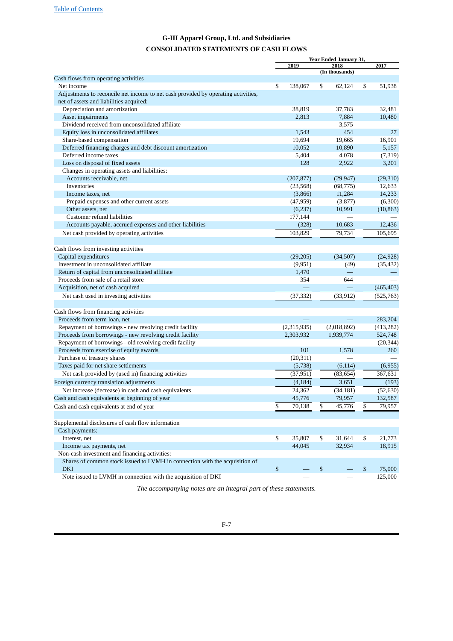# **G-III Apparel Group, Ltd. and Subsidiaries CONSOLIDATED STATEMENTS OF CASH FLOWS**

|                                                                                                                              | Year Ended January 31, |             |    |                |    |            |
|------------------------------------------------------------------------------------------------------------------------------|------------------------|-------------|----|----------------|----|------------|
|                                                                                                                              | 2019<br>2018           |             |    | 2017           |    |            |
|                                                                                                                              |                        |             |    | (In thousands) |    |            |
| Cash flows from operating activities                                                                                         |                        |             |    |                |    |            |
| Net income                                                                                                                   | \$                     | 138,067     | \$ | 62,124         | \$ | 51,938     |
| Adjustments to reconcile net income to net cash provided by operating activities,<br>net of assets and liabilities acquired: |                        |             |    |                |    |            |
| Depreciation and amortization                                                                                                |                        | 38,819      |    | 37,783         |    | 32,481     |
|                                                                                                                              |                        |             |    |                |    |            |
| Asset impairments<br>Dividend received from unconsolidated affiliate                                                         |                        | 2,813       |    | 7,884<br>3,575 |    | 10,480     |
| Equity loss in unconsolidated affiliates                                                                                     |                        | 1,543       |    | 454            |    | 27         |
| Share-based compensation                                                                                                     |                        | 19,694      |    | 19,665         |    | 16,901     |
| Deferred financing charges and debt discount amortization                                                                    |                        | 10,052      |    | 10,890         |    | 5,157      |
| Deferred income taxes                                                                                                        |                        | 5,404       |    | 4,078          |    | (7, 319)   |
| Loss on disposal of fixed assets                                                                                             |                        | 128         |    | 2,922          |    | 3,201      |
|                                                                                                                              |                        |             |    |                |    |            |
| Changes in operating assets and liabilities:                                                                                 |                        |             |    |                |    |            |
| Accounts receivable, net                                                                                                     |                        | (207, 877)  |    | (29, 947)      |    | (29, 310)  |
| Inventories                                                                                                                  |                        | (23, 568)   |    | (68, 775)      |    | 12,633     |
| Income taxes, net                                                                                                            |                        | (3,866)     |    | 11,284         |    | 14,233     |
| Prepaid expenses and other current assets                                                                                    |                        | (47, 959)   |    | (3,877)        |    | (6,300)    |
| Other assets, net                                                                                                            |                        | (6,237)     |    | 10,991         |    | (10, 863)  |
| Customer refund liabilities                                                                                                  |                        | 177,144     |    |                |    |            |
| Accounts payable, accrued expenses and other liabilities                                                                     |                        | (328)       |    | 10,683         |    | 12,436     |
| Net cash provided by operating activities                                                                                    |                        | 103.829     |    | 79,734         |    | 105,695    |
|                                                                                                                              |                        |             |    |                |    |            |
| Cash flows from investing activities                                                                                         |                        |             |    |                |    |            |
| Capital expenditures                                                                                                         |                        | (29, 205)   |    | (34,507)       |    | (24, 928)  |
| Investment in unconsolidated affiliate                                                                                       |                        | (9,951)     |    | (49)           |    | (35, 432)  |
| Return of capital from unconsolidated affiliate                                                                              |                        | 1,470       |    |                |    |            |
| Proceeds from sale of a retail store                                                                                         |                        | 354         |    | 644            |    |            |
| Acquisition, net of cash acquired                                                                                            |                        |             |    |                |    | (465, 403) |
| Net cash used in investing activities                                                                                        |                        | (37, 332)   |    | (33, 912)      |    | (525, 763) |
|                                                                                                                              |                        |             |    |                |    |            |
| Cash flows from financing activities                                                                                         |                        |             |    |                |    |            |
| Proceeds from term loan, net                                                                                                 |                        |             |    |                |    | 283,204    |
| Repayment of borrowings - new revolving credit facility                                                                      |                        | (2,315,935) |    | (2,018,892)    |    | (413, 282) |
| Proceeds from borrowings - new revolving credit facility                                                                     |                        | 2,303,932   |    | 1,939,774      |    | 524,748    |
| Repayment of borrowings - old revolving credit facility                                                                      |                        |             |    |                |    | (20, 344)  |
| Proceeds from exercise of equity awards                                                                                      |                        | 101         |    | 1,578          |    | 260        |
| Purchase of treasury shares                                                                                                  |                        | (20, 311)   |    |                |    |            |
| Taxes paid for net share settlements                                                                                         |                        | (5,738)     |    | (6, 114)       |    | (6,955)    |
| Net cash provided by (used in) financing activities                                                                          |                        | (37, 951)   |    | (83, 654)      |    | 367,631    |
| Foreign currency translation adjustments                                                                                     |                        | (4, 184)    |    | 3,651          |    | (193)      |
| Net increase (decrease) in cash and cash equivalents                                                                         |                        | 24,362      |    | (34, 181)      |    | (52, 630)  |
| Cash and cash equivalents at beginning of year                                                                               |                        | 45,776      |    | 79,957         |    | 132,587    |
| Cash and cash equivalents at end of year                                                                                     | \$                     | 70,138      | \$ | 45,776         | \$ | 79,957     |
|                                                                                                                              |                        |             |    |                |    |            |
| Supplemental disclosures of cash flow information                                                                            |                        |             |    |                |    |            |
| Cash payments:                                                                                                               |                        |             |    |                |    |            |
| Interest, net                                                                                                                | \$                     | 35,807      | \$ | 31,644         | \$ | 21,773     |
| Income tax payments, net                                                                                                     |                        | 44,045      |    | 32,934         |    | 18,915     |
| Non-cash investment and financing activities:                                                                                |                        |             |    |                |    |            |
| Shares of common stock issued to LVMH in connection with the acquisition of                                                  |                        |             |    |                |    |            |
| <b>DKI</b>                                                                                                                   | \$                     |             | \$ |                | \$ | 75,000     |
| Note issued to LVMH in connection with the acquisition of DKI                                                                |                        |             |    |                |    | 125,000    |
|                                                                                                                              |                        |             |    |                |    |            |

*The accompanying notes are an integral part of these statements.*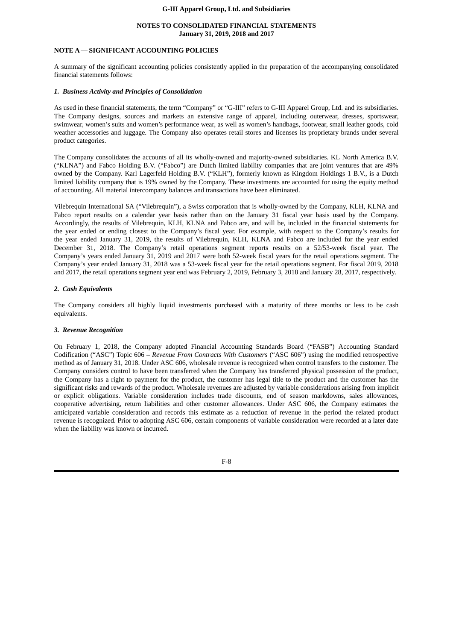## **NOTES TO CONSOLIDATED FINANCIAL STATEMENTS January 31, 2019, 2018 and 2017**

#### **NOTE A— SIGNIFICANT ACCOUNTING POLICIES**

A summary of the significant accounting policies consistently applied in the preparation of the accompanying consolidated financial statements follows:

#### *1. Business Activity and Principles of Consolidation*

As used in these financial statements, the term "Company" or "G-III" refers to G-III Apparel Group, Ltd. and its subsidiaries. The Company designs, sources and markets an extensive range of apparel, including outerwear, dresses, sportswear, swimwear, women's suits and women's performance wear, as well as women's handbags, footwear, small leather goods, cold weather accessories and luggage. The Company also operates retail stores and licenses its proprietary brands under several product categories.

The Company consolidates the accounts of all its wholly-owned and majority-owned subsidiaries. KL North America B.V. ("KLNA") and Fabco Holding B.V. ("Fabco") are Dutch limited liability companies that are joint ventures that are 49% owned by the Company. Karl Lagerfeld Holding B.V. ("KLH"), formerly known as Kingdom Holdings 1 B.V., is a Dutch limited liability company that is 19% owned by the Company. These investments are accounted for using the equity method of accounting. All material intercompany balances and transactions have been eliminated.

Vilebrequin International SA ("Vilebrequin"), a Swiss corporation that is wholly-owned by the Company, KLH, KLNA and Fabco report results on a calendar year basis rather than on the January 31 fiscal year basis used by the Company. Accordingly, the results of Vilebrequin, KLH, KLNA and Fabco are, and will be, included in the financial statements for the year ended or ending closest to the Company's fiscal year. For example, with respect to the Company's results for the year ended January 31, 2019, the results of Vilebrequin, KLH, KLNA and Fabco are included for the year ended December 31, 2018. The Company's retail operations segment reports results on a 52/53‑week fiscal year. The Company's years ended January 31, 2019 and 2017 were both 52‑week fiscal years for the retail operations segment. The Company's year ended January 31, 2018 was a 53‑week fiscal year for the retail operations segment. For fiscal 2019, 2018 and 2017, the retail operations segment year end was February 2, 2019, February 3, 2018 and January 28, 2017, respectively.

### *2. Cash Equivalents*

The Company considers all highly liquid investments purchased with a maturity of three months or less to be cash equivalents.

#### *3. Revenue Recognition*

On February 1, 2018, the Company adopted Financial Accounting Standards Board ("FASB") Accounting Standard Codification ("ASC") Topic 606 – *Revenue From Contracts With Customers* ("ASC 606") using the modified retrospective method as of January 31, 2018. Under ASC 606, wholesale revenue is recognized when control transfers to the customer. The Company considers control to have been transferred when the Company has transferred physical possession of the product, the Company has a right to payment for the product, the customer has legal title to the product and the customer has the significant risks and rewards of the product. Wholesale revenues are adjusted by variable considerations arising from implicit or explicit obligations. Variable consideration includes trade discounts, end of season markdowns, sales allowances, cooperative advertising, return liabilities and other customer allowances. Under ASC 606, the Company estimates the anticipated variable consideration and records this estimate as a reduction of revenue in the period the related product revenue is recognized. Prior to adopting ASC 606, certain components of variable consideration were recorded at a later date when the liability was known or incurred.

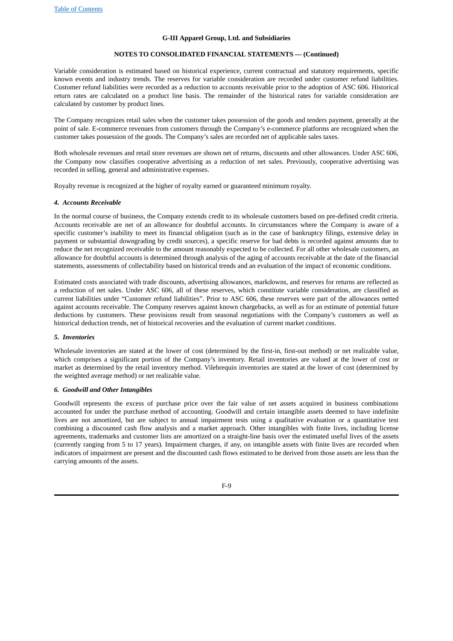# **NOTES TO CONSOLIDATED FINANCIAL STATEMENTS — (Continued)**

Variable consideration is estimated based on historical experience, current contractual and statutory requirements, specific known events and industry trends. The reserves for variable consideration are recorded under customer refund liabilities. Customer refund liabilities were recorded as a reduction to accounts receivable prior to the adoption of ASC 606. Historical return rates are calculated on a product line basis. The remainder of the historical rates for variable consideration are calculated by customer by product lines.

The Company recognizes retail sales when the customer takes possession of the goods and tenders payment, generally at the point of sale. E-commerce revenues from customers through the Company's e-commerce platforms are recognized when the customer takes possession of the goods. The Company's sales are recorded net of applicable sales taxes.

Both wholesale revenues and retail store revenues are shown net of returns, discounts and other allowances. Under ASC 606, the Company now classifies cooperative advertising as a reduction of net sales. Previously, cooperative advertising was recorded in selling, general and administrative expenses.

Royalty revenue is recognized at the higher of royalty earned or guaranteed minimum royalty.

#### *4. Accounts Receivable*

In the normal course of business, the Company extends credit to its wholesale customers based on pre-defined credit criteria. Accounts receivable are net of an allowance for doubtful accounts. In circumstances where the Company is aware of a specific customer's inability to meet its financial obligation (such as in the case of bankruptcy filings, extensive delay in payment or substantial downgrading by credit sources), a specific reserve for bad debts is recorded against amounts due to reduce the net recognized receivable to the amount reasonably expected to be collected. For all other wholesale customers, an allowance for doubtful accounts is determined through analysis of the aging of accounts receivable at the date of the financial statements, assessments of collectability based on historical trends and an evaluation of the impact of economic conditions.

Estimated costs associated with trade discounts, advertising allowances, markdowns, and reserves for returns are reflected as a reduction of net sales. Under ASC 606, all of these reserves, which constitute variable consideration, are classified as current liabilities under "Customer refund liabilities". Prior to ASC 606, these reserves were part of the allowances netted against accounts receivable. The Company reserves against known chargebacks, as well as for an estimate of potential future deductions by customers. These provisions result from seasonal negotiations with the Company's customers as well as historical deduction trends, net of historical recoveries and the evaluation of current market conditions.

### *5. Inventories*

Wholesale inventories are stated at the lower of cost (determined by the first-in, first-out method) or net realizable value, which comprises a significant portion of the Company's inventory. Retail inventories are valued at the lower of cost or market as determined by the retail inventory method. Vilebrequin inventories are stated at the lower of cost (determined by the weighted average method) or net realizable value.

## *6. Goodwill and Other Intangibles*

Goodwill represents the excess of purchase price over the fair value of net assets acquired in business combinations accounted for under the purchase method of accounting. Goodwill and certain intangible assets deemed to have indefinite lives are not amortized, but are subject to annual impairment tests using a qualitative evaluation or a quantitative test combining a discounted cash flow analysis and a market approach. Other intangibles with finite lives, including license agreements, trademarks and customer lists are amortized on a straight-line basis over the estimated useful lives of the assets (currently ranging from 5 to 17 years). Impairment charges, if any, on intangible assets with finite lives are recorded when indicators of impairment are present and the discounted cash flows estimated to be derived from those assets are less than the carrying amounts of the assets.

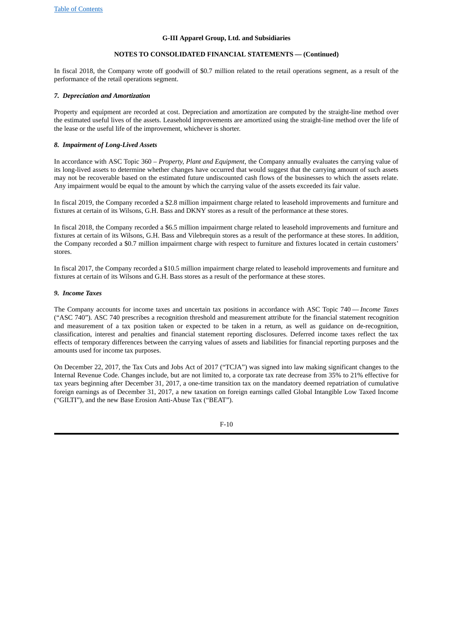# **NOTES TO CONSOLIDATED FINANCIAL STATEMENTS — (Continued)**

In fiscal 2018, the Company wrote off goodwill of \$0.7 million related to the retail operations segment, as a result of the performance of the retail operations segment.

## *7. Depreciation and Amortization*

Property and equipment are recorded at cost. Depreciation and amortization are computed by the straight-line method over the estimated useful lives of the assets. Leasehold improvements are amortized using the straight-line method over the life of the lease or the useful life of the improvement, whichever is shorter.

# *8. Impairment of Long-Lived Assets*

In accordance with ASC Topic 360 – *Property, Plant and Equipment*, the Company annually evaluates the carrying value of its long-lived assets to determine whether changes have occurred that would suggest that the carrying amount of such assets may not be recoverable based on the estimated future undiscounted cash flows of the businesses to which the assets relate. Any impairment would be equal to the amount by which the carrying value of the assets exceeded its fair value.

In fiscal 2019, the Company recorded a \$2.8 million impairment charge related to leasehold improvements and furniture and fixtures at certain of its Wilsons, G.H. Bass and DKNY stores as a result of the performance at these stores.

In fiscal 2018, the Company recorded a \$6.5 million impairment charge related to leasehold improvements and furniture and fixtures at certain of its Wilsons, G.H. Bass and Vilebrequin stores as a result of the performance at these stores. In addition, the Company recorded a \$0.7 million impairment charge with respect to furniture and fixtures located in certain customers' stores.

In fiscal 2017, the Company recorded a \$10.5 million impairment charge related to leasehold improvements and furniture and fixtures at certain of its Wilsons and G.H. Bass stores as a result of the performance at these stores.

### *9. Income Taxes*

The Company accounts for income taxes and uncertain tax positions in accordance with ASC Topic 740 — *Income Taxes* ("ASC 740"). ASC 740 prescribes a recognition threshold and measurement attribute for the financial statement recognition and measurement of a tax position taken or expected to be taken in a return, as well as guidance on de-recognition, classification, interest and penalties and financial statement reporting disclosures. Deferred income taxes reflect the tax effects of temporary differences between the carrying values of assets and liabilities for financial reporting purposes and the amounts used for income tax purposes.

On December 22, 2017, the Tax Cuts and Jobs Act of 2017 ("TCJA") was signed into law making significant changes to the Internal Revenue Code. Changes include, but are not limited to, a corporate tax rate decrease from 35% to 21% effective for tax years beginning after December 31, 2017, a one-time transition tax on the mandatory deemed repatriation of cumulative foreign earnings as of December 31, 2017, a new taxation on foreign earnings called Global Intangible Low Taxed Income ("GILTI"), and the new Base Erosion Anti-Abuse Tax ("BEAT").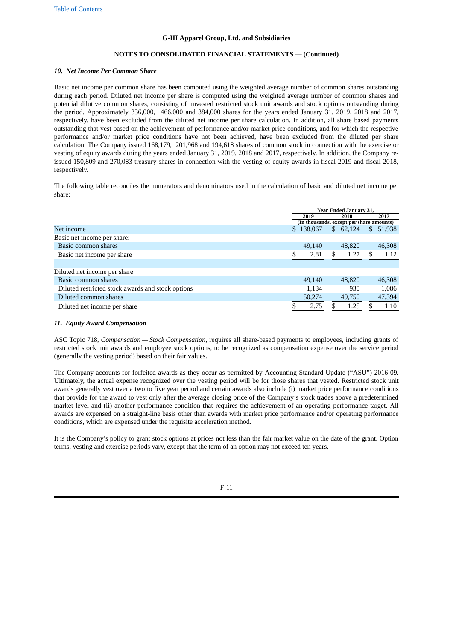# **NOTES TO CONSOLIDATED FINANCIAL STATEMENTS — (Continued)**

#### *10. Net Income Per Common Share*

Basic net income per common share has been computed using the weighted average number of common shares outstanding during each period. Diluted net income per share is computed using the weighted average number of common shares and potential dilutive common shares, consisting of unvested restricted stock unit awards and stock options outstanding during the period. Approximately 336,000, 466,000 and 384,000 shares for the years ended January 31, 2019, 2018 and 2017, respectively, have been excluded from the diluted net income per share calculation. In addition, all share based payments outstanding that vest based on the achievement of performance and/or market price conditions, and for which the respective performance and/or market price conditions have not been achieved, have been excluded from the diluted per share calculation. The Company issued 168,179, 201,968 and 194,618 shares of common stock in connection with the exercise or vesting of equity awards during the years ended January 31, 2019, 2018 and 2017, respectively. In addition, the Company reissued 150,809 and 270,083 treasury shares in connection with the vesting of equity awards in fiscal 2019 and fiscal 2018, respectively.

The following table reconciles the numerators and denominators used in the calculation of basic and diluted net income per share:

|                                                   | <b>Year Ended January 31,</b> |                                          |  |          |              |        |
|---------------------------------------------------|-------------------------------|------------------------------------------|--|----------|--------------|--------|
|                                                   | 2019<br>2018                  |                                          |  | 2017     |              |        |
|                                                   |                               | (In thousands, except per share amounts) |  |          |              |        |
| Net income                                        |                               | \$138,067                                |  | \$62,124 | $\mathbb{S}$ | 51,938 |
| Basic net income per share:                       |                               |                                          |  |          |              |        |
| Basic common shares                               |                               | 49,140                                   |  | 48,820   |              | 46,308 |
| Basic net income per share                        |                               | 2.81                                     |  | 1.27     |              | 1.12   |
|                                                   |                               |                                          |  |          |              |        |
| Diluted net income per share:                     |                               |                                          |  |          |              |        |
| Basic common shares                               |                               | 49.140                                   |  | 48,820   |              | 46,308 |
| Diluted restricted stock awards and stock options |                               | 1,134                                    |  | 930      |              | 1,086  |
| Diluted common shares                             |                               | 50,274                                   |  | 49,750   |              | 47,394 |
| Diluted net income per share                      |                               | 2.75                                     |  | 1.25     |              | 1.10   |

## *11. Equity Award Compensation*

ASC Topic 718, *Compensation — Stock Compensation*, requires all share-based payments to employees, including grants of restricted stock unit awards and employee stock options, to be recognized as compensation expense over the service period (generally the vesting period) based on their fair values.

The Company accounts for forfeited awards as they occur as permitted by Accounting Standard Update ("ASU") 2016-09. Ultimately, the actual expense recognized over the vesting period will be for those shares that vested. Restricted stock unit awards generally vest over a two to five year period and certain awards also include (i) market price performance conditions that provide for the award to vest only after the average closing price of the Company's stock trades above a predetermined market level and (ii) another performance condition that requires the achievement of an operating performance target. All awards are expensed on a straight-line basis other than awards with market price performance and/or operating performance conditions, which are expensed under the requisite acceleration method.

It is the Company's policy to grant stock options at prices not less than the fair market value on the date of the grant. Option terms, vesting and exercise periods vary, except that the term of an option may not exceed ten years.

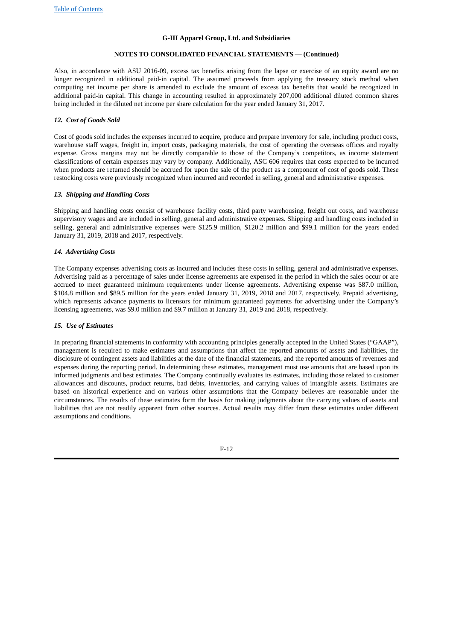# **NOTES TO CONSOLIDATED FINANCIAL STATEMENTS — (Continued)**

Also, in accordance with ASU 2016‑09, excess tax benefits arising from the lapse or exercise of an equity award are no longer recognized in additional paid-in capital. The assumed proceeds from applying the treasury stock method when computing net income per share is amended to exclude the amount of excess tax benefits that would be recognized in additional paid-in capital. This change in accounting resulted in approximately 207,000 additional diluted common shares being included in the diluted net income per share calculation for the year ended January 31, 2017.

### *12. Cost of Goods Sold*

Cost of goods sold includes the expenses incurred to acquire, produce and prepare inventory for sale, including product costs, warehouse staff wages, freight in, import costs, packaging materials, the cost of operating the overseas offices and royalty expense. Gross margins may not be directly comparable to those of the Company's competitors, as income statement classifications of certain expenses may vary by company. Additionally, ASC 606 requires that costs expected to be incurred when products are returned should be accrued for upon the sale of the product as a component of cost of goods sold. These restocking costs were previously recognized when incurred and recorded in selling, general and administrative expenses.

#### *13. Shipping and Handling Costs*

Shipping and handling costs consist of warehouse facility costs, third party warehousing, freight out costs, and warehouse supervisory wages and are included in selling, general and administrative expenses. Shipping and handling costs included in selling, general and administrative expenses were \$125.9 million, \$120.2 million and \$99.1 million for the years ended January 31, 2019, 2018 and 2017, respectively.

### *14. Advertising Costs*

The Company expenses advertising costs as incurred and includes these costs in selling, general and administrative expenses. Advertising paid as a percentage of sales under license agreements are expensed in the period in which the sales occur or are accrued to meet guaranteed minimum requirements under license agreements. Advertising expense was \$87.0 million, \$104.8 million and \$89.5 million for the years ended January 31, 2019, 2018 and 2017, respectively. Prepaid advertising, which represents advance payments to licensors for minimum guaranteed payments for advertising under the Company's licensing agreements, was \$9.0 million and \$9.7 million at January 31, 2019 and 2018, respectively.

#### *15. Use of Estimates*

In preparing financial statements in conformity with accounting principles generally accepted in the United States ("GAAP"), management is required to make estimates and assumptions that affect the reported amounts of assets and liabilities, the disclosure of contingent assets and liabilities at the date of the financial statements, and the reported amounts of revenues and expenses during the reporting period. In determining these estimates, management must use amounts that are based upon its informed judgments and best estimates. The Company continually evaluates its estimates, including those related to customer allowances and discounts, product returns, bad debts, inventories, and carrying values of intangible assets. Estimates are based on historical experience and on various other assumptions that the Company believes are reasonable under the circumstances. The results of these estimates form the basis for making judgments about the carrying values of assets and liabilities that are not readily apparent from other sources. Actual results may differ from these estimates under different assumptions and conditions.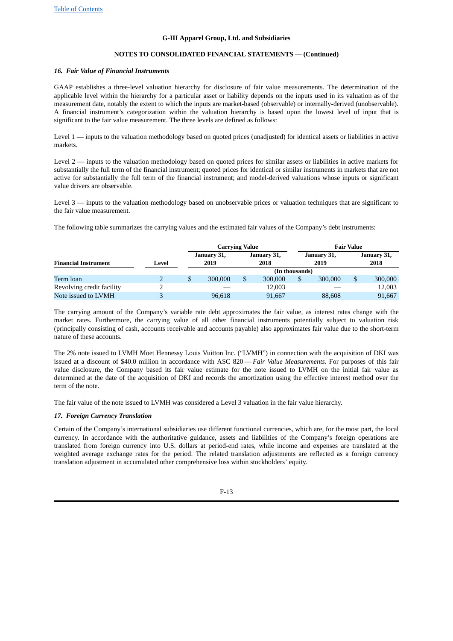# **NOTES TO CONSOLIDATED FINANCIAL STATEMENTS — (Continued)**

#### *16. Fair Value of Financial Instruments*

GAAP establishes a three-level valuation hierarchy for disclosure of fair value measurements. The determination of the applicable level within the hierarchy for a particular asset or liability depends on the inputs used in its valuation as of the measurement date, notably the extent to which the inputs are market-based (observable) or internally-derived (unobservable). A financial instrument's categorization within the valuation hierarchy is based upon the lowest level of input that is significant to the fair value measurement. The three levels are defined as follows:

Level 1 — inputs to the valuation methodology based on quoted prices (unadjusted) for identical assets or liabilities in active markets.

Level 2 — inputs to the valuation methodology based on quoted prices for similar assets or liabilities in active markets for substantially the full term of the financial instrument; quoted prices for identical or similar instruments in markets that are not active for substantially the full term of the financial instrument; and model-derived valuations whose inputs or significant value drivers are observable.

Level 3 — inputs to the valuation methodology based on unobservable prices or valuation techniques that are significant to the fair value measurement.

The following table summarizes the carrying values and the estimated fair values of the Company's debt instruments:

|                             | <b>Carrying Value</b> |    |                     |     |                     | <b>Fair Value</b>   |         |    |                     |  |  |
|-----------------------------|-----------------------|----|---------------------|-----|---------------------|---------------------|---------|----|---------------------|--|--|
| <b>Financial Instrument</b> | Level                 |    | January 31,<br>2019 |     | January 31,<br>2018 | January 31,<br>2019 |         |    | January 31,<br>2018 |  |  |
|                             |                       |    | (In thousands)      |     |                     |                     |         |    |                     |  |  |
| Term loan '                 |                       | \$ | 300,000             | \$. | 300,000             |                     | 300,000 | \$ | 300,000             |  |  |
| Revolving credit facility   |                       |    |                     |     | 12,003              |                     |         |    | 12,003              |  |  |
| Note issued to LVMH         |                       |    | 96,618              |     | 91,667              |                     | 88,608  |    | 91,667              |  |  |

The carrying amount of the Company's variable rate debt approximates the fair value, as interest rates change with the market rates. Furthermore, the carrying value of all other financial instruments potentially subject to valuation risk (principally consisting of cash, accounts receivable and accounts payable) also approximates fair value due to the short-term nature of these accounts.

The 2% note issued to LVMH Moet Hennessy Louis Vuitton Inc. ("LVMH") in connection with the acquisition of DKI was issued at a discount of \$40.0 million in accordance with ASC 820 — *Fair Value Measurements*. For purposes of this fair value disclosure, the Company based its fair value estimate for the note issued to LVMH on the initial fair value as determined at the date of the acquisition of DKI and records the amortization using the effective interest method over the term of the note.

The fair value of the note issued to LVMH was considered a Level 3 valuation in the fair value hierarchy.

#### *17. Foreign Currency Translation*

Certain of the Company's international subsidiaries use different functional currencies, which are, for the most part, the local currency. In accordance with the authoritative guidance, assets and liabilities of the Company's foreign operations are translated from foreign currency into U.S. dollars at period-end rates, while income and expenses are translated at the weighted average exchange rates for the period. The related translation adjustments are reflected as a foreign currency translation adjustment in accumulated other comprehensive loss within stockholders' equity.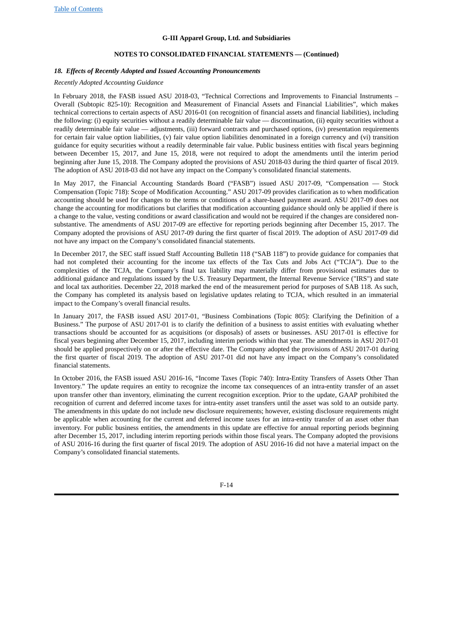# **NOTES TO CONSOLIDATED FINANCIAL STATEMENTS — (Continued)**

## *18. Effects of Recently Adopted and Issued Accounting Pronouncements*

# *Recently Adopted Accounting Guidance*

In February 2018, the FASB issued ASU 2018-03, "Technical Corrections and Improvements to Financial Instruments -Overall (Subtopic 825‑10): Recognition and Measurement of Financial Assets and Financial Liabilities", which makes technical corrections to certain aspects of ASU 2016‑01 (on recognition of financial assets and financial liabilities), including the following: (i) equity securities without a readily determinable fair value — discontinuation, (ii) equity securities without a readily determinable fair value — adjustments, (iii) forward contracts and purchased options, (iv) presentation requirements for certain fair value option liabilities, (v) fair value option liabilities denominated in a foreign currency and (vi) transition guidance for equity securities without a readily determinable fair value. Public business entities with fiscal years beginning between December 15, 2017, and June 15, 2018, were not required to adopt the amendments until the interim period beginning after June 15, 2018. The Company adopted the provisions of ASU 2018‑03 during the third quarter of fiscal 2019. The adoption of ASU 2018‑03 did not have any impact on the Company's consolidated financial statements.

In May 2017, the Financial Accounting Standards Board ("FASB") issued ASU 2017‑09, "Compensation — Stock Compensation (Topic 718): Scope of Modification Accounting." ASU 2017‑09 provides clarification as to when modification accounting should be used for changes to the terms or conditions of a share-based payment award. ASU 2017‑09 does not change the accounting for modifications but clarifies that modification accounting guidance should only be applied if there is a change to the value, vesting conditions or award classification and would not be required if the changes are considered nonsubstantive. The amendments of ASU 2017‑09 are effective for reporting periods beginning after December 15, 2017. The Company adopted the provisions of ASU 2017‑09 during the first quarter of fiscal 2019. The adoption of ASU 2017‑09 did not have any impact on the Company's consolidated financial statements.

In December 2017, the SEC staff issued Staff Accounting Bulletin 118 ("SAB 118") to provide guidance for companies that had not completed their accounting for the income tax effects of the Tax Cuts and Jobs Act ("TCJA"). Due to the complexities of the TCJA, the Company's final tax liability may materially differ from provisional estimates due to additional guidance and regulations issued by the U.S. Treasury Department, the Internal Revenue Service ("IRS") and state and local tax authorities. December 22, 2018 marked the end of the measurement period for purposes of SAB 118. As such, the Company has completed its analysis based on legislative updates relating to TCJA, which resulted in an immaterial impact to the Company's overall financial results.

In January 2017, the FASB issued ASU 2017‑01, "Business Combinations (Topic 805): Clarifying the Definition of a Business." The purpose of ASU 2017‑01 is to clarify the definition of a business to assist entities with evaluating whether transactions should be accounted for as acquisitions (or disposals) of assets or businesses. ASU 2017‑01 is effective for fiscal years beginning after December 15, 2017, including interim periods within that year. The amendments in ASU 2017‑01 should be applied prospectively on or after the effective date. The Company adopted the provisions of ASU 2017‑01 during the first quarter of fiscal 2019. The adoption of ASU 2017‑01 did not have any impact on the Company's consolidated financial statements.

In October 2016, the FASB issued ASU 2016‑16, "Income Taxes (Topic 740): Intra-Entity Transfers of Assets Other Than Inventory." The update requires an entity to recognize the income tax consequences of an intra-entity transfer of an asset upon transfer other than inventory, eliminating the current recognition exception. Prior to the update, GAAP prohibited the recognition of current and deferred income taxes for intra-entity asset transfers until the asset was sold to an outside party. The amendments in this update do not include new disclosure requirements; however, existing disclosure requirements might be applicable when accounting for the current and deferred income taxes for an intra-entity transfer of an asset other than inventory. For public business entities, the amendments in this update are effective for annual reporting periods beginning after December 15, 2017, including interim reporting periods within those fiscal years. The Company adopted the provisions of ASU 2016‑16 during the first quarter of fiscal 2019. The adoption of ASU 2016‑16 did not have a material impact on the Company's consolidated financial statements.

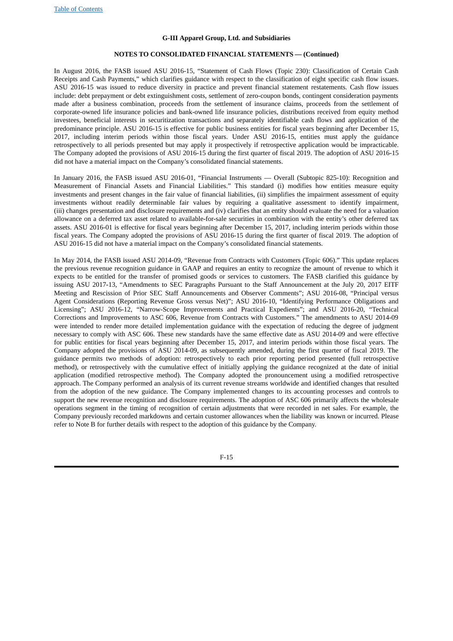# **NOTES TO CONSOLIDATED FINANCIAL STATEMENTS — (Continued)**

In August 2016, the FASB issued ASU 2016‑15, "Statement of Cash Flows (Topic 230): Classification of Certain Cash Receipts and Cash Payments," which clarifies guidance with respect to the classification of eight specific cash flow issues. ASU 2016-15 was issued to reduce diversity in practice and prevent financial statement restatements. Cash flow issues include: debt prepayment or debt extinguishment costs, settlement of zero-coupon bonds, contingent consideration payments made after a business combination, proceeds from the settlement of insurance claims, proceeds from the settlement of corporate-owned life insurance policies and bank-owned life insurance policies, distributions received from equity method investees, beneficial interests in securitization transactions and separately identifiable cash flows and application of the predominance principle. ASU 2016‑15 is effective for public business entities for fiscal years beginning after December 15, 2017, including interim periods within those fiscal years. Under ASU 2016-15, entities must apply the guidance retrospectively to all periods presented but may apply it prospectively if retrospective application would be impracticable. The Company adopted the provisions of ASU 2016‑15 during the first quarter of fiscal 2019. The adoption of ASU 2016‑15 did not have a material impact on the Company's consolidated financial statements.

In January 2016, the FASB issued ASU 2016-01, "Financial Instruments — Overall (Subtopic 825-10): Recognition and Measurement of Financial Assets and Financial Liabilities." This standard (i) modifies how entities measure equity investments and present changes in the fair value of financial liabilities, (ii) simplifies the impairment assessment of equity investments without readily determinable fair values by requiring a qualitative assessment to identify impairment, (iii) changes presentation and disclosure requirements and (iv) clarifies that an entity should evaluate the need for a valuation allowance on a deferred tax asset related to available-for-sale securities in combination with the entity's other deferred tax assets. ASU 2016‑01 is effective for fiscal years beginning after December 15, 2017, including interim periods within those fiscal years. The Company adopted the provisions of ASU 2016-15 during the first quarter of fiscal 2019. The adoption of ASU 2016‑15 did not have a material impact on the Company's consolidated financial statements.

In May 2014, the FASB issued ASU 2014-09, "Revenue from Contracts with Customers (Topic 606)." This update replaces the previous revenue recognition guidance in GAAP and requires an entity to recognize the amount of revenue to which it expects to be entitled for the transfer of promised goods or services to customers. The FASB clarified this guidance by issuing ASU 2017‑13, "Amendments to SEC Paragraphs Pursuant to the Staff Announcement at the July 20, 2017 EITF Meeting and Rescission of Prior SEC Staff Announcements and Observer Comments"; ASU 2016‑08, "Principal versus Agent Considerations (Reporting Revenue Gross versus Net)"; ASU 2016-10, "Identifying Performance Obligations and Licensing"; ASU 2016-12, "Narrow-Scope Improvements and Practical Expedients"; and ASU 2016-20, "Technical Corrections and Improvements to ASC 606, Revenue from Contracts with Customers." The amendments to ASU 2014‑09 were intended to render more detailed implementation guidance with the expectation of reducing the degree of judgment necessary to comply with ASC 606. These new standards have the same effective date as ASU 2014‑09 and were effective for public entities for fiscal years beginning after December 15, 2017, and interim periods within those fiscal years. The Company adopted the provisions of ASU 2014‑09, as subsequently amended, during the first quarter of fiscal 2019. The guidance permits two methods of adoption: retrospectively to each prior reporting period presented (full retrospective method), or retrospectively with the cumulative effect of initially applying the guidance recognized at the date of initial application (modified retrospective method). The Company adopted the pronouncement using a modified retrospective approach. The Company performed an analysis of its current revenue streams worldwide and identified changes that resulted from the adoption of the new guidance. The Company implemented changes to its accounting processes and controls to support the new revenue recognition and disclosure requirements. The adoption of ASC 606 primarily affects the wholesale operations segment in the timing of recognition of certain adjustments that were recorded in net sales. For example, the Company previously recorded markdowns and certain customer allowances when the liability was known or incurred. Please refer to Note B for further details with respect to the adoption of this guidance by the Company.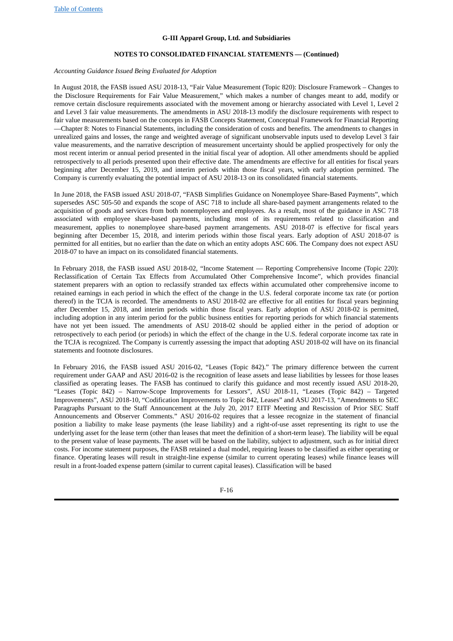# **NOTES TO CONSOLIDATED FINANCIAL STATEMENTS — (Continued)**

#### *Accounting Guidance Issued Being Evaluated for Adoption*

In August 2018, the FASB issued ASU 2018-13, "Fair Value Measurement (Topic 820): Disclosure Framework – Changes to the Disclosure Requirements for Fair Value Measurement," which makes a number of changes meant to add, modify or remove certain disclosure requirements associated with the movement among or hierarchy associated with Level 1, Level 2 and Level 3 fair value measurements. The amendments in ASU 2018-13 modify the disclosure requirements with respect to fair value measurements based on the concepts in FASB Concepts Statement, Conceptual Framework for Financial Reporting —Chapter 8: Notes to Financial Statements, including the consideration of costs and benefits. The amendments to changes in unrealized gains and losses, the range and weighted average of significant unobservable inputs used to develop Level 3 fair value measurements, and the narrative description of measurement uncertainty should be applied prospectively for only the most recent interim or annual period presented in the initial fiscal year of adoption. All other amendments should be applied retrospectively to all periods presented upon their effective date. The amendments are effective for all entities for fiscal years beginning after December 15, 2019, and interim periods within those fiscal years, with early adoption permitted. The Company is currently evaluating the potential impact of ASU 2018-13 on its consolidated financial statements.

In June 2018, the FASB issued ASU 2018‑07, "FASB Simplifies Guidance on Nonemployee Share-Based Payments", which supersedes ASC 505‑50 and expands the scope of ASC 718 to include all share-based payment arrangements related to the acquisition of goods and services from both nonemployees and employees. As a result, most of the guidance in ASC 718 associated with employee share-based payments, including most of its requirements related to classification and measurement, applies to nonemployee share-based payment arrangements. ASU 2018‑07 is effective for fiscal years beginning after December 15, 2018, and interim periods within those fiscal years. Early adoption of ASU 2018-07 is permitted for all entities, but no earlier than the date on which an entity adopts ASC 606. The Company does not expect ASU 2018‑07 to have an impact on its consolidated financial statements.

In February 2018, the FASB issued ASU 2018‑02, "Income Statement — Reporting Comprehensive Income (Topic 220): Reclassification of Certain Tax Effects from Accumulated Other Comprehensive Income", which provides financial statement preparers with an option to reclassify stranded tax effects within accumulated other comprehensive income to retained earnings in each period in which the effect of the change in the U.S. federal corporate income tax rate (or portion thereof) in the TCJA is recorded. The amendments to ASU 2018-02 are effective for all entities for fiscal years beginning after December 15, 2018, and interim periods within those fiscal years. Early adoption of ASU 2018-02 is permitted, including adoption in any interim period for the public business entities for reporting periods for which financial statements have not yet been issued. The amendments of ASU 2018‑02 should be applied either in the period of adoption or retrospectively to each period (or periods) in which the effect of the change in the U.S. federal corporate income tax rate in the TCJA is recognized. The Company is currently assessing the impact that adopting ASU 2018-02 will have on its financial statements and footnote disclosures.

In February 2016, the FASB issued ASU 2016‑02, "Leases (Topic 842)." The primary difference between the current requirement under GAAP and ASU 2016‑02 is the recognition of lease assets and lease liabilities by lessees for those leases classified as operating leases. The FASB has continued to clarify this guidance and most recently issued ASU 2018-20, "Leases (Topic 842) – Narrow-Scope Improvements for Lessors", ASU 2018-11, "Leases (Topic 842) – Targeted Improvements", ASU 2018-10, "Codification Improvements to Topic 842, Leases" and ASU 2017‑13, "Amendments to SEC Paragraphs Pursuant to the Staff Announcement at the July 20, 2017 EITF Meeting and Rescission of Prior SEC Staff Announcements and Observer Comments." ASU 2016‑02 requires that a lessee recognize in the statement of financial position a liability to make lease payments (the lease liability) and a right-of-use asset representing its right to use the underlying asset for the lease term (other than leases that meet the definition of a short-term lease). The liability will be equal to the present value of lease payments. The asset will be based on the liability, subject to adjustment, such as for initial direct costs. For income statement purposes, the FASB retained a dual model, requiring leases to be classified as either operating or finance. Operating leases will result in straight-line expense (similar to current operating leases) while finance leases will result in a front-loaded expense pattern (similar to current capital leases). Classification will be based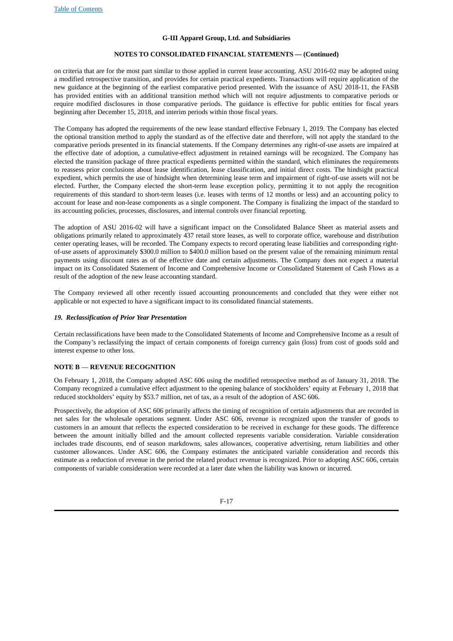# **NOTES TO CONSOLIDATED FINANCIAL STATEMENTS — (Continued)**

on criteria that are for the most part similar to those applied in current lease accounting. ASU 2016‑02 may be adopted using a modified retrospective transition, and provides for certain practical expedients. Transactions will require application of the new guidance at the beginning of the earliest comparative period presented. With the issuance of ASU 2018-11, the FASB has provided entities with an additional transition method which will not require adjustments to comparative periods or require modified disclosures in those comparative periods. The guidance is effective for public entities for fiscal years beginning after December 15, 2018, and interim periods within those fiscal years.

The Company has adopted the requirements of the new lease standard effective February 1, 2019. The Company has elected the optional transition method to apply the standard as of the effective date and therefore, will not apply the standard to the comparative periods presented in its financial statements. If the Company determines any right-of-use assets are impaired at the effective date of adoption, a cumulative-effect adjustment in retained earnings will be recognized. The Company has elected the transition package of three practical expedients permitted within the standard, which eliminates the requirements to reassess prior conclusions about lease identification, lease classification, and initial direct costs. The hindsight practical expedient, which permits the use of hindsight when determining lease term and impairment of right-of-use assets will not be elected. Further, the Company elected the short-term lease exception policy, permitting it to not apply the recognition requirements of this standard to short-term leases (i.e. leases with terms of 12 months or less) and an accounting policy to account for lease and non-lease components as a single component. The Company is finalizing the impact of the standard to its accounting policies, processes, disclosures, and internal controls over financial reporting.

The adoption of ASU 2016-02 will have a significant impact on the Consolidated Balance Sheet as material assets and obligations primarily related to approximately 437 retail store leases, as well to corporate office, warehouse and distribution center operating leases, will be recorded. The Company expects to record operating lease liabilities and corresponding rightof-use assets of approximately \$300.0 million to \$400.0 million based on the present value of the remaining minimum rental payments using discount rates as of the effective date and certain adjustments. The Company does not expect a material impact on its Consolidated Statement of Income and Comprehensive Income or Consolidated Statement of Cash Flows as a result of the adoption of the new lease accounting standard.

The Company reviewed all other recently issued accounting pronouncements and concluded that they were either not applicable or not expected to have a significant impact to its consolidated financial statements.

#### *19. Reclassification of Prior Year Presentation*

Certain reclassifications have been made to the Consolidated Statements of Income and Comprehensive Income as a result of the Company's reclassifying the impact of certain components of foreign currency gain (loss) from cost of goods sold and interest expense to other loss.

## **NOTE B** — **REVENUE RECOGNITION**

On February 1, 2018, the Company adopted ASC 606 using the modified retrospective method as of January 31, 2018. The Company recognized a cumulative effect adjustment to the opening balance of stockholders' equity at February 1, 2018 that reduced stockholders' equity by \$53.7 million, net of tax, as a result of the adoption of ASC 606.

Prospectively, the adoption of ASC 606 primarily affects the timing of recognition of certain adjustments that are recorded in net sales for the wholesale operations segment. Under ASC 606, revenue is recognized upon the transfer of goods to customers in an amount that reflects the expected consideration to be received in exchange for these goods. The difference between the amount initially billed and the amount collected represents variable consideration. Variable consideration includes trade discounts, end of season markdowns, sales allowances, cooperative advertising, return liabilities and other customer allowances. Under ASC 606, the Company estimates the anticipated variable consideration and records this estimate as a reduction of revenue in the period the related product revenue is recognized. Prior to adopting ASC 606, certain components of variable consideration were recorded at a later date when the liability was known or incurred.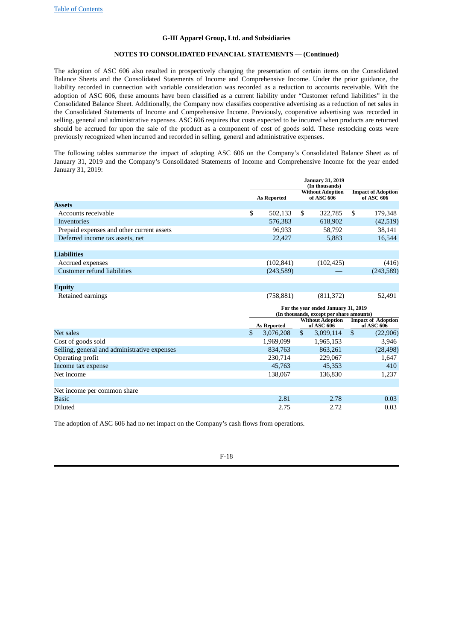# **NOTES TO CONSOLIDATED FINANCIAL STATEMENTS — (Continued)**

The adoption of ASC 606 also resulted in prospectively changing the presentation of certain items on the Consolidated Balance Sheets and the Consolidated Statements of Income and Comprehensive Income. Under the prior guidance, the liability recorded in connection with variable consideration was recorded as a reduction to accounts receivable. With the adoption of ASC 606, these amounts have been classified as a current liability under "Customer refund liabilities" in the Consolidated Balance Sheet. Additionally, the Company now classifies cooperative advertising as a reduction of net sales in the Consolidated Statements of Income and Comprehensive Income. Previously, cooperative advertising was recorded in selling, general and administrative expenses. ASC 606 requires that costs expected to be incurred when products are returned should be accrued for upon the sale of the product as a component of cost of goods sold. These restocking costs were previously recognized when incurred and recorded in selling, general and administrative expenses.

The following tables summarize the impact of adopting ASC 606 on the Company's Consolidated Balance Sheet as of January 31, 2019 and the Company's Consolidated Statements of Income and Comprehensive Income for the year ended January 31, 2019:

|                                           | <b>January 31, 2019</b><br>(In thousands) |                    |                                       |            |    |                                         |
|-------------------------------------------|-------------------------------------------|--------------------|---------------------------------------|------------|----|-----------------------------------------|
|                                           |                                           | <b>As Reported</b> | <b>Without Adoption</b><br>of ASC 606 |            |    | <b>Impact of Adoption</b><br>of ASC 606 |
| <b>Assets</b>                             |                                           |                    |                                       |            |    |                                         |
| Accounts receivable                       | \$                                        | 502,133            | \$                                    | 322,785    | \$ | 179,348                                 |
| Inventories                               |                                           | 576,383            |                                       | 618,902    |    | (42, 519)                               |
| Prepaid expenses and other current assets |                                           | 96,933             |                                       | 58,792     |    | 38,141                                  |
| Deferred income tax assets, net           |                                           | 22,427             |                                       | 5,883      |    | 16,544                                  |
|                                           |                                           |                    |                                       |            |    |                                         |
| <b>Liabilities</b>                        |                                           |                    |                                       |            |    |                                         |
| Accrued expenses                          |                                           | (102, 841)         |                                       | (102, 425) |    | (416)                                   |
| Customer refund liabilities               |                                           | (243,589)          |                                       |            |    | (243,589)                               |
|                                           |                                           |                    |                                       |            |    |                                         |
| <b>Equity</b>                             |                                           |                    |                                       |            |    |                                         |
| Retained earnings                         |                                           | (758, 881)         |                                       | (811, 372) |    | 52,491                                  |

|                                              |                    | For the year ended January 31, 2019<br>(In thousands, except per share amounts) |                                       |   |                                         |  |  |
|----------------------------------------------|--------------------|---------------------------------------------------------------------------------|---------------------------------------|---|-----------------------------------------|--|--|
|                                              | <b>As Reported</b> |                                                                                 | <b>Without Adoption</b><br>of ASC 606 |   | <b>Impact of Adoption</b><br>of ASC 606 |  |  |
| Net sales                                    | \$<br>3,076,208    | \$                                                                              | 3,099,114                             | S | (22, 906)                               |  |  |
| Cost of goods sold                           | 1,969,099          |                                                                                 | 1,965,153                             |   | 3,946                                   |  |  |
| Selling, general and administrative expenses | 834,763            |                                                                                 | 863,261                               |   | (28, 498)                               |  |  |
| Operating profit                             | 230,714            |                                                                                 | 229,067                               |   | 1,647                                   |  |  |
| Income tax expense                           | 45,763             |                                                                                 | 45,353                                |   | 410                                     |  |  |
| Net income                                   | 138,067            |                                                                                 | 136,830                               |   | 1,237                                   |  |  |
|                                              |                    |                                                                                 |                                       |   |                                         |  |  |
| Net income per common share                  |                    |                                                                                 |                                       |   |                                         |  |  |
| Basic                                        | 2.81               |                                                                                 | 2.78                                  |   | 0.03                                    |  |  |
| <b>Diluted</b>                               | 2.75               |                                                                                 | 2.72                                  |   | 0.03                                    |  |  |

The adoption of ASC 606 had no net impact on the Company's cash flows from operations.

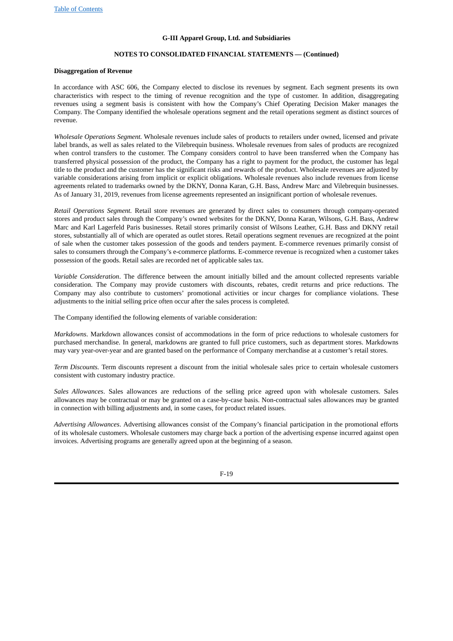# **NOTES TO CONSOLIDATED FINANCIAL STATEMENTS — (Continued)**

## **Disaggregation of Revenue**

In accordance with ASC 606, the Company elected to disclose its revenues by segment. Each segment presents its own characteristics with respect to the timing of revenue recognition and the type of customer. In addition, disaggregating revenues using a segment basis is consistent with how the Company's Chief Operating Decision Maker manages the Company. The Company identified the wholesale operations segment and the retail operations segment as distinct sources of revenue.

*Wholesale Operations Segment.* Wholesale revenues include sales of products to retailers under owned, licensed and private label brands, as well as sales related to the Vilebrequin business. Wholesale revenues from sales of products are recognized when control transfers to the customer. The Company considers control to have been transferred when the Company has transferred physical possession of the product, the Company has a right to payment for the product, the customer has legal title to the product and the customer has the significant risks and rewards of the product. Wholesale revenues are adjusted by variable considerations arising from implicit or explicit obligations. Wholesale revenues also include revenues from license agreements related to trademarks owned by the DKNY, Donna Karan, G.H. Bass, Andrew Marc and Vilebrequin businesses. As of January 31, 2019, revenues from license agreements represented an insignificant portion of wholesale revenues.

*Retail Operations Segment.* Retail store revenues are generated by direct sales to consumers through company-operated stores and product sales through the Company's owned websites for the DKNY, Donna Karan, Wilsons, G.H. Bass, Andrew Marc and Karl Lagerfeld Paris businesses. Retail stores primarily consist of Wilsons Leather, G.H. Bass and DKNY retail stores, substantially all of which are operated as outlet stores. Retail operations segment revenues are recognized at the point of sale when the customer takes possession of the goods and tenders payment. E-commerce revenues primarily consist of sales to consumers through the Company's e-commerce platforms. E-commerce revenue is recognized when a customer takes possession of the goods. Retail sales are recorded net of applicable sales tax.

*Variable Consideration*. The difference between the amount initially billed and the amount collected represents variable consideration. The Company may provide customers with discounts, rebates, credit returns and price reductions. The Company may also contribute to customers' promotional activities or incur charges for compliance violations. These adjustments to the initial selling price often occur after the sales process is completed.

The Company identified the following elements of variable consideration:

*Markdowns*. Markdown allowances consist of accommodations in the form of price reductions to wholesale customers for purchased merchandise. In general, markdowns are granted to full price customers, such as department stores. Markdowns may vary year-over-year and are granted based on the performance of Company merchandise at a customer's retail stores.

*Term Discounts.* Term discounts represent a discount from the initial wholesale sales price to certain wholesale customers consistent with customary industry practice.

*Sales Allowances*. Sales allowances are reductions of the selling price agreed upon with wholesale customers. Sales allowances may be contractual or may be granted on a case-by-case basis. Non-contractual sales allowances may be granted in connection with billing adjustments and, in some cases, for product related issues.

*Advertising Allowances*. Advertising allowances consist of the Company's financial participation in the promotional efforts of its wholesale customers. Wholesale customers may charge back a portion of the advertising expense incurred against open invoices. Advertising programs are generally agreed upon at the beginning of a season.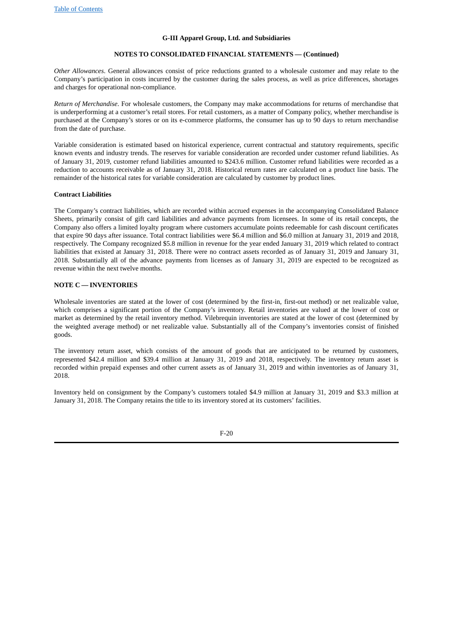# **NOTES TO CONSOLIDATED FINANCIAL STATEMENTS — (Continued)**

*Other Allowances*. General allowances consist of price reductions granted to a wholesale customer and may relate to the Company's participation in costs incurred by the customer during the sales process, as well as price differences, shortages and charges for operational non-compliance.

*Return of Merchandise*. For wholesale customers, the Company may make accommodations for returns of merchandise that is underperforming at a customer's retail stores. For retail customers, as a matter of Company policy, whether merchandise is purchased at the Company's stores or on its e-commerce platforms, the consumer has up to 90 days to return merchandise from the date of purchase.

Variable consideration is estimated based on historical experience, current contractual and statutory requirements, specific known events and industry trends. The reserves for variable consideration are recorded under customer refund liabilities. As of January 31, 2019, customer refund liabilities amounted to \$243.6 million. Customer refund liabilities were recorded as a reduction to accounts receivable as of January 31, 2018. Historical return rates are calculated on a product line basis. The remainder of the historical rates for variable consideration are calculated by customer by product lines.

#### **Contract Liabilities**

The Company's contract liabilities, which are recorded within accrued expenses in the accompanying Consolidated Balance Sheets, primarily consist of gift card liabilities and advance payments from licensees. In some of its retail concepts, the Company also offers a limited loyalty program where customers accumulate points redeemable for cash discount certificates that expire 90 days after issuance. Total contract liabilities were \$6.4 million and \$6.0 million at January 31, 2019 and 2018, respectively. The Company recognized \$5.8 million in revenue for the year ended January 31, 2019 which related to contract liabilities that existed at January 31, 2018. There were no contract assets recorded as of January 31, 2019 and January 31, 2018. Substantially all of the advance payments from licenses as of January 31, 2019 are expected to be recognized as revenue within the next twelve months.

### **NOTE C — INVENTORIES**

Wholesale inventories are stated at the lower of cost (determined by the first-in, first-out method) or net realizable value, which comprises a significant portion of the Company's inventory. Retail inventories are valued at the lower of cost or market as determined by the retail inventory method. Vilebrequin inventories are stated at the lower of cost (determined by the weighted average method) or net realizable value. Substantially all of the Company's inventories consist of finished goods.

The inventory return asset, which consists of the amount of goods that are anticipated to be returned by customers, represented \$42.4 million and \$39.4 million at January 31, 2019 and 2018, respectively. The inventory return asset is recorded within prepaid expenses and other current assets as of January 31, 2019 and within inventories as of January 31, 2018.

Inventory held on consignment by the Company's customers totaled \$4.9 million at January 31, 2019 and \$3.3 million at January 31, 2018. The Company retains the title to its inventory stored at its customers' facilities.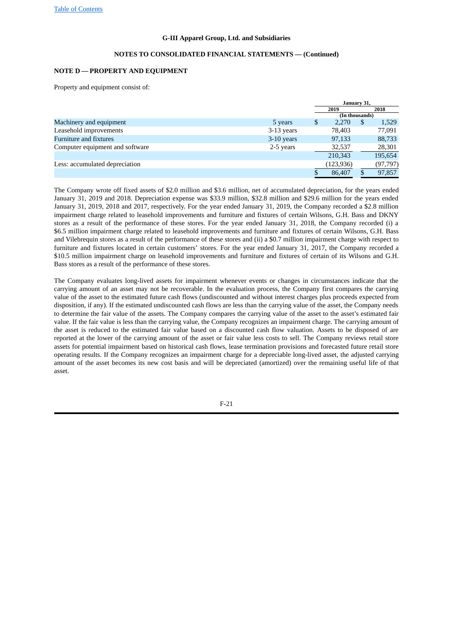# **NOTES TO CONSOLIDATED FINANCIAL STATEMENTS — (Continued)**

# **NOTE D — PROPERTY AND EQUIPMENT**

Property and equipment consist of:

|                                 |              |    | January 31,    |   |           |  |
|---------------------------------|--------------|----|----------------|---|-----------|--|
|                                 |              |    | 2019           |   | 2018      |  |
|                                 |              |    | (In thousands) |   |           |  |
| Machinery and equipment         | 5 years      | \$ | 2.270          | S | 1,529     |  |
| Leasehold improvements          | 3-13 years   |    | 78.403         |   | 77,091    |  |
| Furniture and fixtures          | $3-10$ years |    | 97,133         |   | 88,733    |  |
| Computer equipment and software | 2-5 years    |    | 32,537         |   | 28,301    |  |
|                                 |              |    | 210,343        |   | 195,654   |  |
| Less: accumulated depreciation  |              |    | (123, 936)     |   | (97, 797) |  |
|                                 |              |    | 86,407         |   | 97,857    |  |

The Company wrote off fixed assets of \$2.0 million and \$3.6 million, net of accumulated depreciation, for the years ended January 31, 2019 and 2018. Depreciation expense was \$33.9 million, \$32.8 million and \$29.6 million for the years ended January 31, 2019, 2018 and 2017, respectively. For the year ended January 31, 2019, the Company recorded a \$2.8 million impairment charge related to leasehold improvements and furniture and fixtures of certain Wilsons, G.H. Bass and DKNY stores as a result of the performance of these stores. For the year ended January 31, 2018, the Company recorded (i) a \$6.5 million impairment charge related to leasehold improvements and furniture and fixtures of certain Wilsons, G.H. Bass and Vilebrequin stores as a result of the performance of these stores and (ii) a \$0.7 million impairment charge with respect to furniture and fixtures located in certain customers' stores. For the year ended January 31, 2017, the Company recorded a \$10.5 million impairment charge on leasehold improvements and furniture and fixtures of certain of its Wilsons and G.H. Bass stores as a result of the performance of these stores.

The Company evaluates long-lived assets for impairment whenever events or changes in circumstances indicate that the carrying amount of an asset may not be recoverable. In the evaluation process, the Company first compares the carrying value of the asset to the estimated future cash flows (undiscounted and without interest charges plus proceeds expected from disposition, if any). If the estimated undiscounted cash flows are less than the carrying value of the asset, the Company needs to determine the fair value of the assets. The Company compares the carrying value of the asset to the asset's estimated fair value. If the fair value is less than the carrying value, the Company recognizes an impairment charge. The carrying amount of the asset is reduced to the estimated fair value based on a discounted cash flow valuation. Assets to be disposed of are reported at the lower of the carrying amount of the asset or fair value less costs to sell. The Company reviews retail store assets for potential impairment based on historical cash flows, lease termination provisions and forecasted future retail store operating results. If the Company recognizes an impairment charge for a depreciable long-lived asset, the adjusted carrying amount of the asset becomes its new cost basis and will be depreciated (amortized) over the remaining useful life of that asset.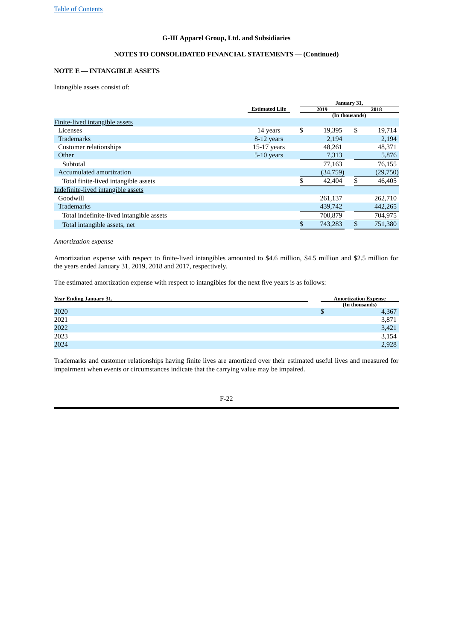# **NOTES TO CONSOLIDATED FINANCIAL STATEMENTS — (Continued)**

# **NOTE E — INTANGIBLE ASSETS**

Intangible assets consist of:

|                                          |                       |      |                | January 31, |          |  |
|------------------------------------------|-----------------------|------|----------------|-------------|----------|--|
|                                          | <b>Estimated Life</b> | 2019 |                |             | 2018     |  |
|                                          |                       |      | (In thousands) |             |          |  |
| Finite-lived intangible assets           |                       |      |                |             |          |  |
| Licenses                                 | 14 years              | \$   | 19,395         | \$          | 19,714   |  |
| <b>Trademarks</b>                        | 8-12 years            |      | 2,194          |             | 2,194    |  |
| Customer relationships                   | $15-17$ years         |      | 48,261         |             | 48,371   |  |
| Other                                    | 5-10 years            |      | 7,313          |             | 5,876    |  |
| Subtotal                                 |                       |      | 77,163         |             | 76,155   |  |
| Accumulated amortization                 |                       |      | (34,759)       |             | (29,750) |  |
| Total finite-lived intangible assets     |                       |      | 42,404         | \$          | 46,405   |  |
| Indefinite-lived intangible assets       |                       |      |                |             |          |  |
| Goodwill                                 |                       |      | 261,137        |             | 262,710  |  |
| <b>Trademarks</b>                        |                       |      | 439,742        |             | 442,265  |  |
| Total indefinite-lived intangible assets |                       |      | 700,879        |             | 704,975  |  |
| Total intangible assets, net             |                       | \$   | 743,283        | \$          | 751,380  |  |
|                                          |                       |      |                |             |          |  |

## *Amortization expense*

Amortization expense with respect to finite-lived intangibles amounted to \$4.6 million, \$4.5 million and \$2.5 million for the years ended January 31, 2019, 2018 and 2017, respectively.

The estimated amortization expense with respect to intangibles for the next five years is as follows:

| Year Ending January 31, |   | <b>Amortization Expense</b> |
|-------------------------|---|-----------------------------|
|                         |   | (In thousands)              |
| 2020                    | Φ | 4,367                       |
| 2021                    |   | 3,871                       |
| 2022                    |   | 3,421                       |
| 2023                    |   | 3,154                       |
| 2024                    |   | 2,928                       |

Trademarks and customer relationships having finite lives are amortized over their estimated useful lives and measured for impairment when events or circumstances indicate that the carrying value may be impaired.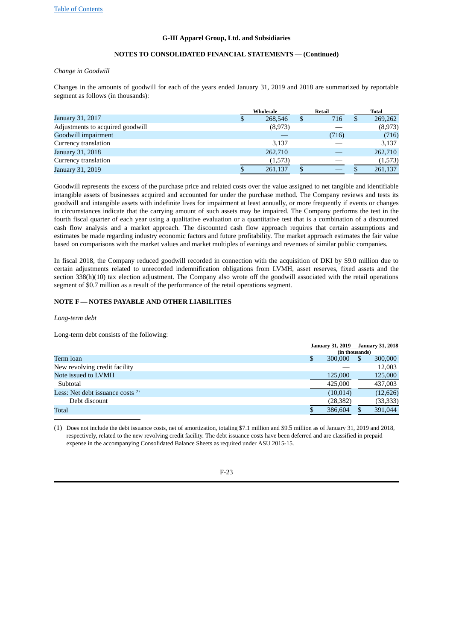# **NOTES TO CONSOLIDATED FINANCIAL STATEMENTS — (Continued)**

## *Change in Goodwill*

Changes in the amounts of goodwill for each of the years ended January 31, 2019 and 2018 are summarized by reportable segment as follows (in thousands):

|                                  |   | Wholesale<br>Retail |  |       | Total |         |  |
|----------------------------------|---|---------------------|--|-------|-------|---------|--|
| January 31, 2017                 | D | 268,546             |  | 716   |       | 269,262 |  |
| Adjustments to acquired goodwill |   | (8,973)             |  |       |       | (8,973) |  |
| Goodwill impairment              |   |                     |  | (716) |       | (716)   |  |
| Currency translation             |   | 3,137               |  |       |       | 3,137   |  |
| January 31, 2018                 |   | 262,710             |  |       |       | 262,710 |  |
| Currency translation             |   | (1,573)             |  |       |       | (1,573) |  |
| January 31, 2019                 |   | 261.137             |  |       |       | 261.137 |  |

Goodwill represents the excess of the purchase price and related costs over the value assigned to net tangible and identifiable intangible assets of businesses acquired and accounted for under the purchase method. The Company reviews and tests its goodwill and intangible assets with indefinite lives for impairment at least annually, or more frequently if events or changes in circumstances indicate that the carrying amount of such assets may be impaired. The Company performs the test in the fourth fiscal quarter of each year using a qualitative evaluation or a quantitative test that is a combination of a discounted cash flow analysis and a market approach. The discounted cash flow approach requires that certain assumptions and estimates be made regarding industry economic factors and future profitability. The market approach estimates the fair value based on comparisons with the market values and market multiples of earnings and revenues of similar public companies.

In fiscal 2018, the Company reduced goodwill recorded in connection with the acquisition of DKI by \$9.0 million due to certain adjustments related to unrecorded indemnification obligations from LVMH, asset reserves, fixed assets and the section 338(h)(10) tax election adjustment. The Company also wrote off the goodwill associated with the retail operations segment of \$0.7 million as a result of the performance of the retail operations segment.

## **NOTE F— NOTES PAYABLE AND OTHER LIABILITIES**

#### *Long-term debt*

Long-term debt consists of the following:

|                                   | <b>January 31, 2019</b> |                |    | <b>January 31, 2018</b> |
|-----------------------------------|-------------------------|----------------|----|-------------------------|
|                                   |                         | (in thousands) |    |                         |
| Term loan                         | \$                      | 300,000        | \$ | 300,000                 |
| New revolving credit facility     |                         |                |    | 12,003                  |
| Note issued to LVMH               |                         | 125,000        |    | 125,000                 |
| Subtotal                          |                         | 425,000        |    | 437,003                 |
| Less: Net debt issuance costs (1) |                         | (10, 014)      |    | (12, 626)               |
| Debt discount                     |                         | (28, 382)      |    | (33, 333)               |
| Total                             |                         | 386,604        | \$ | 391,044                 |

(1) Does not include the debt issuance costs, net of amortization, totaling \$7.1 million and \$9.5 million as of January 31, 2019 and 2018, respectively, related to the new revolving credit facility. The debt issuance costs have been deferred and are classified in prepaid expense in the accompanying Consolidated Balance Sheets as required under ASU 2015-15.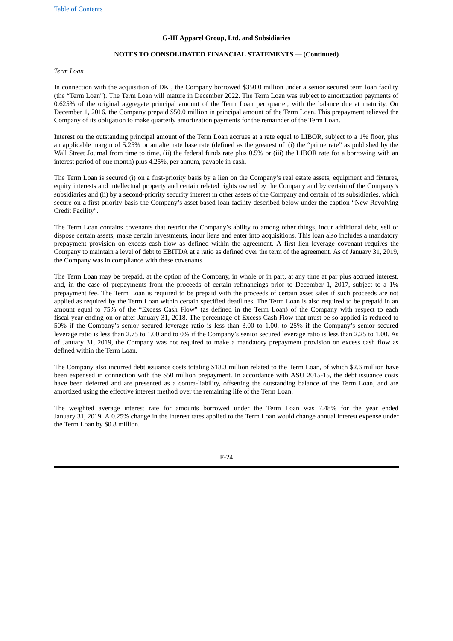# **NOTES TO CONSOLIDATED FINANCIAL STATEMENTS — (Continued)**

#### *Term Loan*

In connection with the acquisition of DKI, the Company borrowed \$350.0 million under a senior secured term loan facility (the "Term Loan"). The Term Loan will mature in December 2022. The Term Loan was subject to amortization payments of 0.625% of the original aggregate principal amount of the Term Loan per quarter, with the balance due at maturity. On December 1, 2016, the Company prepaid \$50.0 million in principal amount of the Term Loan. This prepayment relieved the Company of its obligation to make quarterly amortization payments for the remainder of the Term Loan.

Interest on the outstanding principal amount of the Term Loan accrues at a rate equal to LIBOR, subject to a 1% floor, plus an applicable margin of 5.25% or an alternate base rate (defined as the greatest of (i) the "prime rate" as published by the Wall Street Journal from time to time, (ii) the federal funds rate plus 0.5% or (iii) the LIBOR rate for a borrowing with an interest period of one month) plus 4.25%, per annum, payable in cash.

The Term Loan is secured (i) on a first-priority basis by a lien on the Company's real estate assets, equipment and fixtures, equity interests and intellectual property and certain related rights owned by the Company and by certain of the Company's subsidiaries and (ii) by a second-priority security interest in other assets of the Company and certain of its subsidiaries, which secure on a first-priority basis the Company's asset-based loan facility described below under the caption "New Revolving Credit Facility".

The Term Loan contains covenants that restrict the Company's ability to among other things, incur additional debt, sell or dispose certain assets, make certain investments, incur liens and enter into acquisitions. This loan also includes a mandatory prepayment provision on excess cash flow as defined within the agreement. A first lien leverage covenant requires the Company to maintain a level of debt to EBITDA at a ratio as defined over the term of the agreement. As of January 31, 2019, the Company was in compliance with these covenants.

The Term Loan may be prepaid, at the option of the Company, in whole or in part, at any time at par plus accrued interest, and, in the case of prepayments from the proceeds of certain refinancings prior to December 1, 2017, subject to a 1% prepayment fee. The Term Loan is required to be prepaid with the proceeds of certain asset sales if such proceeds are not applied as required by the Term Loan within certain specified deadlines. The Term Loan is also required to be prepaid in an amount equal to 75% of the "Excess Cash Flow" (as defined in the Term Loan) of the Company with respect to each fiscal year ending on or after January 31, 2018. The percentage of Excess Cash Flow that must be so applied is reduced to 50% if the Company's senior secured leverage ratio is less than 3.00 to 1.00, to 25% if the Company's senior secured leverage ratio is less than 2.75 to 1.00 and to 0% if the Company's senior secured leverage ratio is less than 2.25 to 1.00. As of January 31, 2019, the Company was not required to make a mandatory prepayment provision on excess cash flow as defined within the Term Loan.

The Company also incurred debt issuance costs totaling \$18.3 million related to the Term Loan, of which \$2.6 million have been expensed in connection with the \$50 million prepayment. In accordance with ASU 2015-15, the debt issuance costs have been deferred and are presented as a contra-liability, offsetting the outstanding balance of the Term Loan, and are amortized using the effective interest method over the remaining life of the Term Loan.

The weighted average interest rate for amounts borrowed under the Term Loan was 7.48% for the year ended January 31, 2019. A 0.25% change in the interest rates applied to the Term Loan would change annual interest expense under the Term Loan by \$0.8 million.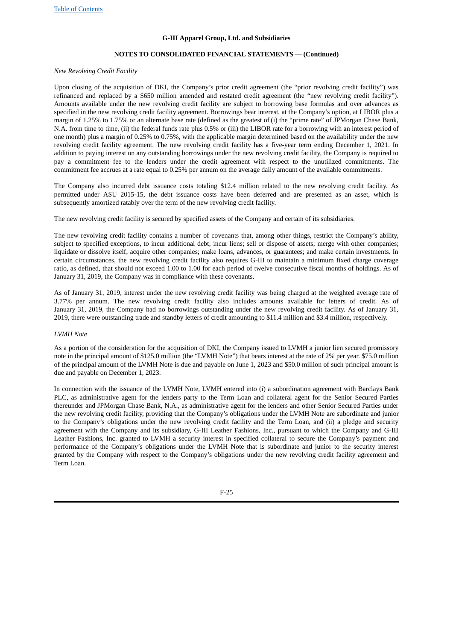# **NOTES TO CONSOLIDATED FINANCIAL STATEMENTS — (Continued)**

#### *New Revolving Credit Facility*

Upon closing of the acquisition of DKI, the Company's prior credit agreement (the "prior revolving credit facility") was refinanced and replaced by a \$650 million amended and restated credit agreement (the "new revolving credit facility"). Amounts available under the new revolving credit facility are subject to borrowing base formulas and over advances as specified in the new revolving credit facility agreement. Borrowings bear interest, at the Company's option, at LIBOR plus a margin of 1.25% to 1.75% or an alternate base rate (defined as the greatest of (i) the "prime rate" of JPMorgan Chase Bank, N.A. from time to time, (ii) the federal funds rate plus 0.5% or (iii) the LIBOR rate for a borrowing with an interest period of one month) plus a margin of 0.25% to 0.75%, with the applicable margin determined based on the availability under the new revolving credit facility agreement. The new revolving credit facility has a five-year term ending December 1, 2021. In addition to paying interest on any outstanding borrowings under the new revolving credit facility, the Company is required to pay a commitment fee to the lenders under the credit agreement with respect to the unutilized commitments. The commitment fee accrues at a rate equal to 0.25% per annum on the average daily amount of the available commitments.

The Company also incurred debt issuance costs totaling \$12.4 million related to the new revolving credit facility. As permitted under ASU 2015-15, the debt issuance costs have been deferred and are presented as an asset, which is subsequently amortized ratably over the term of the new revolving credit facility.

The new revolving credit facility is secured by specified assets of the Company and certain of its subsidiaries.

The new revolving credit facility contains a number of covenants that, among other things, restrict the Company's ability, subject to specified exceptions, to incur additional debt; incur liens; sell or dispose of assets; merge with other companies; liquidate or dissolve itself; acquire other companies; make loans, advances, or guarantees; and make certain investments. In certain circumstances, the new revolving credit facility also requires G-III to maintain a minimum fixed charge coverage ratio, as defined, that should not exceed 1.00 to 1.00 for each period of twelve consecutive fiscal months of holdings. As of January 31, 2019, the Company was in compliance with these covenants.

As of January 31, 2019, interest under the new revolving credit facility was being charged at the weighted average rate of 3.77% per annum. The new revolving credit facility also includes amounts available for letters of credit. As of January 31, 2019, the Company had no borrowings outstanding under the new revolving credit facility. As of January 31, 2019, there were outstanding trade and standby letters of credit amounting to \$11.4 million and \$3.4 million, respectively.

#### *LVMH Note*

As a portion of the consideration for the acquisition of DKI, the Company issued to LVMH a junior lien secured promissory note in the principal amount of \$125.0 million (the "LVMH Note") that bears interest at the rate of 2% per year. \$75.0 million of the principal amount of the LVMH Note is due and payable on June 1, 2023 and \$50.0 million of such principal amount is due and payable on December 1, 2023.

In connection with the issuance of the LVMH Note, LVMH entered into (i) a subordination agreement with Barclays Bank PLC, as administrative agent for the lenders party to the Term Loan and collateral agent for the Senior Secured Parties thereunder and JPMorgan Chase Bank, N.A., as administrative agent for the lenders and other Senior Secured Parties under the new revolving credit facility, providing that the Company's obligations under the LVMH Note are subordinate and junior to the Company's obligations under the new revolving credit facility and the Term Loan, and (ii) a pledge and security agreement with the Company and its subsidiary, G-III Leather Fashions, Inc., pursuant to which the Company and G-III Leather Fashions, Inc. granted to LVMH a security interest in specified collateral to secure the Company's payment and performance of the Company's obligations under the LVMH Note that is subordinate and junior to the security interest granted by the Company with respect to the Company's obligations under the new revolving credit facility agreement and Term Loan.

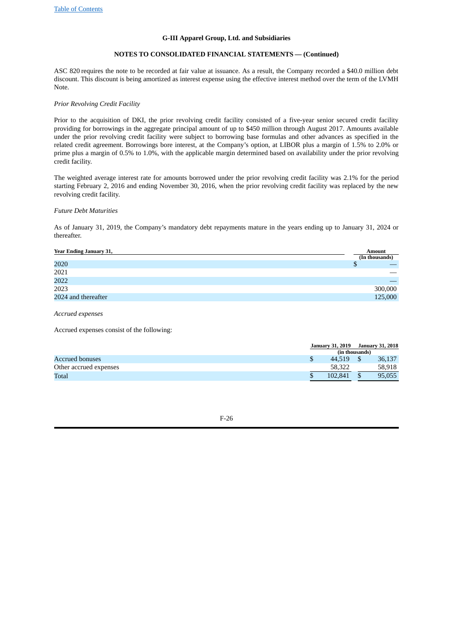# **NOTES TO CONSOLIDATED FINANCIAL STATEMENTS — (Continued)**

ASC 820 requires the note to be recorded at fair value at issuance. As a result, the Company recorded a \$40.0 million debt discount. This discount is being amortized as interest expense using the effective interest method over the term of the LVMH Note.

#### *Prior Revolving Credit Facility*

Prior to the acquisition of DKI, the prior revolving credit facility consisted of a five-year senior secured credit facility providing for borrowings in the aggregate principal amount of up to \$450 million through August 2017. Amounts available under the prior revolving credit facility were subject to borrowing base formulas and other advances as specified in the related credit agreement. Borrowings bore interest, at the Company's option, at LIBOR plus a margin of 1.5% to 2.0% or prime plus a margin of 0.5% to 1.0%, with the applicable margin determined based on availability under the prior revolving credit facility.

The weighted average interest rate for amounts borrowed under the prior revolving credit facility was 2.1% for the period starting February 2, 2016 and ending November 30, 2016, when the prior revolving credit facility was replaced by the new revolving credit facility.

#### *Future Debt Maturities*

As of January 31, 2019, the Company's mandatory debt repayments mature in the years ending up to January 31, 2024 or thereafter.

#### **Year Ending January 31, Amount**

|                     | (In thousands) |
|---------------------|----------------|
| 2020                |                |
| 2021                |                |
| 2022                |                |
| 2023                | 300,000        |
| 2024 and thereafter | 125,000        |

*Accrued expenses*

Accrued expenses consist of the following:

|                        | January 31, 2019 January 31, 2018 |  |        |  |
|------------------------|-----------------------------------|--|--------|--|
|                        | (in thousands)                    |  |        |  |
| Accrued bonuses        | 44.519                            |  | 36.137 |  |
| Other accrued expenses | 58,322                            |  | 58,918 |  |
| Total                  | 102.841                           |  | 95,055 |  |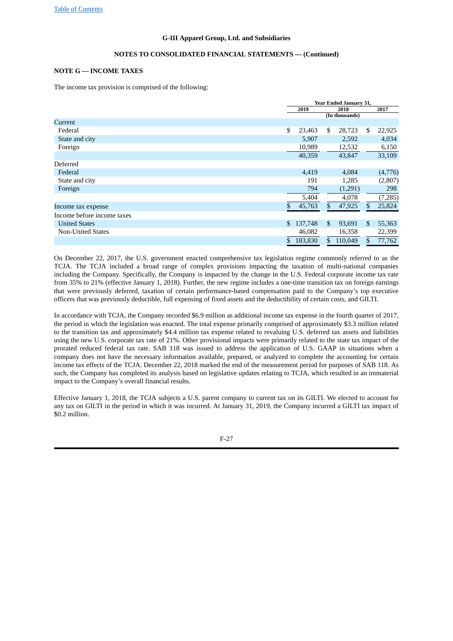# **NOTES TO CONSOLIDATED FINANCIAL STATEMENTS — (Continued)**

# **NOTE G — INCOME TAXES**

The income tax provision is comprised of the following:

|                            |                | Year Ended January 31, |    |                |    |          |  |
|----------------------------|----------------|------------------------|----|----------------|----|----------|--|
|                            |                | 2019                   |    | 2018           |    | 2017     |  |
|                            |                |                        |    | (In thousands) |    |          |  |
| Current                    |                |                        |    |                |    |          |  |
| Federal                    | \$             | 23,463                 | \$ | 28,723         | \$ | 22,925   |  |
| State and city             |                | 5,907                  |    | 2,592          |    | 4,034    |  |
| Foreign                    |                | 10,989                 |    | 12,532         |    | 6,150    |  |
|                            |                | 40,359                 |    | 43,847         |    | 33,109   |  |
| Deferred                   |                |                        |    |                |    |          |  |
| Federal                    |                | 4,419                  |    | 4,084          |    | (4,776)  |  |
| State and city             |                | 191                    |    | 1,285          |    | (2,807)  |  |
| Foreign                    |                | 794                    |    | (1,291)        |    | 298      |  |
|                            |                | 5,404                  |    | 4,078          |    | (7, 285) |  |
| Income tax expense         | \$             | 45,763                 | \$ | 47,925         | \$ | 25,824   |  |
| Income before income taxes |                |                        |    |                |    |          |  |
| <b>United States</b>       | $\mathbb{S}^-$ | 137,748                | \$ | 93,691         | \$ | 55,363   |  |
| <b>Non-United States</b>   |                | 46,082                 |    | 16,358         |    | 22,399   |  |
|                            | $\mathbb{S}$   | 183,830                | \$ | 110,049        | \$ | 77,762   |  |

On December 22, 2017, the U.S. government enacted comprehensive tax legislation regime commonly referred to as the TCJA. The TCJA included a broad range of complex provisions impacting the taxation of multi-national companies including the Company. Specifically, the Company is impacted by the change in the U.S. Federal corporate income tax rate from 35% to 21% (effective January 1, 2018). Further, the new regime includes a one-time transition tax on foreign earnings that were previously deferred, taxation of certain performance-based compensation paid to the Company's top executive officers that was previously deductible, full expensing of fixed assets and the deductibility of certain costs, and GILTI.

In accordance with TCJA, the Company recorded \$6.9 million as additional income tax expense in the fourth quarter of 2017, the period in which the legislation was enacted. The total expense primarily comprised of approximately \$3.3 million related to the transition tax and approximately \$4.4 million tax expense related to revaluing U.S. deferred tax assets and liabilities using the new U.S. corporate tax rate of 21%. Other provisional impacts were primarily related to the state tax impact of the prorated reduced federal tax rate. SAB 118 was issued to address the application of U.S. GAAP in situations when a company does not have the necessary information available, prepared, or analyzed to complete the accounting for certain income tax effects of the TCJA. December 22, 2018 marked the end of the measurement period for purposes of SAB 118. As such, the Company has completed its analysis based on legislative updates relating to TCJA, which resulted in an immaterial impact to the Company's overall financial results.

Effective January 1, 2018, the TCJA subjects a U.S. parent company to current tax on its GILTI. We elected to account for any tax on GILTI in the period in which it was incurred. At January 31, 2019, the Company incurred a GILTI tax impact of \$0.2 million.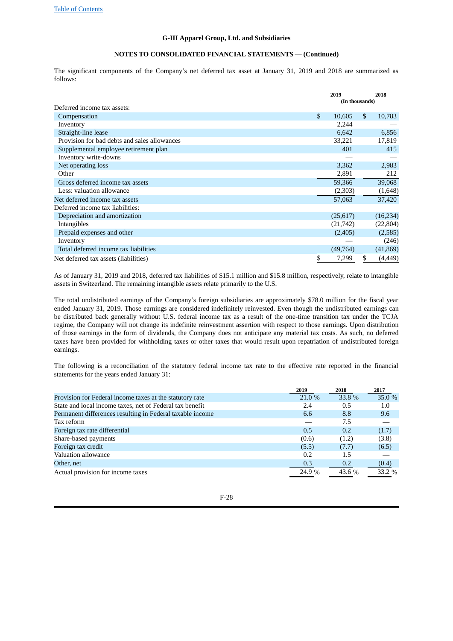# **NOTES TO CONSOLIDATED FINANCIAL STATEMENTS — (Continued)**

The significant components of the Company's net deferred tax asset at January 31, 2019 and 2018 are summarized as follows:

|                                              | 2019         |                | 2018           |
|----------------------------------------------|--------------|----------------|----------------|
|                                              |              | (In thousands) |                |
| Deferred income tax assets:                  |              |                |                |
| Compensation                                 | $\mathbb{S}$ | 10,605         | \$<br>10,783   |
| Inventory                                    |              | 2,244          |                |
| Straight-line lease                          |              | 6,642          | 6,856          |
| Provision for bad debts and sales allowances |              | 33,221         | 17,819         |
| Supplemental employee retirement plan        |              | 401            | 415            |
| Inventory write-downs                        |              |                |                |
| Net operating loss                           |              | 3,362          | 2,983          |
| Other                                        |              | 2,891          | 212            |
| Gross deferred income tax assets             |              | 59,366         | 39,068         |
| Less: valuation allowance                    |              | (2,303)        | (1,648)        |
| Net deferred income tax assets               |              | 57,063         | 37,420         |
| Deferred income tax liabilities:             |              |                |                |
| Depreciation and amortization                |              | (25, 617)      | (16, 234)      |
| Intangibles                                  |              | (21,742)       | (22, 804)      |
| Prepaid expenses and other                   |              | (2,405)        | (2,585)        |
| Inventory                                    |              |                | (246)          |
| Total deferred income tax liabilities        |              | (49,764)       | (41, 869)      |
| Net deferred tax assets (liabilities)        | \$           | 7,299          | \$<br>(4, 449) |

As of January 31, 2019 and 2018, deferred tax liabilities of \$15.1 million and \$15.8 million, respectively, relate to intangible assets in Switzerland. The remaining intangible assets relate primarily to the U.S.

The total undistributed earnings of the Company's foreign subsidiaries are approximately \$78.0 million for the fiscal year ended January 31, 2019. Those earnings are considered indefinitely reinvested. Even though the undistributed earnings can be distributed back generally without U.S. federal income tax as a result of the one-time transition tax under the TCJA regime, the Company will not change its indefinite reinvestment assertion with respect to those earnings. Upon distribution of those earnings in the form of dividends, the Company does not anticipate any material tax costs. As such, no deferred taxes have been provided for withholding taxes or other taxes that would result upon repatriation of undistributed foreign earnings.

The following is a reconciliation of the statutory federal income tax rate to the effective rate reported in the financial statements for the years ended January 31:

|                                                           | 2019   | 2018   | 2017   |
|-----------------------------------------------------------|--------|--------|--------|
| Provision for Federal income taxes at the statutory rate  | 21.0 % | 33.8 % | 35.0 % |
| State and local income taxes, net of Federal tax benefit  | 2.4    | 0.5    | 1.0    |
| Permanent differences resulting in Federal taxable income | 6.6    | 8.8    | 9.6    |
| Tax reform                                                |        | 7.5    |        |
| Foreign tax rate differential                             | 0.5    | 0.2    | (1.7)  |
| Share-based payments                                      | (0.6)  | (1.2)  | (3.8)  |
| Foreign tax credit                                        | (5.5)  | (7.7)  | (6.5)  |
| Valuation allowance                                       | 0.2    | 1.5    |        |
| Other, net                                                | 0.3    | 0.2    | (0.4)  |
| Actual provision for income taxes                         | 24.9 % | 43.6 % | 33.2 % |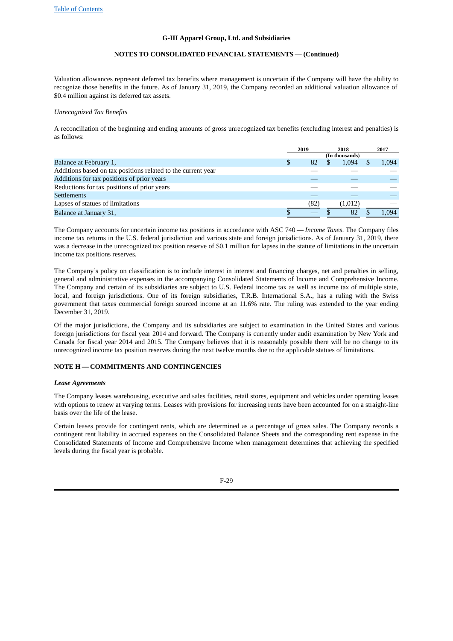# **NOTES TO CONSOLIDATED FINANCIAL STATEMENTS — (Continued)**

Valuation allowances represent deferred tax benefits where management is uncertain if the Company will have the ability to recognize those benefits in the future. As of January 31, 2019, the Company recorded an additional valuation allowance of \$0.4 million against its deferred tax assets.

#### *Unrecognized Tax Benefits*

A reconciliation of the beginning and ending amounts of gross unrecognized tax benefits (excluding interest and penalties) is as follows:

|                                                              | 2019 |      | 2018 |                | 2017  |
|--------------------------------------------------------------|------|------|------|----------------|-------|
|                                                              |      |      |      | (In thousands) |       |
| Balance at February 1,                                       | S    | 82   |      | 1,094          | 1,094 |
| Additions based on tax positions related to the current year |      |      |      |                |       |
| Additions for tax positions of prior years                   |      |      |      |                |       |
| Reductions for tax positions of prior years                  |      |      |      |                |       |
| <b>Settlements</b>                                           |      |      |      |                |       |
| Lapses of statues of limitations                             |      | (82) |      | (1,012)        |       |
| Balance at January 31,                                       |      |      |      | 82             | 1.094 |

The Company accounts for uncertain income tax positions in accordance with ASC 740 — *Income Taxes*. The Company files income tax returns in the U.S. federal jurisdiction and various state and foreign jurisdictions. As of January 31, 2019, there was a decrease in the unrecognized tax position reserve of \$0.1 million for lapses in the statute of limitations in the uncertain income tax positions reserves.

The Company's policy on classification is to include interest in interest and financing charges, net and penalties in selling, general and administrative expenses in the accompanying Consolidated Statements of Income and Comprehensive Income. The Company and certain of its subsidiaries are subject to U.S. Federal income tax as well as income tax of multiple state, local, and foreign jurisdictions. One of its foreign subsidiaries, T.R.B. International S.A., has a ruling with the Swiss government that taxes commercial foreign sourced income at an 11.6% rate. The ruling was extended to the year ending December 31, 2019.

Of the major jurisdictions, the Company and its subsidiaries are subject to examination in the United States and various foreign jurisdictions for fiscal year 2014 and forward. The Company is currently under audit examination by New York and Canada for fiscal year 2014 and 2015. The Company believes that it is reasonably possible there will be no change to its unrecognized income tax position reserves during the next twelve months due to the applicable statues of limitations.

# **NOTE H — COMMITMENTS AND CONTINGENCIES**

#### *Lease Agreements*

The Company leases warehousing, executive and sales facilities, retail stores, equipment and vehicles under operating leases with options to renew at varying terms. Leases with provisions for increasing rents have been accounted for on a straight-line basis over the life of the lease.

Certain leases provide for contingent rents, which are determined as a percentage of gross sales. The Company records a contingent rent liability in accrued expenses on the Consolidated Balance Sheets and the corresponding rent expense in the Consolidated Statements of Income and Comprehensive Income when management determines that achieving the specified levels during the fiscal year is probable.

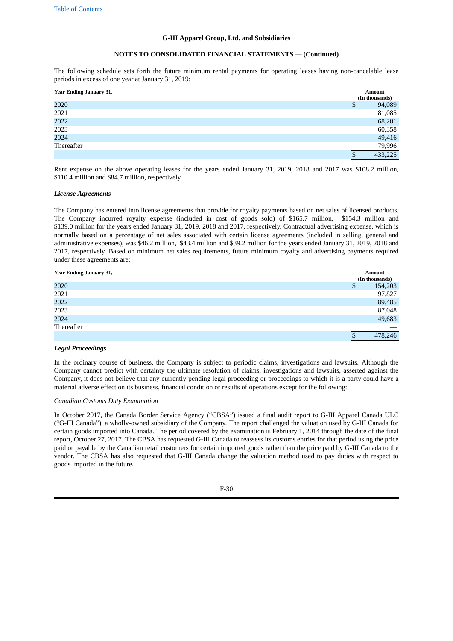# **NOTES TO CONSOLIDATED FINANCIAL STATEMENTS — (Continued)**

The following schedule sets forth the future minimum rental payments for operating leases having non-cancelable lease periods in excess of one year at January 31, 2019:

| Year Ending January 31, |                | Amount  |
|-------------------------|----------------|---------|
|                         | (In thousands) |         |
| 2020                    | ¢<br>Φ         | 94,089  |
| 2021                    |                | 81,085  |
| 2022                    |                | 68,281  |
| 2023                    |                | 60,358  |
| 2024                    |                | 49,416  |
| Thereafter              |                | 79,996  |
|                         |                | 433,225 |

Rent expense on the above operating leases for the years ended January 31, 2019, 2018 and 2017 was \$108.2 million, \$110.4 million and \$84.7 million, respectively.

#### *License Agreements*

The Company has entered into license agreements that provide for royalty payments based on net sales of licensed products. The Company incurred royalty expense (included in cost of goods sold) of \$165.7 million, \$154.3 million and \$139.0 million for the years ended January 31, 2019, 2018 and 2017, respectively. Contractual advertising expense, which is normally based on a percentage of net sales associated with certain license agreements (included in selling, general and administrative expenses), was \$46.2 million, \$43.4 million and \$39.2 million for the years ended January 31, 2019, 2018 and 2017, respectively. Based on minimum net sales requirements, future minimum royalty and advertising payments required under these agreements are:

| <b>Year Ending January 31,</b> |    | Amount         |
|--------------------------------|----|----------------|
|                                |    | (In thousands) |
| 2020                           | ۰D | 154,203        |
| 2021                           |    | 97,827         |
| 2022                           |    | 89,485         |
| 2023                           |    | 87,048         |
| 2024                           |    | 49,683         |
| Thereafter                     |    |                |
|                                |    | 478,246        |

## *Legal Proceedings*

In the ordinary course of business, the Company is subject to periodic claims, investigations and lawsuits. Although the Company cannot predict with certainty the ultimate resolution of claims, investigations and lawsuits, asserted against the Company, it does not believe that any currently pending legal proceeding or proceedings to which it is a party could have a material adverse effect on its business, financial condition or results of operations except for the following:

#### *Canadian Customs Duty Examination*

In October 2017, the Canada Border Service Agency ("CBSA") issued a final audit report to G-III Apparel Canada ULC ("G-III Canada"), a wholly-owned subsidiary of the Company. The report challenged the valuation used by G-III Canada for certain goods imported into Canada. The period covered by the examination is February 1, 2014 through the date of the final report, October 27, 2017. The CBSA has requested G-III Canada to reassess its customs entries for that period using the price paid or payable by the Canadian retail customers for certain imported goods rather than the price paid by G-III Canada to the vendor. The CBSA has also requested that G-III Canada change the valuation method used to pay duties with respect to goods imported in the future.

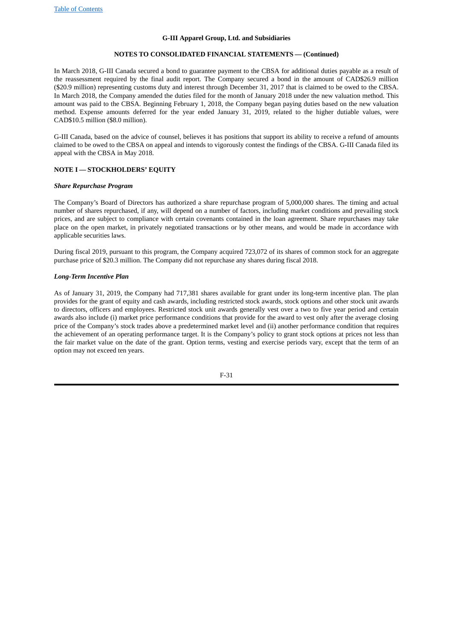# **NOTES TO CONSOLIDATED FINANCIAL STATEMENTS — (Continued)**

In March 2018, G-III Canada secured a bond to guarantee payment to the CBSA for additional duties payable as a result of the reassessment required by the final audit report. The Company secured a bond in the amount of CAD\$26.9 million (\$20.9 million) representing customs duty and interest through December 31, 2017 that is claimed to be owed to the CBSA. In March 2018, the Company amended the duties filed for the month of January 2018 under the new valuation method. This amount was paid to the CBSA. Beginning February 1, 2018, the Company began paying duties based on the new valuation method. Expense amounts deferred for the year ended January 31, 2019, related to the higher dutiable values, were CAD\$10.5 million (\$8.0 million).

G-III Canada, based on the advice of counsel, believes it has positions that support its ability to receive a refund of amounts claimed to be owed to the CBSA on appeal and intends to vigorously contest the findings of the CBSA. G-III Canada filed its appeal with the CBSA in May 2018.

## **NOTE I — STOCKHOLDERS' EQUITY**

#### *Share Repurchase Program*

The Company's Board of Directors has authorized a share repurchase program of 5,000,000 shares. The timing and actual number of shares repurchased, if any, will depend on a number of factors, including market conditions and prevailing stock prices, and are subject to compliance with certain covenants contained in the loan agreement. Share repurchases may take place on the open market, in privately negotiated transactions or by other means, and would be made in accordance with applicable securities laws.

During fiscal 2019, pursuant to this program, the Company acquired 723,072 of its shares of common stock for an aggregate purchase price of \$20.3 million. The Company did not repurchase any shares during fiscal 2018.

#### *Long-Term Incentive Plan*

As of January 31, 2019, the Company had 717,381 shares available for grant under its long-term incentive plan. The plan provides for the grant of equity and cash awards, including restricted stock awards, stock options and other stock unit awards to directors, officers and employees. Restricted stock unit awards generally vest over a two to five year period and certain awards also include (i) market price performance conditions that provide for the award to vest only after the average closing price of the Company's stock trades above a predetermined market level and (ii) another performance condition that requires the achievement of an operating performance target. It is the Company's policy to grant stock options at prices not less than the fair market value on the date of the grant. Option terms, vesting and exercise periods vary, except that the term of an option may not exceed ten years.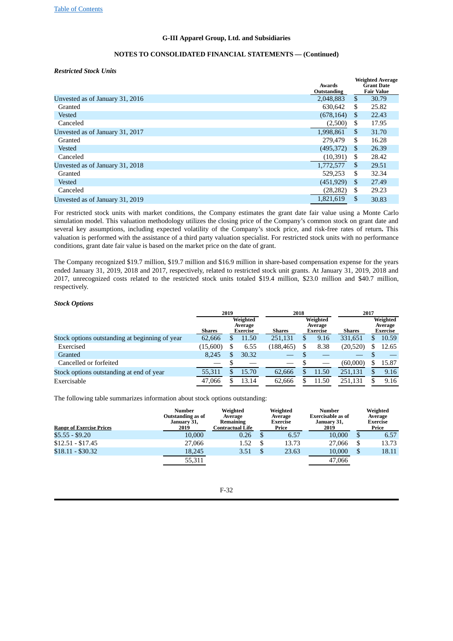# **NOTES TO CONSOLIDATED FINANCIAL STATEMENTS — (Continued)**

# *Restricted Stock Units*

|                                 | Awards<br>Outstanding |                | <b>Weighted Average</b><br><b>Grant Date</b><br><b>Fair Value</b> |
|---------------------------------|-----------------------|----------------|-------------------------------------------------------------------|
| Unvested as of January 31, 2016 | 2,048,883             | $\mathfrak{S}$ | 30.79                                                             |
| Granted                         | 630,642               | \$.            | 25.82                                                             |
| Vested                          | (678, 164)            | -S             | 22.43                                                             |
| Canceled                        | (2,500)               | S              | 17.95                                                             |
| Unvested as of January 31, 2017 | 1,998,861             | \$             | 31.70                                                             |
| Granted                         | 279,479               | \$             | 16.28                                                             |
| <b>Vested</b>                   | (495,372)             | S              | 26.39                                                             |
| Canceled                        | (10, 391)             | S              | 28.42                                                             |
| Unvested as of January 31, 2018 | 1,772,577             | \$             | 29.51                                                             |
| Granted                         | 529.253               | \$             | 32.34                                                             |
| <b>Vested</b>                   | (451, 929)            | S              | 27.49                                                             |
| Canceled                        | (28, 282)             | \$             | 29.23                                                             |
| Unvested as of January 31, 2019 | 1,821,619             | \$             | 30.83                                                             |

For restricted stock units with market conditions, the Company estimates the grant date fair value using a Monte Carlo simulation model. This valuation methodology utilizes the closing price of the Company's common stock on grant date and several key assumptions, including expected volatility of the Company's stock price, and risk-free rates of return**.** This valuation is performed with the assistance of a third party valuation specialist. For restricted stock units with no performance conditions, grant date fair value is based on the market price on the date of grant.

The Company recognized \$19.7 million, \$19.7 million and \$16.9 million in share-based compensation expense for the years ended January 31, 2019, 2018 and 2017, respectively, related to restricted stock unit grants. At January 31, 2019, 2018 and 2017, unrecognized costs related to the restricted stock units totaled \$19.4 million, \$23.0 million and \$40.7 million, respectively.

## *Stock Options*

|                                                | 2019                                                                     |    |                                        | 2018       |               | 2017  |                                 |   |       |
|------------------------------------------------|--------------------------------------------------------------------------|----|----------------------------------------|------------|---------------|-------|---------------------------------|---|-------|
|                                                | Weighted<br>Average<br><b>Shares</b><br><b>Shares</b><br><b>Exercise</b> |    | Weighted<br>Average<br><b>Exercise</b> |            | <b>Shares</b> |       | Weighted<br>Average<br>Exercise |   |       |
| Stock options outstanding at beginning of year | 62,666                                                                   | S  | 11.50                                  | 251,131    | S             | 9.16  | 331,651                         | S | 10.59 |
| Exercised                                      | (15,600)                                                                 | \$ | 6.55                                   | (188, 465) | \$            | 8.38  | (20, 520)                       |   | 12.65 |
| Granted                                        | 8,245                                                                    | \$ | 30.32                                  |            | S             |       |                                 |   |       |
| Cancelled or forfeited                         |                                                                          |    |                                        |            |               |       | (60,000)                        |   | 15.87 |
| Stock options outstanding at end of year       | 55,311                                                                   |    | 15.70                                  | 62,666     | \$            | 11.50 | 251,131                         |   | 9.16  |
| Exercisable                                    | 47,066                                                                   |    | 13.14                                  | 62.666     |               | 11.50 | 251.131                         |   | 9.16  |

The following table summarizes information about stock options outstanding:

| <b>Range of Exercise Prices</b> | <b>Number</b><br>Outstanding as of<br>January 31,<br>2019 | Weighted<br>Average<br>Remaining<br>Contractual Life | Weighted<br>Average<br><b>Exercise</b><br>Price | Number<br><b>Exercisable as of</b><br>January 31,<br>2019 | Weighted<br>Average<br><b>Exercise</b><br>Price |
|---------------------------------|-----------------------------------------------------------|------------------------------------------------------|-------------------------------------------------|-----------------------------------------------------------|-------------------------------------------------|
| $$5.55 - $9.20$                 | 10.000                                                    | 0.26                                                 | 6.57                                            | 10.000                                                    | \$<br>6.57                                      |
| $$12.51 - $17.45$               | 27,066                                                    | 1.52                                                 | 13.73                                           | 27,066                                                    | \$<br>13.73                                     |
| $$18.11 - $30.32$               | 18.245                                                    | 3.51                                                 | 23.63                                           | 10.000                                                    | \$<br>18.11                                     |
|                                 | 55,311                                                    |                                                      |                                                 | 47,066                                                    |                                                 |

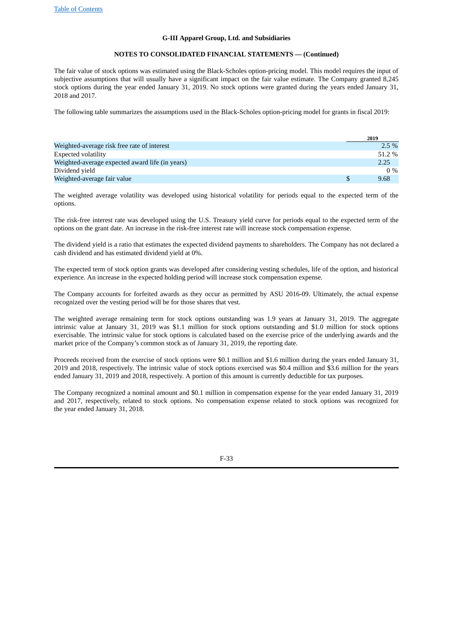# **NOTES TO CONSOLIDATED FINANCIAL STATEMENTS — (Continued)**

The fair value of stock options was estimated using the Black-Scholes option-pricing model. This model requires the input of subjective assumptions that will usually have a significant impact on the fair value estimate. The Company granted 8,245 stock options during the year ended January 31, 2019. No stock options were granted during the years ended January 31, 2018 and 2017.

The following table summarizes the assumptions used in the Black-Scholes option-pricing model for grants in fiscal 2019:

|                                                 | 2019    |
|-------------------------------------------------|---------|
| Weighted-average risk free rate of interest     | $2.5\%$ |
| Expected volatility                             | 51.2 %  |
| Weighted-average expected award life (in years) | 2.25    |
| Dividend vield                                  | $0\%$   |
| Weighted-average fair value                     | 9.68    |

The weighted average volatility was developed using historical volatility for periods equal to the expected term of the options.

The risk-free interest rate was developed using the U.S. Treasury yield curve for periods equal to the expected term of the options on the grant date. An increase in the risk-free interest rate will increase stock compensation expense.

The dividend yield is a ratio that estimates the expected dividend payments to shareholders. The Company has not declared a cash dividend and has estimated dividend yield at 0%.

The expected term of stock option grants was developed after considering vesting schedules, life of the option, and historical experience. An increase in the expected holding period will increase stock compensation expense.

The Company accounts for forfeited awards as they occur as permitted by ASU 2016-09. Ultimately, the actual expense recognized over the vesting period will be for those shares that vest.

The weighted average remaining term for stock options outstanding was 1.9 years at January 31, 2019. The aggregate intrinsic value at January 31, 2019 was \$1.1 million for stock options outstanding and \$1.0 million for stock options exercisable. The intrinsic value for stock options is calculated based on the exercise price of the underlying awards and the market price of the Company's common stock as of January 31, 2019, the reporting date.

Proceeds received from the exercise of stock options were \$0.1 million and \$1.6 million during the years ended January 31, 2019 and 2018, respectively. The intrinsic value of stock options exercised was \$0.4 million and \$3.6 million for the years ended January 31, 2019 and 2018, respectively. A portion of this amount is currently deductible for tax purposes.

The Company recognized a nominal amount and \$0.1 million in compensation expense for the year ended January 31, 2019 and 2017, respectively, related to stock options. No compensation expense related to stock options was recognized for the year ended January 31, 2018.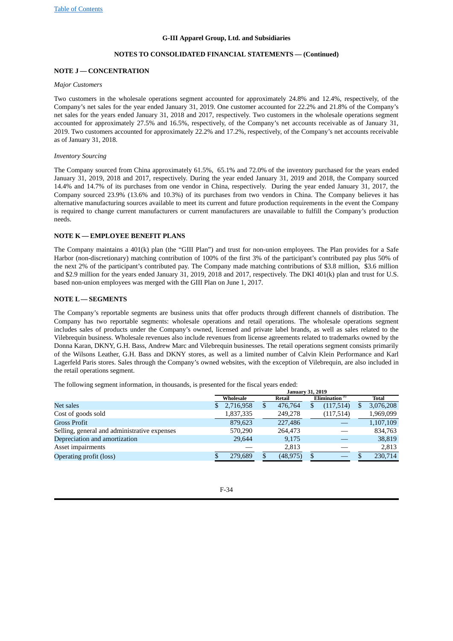## **NOTES TO CONSOLIDATED FINANCIAL STATEMENTS — (Continued)**

# **NOTE J — CONCENTRATION**

#### *Major Customers*

Two customers in the wholesale operations segment accounted for approximately 24.8% and 12.4%, respectively, of the Company's net sales for the year ended January 31, 2019. One customer accounted for 22.2% and 21.8% of the Company's net sales for the years ended January 31, 2018 and 2017, respectively. Two customers in the wholesale operations segment accounted for approximately 27.5% and 16.5%, respectively, of the Company's net accounts receivable as of January 31, 2019. Two customers accounted for approximately 22.2% and 17.2%, respectively, of the Company's net accounts receivable as of January 31, 2018.

#### *Inventory Sourcing*

The Company sourced from China approximately 61.5%, 65.1% and 72.0% of the inventory purchased for the years ended January 31, 2019, 2018 and 2017, respectively. During the year ended January 31, 2019 and 2018, the Company sourced 14.4% and 14.7% of its purchases from one vendor in China, respectively. During the year ended January 31, 2017, the Company sourced 23.9% (13.6% and 10.3%) of its purchases from two vendors in China. The Company believes it has alternative manufacturing sources available to meet its current and future production requirements in the event the Company is required to change current manufacturers or current manufacturers are unavailable to fulfill the Company's production needs.

#### **NOTE K — EMPLOYEE BENEFIT PLANS**

The Company maintains a  $401(k)$  plan (the "GIII Plan") and trust for non-union employees. The Plan provides for a Safe Harbor (non-discretionary) matching contribution of 100% of the first 3% of the participant's contributed pay plus 50% of the next 2% of the participant's contributed pay. The Company made matching contributions of \$3.8 million, \$3.6 million and \$2.9 million for the years ended January 31, 2019, 2018 and 2017, respectively. The DKI 401(k) plan and trust for U.S. based non-union employees was merged with the GIII Plan on June 1, 2017.

#### **NOTE L— SEGMENTS**

The Company's reportable segments are business units that offer products through different channels of distribution. The Company has two reportable segments: wholesale operations and retail operations. The wholesale operations segment includes sales of products under the Company's owned, licensed and private label brands, as well as sales related to the Vilebrequin business. Wholesale revenues also include revenues from license agreements related to trademarks owned by the Donna Karan, DKNY, G.H. Bass, Andrew Marc and Vilebrequin businesses. The retail operations segment consists primarily of the Wilsons Leather, G.H. Bass and DKNY stores, as well as a limited number of Calvin Klein Performance and Karl Lagerfeld Paris stores. Sales through the Company's owned websites, with the exception of Vilebrequin, are also included in the retail operations segment.

The following segment information, in thousands, is presented for the fiscal years ended:

|                                              | <b>January 31, 2019</b> |           |  |           |                            |            |       |           |
|----------------------------------------------|-------------------------|-----------|--|-----------|----------------------------|------------|-------|-----------|
|                                              | Wholesale<br>Retail     |           |  |           | Elimination <sup>(1)</sup> |            | Total |           |
| Net sales                                    |                         | 2,716,958 |  | 476,764   | S.                         | (117,514)  | \$    | 3,076,208 |
| Cost of goods sold                           |                         | 1,837,335 |  | 249,278   |                            | (117, 514) |       | 1,969,099 |
| Gross Profit                                 |                         | 879,623   |  | 227,486   |                            |            |       | 1,107,109 |
| Selling, general and administrative expenses |                         | 570,290   |  | 264,473   |                            |            |       | 834,763   |
| Depreciation and amortization                |                         | 29.644    |  | 9,175     |                            |            |       | 38,819    |
| Asset impairments                            |                         |           |  | 2,813     |                            |            |       | 2,813     |
| Operating profit (loss)                      |                         | 279,689   |  | (48, 975) |                            |            |       | 230,714   |

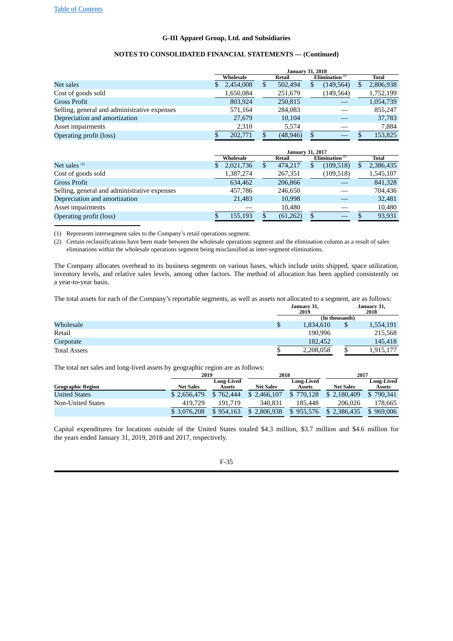# **NOTES TO CONSOLIDATED FINANCIAL STATEMENTS — (Continued)**

|                                              | <b>January 31, 2018</b> |           |  |           |  |                            |   |              |
|----------------------------------------------|-------------------------|-----------|--|-----------|--|----------------------------|---|--------------|
|                                              |                         | Wholesale |  | Retail    |  | Elimination <sup>(1)</sup> |   | <b>Total</b> |
| Net sales                                    |                         | 2,454,008 |  | 502,494   |  | (149, 564)                 | S | 2,806,938    |
| Cost of goods sold                           |                         | 1,650,084 |  | 251,679   |  | (149, 564)                 |   | 1,752,199    |
| Gross Profit                                 |                         | 803.924   |  | 250,815   |  |                            |   | 1,054,739    |
| Selling, general and administrative expenses |                         | 571,164   |  | 284,083   |  |                            |   | 855,247      |
| Depreciation and amortization                |                         | 27,679    |  | 10,104    |  |                            |   | 37,783       |
| Asset impairments                            |                         | 2.310     |  | 5.574     |  |                            |   | 7,884        |
| <b>Operating profit (loss)</b>               |                         | 202.771   |  | (48, 946) |  |                            |   | 153,825      |

|                                              | <b>January 31, 2017</b> |           |  |  |           |     |                   |   |              |
|----------------------------------------------|-------------------------|-----------|--|--|-----------|-----|-------------------|---|--------------|
|                                              |                         | Wholesale |  |  | Retail    |     | Elimination $(1)$ |   | <b>Total</b> |
| Net sales $(2)$                              | S                       | 2,021,736 |  |  | 474,217   | \$. | (109, 518)        | S | 2,386,435    |
| Cost of goods sold                           |                         | 1,387,274 |  |  | 267,351   |     | (109, 518)        |   | 1,545,107    |
| <b>Gross Profit</b>                          |                         | 634,462   |  |  | 206,866   |     |                   |   | 841,328      |
| Selling, general and administrative expenses |                         | 457,786   |  |  | 246,650   |     |                   |   | 704,436      |
| Depreciation and amortization                |                         | 21,483    |  |  | 10.998    |     |                   |   | 32,481       |
| Asset impairments                            |                         |           |  |  | 10,480    |     |                   |   | 10,480       |
| Operating profit (loss)                      |                         | 155,193   |  |  | (61, 262) | S   |                   |   | 93,931       |

(1) Represents intersegment sales to the Company's retail operations segment.

(2) Certain reclassifications have been made between the wholesale operations segment and the elimination column as a result of sales eliminations within the wholesale operations segment being misclassified as inter-segment eliminations.

The Company allocates overhead to its business segments on various bases, which include units shipped, space utilization, inventory levels, and relative sales levels, among other factors. The method of allocation has been applied consistently on a year-to-year basis.

The total assets for each of the Company's reportable segments, as well as assets not allocated to a segment, are as follows:

|                     |   | January 31,<br>2019 |           |                | January 31,<br>2018 |
|---------------------|---|---------------------|-----------|----------------|---------------------|
|                     |   |                     |           | (In thousands) |                     |
| Wholesale           | Φ |                     | 1,834,610 | Ф              | 1,554,191           |
| Retail              |   |                     | 190.996   |                | 215,568             |
| Corporate           |   |                     | 182,452   |                | 145,418             |
| <b>Total Assets</b> | w |                     | 2,208,058 |                | 1,915,177           |

The total net sales and long-lived assets by geographic region are as follows:

|                          | 2019             |                   | 2018             |                   | 2017             |                         |  |  |
|--------------------------|------------------|-------------------|------------------|-------------------|------------------|-------------------------|--|--|
|                          |                  | <b>Long-Lived</b> |                  | <b>Long-Lived</b> |                  | <b>Long-Lived</b>       |  |  |
| <b>Geographic Region</b> | <b>Net Sales</b> | Assets            | <b>Net Sales</b> | Assets            | <b>Net Sales</b> | Assets                  |  |  |
| <b>United States</b>     | \$2.656.479      | \$762,444         | \$.<br>2.466.107 | \$770,128         | \$2.180,409      | 790.341<br>$\mathbf{s}$ |  |  |
| Non-United States        | 419.729          | 191.719           | 340,831          | 185.448           | 206.026          | 178.665                 |  |  |
|                          | \$ 3,076,208     | \$954,163         | 2.806.938<br>\$. | \$955,576         | \$2.386,435      | \$969.006               |  |  |

Capital expenditures for locations outside of the United States totaled \$4.3 million, \$3.7 million and \$4.6 million for the years ended January 31, 2019, 2018 and 2017, respectively.

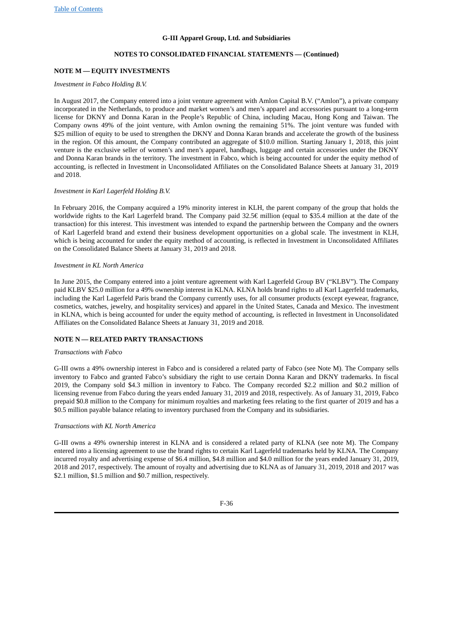# **NOTES TO CONSOLIDATED FINANCIAL STATEMENTS — (Continued)**

# **NOTE M — EQUITY INVESTMENTS**

#### *Investment in Fabco Holding B.V.*

In August 2017, the Company entered into a joint venture agreement with Amlon Capital B.V. ("Amlon"), a private company incorporated in the Netherlands, to produce and market women's and men's apparel and accessories pursuant to a long-term license for DKNY and Donna Karan in the People's Republic of China, including Macau, Hong Kong and Taiwan. The Company owns 49% of the joint venture, with Amlon owning the remaining 51%. The joint venture was funded with \$25 million of equity to be used to strengthen the DKNY and Donna Karan brands and accelerate the growth of the business in the region. Of this amount, the Company contributed an aggregate of \$10.0 million. Starting January 1, 2018, this joint venture is the exclusive seller of women's and men's apparel, handbags, luggage and certain accessories under the DKNY and Donna Karan brands in the territory. The investment in Fabco, which is being accounted for under the equity method of accounting, is reflected in Investment in Unconsolidated Affiliates on the Consolidated Balance Sheets at January 31, 2019 and 2018.

#### *Investment in Karl Lagerfeld Holding B.V.*

In February 2016, the Company acquired a 19% minority interest in KLH, the parent company of the group that holds the worldwide rights to the Karl Lagerfeld brand. The Company paid 32.5€ million (equal to \$35.4 million at the date of the transaction) for this interest. This investment was intended to expand the partnership between the Company and the owners of Karl Lagerfeld brand and extend their business development opportunities on a global scale. The investment in KLH, which is being accounted for under the equity method of accounting, is reflected in Investment in Unconsolidated Affiliates on the Consolidated Balance Sheets at January 31, 2019 and 2018.

#### *Investment in KL North America*

In June 2015, the Company entered into a joint venture agreement with Karl Lagerfeld Group BV ("KLBV"). The Company paid KLBV \$25.0 million for a 49% ownership interest in KLNA. KLNA holds brand rights to all Karl Lagerfeld trademarks, including the Karl Lagerfeld Paris brand the Company currently uses, for all consumer products (except eyewear, fragrance, cosmetics, watches, jewelry, and hospitality services) and apparel in the United States, Canada and Mexico. The investment in KLNA, which is being accounted for under the equity method of accounting, is reflected in Investment in Unconsolidated Affiliates on the Consolidated Balance Sheets at January 31, 2019 and 2018.

#### **NOTE N — RELATED PARTY TRANSACTIONS**

#### *Transactions with Fabco*

G-III owns a 49% ownership interest in Fabco and is considered a related party of Fabco (see Note M). The Company sells inventory to Fabco and granted Fabco's subsidiary the right to use certain Donna Karan and DKNY trademarks. In fiscal 2019, the Company sold \$4.3 million in inventory to Fabco. The Company recorded \$2.2 million and \$0.2 million of licensing revenue from Fabco during the years ended January 31, 2019 and 2018, respectively. As of January 31, 2019, Fabco prepaid \$0.8 million to the Company for minimum royalties and marketing fees relating to the first quarter of 2019 and has a \$0.5 million payable balance relating to inventory purchased from the Company and its subsidiaries.

#### *Transactions with KL North America*

G-III owns a 49% ownership interest in KLNA and is considered a related party of KLNA (see note M). The Company entered into a licensing agreement to use the brand rights to certain Karl Lagerfeld trademarks held by KLNA. The Company incurred royalty and advertising expense of \$6.4 million, \$4.8 million and \$4.0 million for the years ended January 31, 2019, 2018 and 2017, respectively. The amount of royalty and advertising due to KLNA as of January 31, 2019, 2018 and 2017 was \$2.1 million, \$1.5 million and \$0.7 million, respectively.

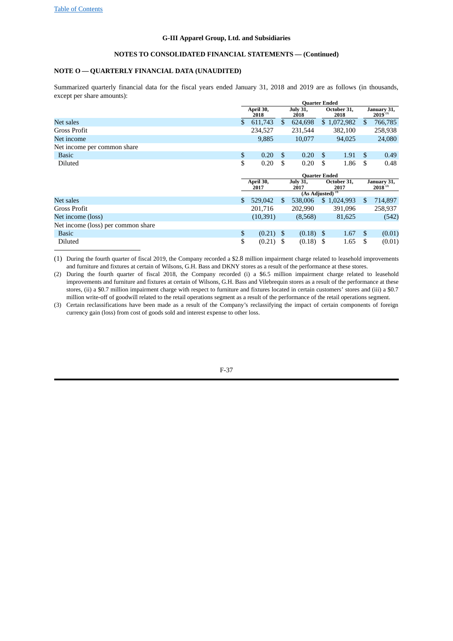# **NOTES TO CONSOLIDATED FINANCIAL STATEMENTS — (Continued)**

# **NOTE O — QUARTERLY FINANCIAL DATA (UNAUDITED)**

Summarized quarterly financial data for the fiscal years ended January 31, 2018 and 2019 are as follows (in thousands, except per share amounts):

|                                    |               | <b>Quarter Ended</b>                         |     |                         |                     |                     |                             |                             |  |
|------------------------------------|---------------|----------------------------------------------|-----|-------------------------|---------------------|---------------------|-----------------------------|-----------------------------|--|
|                                    |               | April $30$ .<br>2018                         |     | <b>July 31,</b><br>2018 | October 31.<br>2018 |                     |                             | January 31,<br>$2019^{(1)}$ |  |
| Net sales                          | $\mathcal{S}$ | 611,743                                      | \$  | 624,698                 |                     | \$1,072,982         | \$                          | 766,785                     |  |
| Gross Profit                       |               | 234,527                                      |     | 231,544                 |                     | 382,100             |                             | 258,938                     |  |
| Net income                         |               | 9,885                                        |     | 10,077                  |                     | 94,025              |                             | 24,080                      |  |
| Net income per common share        |               |                                              |     |                         |                     |                     |                             |                             |  |
| <b>Basic</b>                       | \$            | 0.20                                         | S   | 0.20                    | \$                  | 1.91                | \$                          | 0.49                        |  |
| <b>Diluted</b>                     | \$            | 0.20                                         | \$  | 0.20                    | \$                  | 1.86                | \$                          | 0.48                        |  |
|                                    |               |                                              |     | <b>Quarter Ended</b>    |                     |                     |                             |                             |  |
|                                    |               | April 30,<br><b>July 31,</b><br>2017<br>2017 |     |                         |                     | October 31,<br>2017 | January 31,<br>$2018^{(2)}$ |                             |  |
|                                    |               | (As Adjusted) <sup>(3)</sup>                 |     |                         |                     |                     |                             |                             |  |
| Net sales                          | \$            | 529,042                                      | \$. | 538,006                 |                     | \$1,024,993         | \$                          | 714,897                     |  |
| Gross Profit                       |               | 201,716                                      |     | 202,990                 |                     | 391,096             |                             | 258,937                     |  |
| Net income (loss)                  |               | (10, 391)                                    |     | (8,568)                 |                     | 81,625              |                             | (542)                       |  |
| Net income (loss) per common share |               |                                              |     |                         |                     |                     |                             |                             |  |
| <b>Basic</b>                       | \$            | (0.21)                                       | -\$ | (0.18)                  | -\$                 | 1.67                | \$                          | (0.01)                      |  |
| <b>Diluted</b>                     | \$            | (0.21)                                       | S   | (0.18)                  | \$                  | 1.65                | \$                          | (0.01)                      |  |

(1) During the fourth quarter of fiscal 2019, the Company recorded a \$2.8 million impairment charge related to leasehold improvements and furniture and fixtures at certain of Wilsons, G.H. Bass and DKNY stores as a result of the performance at these stores.

(2) During the fourth quarter of fiscal 2018, the Company recorded (i) a \$6.5 million impairment charge related to leasehold improvements and furniture and fixtures at certain of Wilsons, G.H. Bass and Vilebrequin stores as a result of the performance at these stores, (ii) a \$0.7 million impairment charge with respect to furniture and fixtures located in certain customers' stores and (iii) a \$0.7 million write-off of goodwill related to the retail operations segment as a result of the performance of the retail operations segment.

(3) Certain reclassifications have been made as a result of the Company's reclassifying the impact of certain components of foreign currency gain (loss) from cost of goods sold and interest expense to other loss.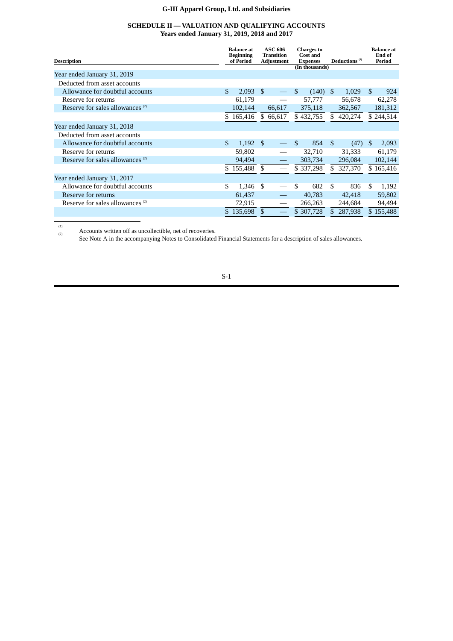#### **SCHEDULE II — VALUATION AND QUALIFYING ACCOUNTS Years ended January 31, 2019, 2018 and 2017**

| <b>Description</b>                          |                | <b>Balance</b> at<br><b>Beginning</b><br>of Period |     | <b>ASC 606</b><br><b>Transition</b><br><b>Adjustment</b> |     | <b>Charges to</b><br><b>Cost and</b><br><b>Expenses</b> |     | Deductions <sup>(1)</sup> |               | <b>Balance</b> at<br>End of<br>Period |
|---------------------------------------------|----------------|----------------------------------------------------|-----|----------------------------------------------------------|-----|---------------------------------------------------------|-----|---------------------------|---------------|---------------------------------------|
|                                             |                |                                                    |     |                                                          |     | (In thousands)                                          |     |                           |               |                                       |
| Year ended January 31, 2019                 |                |                                                    |     |                                                          |     |                                                         |     |                           |               |                                       |
| Deducted from asset accounts                |                |                                                    |     |                                                          |     |                                                         |     |                           |               |                                       |
| Allowance for doubtful accounts             | $\mathfrak{S}$ | 2,093                                              | -\$ |                                                          | -\$ | (140)                                                   | \$  | 1,029                     | <sup>\$</sup> | 924                                   |
| Reserve for returns                         |                | 61,179                                             |     |                                                          |     | 57,777                                                  |     | 56,678                    |               | 62,278                                |
| Reserve for sales allowances <sup>(2)</sup> |                | 102,144                                            |     | 66,617                                                   |     | 375,118                                                 |     | 362,567                   |               | 181,312                               |
|                                             |                | \$165,416                                          |     | \$66,617                                                 |     | \$432,755                                               | \$. | 420,274                   |               | \$244,514                             |
| Year ended January 31, 2018                 |                |                                                    |     |                                                          |     |                                                         |     |                           |               |                                       |
| Deducted from asset accounts                |                |                                                    |     |                                                          |     |                                                         |     |                           |               |                                       |
| Allowance for doubtful accounts             | <sup>\$</sup>  | $1,192$ \$                                         |     |                                                          | -\$ | 854                                                     | -\$ | (47)                      | <sup>\$</sup> | 2,093                                 |
| Reserve for returns                         |                | 59,802                                             |     |                                                          |     | 32,710                                                  |     | 31,333                    |               | 61,179                                |
| Reserve for sales allowances <sup>(2)</sup> |                | 94,494                                             |     |                                                          |     | 303,734                                                 |     | 296,084                   |               | 102,144                               |
|                                             | \$.            | 155,488                                            | \$  |                                                          |     | \$337,298                                               | \$. | 327,370                   |               | \$165,416                             |
| Year ended January 31, 2017                 |                |                                                    |     |                                                          |     |                                                         |     |                           |               |                                       |
| Allowance for doubtful accounts             | \$             | 1,346                                              | -\$ |                                                          | \$  | 682                                                     | \$  | 836                       | \$            | 1,192                                 |
| Reserve for returns                         |                | 61,437                                             |     |                                                          |     | 40,783                                                  |     | 42,418                    |               | 59,802                                |
| Reserve for sales allowances <sup>(2)</sup> |                | 72,915                                             |     |                                                          |     | 266,263                                                 |     | 244,684                   |               | 94,494                                |
|                                             | S.             | 135,698                                            | \$  | $\overline{\phantom{0}}$                                 |     | \$307,728                                               | \$. | 287,938                   |               | \$155,488                             |

(1)

Accounts written off as uncollectible, net of recoveries. (2)

See Note A in the accompanying Notes to Consolidated Financial Statements for a description of sales allowances.

S-1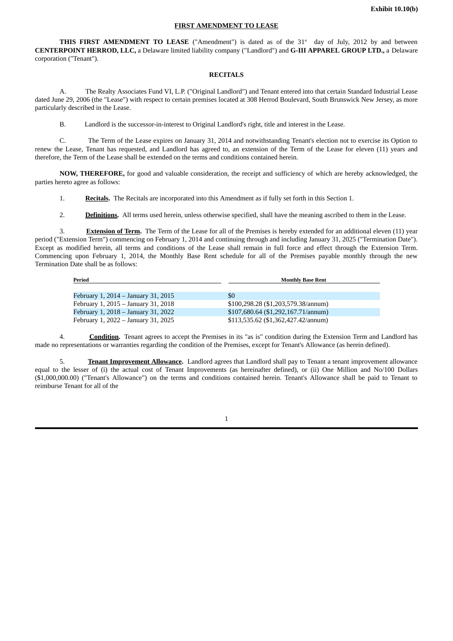#### **FIRST AMENDMENT TO LEASE**

**THIS FIRST AMENDMENT TO LEASE** ("Amendment") is dated as of the 31<sup>st</sup> day of July, 2012 by and between **CENTERPOINT HERROD, LLC,** a Delaware limited liability company ("Landlord") and **G-III APPAREL GROUP LTD.,** a Delaware corporation ("Tenant").

#### **RECITALS**

A. The Realty Associates Fund VI, L.P. ("Original Landlord") and Tenant entered into that certain Standard Industrial Lease dated June 29, 2006 (the "Lease") with respect to certain premises located at 308 Herrod Boulevard, South Brunswick New Jersey, as more particularly described in the Lease.

B. Landlord is the successor-in-interest to Original Landlord's right, title and interest in the Lease.

C. The Term of the Lease expires on January 31, 2014 and notwithstanding Tenant's election not to exercise its Option to renew the Lease, Tenant has requested, and Landlord has agreed to, an extension of the Term of the Lease for eleven (11) years and therefore, the Term of the Lease shall be extended on the terms and conditions contained herein.

**NOW, THEREFORE,** for good and valuable consideration, the receipt and sufficiency of which are hereby acknowledged, the parties hereto agree as follows:

1. **Recitals.** The Recitals are incorporated into this Amendment as if fully set forth in this Section 1.

2. **Definitions.** All terms used herein, unless otherwise specified, shall have the meaning ascribed to them in the Lease.

3. **Extension of Term.** The Term of the Lease for all of the Premises is hereby extended for an additional eleven (11) year period ("Extension Term") commencing on February 1, 2014 and continuing through and including January 31, 2025 ("Termination Date"). Except as modified herein, all terms and conditions of the Lease shall remain in full force and effect through the Extension Term. Commencing upon February 1, 2014, the Monthly Base Rent schedule for all of the Premises payable monthly through the new Termination Date shall be as follows:

| Period                              | <b>Monthly Base Rent</b>             |
|-------------------------------------|--------------------------------------|
|                                     |                                      |
| February 1, 2014 – January 31, 2015 | \$0                                  |
| February 1, 2015 – January 31, 2018 | \$100,298.28 (\$1,203,579.38/annum)  |
| February 1, 2018 – January 31, 2022 | $$107,680.64$ (\$1,292,167.71/annum) |
| February 1, 2022 – January 31, 2025 | \$113,535.62 (\$1,362,427.42/annum)  |

4. **Condition.** Tenant agrees to accept the Premises in its "as is" condition during the Extension Term and Landlord has made no representations or warranties regarding the condition of the Premises, except for Tenant's Allowance (as herein defined).

5. **Tenant Improvement Allowance.** Landlord agrees that Landlord shall pay to Tenant a tenant improvement allowance equal to the lesser of (i) the actual cost of Tenant Improvements (as hereinafter defined), or (ii) One Million and No/100 Dollars (\$1,000,000.00) ("Tenant's Allowance") on the terms and conditions contained herein. Tenant's Allowance shall be paid to Tenant to reimburse Tenant for all of the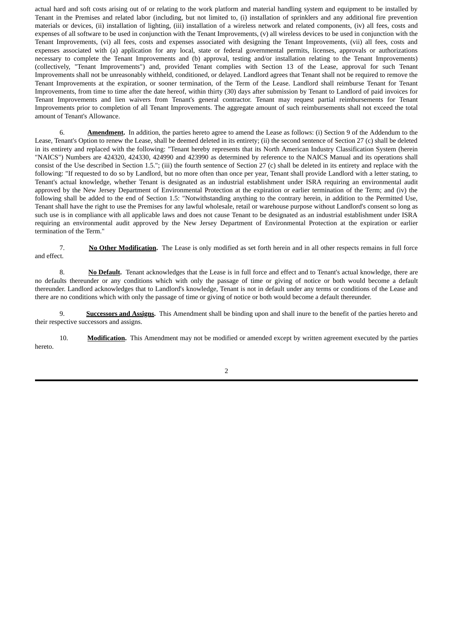actual hard and soft costs arising out of or relating to the work platform and material handling system and equipment to be installed by Tenant in the Premises and related labor (including, but not limited to, (i) installation of sprinklers and any additional fire prevention materials or devices, (ii) installation of lighting, (iii) installation of a wireless network and related components, (iv) all fees, costs and expenses of all software to be used in conjunction with the Tenant Improvements, (v) all wireless devices to be used in conjunction with the Tenant Improvements, (vi) all fees, costs and expenses associated with designing the Tenant Improvements, (vii) all fees, costs and expenses associated with (a) application for any local, state or federal governmental permits, licenses, approvals or authorizations necessary to complete the Tenant Improvements and (b) approval, testing and/or installation relating to the Tenant Improvements) (collectively, "Tenant Improvements") and, provided Tenant complies with Section 13 of the Lease, approval for such Tenant Improvements shall not be unreasonably withheld, conditioned, or delayed. Landlord agrees that Tenant shall not be required to remove the Tenant Improvements at the expiration, or sooner termination, of the Term of the Lease. Landlord shall reimburse Tenant for Tenant Improvements, from time to time after the date hereof, within thirty (30) days after submission by Tenant to Landlord of paid invoices for Tenant Improvements and lien waivers from Tenant's general contractor. Tenant may request partial reimbursements for Tenant Improvements prior to completion of all Tenant Improvements. The aggregate amount of such reimbursements shall not exceed the total amount of Tenant's Allowance.

6. **Amendment.** In addition, the parties hereto agree to amend the Lease as follows: (i) Section 9 of the Addendum to the Lease, Tenant's Option to renew the Lease, shall be deemed deleted in its entirety; (ii) the second sentence of Section 27 (c) shall be deleted in its entirety and replaced with the following: "Tenant hereby represents that its North American Industry Classification System (herein "NAICS") Numbers are 424320, 424330, 424990 and 423990 as determined by reference to the NAICS Manual and its operations shall consist of the Use described in Section 1.5."; (iii) the fourth sentence of Section 27 (c) shall be deleted in its entirety and replace with the following: "If requested to do so by Landlord, but no more often than once per year, Tenant shall provide Landlord with a letter stating, to Tenant's actual knowledge, whether Tenant is designated as an industrial establishment under ISRA requiring an environmental audit approved by the New Jersey Department of Environmental Protection at the expiration or earlier termination of the Term; and (iv) the following shall be added to the end of Section 1.5: "Notwithstanding anything to the contrary herein, in addition to the Permitted Use, Tenant shall have the right to use the Premises for any lawful wholesale, retail or warehouse purpose without Landlord's consent so long as such use is in compliance with all applicable laws and does not cause Tenant to be designated as an industrial establishment under ISRA requiring an environmental audit approved by the New Jersey Department of Environmental Protection at the expiration or earlier termination of the Term."

7. **No Other Modification.** The Lease is only modified as set forth herein and in all other respects remains in full force and effect.

8. **No Default.** Tenant acknowledges that the Lease is in full force and effect and to Tenant's actual knowledge, there are no defaults thereunder or any conditions which with only the passage of time or giving of notice or both would become a default thereunder. Landlord acknowledges that to Landlord's knowledge, Tenant is not in default under any terms or conditions of the Lease and there are no conditions which with only the passage of time or giving of notice or both would become a default thereunder.

9. **Successors and Assigns.** This Amendment shall be binding upon and shall inure to the benefit of the parties hereto and their respective successors and assigns.

10. **Modification.** This Amendment may not be modified or amended except by written agreement executed by the parties hereto.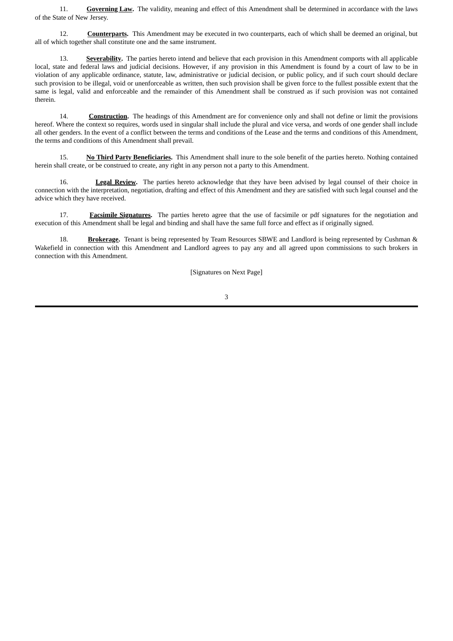11. **Governing Law.** The validity, meaning and effect of this Amendment shall be determined in accordance with the laws of the State of New Jersey.

12. **Counterparts.** This Amendment may be executed in two counterparts, each of which shall be deemed an original, but all of which together shall constitute one and the same instrument.

13. **Severability.** The parties hereto intend and believe that each provision in this Amendment comports with all applicable local, state and federal laws and judicial decisions. However, if any provision in this Amendment is found by a court of law to be in violation of any applicable ordinance, statute, law, administrative or judicial decision, or public policy, and if such court should declare such provision to be illegal, void or unenforceable as written, then such provision shall be given force to the fullest possible extent that the same is legal, valid and enforceable and the remainder of this Amendment shall be construed as if such provision was not contained therein.

14. **Construction.** The headings of this Amendment are for convenience only and shall not define or limit the provisions hereof. Where the context so requires, words used in singular shall include the plural and vice versa, and words of one gender shall include all other genders. In the event of a conflict between the terms and conditions of the Lease and the terms and conditions of this Amendment, the terms and conditions of this Amendment shall prevail.

15. **No Third Party Beneficiaries.** This Amendment shall inure to the sole benefit of the parties hereto. Nothing contained herein shall create, or be construed to create, any right in any person not a party to this Amendment.

16. **Legal Review.** The parties hereto acknowledge that they have been advised by legal counsel of their choice in connection with the interpretation, negotiation, drafting and effect of this Amendment and they are satisfied with such legal counsel and the advice which they have received.

17. **Facsimile Signatures.** The parties hereto agree that the use of facsimile or pdf signatures for the negotiation and execution of this Amendment shall be legal and binding and shall have the same full force and effect as if originally signed.

18. **Brokerage.** Tenant is being represented by Team Resources SBWE and Landlord is being represented by Cushman & Wakefield in connection with this Amendment and Landlord agrees to pay any and all agreed upon commissions to such brokers in connection with this Amendment.

[Signatures on Next Page]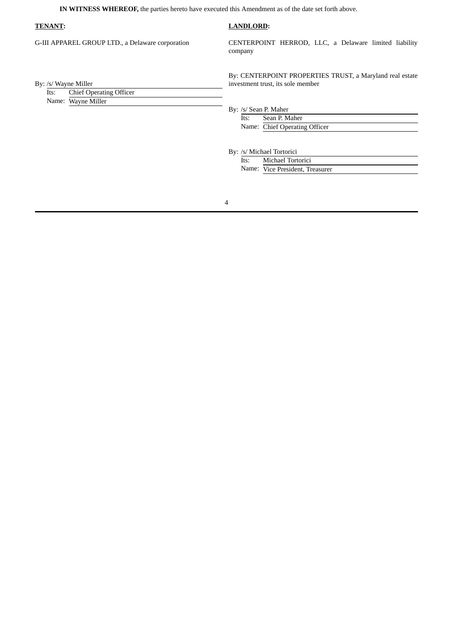**IN WITNESS WHEREOF,** the parties hereto have executed this Amendment as of the date set forth above.

# **TENANT: LANDLORD:**

G-III APPAREL GROUP LTD., a Delaware corporation CENTERPOINT HERROD, LLC, a Delaware limited liability company

By: CENTERPOINT PROPERTIES TRUST, a Maryland real estate

By: /s/ Wayne Miller

| Its: | <b>Chief Operating Officer</b> |
|------|--------------------------------|
|      | Name: Wayne Miller             |

By: /s/ Sean P. Maher

investment trust, its sole member

Its: Sean P. Maher Name: Chief Operating Officer

By: /s/ Michael Tortorici

Its: Michael Tortorici Name: Vice President, Treasurer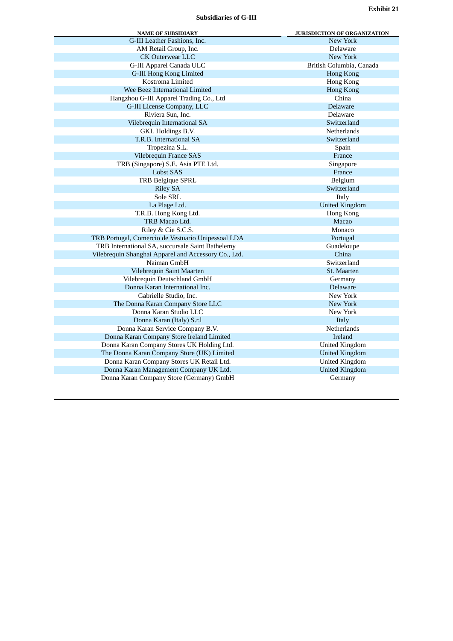# **Subsidiaries of G-III**

| <b>NAME OF SUBSIDIARY</b>                            | <b>JURISDICTION OF ORGANIZATION</b> |
|------------------------------------------------------|-------------------------------------|
| G-III Leather Fashions, Inc.                         | New York                            |
| AM Retail Group, Inc.                                | Delaware                            |
| <b>CK Outerwear LLC</b>                              | New York                            |
| G-III Apparel Canada ULC                             | British Columbia, Canada            |
| G-III Hong Kong Limited                              | <b>Hong Kong</b>                    |
| Kostroma Limited                                     | Hong Kong                           |
| Wee Beez International Limited                       | <b>Hong Kong</b>                    |
| Hangzhou G-III Apparel Trading Co., Ltd              | China                               |
| G-III License Company, LLC                           | Delaware                            |
| Riviera Sun, Inc.                                    | Delaware                            |
| Vilebrequin International SA                         | Switzerland                         |
| GKL Holdings B.V.                                    | Netherlands                         |
| T.R.B. International SA                              | Switzerland                         |
| Tropezina S.L.                                       | Spain                               |
| Vilebrequin France SAS                               | France                              |
| TRB (Singapore) S.E. Asia PTE Ltd.                   | Singapore                           |
| Lobst SAS                                            | France                              |
| TRB Belgique SPRL                                    | Belgium                             |
| <b>Riley SA</b>                                      | Switzerland                         |
| Sole SRL                                             | Italy                               |
| La Plage Ltd.                                        | <b>United Kingdom</b>               |
| T.R.B. Hong Kong Ltd.                                | Hong Kong                           |
| TRB Macao Ltd.                                       | Macao                               |
| Riley & Cie S.C.S.                                   | Monaco                              |
| TRB Portugal, Comercio de Vestuario Unipessoal LDA   | Portugal                            |
| TRB International SA, succursale Saint Bathelemy     | Guadeloupe                          |
| Vilebrequin Shanghai Apparel and Accessory Co., Ltd. | China                               |
| Naiman GmbH                                          | Switzerland                         |
| Vilebrequin Saint Maarten                            | St. Maarten                         |
| Vilebrequin Deutschland GmbH                         | Germany                             |
| Donna Karan International Inc.                       | <b>Delaware</b>                     |
| Gabrielle Studio, Inc.                               | New York                            |
| The Donna Karan Company Store LLC                    | New York                            |
| Donna Karan Studio LLC                               | New York                            |
| Donna Karan (Italy) S.r.l                            | Italy                               |
| Donna Karan Service Company B.V.                     | Netherlands                         |
| Donna Karan Company Store Ireland Limited            | Ireland                             |
| Donna Karan Company Stores UK Holding Ltd.           | <b>United Kingdom</b>               |
| The Donna Karan Company Store (UK) Limited           | <b>United Kingdom</b>               |
| Donna Karan Company Stores UK Retail Ltd.            | <b>United Kingdom</b>               |
| Donna Karan Management Company UK Ltd.               | <b>United Kingdom</b>               |
| Donna Karan Company Store (Germany) GmbH             | Germany                             |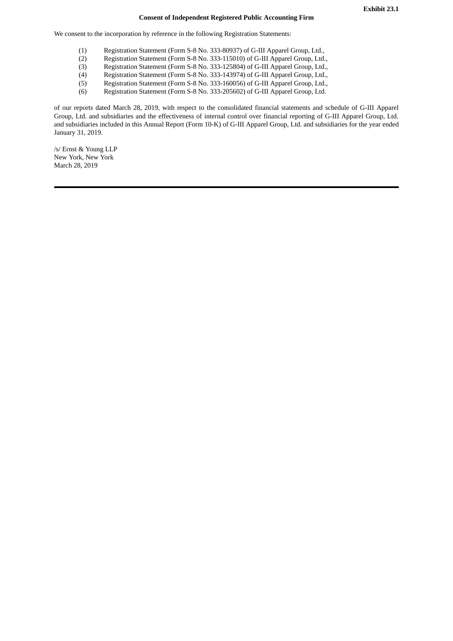### **Consent of Independent Registered Public Accounting Firm**

We consent to the incorporation by reference in the following Registration Statements:

- (1) Registration Statement (Form S-8 No. 333-80937) of G-III Apparel Group, Ltd.,
- (2) Registration Statement (Form S-8 No. 333-115010) of G-III Apparel Group, Ltd., (3) Registration Statement (Form S-8 No. 333-125804) of G-III Apparel Group, Ltd.,
- Registration Statement (Form S-8 No. 333-125804) of G-III Apparel Group, Ltd., (4) Registration Statement (Form S-8 No. 333-143974) of G-III Apparel Group, Ltd.,
- (5) Registration Statement (Form S-8 No. 333-160056) of G-III Apparel Group, Ltd.,
- (6) Registration Statement (Form S-8 No. 333-205602) of G-III Apparel Group, Ltd.

of our reports dated March 28, 2019, with respect to the consolidated financial statements and schedule of G-III Apparel Group, Ltd. and subsidiaries and the effectiveness of internal control over financial reporting of G-III Apparel Group, Ltd. and subsidiaries included in this Annual Report (Form 10-K) of G-III Apparel Group, Ltd. and subsidiaries for the year ended January 31, 2019.

/s/ Ernst & Young LLP New York, New York March 28, 2019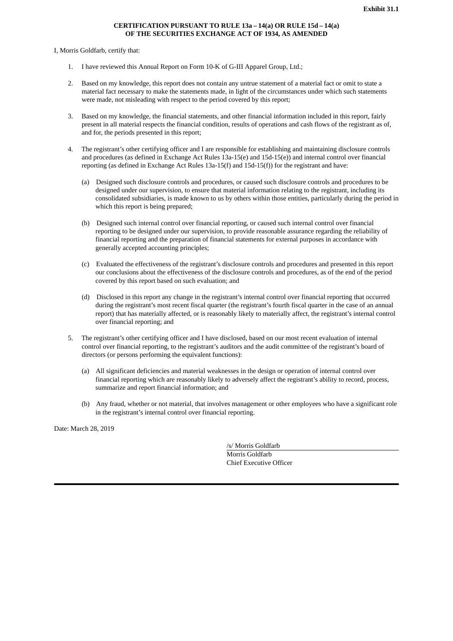### **CERTIFICATION PURSUANT TO RULE 13a – 14(a) OR RULE 15d – 14(a) OF THE SECURITIES EXCHANGE ACT OF 1934, AS AMENDED**

I, Morris Goldfarb, certify that:

- 1. I have reviewed this Annual Report on Form 10-K of G-III Apparel Group, Ltd.;
- 2. Based on my knowledge, this report does not contain any untrue statement of a material fact or omit to state a material fact necessary to make the statements made, in light of the circumstances under which such statements were made, not misleading with respect to the period covered by this report;
- 3. Based on my knowledge, the financial statements, and other financial information included in this report, fairly present in all material respects the financial condition, results of operations and cash flows of the registrant as of, and for, the periods presented in this report;
- 4. The registrant's other certifying officer and I are responsible for establishing and maintaining disclosure controls and procedures (as defined in Exchange Act Rules 13a-15(e) and 15d-15(e)) and internal control over financial reporting (as defined in Exchange Act Rules 13a-15(f) and 15d-15(f)) for the registrant and have:
	- (a) Designed such disclosure controls and procedures, or caused such disclosure controls and procedures to be designed under our supervision, to ensure that material information relating to the registrant, including its consolidated subsidiaries, is made known to us by others within those entities, particularly during the period in which this report is being prepared;
	- (b) Designed such internal control over financial reporting, or caused such internal control over financial reporting to be designed under our supervision, to provide reasonable assurance regarding the reliability of financial reporting and the preparation of financial statements for external purposes in accordance with generally accepted accounting principles;
	- (c) Evaluated the effectiveness of the registrant's disclosure controls and procedures and presented in this report our conclusions about the effectiveness of the disclosure controls and procedures, as of the end of the period covered by this report based on such evaluation; and
	- (d) Disclosed in this report any change in the registrant's internal control over financial reporting that occurred during the registrant's most recent fiscal quarter (the registrant's fourth fiscal quarter in the case of an annual report) that has materially affected, or is reasonably likely to materially affect, the registrant's internal control over financial reporting; and
- 5. The registrant's other certifying officer and I have disclosed, based on our most recent evaluation of internal control over financial reporting, to the registrant's auditors and the audit committee of the registrant's board of directors (or persons performing the equivalent functions):
	- (a) All significant deficiencies and material weaknesses in the design or operation of internal control over financial reporting which are reasonably likely to adversely affect the registrant's ability to record, process, summarize and report financial information; and
	- (b) Any fraud, whether or not material, that involves management or other employees who have a significant role in the registrant's internal control over financial reporting.

Date: March 28, 2019

/s/ Morris Goldfarb Morris Goldfarb Chief Executive Officer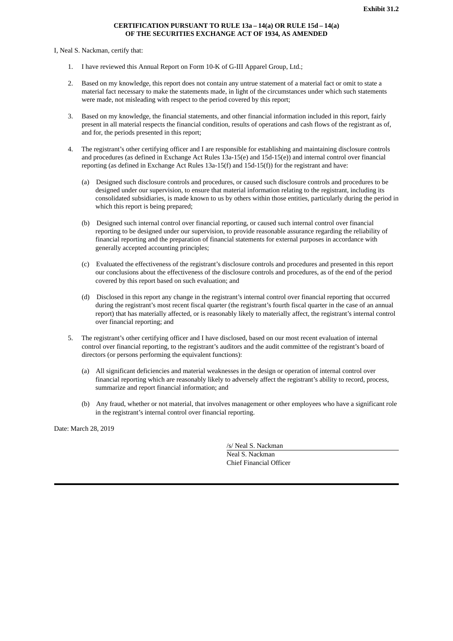### **CERTIFICATION PURSUANT TO RULE 13a – 14(a) OR RULE 15d – 14(a) OF THE SECURITIES EXCHANGE ACT OF 1934, AS AMENDED**

I, Neal S. Nackman, certify that:

- 1. I have reviewed this Annual Report on Form 10-K of G-III Apparel Group, Ltd.;
- 2. Based on my knowledge, this report does not contain any untrue statement of a material fact or omit to state a material fact necessary to make the statements made, in light of the circumstances under which such statements were made, not misleading with respect to the period covered by this report;
- 3. Based on my knowledge, the financial statements, and other financial information included in this report, fairly present in all material respects the financial condition, results of operations and cash flows of the registrant as of, and for, the periods presented in this report;
- 4. The registrant's other certifying officer and I are responsible for establishing and maintaining disclosure controls and procedures (as defined in Exchange Act Rules 13a-15(e) and 15d-15(e)) and internal control over financial reporting (as defined in Exchange Act Rules 13a-15(f) and 15d-15(f)) for the registrant and have:
	- (a) Designed such disclosure controls and procedures, or caused such disclosure controls and procedures to be designed under our supervision, to ensure that material information relating to the registrant, including its consolidated subsidiaries, is made known to us by others within those entities, particularly during the period in which this report is being prepared;
	- (b) Designed such internal control over financial reporting, or caused such internal control over financial reporting to be designed under our supervision, to provide reasonable assurance regarding the reliability of financial reporting and the preparation of financial statements for external purposes in accordance with generally accepted accounting principles;
	- (c) Evaluated the effectiveness of the registrant's disclosure controls and procedures and presented in this report our conclusions about the effectiveness of the disclosure controls and procedures, as of the end of the period covered by this report based on such evaluation; and
	- (d) Disclosed in this report any change in the registrant's internal control over financial reporting that occurred during the registrant's most recent fiscal quarter (the registrant's fourth fiscal quarter in the case of an annual report) that has materially affected, or is reasonably likely to materially affect, the registrant's internal control over financial reporting; and
- 5. The registrant's other certifying officer and I have disclosed, based on our most recent evaluation of internal control over financial reporting, to the registrant's auditors and the audit committee of the registrant's board of directors (or persons performing the equivalent functions):
	- (a) All significant deficiencies and material weaknesses in the design or operation of internal control over financial reporting which are reasonably likely to adversely affect the registrant's ability to record, process, summarize and report financial information; and
	- (b) Any fraud, whether or not material, that involves management or other employees who have a significant role in the registrant's internal control over financial reporting.

Date: March 28, 2019

/s/ Neal S. Nackman Neal S. Nackman Chief Financial Officer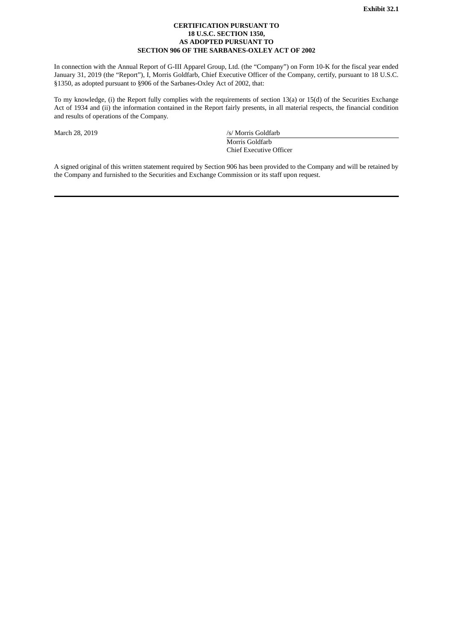## **CERTIFICATION PURSUANT TO 18 U.S.C. SECTION 1350, AS ADOPTED PURSUANT TO SECTION 906 OF THE SARBANES-OXLEY ACT OF 2002**

In connection with the Annual Report of G-III Apparel Group, Ltd. (the "Company") on Form 10-K for the fiscal year ended January 31, 2019 (the "Report"), I, Morris Goldfarb, Chief Executive Officer of the Company, certify, pursuant to 18 U.S.C. §1350, as adopted pursuant to §906 of the Sarbanes-Oxley Act of 2002, that:

To my knowledge, (i) the Report fully complies with the requirements of section 13(a) or 15(d) of the Securities Exchange Act of 1934 and (ii) the information contained in the Report fairly presents, in all material respects, the financial condition and results of operations of the Company.

March 28, 2019 /s/ Morris Goldfarb Morris Goldfarb Chief Executive Officer

A signed original of this written statement required by Section 906 has been provided to the Company and will be retained by the Company and furnished to the Securities and Exchange Commission or its staff upon request.